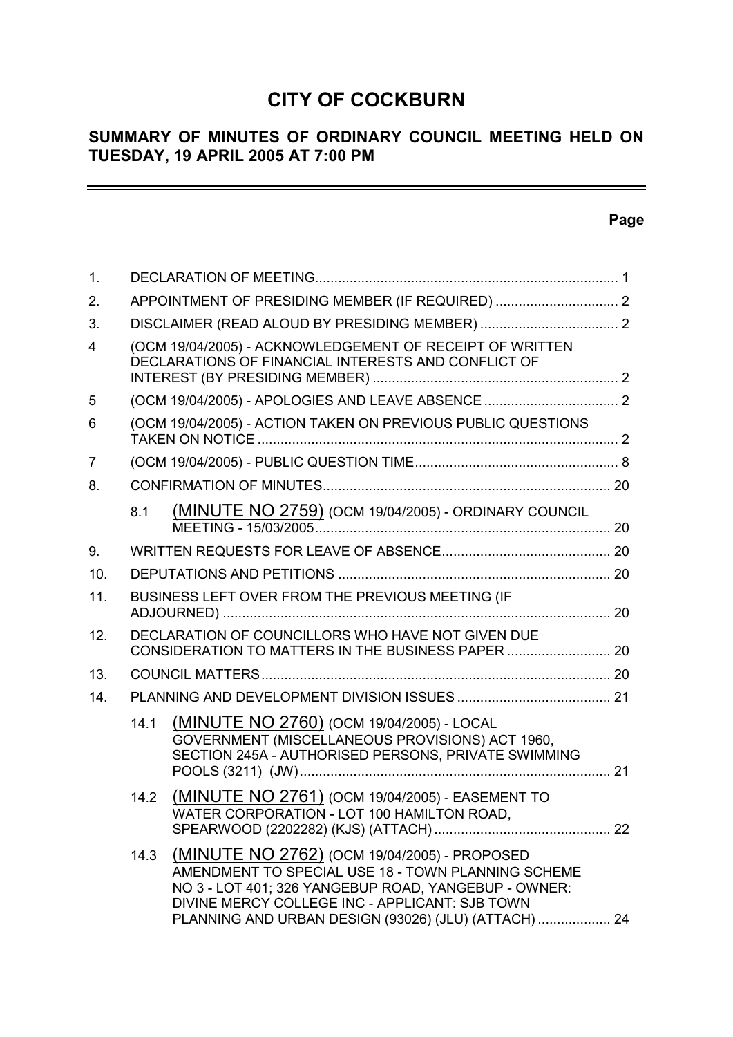# **CITY OF COCKBURN**

# **SUMMARY OF MINUTES OF ORDINARY COUNCIL MEETING HELD ON TUESDAY, 19 APRIL 2005 AT 7:00 PM**

# **Page**

 $\equiv$ 

| 1.                      |                                                                                                         |                                                                                                                                                                                                                                                                      |  |  |  |
|-------------------------|---------------------------------------------------------------------------------------------------------|----------------------------------------------------------------------------------------------------------------------------------------------------------------------------------------------------------------------------------------------------------------------|--|--|--|
| 2.                      |                                                                                                         |                                                                                                                                                                                                                                                                      |  |  |  |
| 3.                      |                                                                                                         |                                                                                                                                                                                                                                                                      |  |  |  |
| $\overline{\mathbf{4}}$ |                                                                                                         | (OCM 19/04/2005) - ACKNOWLEDGEMENT OF RECEIPT OF WRITTEN<br>DECLARATIONS OF FINANCIAL INTERESTS AND CONFLICT OF                                                                                                                                                      |  |  |  |
| 5                       |                                                                                                         |                                                                                                                                                                                                                                                                      |  |  |  |
| 6                       |                                                                                                         | (OCM 19/04/2005) - ACTION TAKEN ON PREVIOUS PUBLIC QUESTIONS                                                                                                                                                                                                         |  |  |  |
| 7                       |                                                                                                         |                                                                                                                                                                                                                                                                      |  |  |  |
| 8.                      |                                                                                                         |                                                                                                                                                                                                                                                                      |  |  |  |
|                         | 8.1                                                                                                     | (MINUTE NO 2759) (OCM 19/04/2005) - ORDINARY COUNCIL                                                                                                                                                                                                                 |  |  |  |
| 9.                      |                                                                                                         |                                                                                                                                                                                                                                                                      |  |  |  |
| 10.                     |                                                                                                         |                                                                                                                                                                                                                                                                      |  |  |  |
| 11.                     | BUSINESS LEFT OVER FROM THE PREVIOUS MEETING (IF                                                        |                                                                                                                                                                                                                                                                      |  |  |  |
| 12.                     | DECLARATION OF COUNCILLORS WHO HAVE NOT GIVEN DUE<br>CONSIDERATION TO MATTERS IN THE BUSINESS PAPER  20 |                                                                                                                                                                                                                                                                      |  |  |  |
| 13.                     |                                                                                                         |                                                                                                                                                                                                                                                                      |  |  |  |
| 14.                     |                                                                                                         |                                                                                                                                                                                                                                                                      |  |  |  |
|                         | 14.1                                                                                                    | (MINUTE NO 2760) (OCM 19/04/2005) - LOCAL<br>GOVERNMENT (MISCELLANEOUS PROVISIONS) ACT 1960,<br>SECTION 245A - AUTHORISED PERSONS, PRIVATE SWIMMING                                                                                                                  |  |  |  |
|                         | 14.2                                                                                                    | <b>(MINUTE NO 2761)</b> (OCM 19/04/2005) - EASEMENT TO<br>WATER CORPORATION - LOT 100 HAMILTON ROAD,                                                                                                                                                                 |  |  |  |
|                         | 14.3                                                                                                    | (MINUTE NO 2762) (OCM 19/04/2005) - PROPOSED<br>AMENDMENT TO SPECIAL USE 18 - TOWN PLANNING SCHEME<br>NO 3 - LOT 401; 326 YANGEBUP ROAD, YANGEBUP - OWNER:<br>DIVINE MERCY COLLEGE INC - APPLICANT: SJB TOWN<br>PLANNING AND URBAN DESIGN (93026) (JLU) (ATTACH)  24 |  |  |  |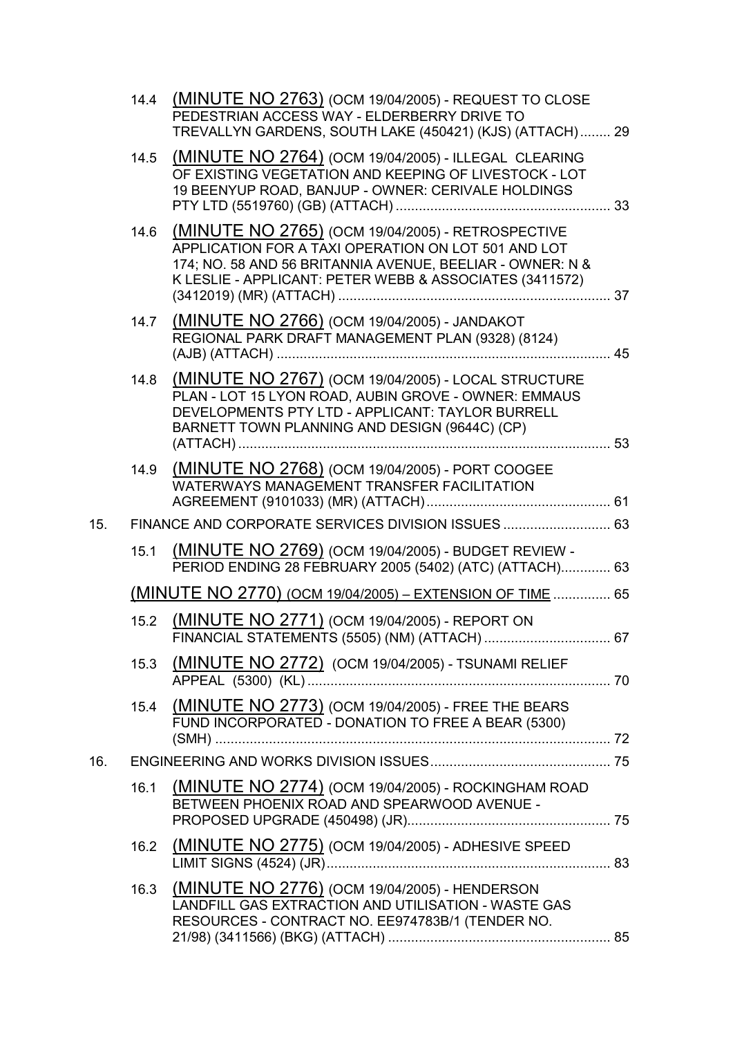|     | 14.4 | (MINUTE NO 2763) (OCM 19/04/2005) - REQUEST TO CLOSE<br>PEDESTRIAN ACCESS WAY - ELDERBERRY DRIVE TO<br>TREVALLYN GARDENS, SOUTH LAKE (450421) (KJS) (ATTACH) 29                                                                  |    |
|-----|------|----------------------------------------------------------------------------------------------------------------------------------------------------------------------------------------------------------------------------------|----|
|     | 14.5 | (MINUTE NO 2764) (OCM 19/04/2005) - ILLEGAL CLEARING<br>OF EXISTING VEGETATION AND KEEPING OF LIVESTOCK - LOT<br>19 BEENYUP ROAD, BANJUP - OWNER: CERIVALE HOLDINGS                                                              |    |
|     | 14.6 | (MINUTE NO 2765) (OCM 19/04/2005) - RETROSPECTIVE<br>APPLICATION FOR A TAXI OPERATION ON LOT 501 AND LOT<br>174; NO. 58 AND 56 BRITANNIA AVENUE, BEELIAR - OWNER: N &<br>K LESLIE - APPLICANT: PETER WEBB & ASSOCIATES (3411572) |    |
|     | 14.7 | (MINUTE NO 2766) (OCM 19/04/2005) - JANDAKOT<br>REGIONAL PARK DRAFT MANAGEMENT PLAN (9328) (8124)                                                                                                                                |    |
|     | 14.8 | (MINUTE NO 2767) (OCM 19/04/2005) - LOCAL STRUCTURE<br>PLAN - LOT 15 LYON ROAD, AUBIN GROVE - OWNER: EMMAUS<br>DEVELOPMENTS PTY LTD - APPLICANT: TAYLOR BURRELL<br>BARNETT TOWN PLANNING AND DESIGN (9644C) (CP)                 |    |
|     | 14.9 | (MINUTE NO 2768) (OCM 19/04/2005) - PORT COOGEE<br><b>WATERWAYS MANAGEMENT TRANSFER FACILITATION</b>                                                                                                                             |    |
| 15. |      | FINANCE AND CORPORATE SERVICES DIVISION ISSUES  63                                                                                                                                                                               |    |
|     | 15.1 | (MINUTE NO 2769) (OCM 19/04/2005) - BUDGET REVIEW -<br>PERIOD ENDING 28 FEBRUARY 2005 (5402) (ATC) (ATTACH) 63                                                                                                                   |    |
|     |      | (MINUTE NO 2770) (OCM 19/04/2005) - EXTENSION OF TIME  65                                                                                                                                                                        |    |
|     | 15.2 | (MINUTE NO 2771) (OCM 19/04/2005) - REPORT ON<br>FINANCIAL STATEMENTS (5505) (NM) (ATTACH)                                                                                                                                       | 67 |
|     | 15.3 | (MINUTE NO 2772) (OCM 19/04/2005) - TSUNAMI RELIEF                                                                                                                                                                               |    |
|     |      | 15.4 (MINUTE NO 2773) (OCM 19/04/2005) - FREE THE BEARS<br>FUND INCORPORATED - DONATION TO FREE A BEAR (5300)                                                                                                                    |    |
| 16. |      |                                                                                                                                                                                                                                  |    |
|     | 16.1 | (MINUTE NO 2774) (OCM 19/04/2005) - ROCKINGHAM ROAD<br>BETWEEN PHOENIX ROAD AND SPEARWOOD AVENUE -                                                                                                                               |    |
|     | 16.2 | (MINUTE NO 2775) (OCM 19/04/2005) - ADHESIVE SPEED                                                                                                                                                                               |    |
|     | 16.3 | (MINUTE NO 2776) (OCM 19/04/2005) - HENDERSON<br>LANDFILL GAS EXTRACTION AND UTILISATION - WASTE GAS<br>RESOURCES - CONTRACT NO. EE974783B/1 (TENDER NO.                                                                         |    |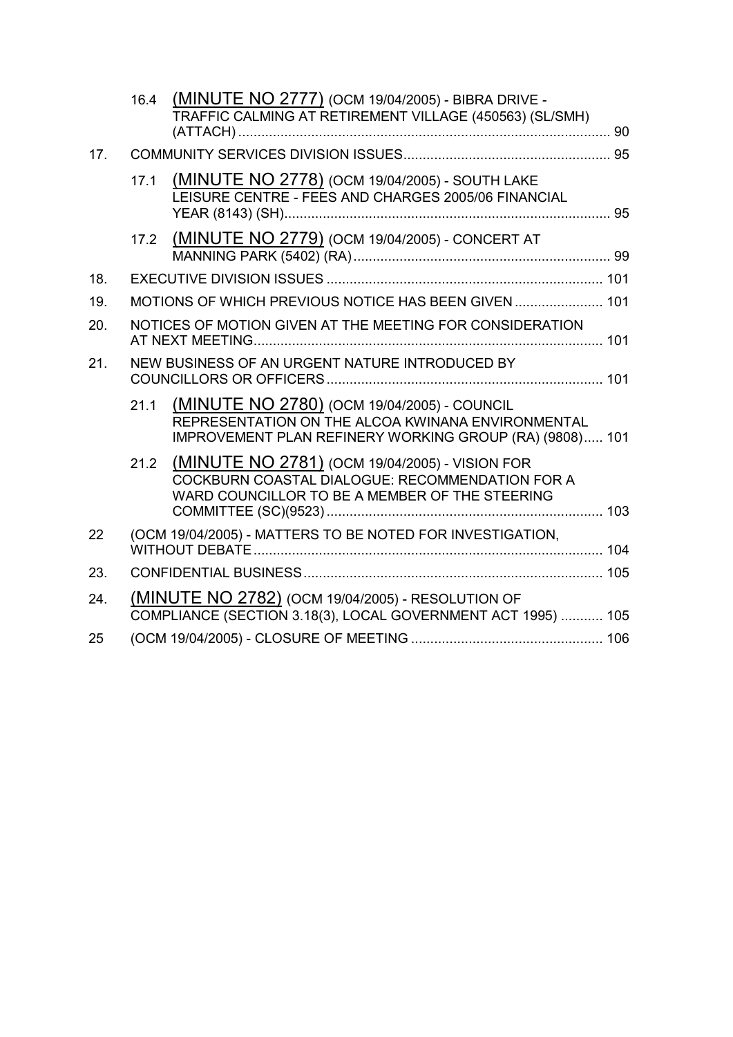|     | 16.4 | (MINUTE NO 2777) (OCM 19/04/2005) - BIBRA DRIVE -<br>TRAFFIC CALMING AT RETIREMENT VILLAGE (450563) (SL/SMH)                                                |  |
|-----|------|-------------------------------------------------------------------------------------------------------------------------------------------------------------|--|
| 17. |      |                                                                                                                                                             |  |
|     | 17.1 | (MINUTE NO 2778) (OCM 19/04/2005) - SOUTH LAKE<br>LEISURE CENTRE - FEES AND CHARGES 2005/06 FINANCIAL                                                       |  |
|     | 17.2 | (MINUTE NO 2779) (OCM 19/04/2005) - CONCERT AT                                                                                                              |  |
| 18. |      |                                                                                                                                                             |  |
| 19. |      | MOTIONS OF WHICH PREVIOUS NOTICE HAS BEEN GIVEN  101                                                                                                        |  |
| 20. |      | NOTICES OF MOTION GIVEN AT THE MEETING FOR CONSIDERATION                                                                                                    |  |
| 21. |      | NEW BUSINESS OF AN URGENT NATURE INTRODUCED BY                                                                                                              |  |
|     | 21.1 | (MINUTE NO 2780) (OCM 19/04/2005) - COUNCIL<br>REPRESENTATION ON THE ALCOA KWINANA ENVIRONMENTAL<br>IMPROVEMENT PLAN REFINERY WORKING GROUP (RA) (9808) 101 |  |
|     | 21.2 | (MINUTE NO 2781) (OCM 19/04/2005) - VISION FOR<br>COCKBURN COASTAL DIALOGUE: RECOMMENDATION FOR A<br>WARD COUNCILLOR TO BE A MEMBER OF THE STEERING         |  |
| 22  |      | (OCM 19/04/2005) - MATTERS TO BE NOTED FOR INVESTIGATION,                                                                                                   |  |
| 23. |      |                                                                                                                                                             |  |
| 24. |      | <b>(MINUTE NO 2782)</b> (OCM 19/04/2005) - RESOLUTION OF<br>COMPLIANCE (SECTION 3.18(3), LOCAL GOVERNMENT ACT 1995)  105                                    |  |
| 25  |      |                                                                                                                                                             |  |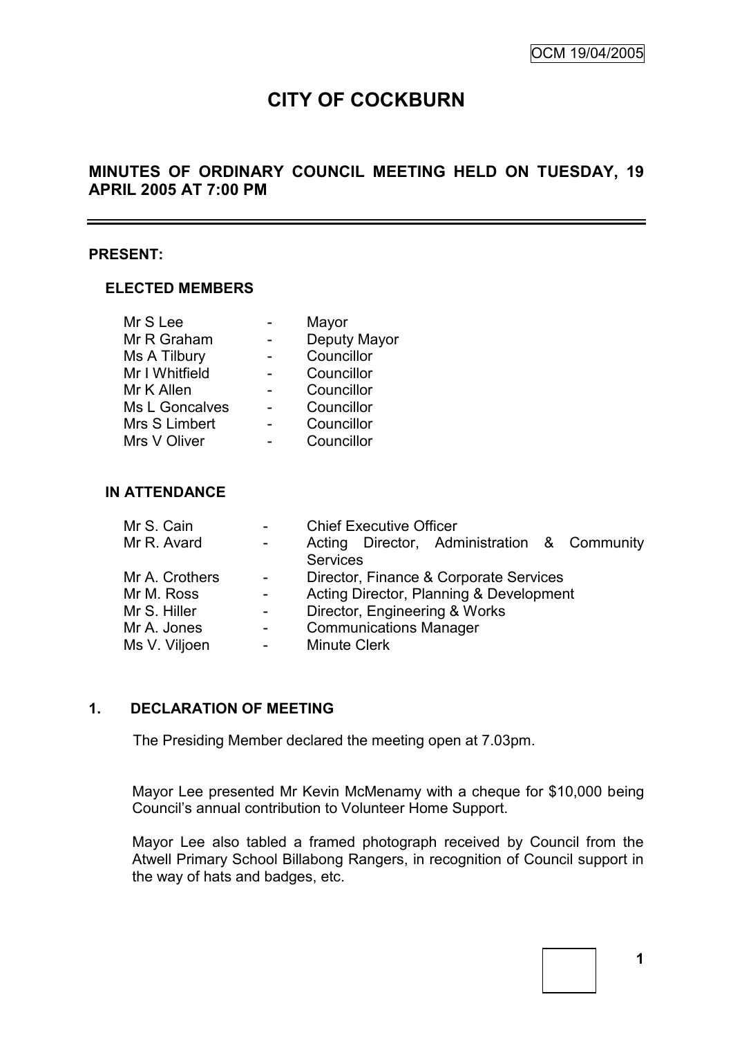# **CITY OF COCKBURN**

# **MINUTES OF ORDINARY COUNCIL MEETING HELD ON TUESDAY, 19 APRIL 2005 AT 7:00 PM**

#### **PRESENT:**

#### **ELECTED MEMBERS**

| Mr S Lee       | Mayor        |
|----------------|--------------|
| Mr R Graham    | Deputy Mayor |
| Ms A Tilbury   | Councillor   |
| Mr I Whitfield | Councillor   |
| Mr K Allen     | Councillor   |
| Ms L Goncalves | Councillor   |
| Mrs S Limbert  | Councillor   |
| Mrs V Oliver   | Councillor   |

#### **IN ATTENDANCE**

| Mr S. Cain     | $\overline{a}$      | <b>Chief Executive Officer</b>          |  |                                             |  |
|----------------|---------------------|-----------------------------------------|--|---------------------------------------------|--|
| Mr R. Avard    | $\sim$              |                                         |  | Acting Director, Administration & Community |  |
|                |                     | <b>Services</b>                         |  |                                             |  |
| Mr A. Crothers | $\blacksquare$      | Director, Finance & Corporate Services  |  |                                             |  |
| Mr M. Ross     | $\omega_{\rm{max}}$ | Acting Director, Planning & Development |  |                                             |  |
| Mr S. Hiller   | $\sim$              |                                         |  | Director, Engineering & Works               |  |
| Mr A. Jones    | $\blacksquare$      | <b>Communications Manager</b>           |  |                                             |  |
| Ms V. Viljoen  | $\blacksquare$      | <b>Minute Clerk</b>                     |  |                                             |  |

# **1. DECLARATION OF MEETING**

The Presiding Member declared the meeting open at 7.03pm.

Mayor Lee presented Mr Kevin McMenamy with a cheque for \$10,000 being Council's annual contribution to Volunteer Home Support.

Mayor Lee also tabled a framed photograph received by Council from the Atwell Primary School Billabong Rangers, in recognition of Council support in the way of hats and badges, etc.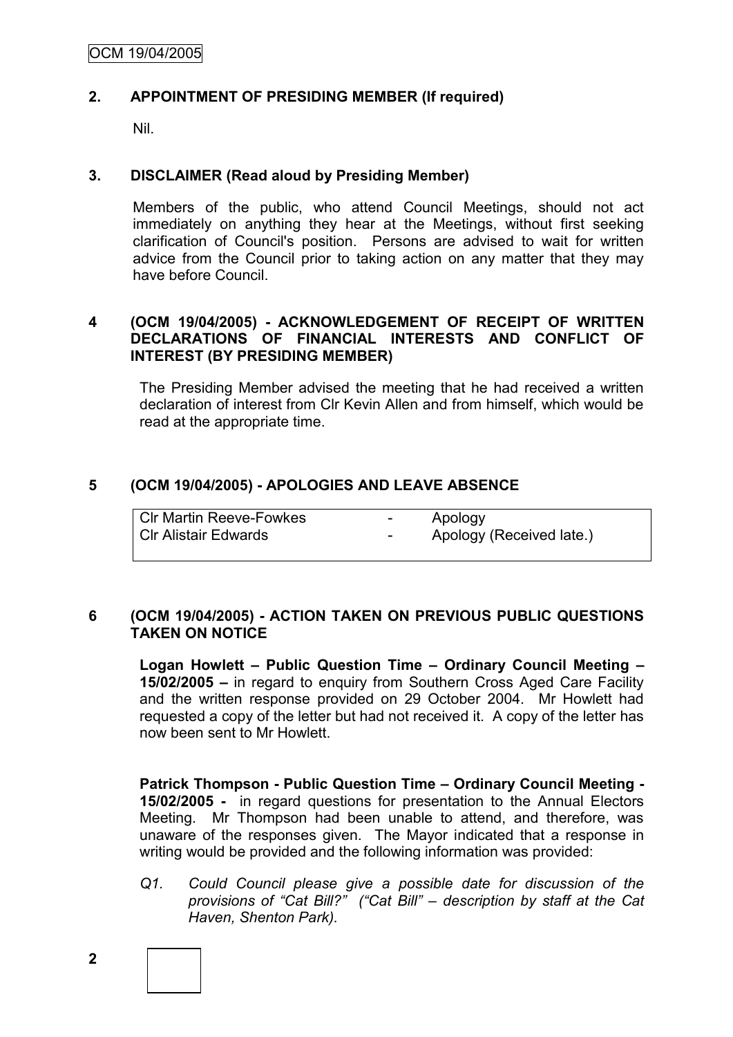# **2. APPOINTMENT OF PRESIDING MEMBER (If required)**

Nil.

# **3. DISCLAIMER (Read aloud by Presiding Member)**

Members of the public, who attend Council Meetings, should not act immediately on anything they hear at the Meetings, without first seeking clarification of Council's position. Persons are advised to wait for written advice from the Council prior to taking action on any matter that they may have before Council.

# **4 (OCM 19/04/2005) - ACKNOWLEDGEMENT OF RECEIPT OF WRITTEN DECLARATIONS OF FINANCIAL INTERESTS AND CONFLICT OF INTEREST (BY PRESIDING MEMBER)**

The Presiding Member advised the meeting that he had received a written declaration of interest from Clr Kevin Allen and from himself, which would be read at the appropriate time.

# **5 (OCM 19/04/2005) - APOLOGIES AND LEAVE ABSENCE**

| <b>CIr Martin Reeve-Fowkes</b> | $\sim$ . | Apology                  |
|--------------------------------|----------|--------------------------|
| <b>CIr Alistair Edwards</b>    | $\sim$   | Apology (Received late.) |

# **6 (OCM 19/04/2005) - ACTION TAKEN ON PREVIOUS PUBLIC QUESTIONS TAKEN ON NOTICE**

**Logan Howlett – Public Question Time – Ordinary Council Meeting – 15/02/2005 –** in regard to enquiry from Southern Cross Aged Care Facility and the written response provided on 29 October 2004. Mr Howlett had requested a copy of the letter but had not received it. A copy of the letter has now been sent to Mr Howlett.

**Patrick Thompson - Public Question Time – Ordinary Council Meeting - 15/02/2005 -** in regard questions for presentation to the Annual Electors Meeting. Mr Thompson had been unable to attend, and therefore, was unaware of the responses given. The Mayor indicated that a response in writing would be provided and the following information was provided:

*Q1. Could Council please give a possible date for discussion of the provisions of "Cat Bill?" ("Cat Bill" – description by staff at the Cat Haven, Shenton Park).*

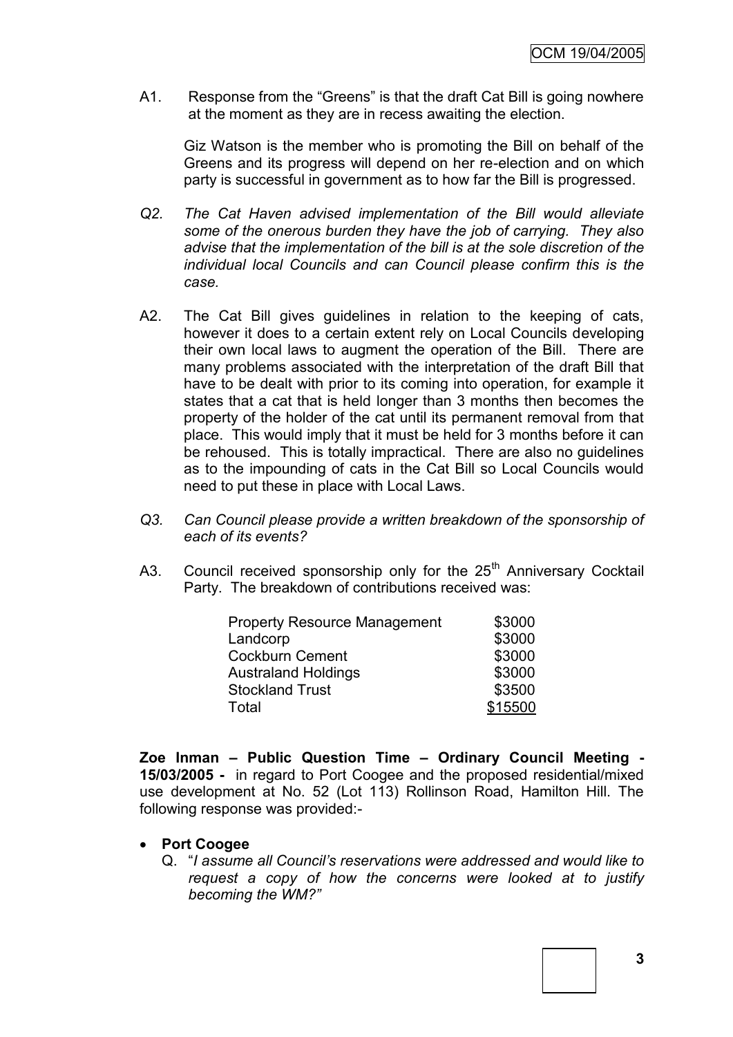A1. Response from the "Greens" is that the draft Cat Bill is going nowhere at the moment as they are in recess awaiting the election.

Giz Watson is the member who is promoting the Bill on behalf of the Greens and its progress will depend on her re-election and on which party is successful in government as to how far the Bill is progressed.

- *Q2. The Cat Haven advised implementation of the Bill would alleviate some of the onerous burden they have the job of carrying. They also advise that the implementation of the bill is at the sole discretion of the individual local Councils and can Council please confirm this is the case.*
- A2. The Cat Bill gives guidelines in relation to the keeping of cats, however it does to a certain extent rely on Local Councils developing their own local laws to augment the operation of the Bill. There are many problems associated with the interpretation of the draft Bill that have to be dealt with prior to its coming into operation, for example it states that a cat that is held longer than 3 months then becomes the property of the holder of the cat until its permanent removal from that place. This would imply that it must be held for 3 months before it can be rehoused. This is totally impractical. There are also no guidelines as to the impounding of cats in the Cat Bill so Local Councils would need to put these in place with Local Laws.
- *Q3. Can Council please provide a written breakdown of the sponsorship of each of its events?*
- A3. Council received sponsorship only for the 25<sup>th</sup> Anniversary Cocktail Party. The breakdown of contributions received was:

| <b>Property Resource Management</b> | \$3000  |
|-------------------------------------|---------|
| Landcorp                            | \$3000  |
| <b>Cockburn Cement</b>              | \$3000  |
| <b>Australand Holdings</b>          | \$3000  |
| <b>Stockland Trust</b>              | \$3500  |
| Total                               | \$15500 |

**Zoe Inman – Public Question Time – Ordinary Council Meeting - 15/03/2005 -** in regard to Port Coogee and the proposed residential/mixed use development at No. 52 (Lot 113) Rollinson Road, Hamilton Hill. The following response was provided:-

#### **Port Coogee**

Q. ―*I assume all Council's reservations were addressed and would like to request a copy of how the concerns were looked at to justify becoming the WM?"*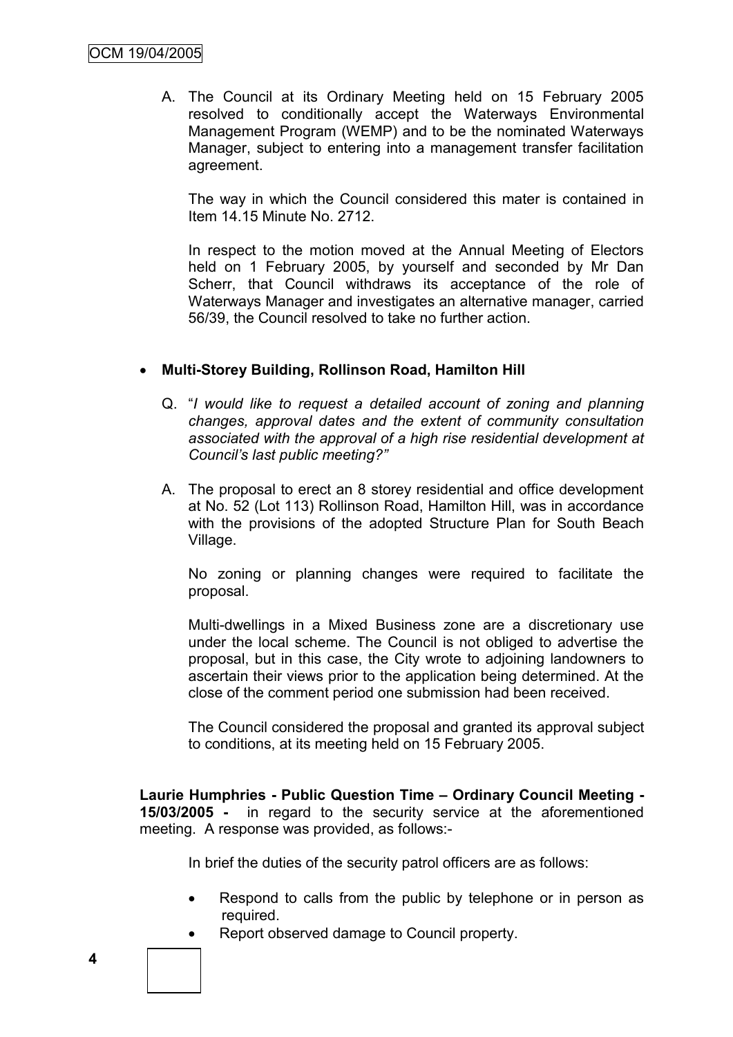A. The Council at its Ordinary Meeting held on 15 February 2005 resolved to conditionally accept the Waterways Environmental Management Program (WEMP) and to be the nominated Waterways Manager, subject to entering into a management transfer facilitation agreement.

The way in which the Council considered this mater is contained in Item 14.15 Minute No. 2712.

In respect to the motion moved at the Annual Meeting of Electors held on 1 February 2005, by yourself and seconded by Mr Dan Scherr, that Council withdraws its acceptance of the role of Waterways Manager and investigates an alternative manager, carried 56/39, the Council resolved to take no further action.

# **Multi-Storey Building, Rollinson Road, Hamilton Hill**

- Q. ―*I would like to request a detailed account of zoning and planning changes, approval dates and the extent of community consultation associated with the approval of a high rise residential development at Council's last public meeting?"*
- A. The proposal to erect an 8 storey residential and office development at No. 52 (Lot 113) Rollinson Road, Hamilton Hill, was in accordance with the provisions of the adopted Structure Plan for South Beach Village.

No zoning or planning changes were required to facilitate the proposal.

Multi-dwellings in a Mixed Business zone are a discretionary use under the local scheme. The Council is not obliged to advertise the proposal, but in this case, the City wrote to adjoining landowners to ascertain their views prior to the application being determined. At the close of the comment period one submission had been received.

The Council considered the proposal and granted its approval subject to conditions, at its meeting held on 15 February 2005.

**Laurie Humphries - Public Question Time – Ordinary Council Meeting - 15/03/2005 -** in regard to the security service at the aforementioned meeting. A response was provided, as follows:-

In brief the duties of the security patrol officers are as follows:

- Respond to calls from the public by telephone or in person as required.
- Report observed damage to Council property.

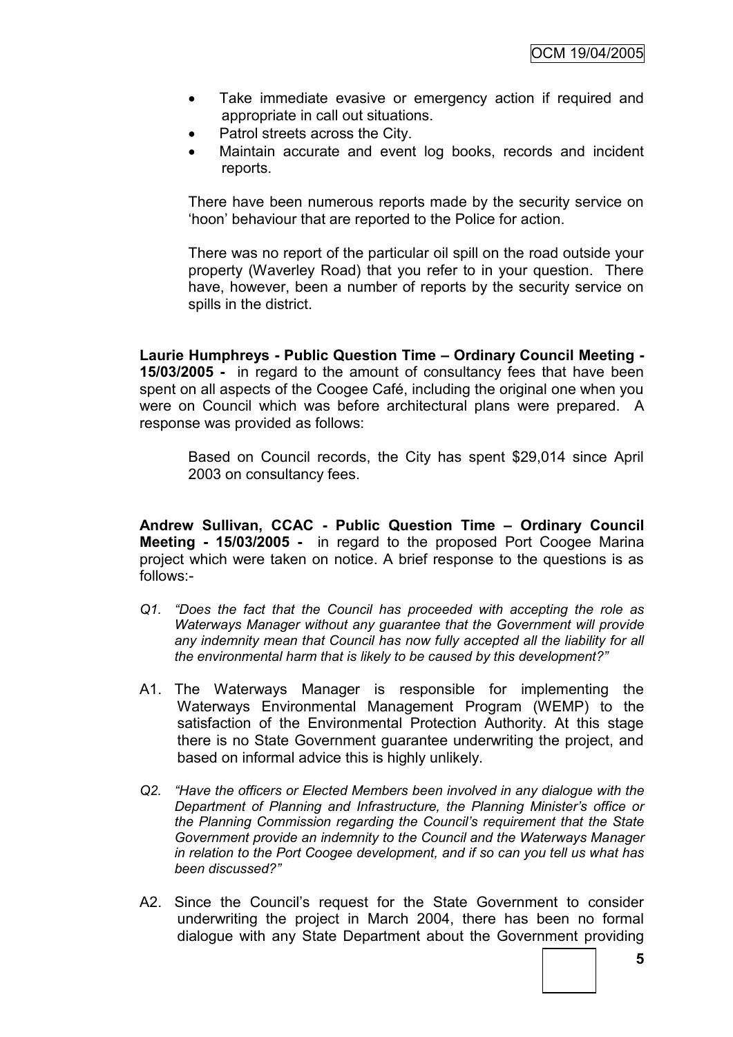- Take immediate evasive or emergency action if required and appropriate in call out situations.
- Patrol streets across the City.
- Maintain accurate and event log books, records and incident reports.

There have been numerous reports made by the security service on ‗hoon' behaviour that are reported to the Police for action.

There was no report of the particular oil spill on the road outside your property (Waverley Road) that you refer to in your question. There have, however, been a number of reports by the security service on spills in the district.

**Laurie Humphreys - Public Question Time – Ordinary Council Meeting - 15/03/2005 -** in regard to the amount of consultancy fees that have been spent on all aspects of the Coogee Café, including the original one when you were on Council which was before architectural plans were prepared. A response was provided as follows:

Based on Council records, the City has spent \$29,014 since April 2003 on consultancy fees.

**Andrew Sullivan, CCAC - Public Question Time – Ordinary Council Meeting - 15/03/2005 -** in regard to the proposed Port Coogee Marina project which were taken on notice. A brief response to the questions is as follows:-

- *Q1. "Does the fact that the Council has proceeded with accepting the role as Waterways Manager without any guarantee that the Government will provide*  any indemnity mean that Council has now fully accepted all the liability for all *the environmental harm that is likely to be caused by this development?"*
- A1. The Waterways Manager is responsible for implementing the Waterways Environmental Management Program (WEMP) to the satisfaction of the Environmental Protection Authority. At this stage there is no State Government guarantee underwriting the project, and based on informal advice this is highly unlikely.
- *Q2. "Have the officers or Elected Members been involved in any dialogue with the Department of Planning and Infrastructure, the Planning Minister's office or the Planning Commission regarding the Council's requirement that the State Government provide an indemnity to the Council and the Waterways Manager in relation to the Port Coogee development, and if so can you tell us what has been discussed?"*
- A2. Since the Council's request for the State Government to consider underwriting the project in March 2004, there has been no formal dialogue with any State Department about the Government providing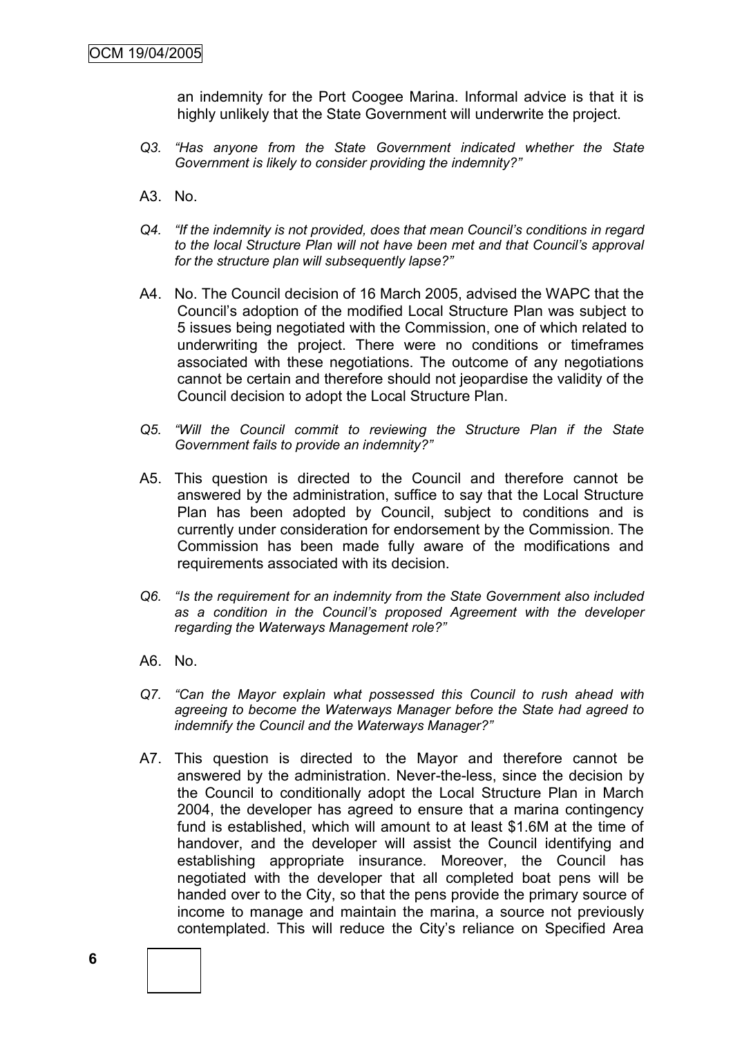an indemnity for the Port Coogee Marina. Informal advice is that it is highly unlikely that the State Government will underwrite the project.

- *Q3. "Has anyone from the State Government indicated whether the State Government is likely to consider providing the indemnity?"*
- A3. No.
- *Q4. "If the indemnity is not provided, does that mean Council's conditions in regard to the local Structure Plan will not have been met and that Council's approval for the structure plan will subsequently lapse?"*
- A4. No. The Council decision of 16 March 2005, advised the WAPC that the Council's adoption of the modified Local Structure Plan was subject to 5 issues being negotiated with the Commission, one of which related to underwriting the project. There were no conditions or timeframes associated with these negotiations. The outcome of any negotiations cannot be certain and therefore should not jeopardise the validity of the Council decision to adopt the Local Structure Plan.
- *Q5. "Will the Council commit to reviewing the Structure Plan if the State Government fails to provide an indemnity?"*
- A5. This question is directed to the Council and therefore cannot be answered by the administration, suffice to say that the Local Structure Plan has been adopted by Council, subject to conditions and is currently under consideration for endorsement by the Commission. The Commission has been made fully aware of the modifications and requirements associated with its decision.
- *Q6. "Is the requirement for an indemnity from the State Government also included as a condition in the Council's proposed Agreement with the developer regarding the Waterways Management role?"*
- A6. No.
- *Q7. "Can the Mayor explain what possessed this Council to rush ahead with agreeing to become the Waterways Manager before the State had agreed to indemnify the Council and the Waterways Manager?"*
- A7. This question is directed to the Mayor and therefore cannot be answered by the administration. Never-the-less, since the decision by the Council to conditionally adopt the Local Structure Plan in March 2004, the developer has agreed to ensure that a marina contingency fund is established, which will amount to at least \$1.6M at the time of handover, and the developer will assist the Council identifying and establishing appropriate insurance. Moreover, the Council has negotiated with the developer that all completed boat pens will be handed over to the City, so that the pens provide the primary source of income to manage and maintain the marina, a source not previously contemplated. This will reduce the City's reliance on Specified Area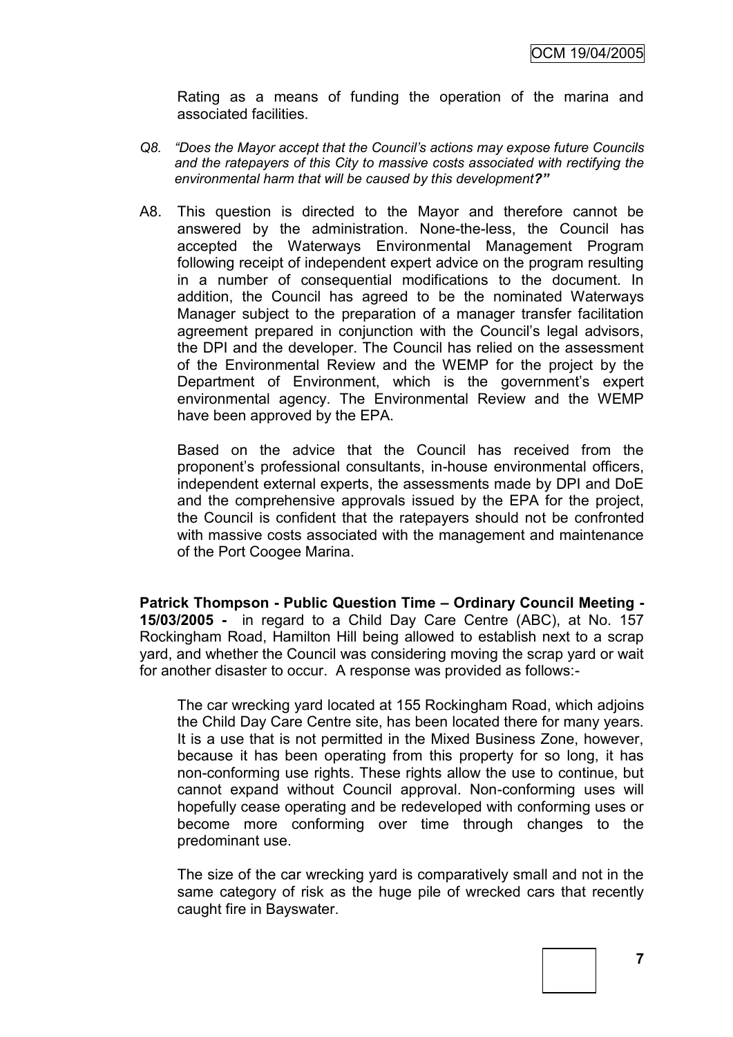Rating as a means of funding the operation of the marina and associated facilities.

- *Q8. "Does the Mayor accept that the Council's actions may expose future Councils and the ratepayers of this City to massive costs associated with rectifying the environmental harm that will be caused by this development?"*
- A8. This question is directed to the Mayor and therefore cannot be answered by the administration. None-the-less, the Council has accepted the Waterways Environmental Management Program following receipt of independent expert advice on the program resulting in a number of consequential modifications to the document. In addition, the Council has agreed to be the nominated Waterways Manager subject to the preparation of a manager transfer facilitation agreement prepared in conjunction with the Council's legal advisors. the DPI and the developer. The Council has relied on the assessment of the Environmental Review and the WEMP for the project by the Department of Environment, which is the government's expert environmental agency. The Environmental Review and the WEMP have been approved by the EPA.

Based on the advice that the Council has received from the proponent's professional consultants, in-house environmental officers, independent external experts, the assessments made by DPI and DoE and the comprehensive approvals issued by the EPA for the project, the Council is confident that the ratepayers should not be confronted with massive costs associated with the management and maintenance of the Port Coogee Marina.

**Patrick Thompson - Public Question Time – Ordinary Council Meeting - 15/03/2005 -** in regard to a Child Day Care Centre (ABC), at No. 157 Rockingham Road, Hamilton Hill being allowed to establish next to a scrap yard, and whether the Council was considering moving the scrap yard or wait for another disaster to occur. A response was provided as follows:-

The car wrecking yard located at 155 Rockingham Road, which adjoins the Child Day Care Centre site, has been located there for many years. It is a use that is not permitted in the Mixed Business Zone, however, because it has been operating from this property for so long, it has non-conforming use rights. These rights allow the use to continue, but cannot expand without Council approval. Non-conforming uses will hopefully cease operating and be redeveloped with conforming uses or become more conforming over time through changes to the predominant use.

The size of the car wrecking yard is comparatively small and not in the same category of risk as the huge pile of wrecked cars that recently caught fire in Bayswater.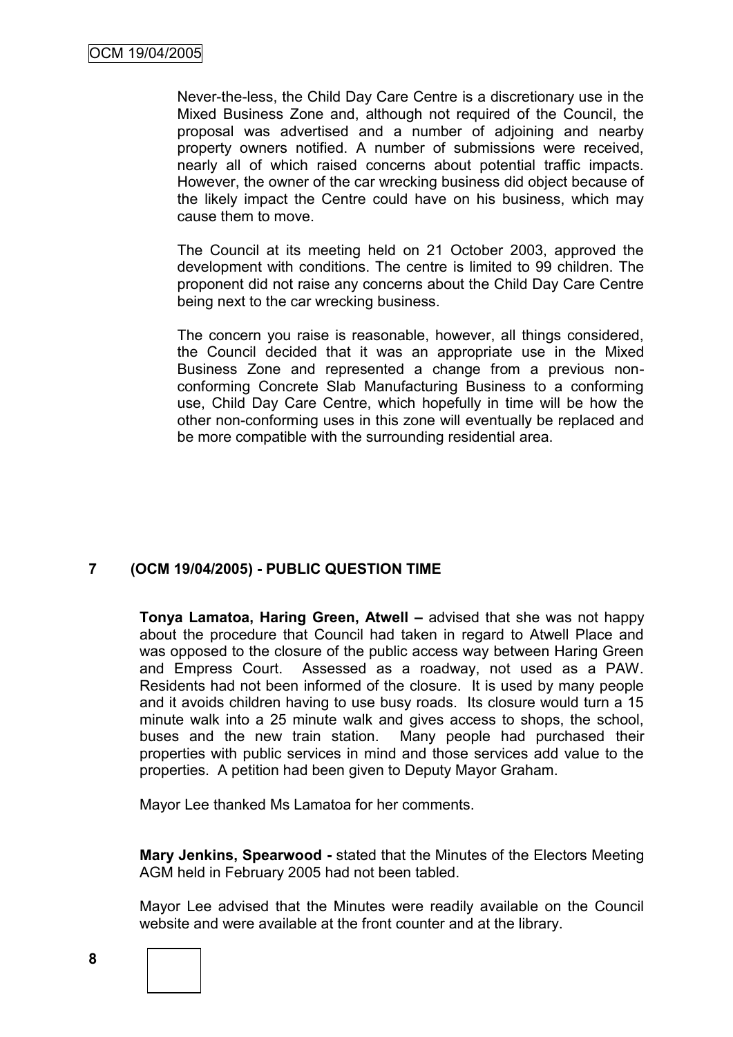Never-the-less, the Child Day Care Centre is a discretionary use in the Mixed Business Zone and, although not required of the Council, the proposal was advertised and a number of adjoining and nearby property owners notified. A number of submissions were received, nearly all of which raised concerns about potential traffic impacts. However, the owner of the car wrecking business did object because of the likely impact the Centre could have on his business, which may cause them to move.

The Council at its meeting held on 21 October 2003, approved the development with conditions. The centre is limited to 99 children. The proponent did not raise any concerns about the Child Day Care Centre being next to the car wrecking business.

The concern you raise is reasonable, however, all things considered, the Council decided that it was an appropriate use in the Mixed Business Zone and represented a change from a previous nonconforming Concrete Slab Manufacturing Business to a conforming use, Child Day Care Centre, which hopefully in time will be how the other non-conforming uses in this zone will eventually be replaced and be more compatible with the surrounding residential area.

# **7 (OCM 19/04/2005) - PUBLIC QUESTION TIME**

**Tonya Lamatoa, Haring Green, Atwell –** advised that she was not happy about the procedure that Council had taken in regard to Atwell Place and was opposed to the closure of the public access way between Haring Green and Empress Court. Assessed as a roadway, not used as a PAW. Residents had not been informed of the closure. It is used by many people and it avoids children having to use busy roads. Its closure would turn a 15 minute walk into a 25 minute walk and gives access to shops, the school, buses and the new train station. Many people had purchased their properties with public services in mind and those services add value to the properties. A petition had been given to Deputy Mayor Graham.

Mayor Lee thanked Ms Lamatoa for her comments.

**Mary Jenkins, Spearwood -** stated that the Minutes of the Electors Meeting AGM held in February 2005 had not been tabled.

Mayor Lee advised that the Minutes were readily available on the Council website and were available at the front counter and at the library.

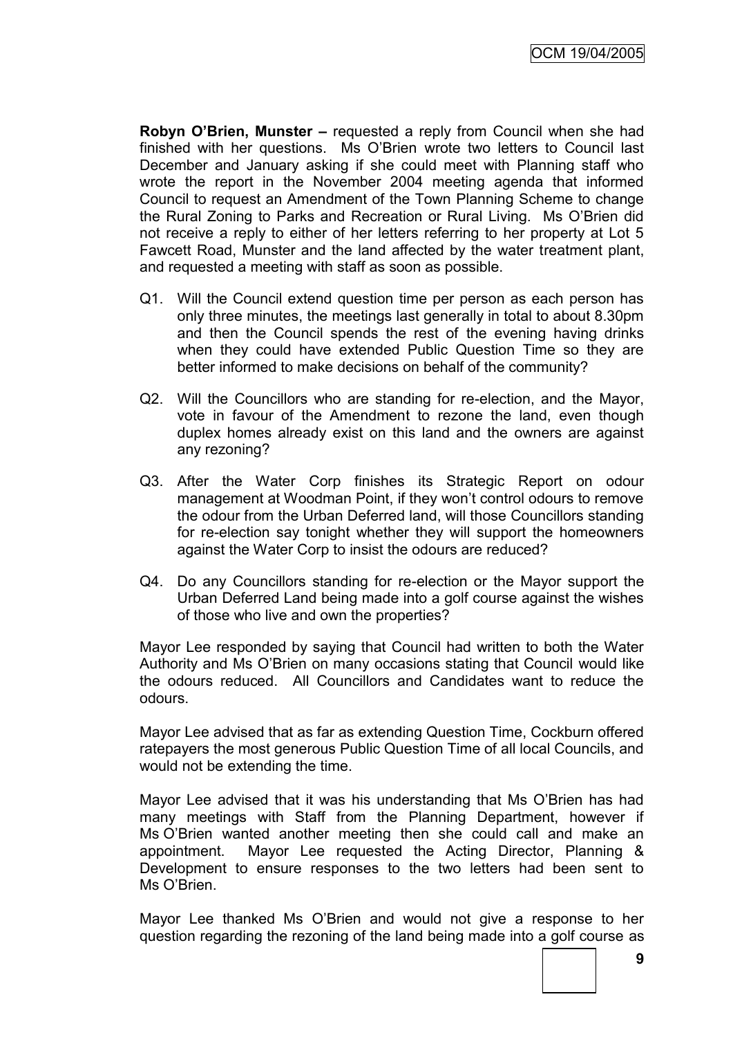**Robyn O'Brien, Munster –** requested a reply from Council when she had finished with her questions. Ms O'Brien wrote two letters to Council last December and January asking if she could meet with Planning staff who wrote the report in the November 2004 meeting agenda that informed Council to request an Amendment of the Town Planning Scheme to change the Rural Zoning to Parks and Recreation or Rural Living. Ms O'Brien did not receive a reply to either of her letters referring to her property at Lot 5 Fawcett Road, Munster and the land affected by the water treatment plant, and requested a meeting with staff as soon as possible.

- Q1. Will the Council extend question time per person as each person has only three minutes, the meetings last generally in total to about 8.30pm and then the Council spends the rest of the evening having drinks when they could have extended Public Question Time so they are better informed to make decisions on behalf of the community?
- Q2. Will the Councillors who are standing for re-election, and the Mayor, vote in favour of the Amendment to rezone the land, even though duplex homes already exist on this land and the owners are against any rezoning?
- Q3. After the Water Corp finishes its Strategic Report on odour management at Woodman Point, if they won't control odours to remove the odour from the Urban Deferred land, will those Councillors standing for re-election say tonight whether they will support the homeowners against the Water Corp to insist the odours are reduced?
- Q4. Do any Councillors standing for re-election or the Mayor support the Urban Deferred Land being made into a golf course against the wishes of those who live and own the properties?

Mayor Lee responded by saying that Council had written to both the Water Authority and Ms O'Brien on many occasions stating that Council would like the odours reduced. All Councillors and Candidates want to reduce the odours.

Mayor Lee advised that as far as extending Question Time, Cockburn offered ratepayers the most generous Public Question Time of all local Councils, and would not be extending the time.

Mayor Lee advised that it was his understanding that Ms O'Brien has had many meetings with Staff from the Planning Department, however if Ms O'Brien wanted another meeting then she could call and make an appointment. Mayor Lee requested the Acting Director, Planning & Development to ensure responses to the two letters had been sent to Ms O'Brien

Mayor Lee thanked Ms O'Brien and would not give a response to her question regarding the rezoning of the land being made into a golf course as

**9**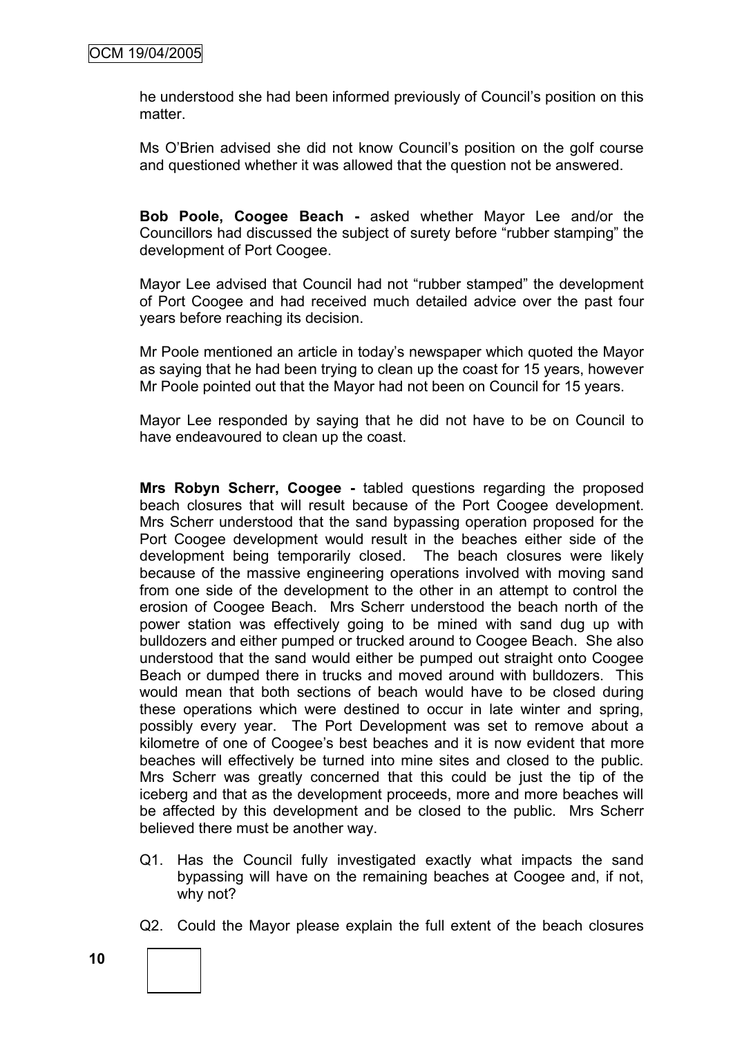he understood she had been informed previously of Council's position on this matter.

Ms O'Brien advised she did not know Council's position on the golf course and questioned whether it was allowed that the question not be answered.

**Bob Poole, Coogee Beach -** asked whether Mayor Lee and/or the Councillors had discussed the subject of surety before "rubber stamping" the development of Port Coogee.

Mayor Lee advised that Council had not "rubber stamped" the development of Port Coogee and had received much detailed advice over the past four years before reaching its decision.

Mr Poole mentioned an article in today's newspaper which quoted the Mayor as saying that he had been trying to clean up the coast for 15 years, however Mr Poole pointed out that the Mayor had not been on Council for 15 years.

Mayor Lee responded by saying that he did not have to be on Council to have endeavoured to clean up the coast.

**Mrs Robyn Scherr, Coogee -** tabled questions regarding the proposed beach closures that will result because of the Port Coogee development. Mrs Scherr understood that the sand bypassing operation proposed for the Port Coogee development would result in the beaches either side of the development being temporarily closed. The beach closures were likely because of the massive engineering operations involved with moving sand from one side of the development to the other in an attempt to control the erosion of Coogee Beach. Mrs Scherr understood the beach north of the power station was effectively going to be mined with sand dug up with bulldozers and either pumped or trucked around to Coogee Beach. She also understood that the sand would either be pumped out straight onto Coogee Beach or dumped there in trucks and moved around with bulldozers. This would mean that both sections of beach would have to be closed during these operations which were destined to occur in late winter and spring, possibly every year. The Port Development was set to remove about a kilometre of one of Coogee's best beaches and it is now evident that more beaches will effectively be turned into mine sites and closed to the public. Mrs Scherr was greatly concerned that this could be just the tip of the iceberg and that as the development proceeds, more and more beaches will be affected by this development and be closed to the public. Mrs Scherr believed there must be another way.

- Q1. Has the Council fully investigated exactly what impacts the sand bypassing will have on the remaining beaches at Coogee and, if not, why not?
- Q2. Could the Mayor please explain the full extent of the beach closures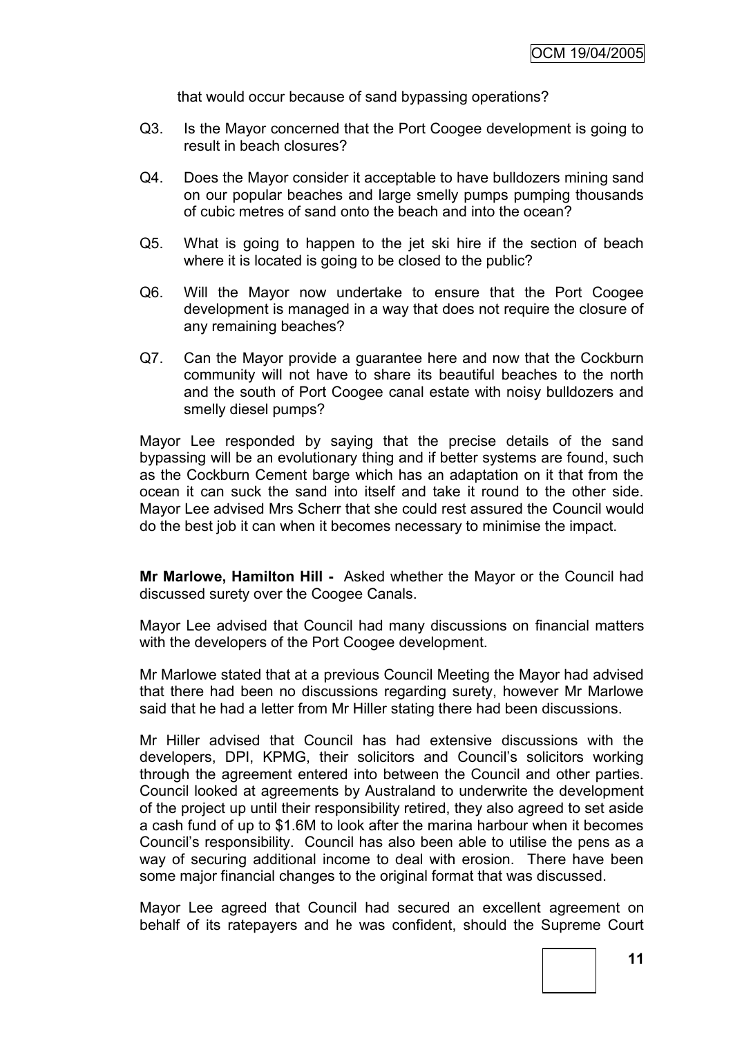that would occur because of sand bypassing operations?

- Q3. Is the Mayor concerned that the Port Coogee development is going to result in beach closures?
- Q4. Does the Mayor consider it acceptable to have bulldozers mining sand on our popular beaches and large smelly pumps pumping thousands of cubic metres of sand onto the beach and into the ocean?
- Q5. What is going to happen to the jet ski hire if the section of beach where it is located is going to be closed to the public?
- Q6. Will the Mayor now undertake to ensure that the Port Coogee development is managed in a way that does not require the closure of any remaining beaches?
- Q7. Can the Mayor provide a guarantee here and now that the Cockburn community will not have to share its beautiful beaches to the north and the south of Port Coogee canal estate with noisy bulldozers and smelly diesel pumps?

Mayor Lee responded by saying that the precise details of the sand bypassing will be an evolutionary thing and if better systems are found, such as the Cockburn Cement barge which has an adaptation on it that from the ocean it can suck the sand into itself and take it round to the other side. Mayor Lee advised Mrs Scherr that she could rest assured the Council would do the best job it can when it becomes necessary to minimise the impact.

**Mr Marlowe, Hamilton Hill -** Asked whether the Mayor or the Council had discussed surety over the Coogee Canals.

Mayor Lee advised that Council had many discussions on financial matters with the developers of the Port Coogee development.

Mr Marlowe stated that at a previous Council Meeting the Mayor had advised that there had been no discussions regarding surety, however Mr Marlowe said that he had a letter from Mr Hiller stating there had been discussions.

Mr Hiller advised that Council has had extensive discussions with the developers, DPI, KPMG, their solicitors and Council's solicitors working through the agreement entered into between the Council and other parties. Council looked at agreements by Australand to underwrite the development of the project up until their responsibility retired, they also agreed to set aside a cash fund of up to \$1.6M to look after the marina harbour when it becomes Council's responsibility. Council has also been able to utilise the pens as a way of securing additional income to deal with erosion. There have been some major financial changes to the original format that was discussed.

Mayor Lee agreed that Council had secured an excellent agreement on behalf of its ratepayers and he was confident, should the Supreme Court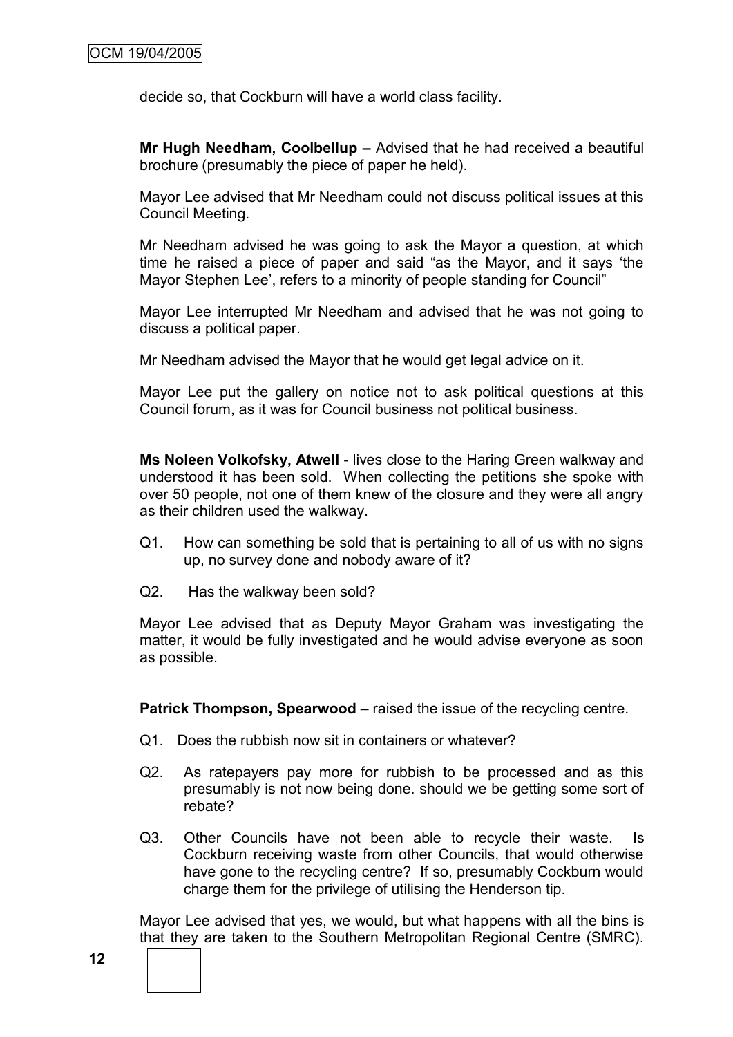decide so, that Cockburn will have a world class facility.

**Mr Hugh Needham, Coolbellup –** Advised that he had received a beautiful brochure (presumably the piece of paper he held).

Mayor Lee advised that Mr Needham could not discuss political issues at this Council Meeting.

Mr Needham advised he was going to ask the Mayor a question, at which time he raised a piece of paper and said "as the Mayor, and it says 'the Mayor Stephen Lee', refers to a minority of people standing for Council"

Mayor Lee interrupted Mr Needham and advised that he was not going to discuss a political paper.

Mr Needham advised the Mayor that he would get legal advice on it.

Mayor Lee put the gallery on notice not to ask political questions at this Council forum, as it was for Council business not political business.

**Ms Noleen Volkofsky, Atwell** - lives close to the Haring Green walkway and understood it has been sold. When collecting the petitions she spoke with over 50 people, not one of them knew of the closure and they were all angry as their children used the walkway.

- Q1. How can something be sold that is pertaining to all of us with no signs up, no survey done and nobody aware of it?
- Q2. Has the walkway been sold?

Mayor Lee advised that as Deputy Mayor Graham was investigating the matter, it would be fully investigated and he would advise everyone as soon as possible.

**Patrick Thompson, Spearwood** – raised the issue of the recycling centre.

- Q1. Does the rubbish now sit in containers or whatever?
- Q2. As ratepayers pay more for rubbish to be processed and as this presumably is not now being done. should we be getting some sort of rebate?
- Q3. Other Councils have not been able to recycle their waste. Is Cockburn receiving waste from other Councils, that would otherwise have gone to the recycling centre? If so, presumably Cockburn would charge them for the privilege of utilising the Henderson tip.

Mayor Lee advised that yes, we would, but what happens with all the bins is that they are taken to the Southern Metropolitan Regional Centre (SMRC).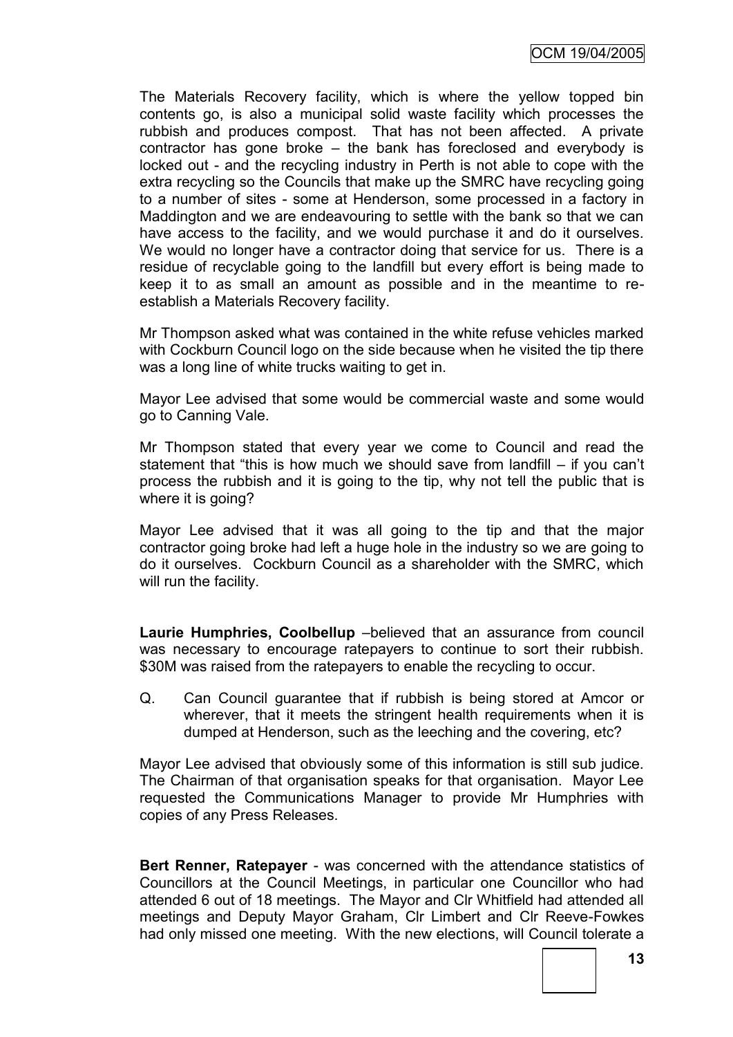The Materials Recovery facility, which is where the yellow topped bin contents go, is also a municipal solid waste facility which processes the rubbish and produces compost. That has not been affected. A private contractor has gone broke – the bank has foreclosed and everybody is locked out - and the recycling industry in Perth is not able to cope with the extra recycling so the Councils that make up the SMRC have recycling going to a number of sites - some at Henderson, some processed in a factory in Maddington and we are endeavouring to settle with the bank so that we can have access to the facility, and we would purchase it and do it ourselves. We would no longer have a contractor doing that service for us. There is a residue of recyclable going to the landfill but every effort is being made to keep it to as small an amount as possible and in the meantime to reestablish a Materials Recovery facility.

Mr Thompson asked what was contained in the white refuse vehicles marked with Cockburn Council logo on the side because when he visited the tip there was a long line of white trucks waiting to get in.

Mayor Lee advised that some would be commercial waste and some would go to Canning Vale.

Mr Thompson stated that every year we come to Council and read the statement that "this is how much we should save from landfill  $-$  if you can't process the rubbish and it is going to the tip, why not tell the public that is where it is going?

Mayor Lee advised that it was all going to the tip and that the major contractor going broke had left a huge hole in the industry so we are going to do it ourselves. Cockburn Council as a shareholder with the SMRC, which will run the facility.

**Laurie Humphries, Coolbellup** –believed that an assurance from council was necessary to encourage ratepayers to continue to sort their rubbish. \$30M was raised from the ratepayers to enable the recycling to occur.

Q. Can Council guarantee that if rubbish is being stored at Amcor or wherever, that it meets the stringent health requirements when it is dumped at Henderson, such as the leeching and the covering, etc?

Mayor Lee advised that obviously some of this information is still sub judice. The Chairman of that organisation speaks for that organisation. Mayor Lee requested the Communications Manager to provide Mr Humphries with copies of any Press Releases.

**Bert Renner, Ratepayer** - was concerned with the attendance statistics of Councillors at the Council Meetings, in particular one Councillor who had attended 6 out of 18 meetings. The Mayor and Clr Whitfield had attended all meetings and Deputy Mayor Graham, Clr Limbert and Clr Reeve-Fowkes had only missed one meeting. With the new elections, will Council tolerate a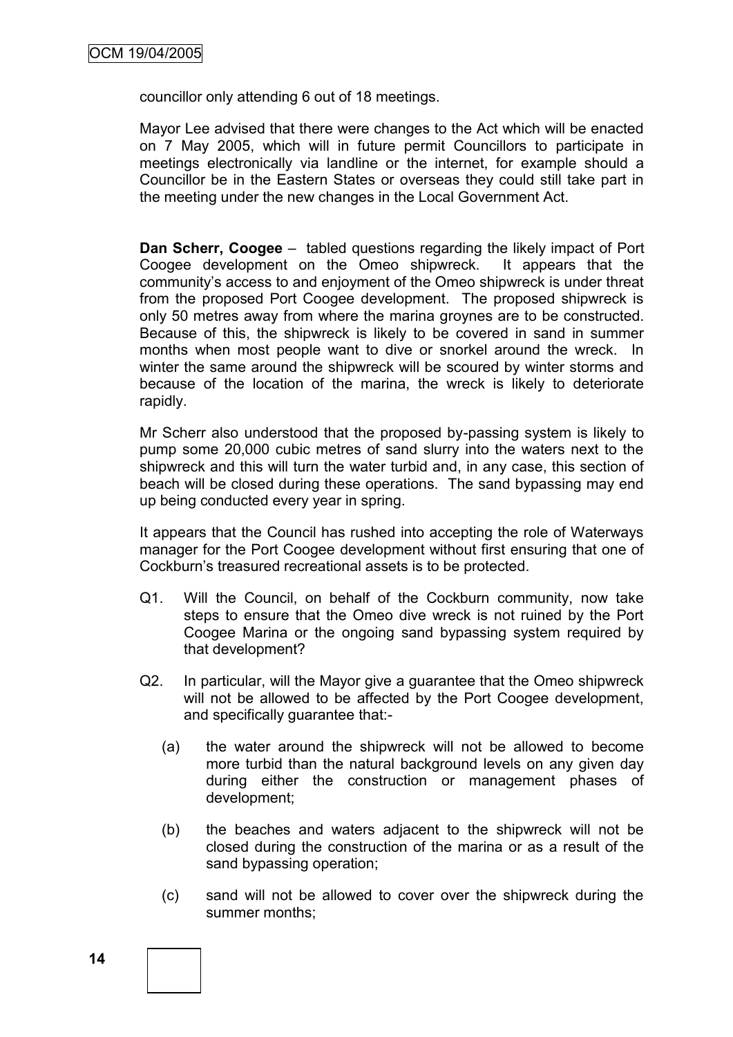councillor only attending 6 out of 18 meetings.

Mayor Lee advised that there were changes to the Act which will be enacted on 7 May 2005, which will in future permit Councillors to participate in meetings electronically via landline or the internet, for example should a Councillor be in the Eastern States or overseas they could still take part in the meeting under the new changes in the Local Government Act.

**Dan Scherr, Coogee** – tabled questions regarding the likely impact of Port Coogee development on the Omeo shipwreck. It appears that the community's access to and enjoyment of the Omeo shipwreck is under threat from the proposed Port Coogee development. The proposed shipwreck is only 50 metres away from where the marina groynes are to be constructed. Because of this, the shipwreck is likely to be covered in sand in summer months when most people want to dive or snorkel around the wreck. In winter the same around the shipwreck will be scoured by winter storms and because of the location of the marina, the wreck is likely to deteriorate rapidly.

Mr Scherr also understood that the proposed by-passing system is likely to pump some 20,000 cubic metres of sand slurry into the waters next to the shipwreck and this will turn the water turbid and, in any case, this section of beach will be closed during these operations. The sand bypassing may end up being conducted every year in spring.

It appears that the Council has rushed into accepting the role of Waterways manager for the Port Coogee development without first ensuring that one of Cockburn's treasured recreational assets is to be protected.

- Q1. Will the Council, on behalf of the Cockburn community, now take steps to ensure that the Omeo dive wreck is not ruined by the Port Coogee Marina or the ongoing sand bypassing system required by that development?
- Q2. In particular, will the Mayor give a guarantee that the Omeo shipwreck will not be allowed to be affected by the Port Coogee development, and specifically guarantee that:-
	- (a) the water around the shipwreck will not be allowed to become more turbid than the natural background levels on any given day during either the construction or management phases of development;
	- (b) the beaches and waters adjacent to the shipwreck will not be closed during the construction of the marina or as a result of the sand bypassing operation;
	- (c) sand will not be allowed to cover over the shipwreck during the summer months;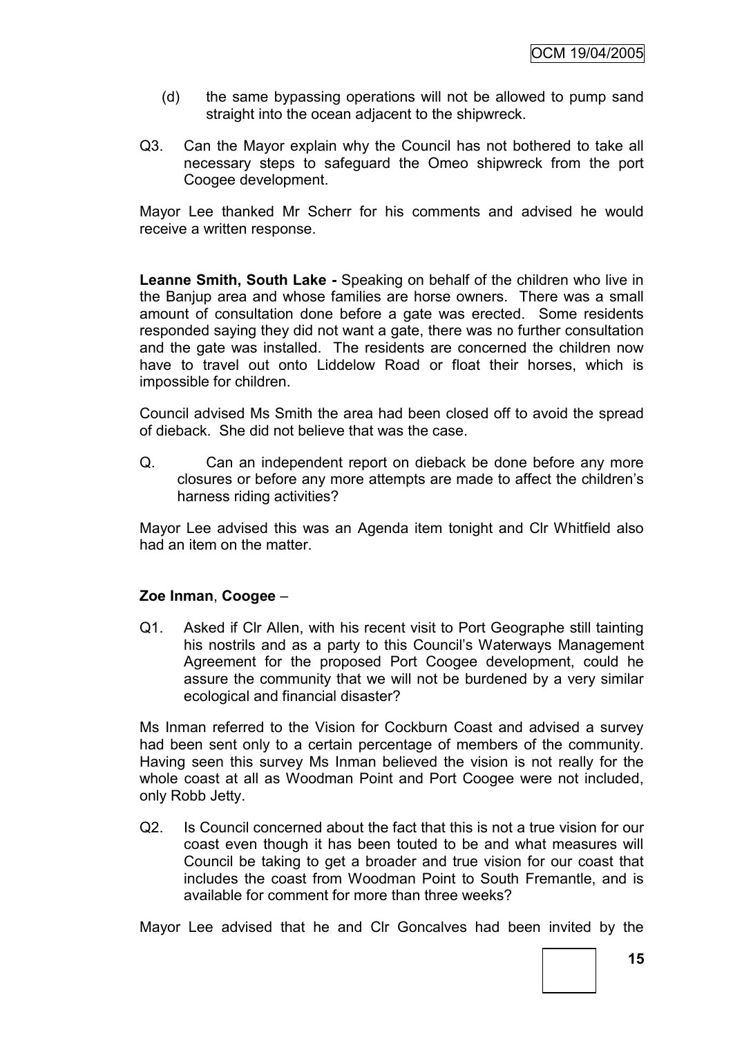- (d) the same bypassing operations will not be allowed to pump sand straight into the ocean adjacent to the shipwreck.
- Q3. Can the Mayor explain why the Council has not bothered to take all necessary steps to safeguard the Omeo shipwreck from the port Coogee development.

Mayor Lee thanked Mr Scherr for his comments and advised he would receive a written response.

**Leanne Smith, South Lake -** Speaking on behalf of the children who live in the Banjup area and whose families are horse owners. There was a small amount of consultation done before a gate was erected. Some residents responded saying they did not want a gate, there was no further consultation and the gate was installed. The residents are concerned the children now have to travel out onto Liddelow Road or float their horses, which is impossible for children.

Council advised Ms Smith the area had been closed off to avoid the spread of dieback. She did not believe that was the case.

Q. Can an independent report on dieback be done before any more closures or before any more attempts are made to affect the children's harness riding activities?

Mayor Lee advised this was an Agenda item tonight and Clr Whitfield also had an item on the matter.

# **Zoe Inman**, **Coogee** –

Q1. Asked if Clr Allen, with his recent visit to Port Geographe still tainting his nostrils and as a party to this Council's Waterways Management Agreement for the proposed Port Coogee development, could he assure the community that we will not be burdened by a very similar ecological and financial disaster?

Ms Inman referred to the Vision for Cockburn Coast and advised a survey had been sent only to a certain percentage of members of the community. Having seen this survey Ms Inman believed the vision is not really for the whole coast at all as Woodman Point and Port Coogee were not included, only Robb Jetty.

Q2. Is Council concerned about the fact that this is not a true vision for our coast even though it has been touted to be and what measures will Council be taking to get a broader and true vision for our coast that includes the coast from Woodman Point to South Fremantle, and is available for comment for more than three weeks?

Mayor Lee advised that he and Clr Goncalves had been invited by the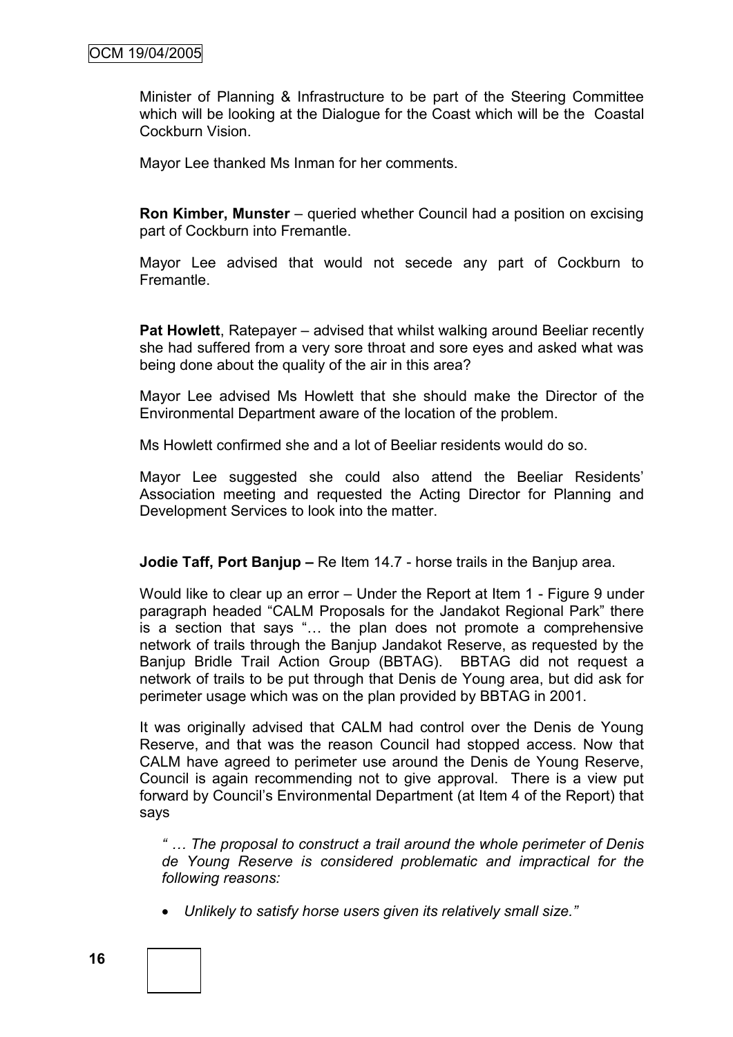Minister of Planning & Infrastructure to be part of the Steering Committee which will be looking at the Dialogue for the Coast which will be the Coastal Cockburn Vision.

Mayor Lee thanked Ms Inman for her comments.

**Ron Kimber, Munster** – queried whether Council had a position on excising part of Cockburn into Fremantle.

Mayor Lee advised that would not secede any part of Cockburn to **Fremantle** 

**Pat Howlett**, Ratepayer – advised that whilst walking around Beeliar recently she had suffered from a very sore throat and sore eyes and asked what was being done about the quality of the air in this area?

Mayor Lee advised Ms Howlett that she should make the Director of the Environmental Department aware of the location of the problem.

Ms Howlett confirmed she and a lot of Beeliar residents would do so.

Mayor Lee suggested she could also attend the Beeliar Residents' Association meeting and requested the Acting Director for Planning and Development Services to look into the matter.

**Jodie Taff, Port Baniup –** Re Item 14.7 - horse trails in the Baniup area.

Would like to clear up an error – Under the Report at Item 1 - Figure 9 under paragraph headed "CALM Proposals for the Jandakot Regional Park" there is a section that says "... the plan does not promote a comprehensive network of trails through the Banjup Jandakot Reserve, as requested by the Banjup Bridle Trail Action Group (BBTAG). BBTAG did not request a network of trails to be put through that Denis de Young area, but did ask for perimeter usage which was on the plan provided by BBTAG in 2001.

It was originally advised that CALM had control over the Denis de Young Reserve, and that was the reason Council had stopped access. Now that CALM have agreed to perimeter use around the Denis de Young Reserve, Council is again recommending not to give approval. There is a view put forward by Council's Environmental Department (at Item 4 of the Report) that says

*" … The proposal to construct a trail around the whole perimeter of Denis de Young Reserve is considered problematic and impractical for the following reasons:*

*Unlikely to satisfy horse users given its relatively small size."*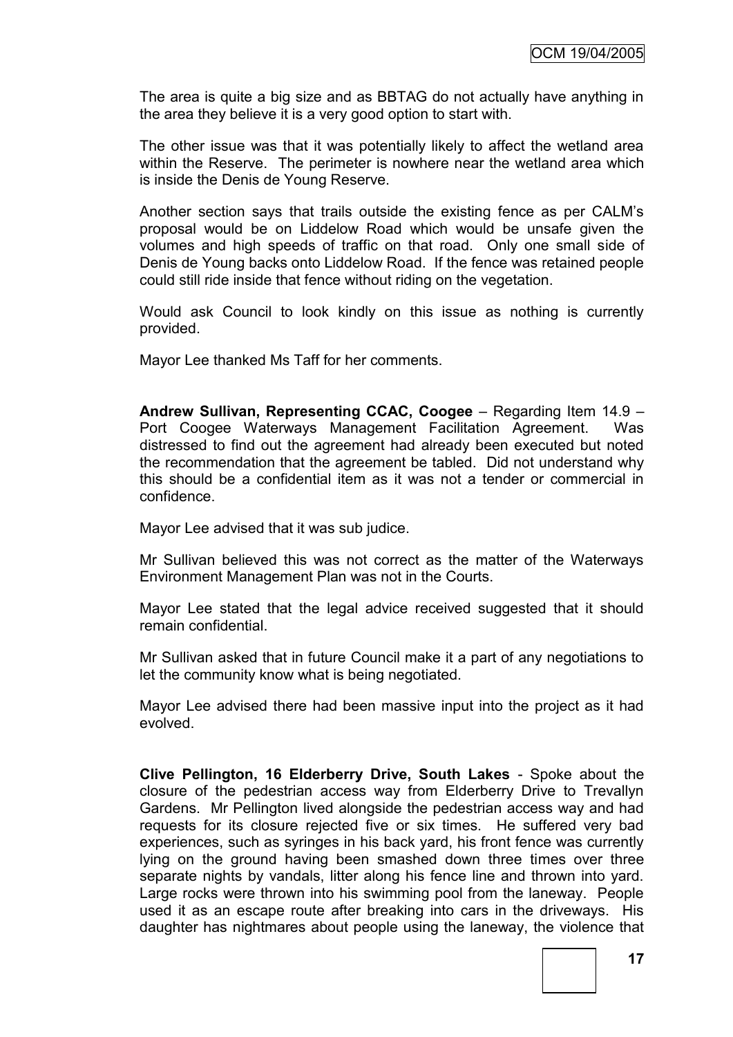The area is quite a big size and as BBTAG do not actually have anything in the area they believe it is a very good option to start with.

The other issue was that it was potentially likely to affect the wetland area within the Reserve. The perimeter is nowhere near the wetland area which is inside the Denis de Young Reserve.

Another section says that trails outside the existing fence as per CALM's proposal would be on Liddelow Road which would be unsafe given the volumes and high speeds of traffic on that road. Only one small side of Denis de Young backs onto Liddelow Road. If the fence was retained people could still ride inside that fence without riding on the vegetation.

Would ask Council to look kindly on this issue as nothing is currently provided.

Mayor Lee thanked Ms Taff for her comments.

**Andrew Sullivan, Representing CCAC, Coogee** – Regarding Item 14.9 – Port Coogee Waterways Management Facilitation Agreement. Was distressed to find out the agreement had already been executed but noted the recommendation that the agreement be tabled. Did not understand why this should be a confidential item as it was not a tender or commercial in confidence.

Mayor Lee advised that it was sub judice.

Mr Sullivan believed this was not correct as the matter of the Waterways Environment Management Plan was not in the Courts.

Mayor Lee stated that the legal advice received suggested that it should remain confidential.

Mr Sullivan asked that in future Council make it a part of any negotiations to let the community know what is being negotiated.

Mayor Lee advised there had been massive input into the project as it had evolved.

**Clive Pellington, 16 Elderberry Drive, South Lakes** - Spoke about the closure of the pedestrian access way from Elderberry Drive to Trevallyn Gardens. Mr Pellington lived alongside the pedestrian access way and had requests for its closure rejected five or six times. He suffered very bad experiences, such as syringes in his back yard, his front fence was currently lying on the ground having been smashed down three times over three separate nights by vandals, litter along his fence line and thrown into yard. Large rocks were thrown into his swimming pool from the laneway. People used it as an escape route after breaking into cars in the driveways. His daughter has nightmares about people using the laneway, the violence that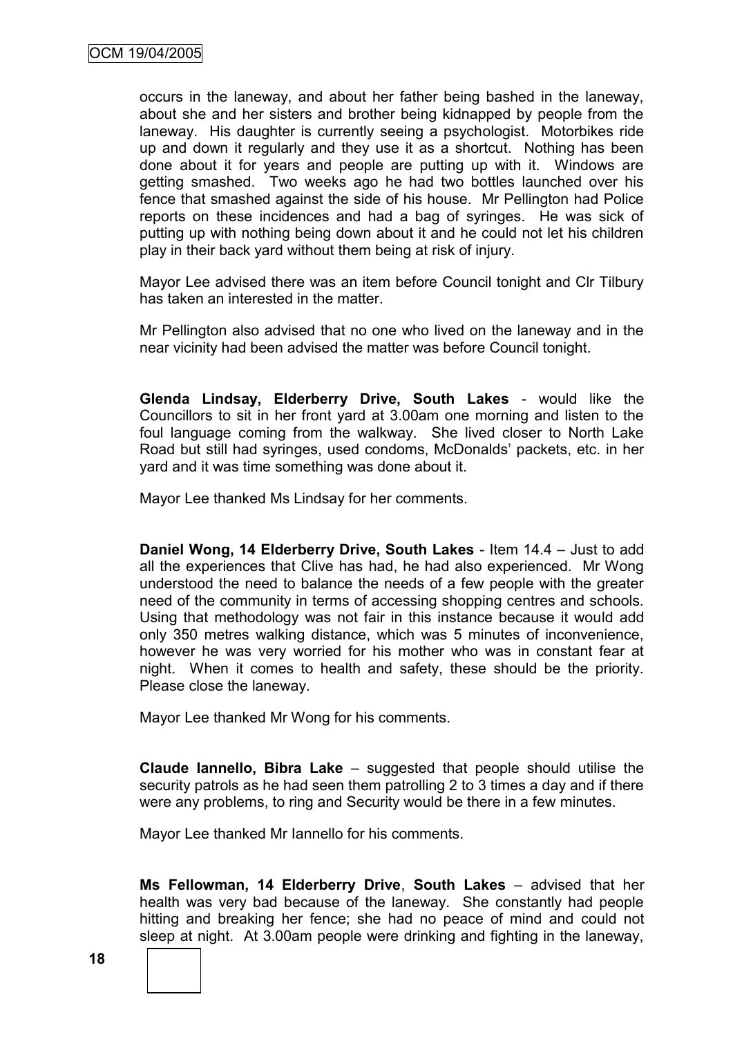occurs in the laneway, and about her father being bashed in the laneway, about she and her sisters and brother being kidnapped by people from the laneway. His daughter is currently seeing a psychologist. Motorbikes ride up and down it regularly and they use it as a shortcut. Nothing has been done about it for years and people are putting up with it. Windows are getting smashed. Two weeks ago he had two bottles launched over his fence that smashed against the side of his house. Mr Pellington had Police reports on these incidences and had a bag of syringes. He was sick of putting up with nothing being down about it and he could not let his children play in their back yard without them being at risk of injury.

Mayor Lee advised there was an item before Council tonight and Clr Tilbury has taken an interested in the matter.

Mr Pellington also advised that no one who lived on the laneway and in the near vicinity had been advised the matter was before Council tonight.

**Glenda Lindsay, Elderberry Drive, South Lakes** - would like the Councillors to sit in her front yard at 3.00am one morning and listen to the foul language coming from the walkway. She lived closer to North Lake Road but still had syringes, used condoms, McDonalds' packets, etc. in her yard and it was time something was done about it.

Mayor Lee thanked Ms Lindsay for her comments.

**Daniel Wong, 14 Elderberry Drive, South Lakes** - Item 14.4 – Just to add all the experiences that Clive has had, he had also experienced. Mr Wong understood the need to balance the needs of a few people with the greater need of the community in terms of accessing shopping centres and schools. Using that methodology was not fair in this instance because it would add only 350 metres walking distance, which was 5 minutes of inconvenience, however he was very worried for his mother who was in constant fear at night. When it comes to health and safety, these should be the priority. Please close the laneway.

Mayor Lee thanked Mr Wong for his comments.

**Claude Iannello, Bibra Lake** – suggested that people should utilise the security patrols as he had seen them patrolling 2 to 3 times a day and if there were any problems, to ring and Security would be there in a few minutes.

Mayor Lee thanked Mr Iannello for his comments.

**Ms Fellowman, 14 Elderberry Drive**, **South Lakes** – advised that her health was very bad because of the laneway. She constantly had people hitting and breaking her fence; she had no peace of mind and could not sleep at night. At 3.00am people were drinking and fighting in the laneway,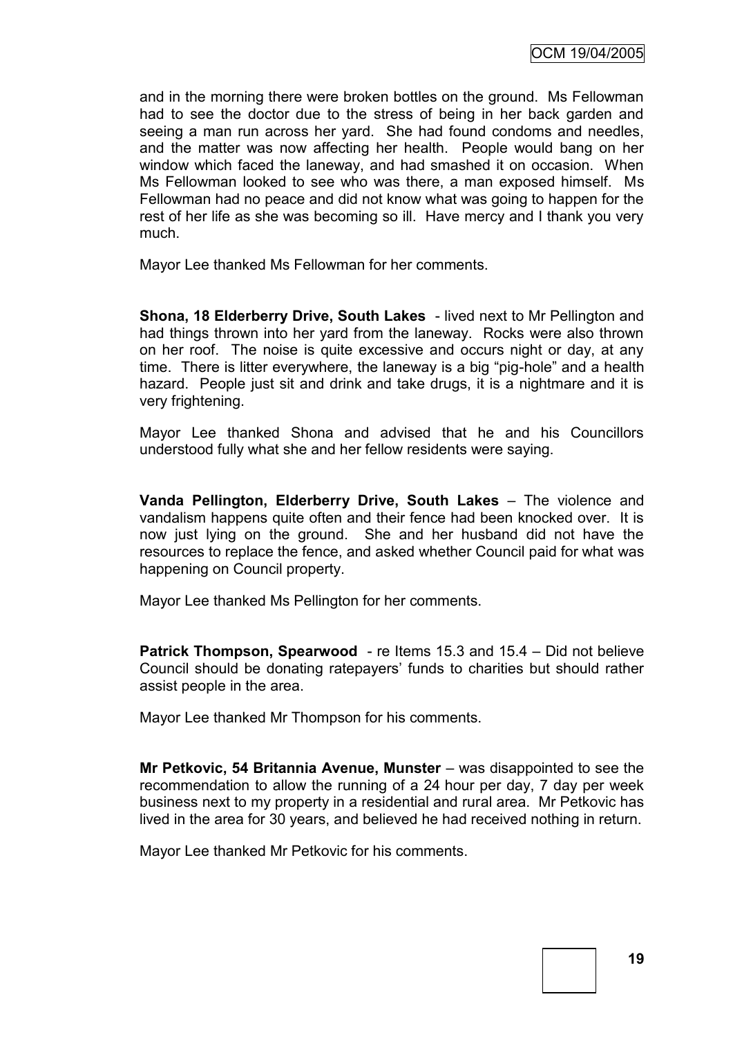and in the morning there were broken bottles on the ground. Ms Fellowman had to see the doctor due to the stress of being in her back garden and seeing a man run across her yard. She had found condoms and needles, and the matter was now affecting her health. People would bang on her window which faced the laneway, and had smashed it on occasion. When Ms Fellowman looked to see who was there, a man exposed himself. Ms Fellowman had no peace and did not know what was going to happen for the rest of her life as she was becoming so ill. Have mercy and I thank you very much.

Mayor Lee thanked Ms Fellowman for her comments.

**Shona, 18 Elderberry Drive, South Lakes** - lived next to Mr Pellington and had things thrown into her yard from the laneway. Rocks were also thrown on her roof. The noise is quite excessive and occurs night or day, at any time. There is litter everywhere, the laneway is a big "pig-hole" and a health hazard. People just sit and drink and take drugs, it is a nightmare and it is very frightening.

Mayor Lee thanked Shona and advised that he and his Councillors understood fully what she and her fellow residents were saying.

**Vanda Pellington, Elderberry Drive, South Lakes** – The violence and vandalism happens quite often and their fence had been knocked over. It is now just lying on the ground. She and her husband did not have the resources to replace the fence, and asked whether Council paid for what was happening on Council property.

Mayor Lee thanked Ms Pellington for her comments.

**Patrick Thompson, Spearwood** - re Items 15.3 and 15.4 – Did not believe Council should be donating ratepayers' funds to charities but should rather assist people in the area.

Mayor Lee thanked Mr Thompson for his comments.

**Mr Petkovic, 54 Britannia Avenue, Munster** – was disappointed to see the recommendation to allow the running of a 24 hour per day, 7 day per week business next to my property in a residential and rural area. Mr Petkovic has lived in the area for 30 years, and believed he had received nothing in return.

Mayor Lee thanked Mr Petkovic for his comments.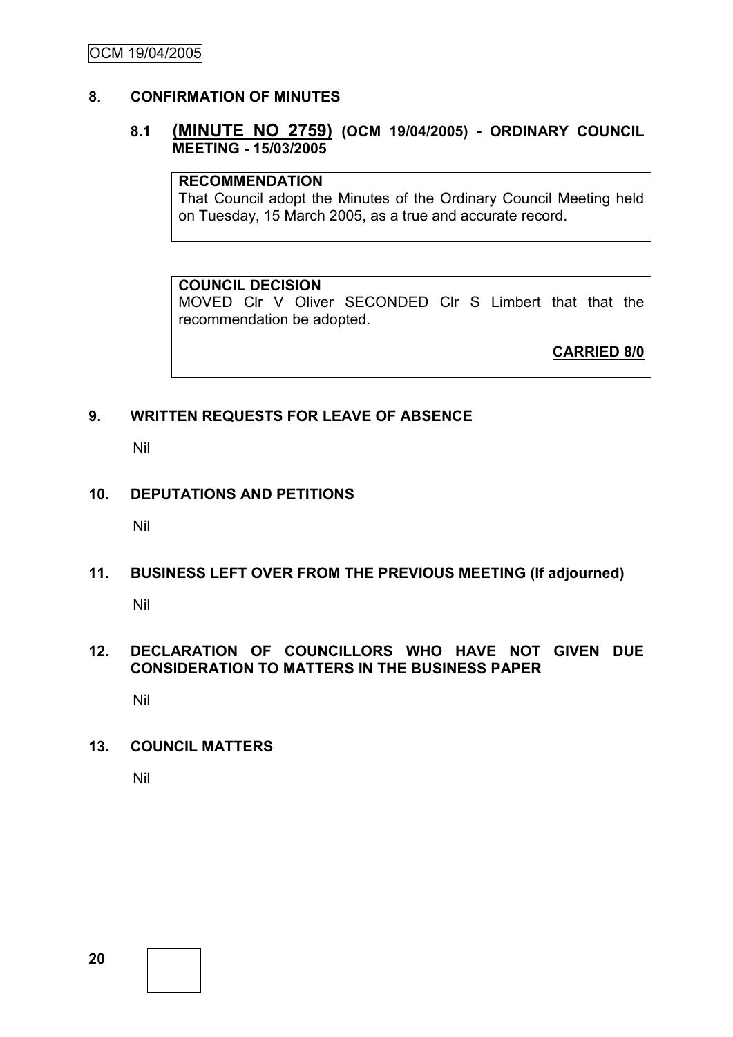# **8. CONFIRMATION OF MINUTES**

# **8.1 (MINUTE NO 2759) (OCM 19/04/2005) - ORDINARY COUNCIL MEETING - 15/03/2005**

#### **RECOMMENDATION**

That Council adopt the Minutes of the Ordinary Council Meeting held on Tuesday, 15 March 2005, as a true and accurate record.

#### **COUNCIL DECISION**

MOVED Clr V Oliver SECONDED Clr S Limbert that that the recommendation be adopted.

**CARRIED 8/0**

# **9. WRITTEN REQUESTS FOR LEAVE OF ABSENCE**

Nil

#### **10. DEPUTATIONS AND PETITIONS**

Nil

# **11. BUSINESS LEFT OVER FROM THE PREVIOUS MEETING (If adjourned)**

Nil

# **12. DECLARATION OF COUNCILLORS WHO HAVE NOT GIVEN DUE CONSIDERATION TO MATTERS IN THE BUSINESS PAPER**

Nil

#### **13. COUNCIL MATTERS**

Nil

**20**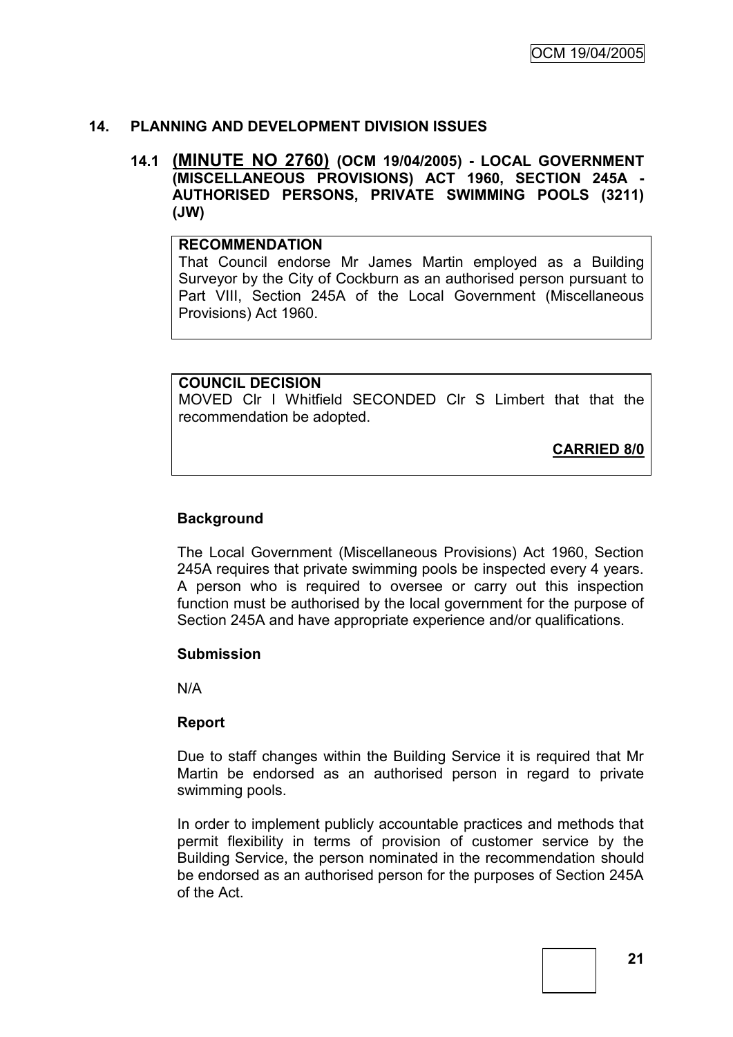# **14. PLANNING AND DEVELOPMENT DIVISION ISSUES**

# **14.1 (MINUTE NO 2760) (OCM 19/04/2005) - LOCAL GOVERNMENT (MISCELLANEOUS PROVISIONS) ACT 1960, SECTION 245A - AUTHORISED PERSONS, PRIVATE SWIMMING POOLS (3211) (JW)**

#### **RECOMMENDATION**

That Council endorse Mr James Martin employed as a Building Surveyor by the City of Cockburn as an authorised person pursuant to Part VIII, Section 245A of the Local Government (Miscellaneous Provisions) Act 1960.

#### **COUNCIL DECISION**

MOVED Clr I Whitfield SECONDED Clr S Limbert that that the recommendation be adopted.

**CARRIED 8/0**

# **Background**

The Local Government (Miscellaneous Provisions) Act 1960, Section 245A requires that private swimming pools be inspected every 4 years. A person who is required to oversee or carry out this inspection function must be authorised by the local government for the purpose of Section 245A and have appropriate experience and/or qualifications.

#### **Submission**

N/A

#### **Report**

Due to staff changes within the Building Service it is required that Mr Martin be endorsed as an authorised person in regard to private swimming pools.

In order to implement publicly accountable practices and methods that permit flexibility in terms of provision of customer service by the Building Service, the person nominated in the recommendation should be endorsed as an authorised person for the purposes of Section 245A of the Act.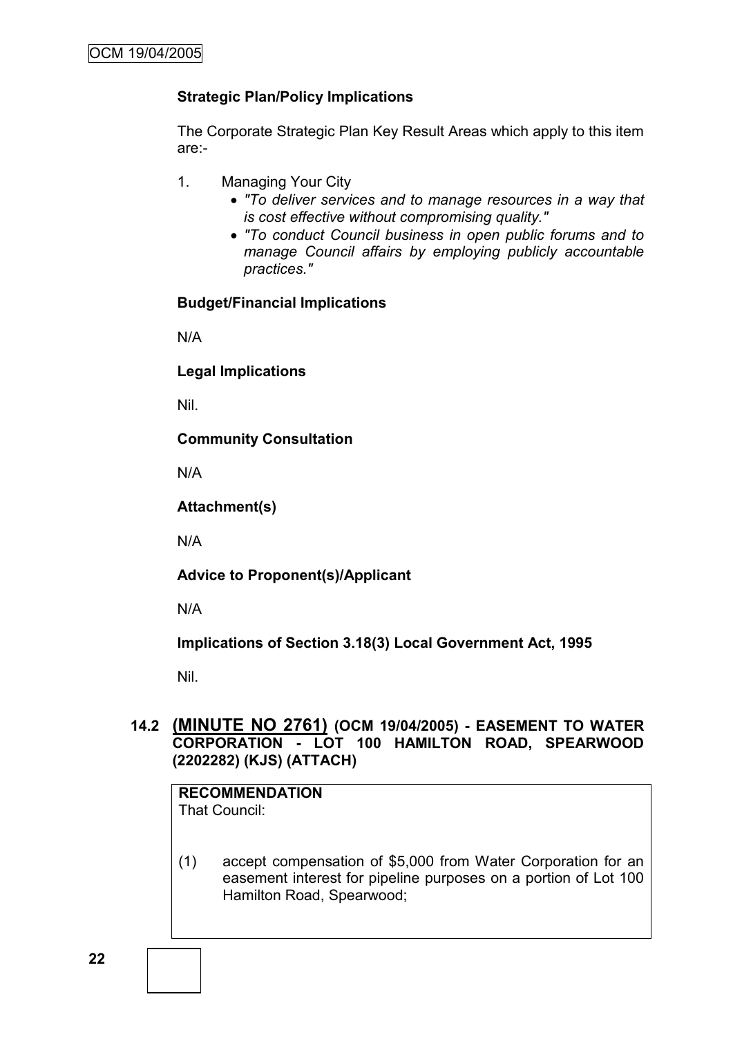# **Strategic Plan/Policy Implications**

The Corporate Strategic Plan Key Result Areas which apply to this item are:-

- 1. Managing Your City
	- *"To deliver services and to manage resources in a way that is cost effective without compromising quality."*
	- *"To conduct Council business in open public forums and to manage Council affairs by employing publicly accountable practices."*

# **Budget/Financial Implications**

N/A

**Legal Implications**

Nil.

**Community Consultation**

N/A

**Attachment(s)**

N/A

**Advice to Proponent(s)/Applicant**

N/A

**Implications of Section 3.18(3) Local Government Act, 1995**

Nil.

# **14.2 (MINUTE NO 2761) (OCM 19/04/2005) - EASEMENT TO WATER CORPORATION - LOT 100 HAMILTON ROAD, SPEARWOOD (2202282) (KJS) (ATTACH)**

# **RECOMMENDATION**

That Council:

(1) accept compensation of \$5,000 from Water Corporation for an easement interest for pipeline purposes on a portion of Lot 100 Hamilton Road, Spearwood;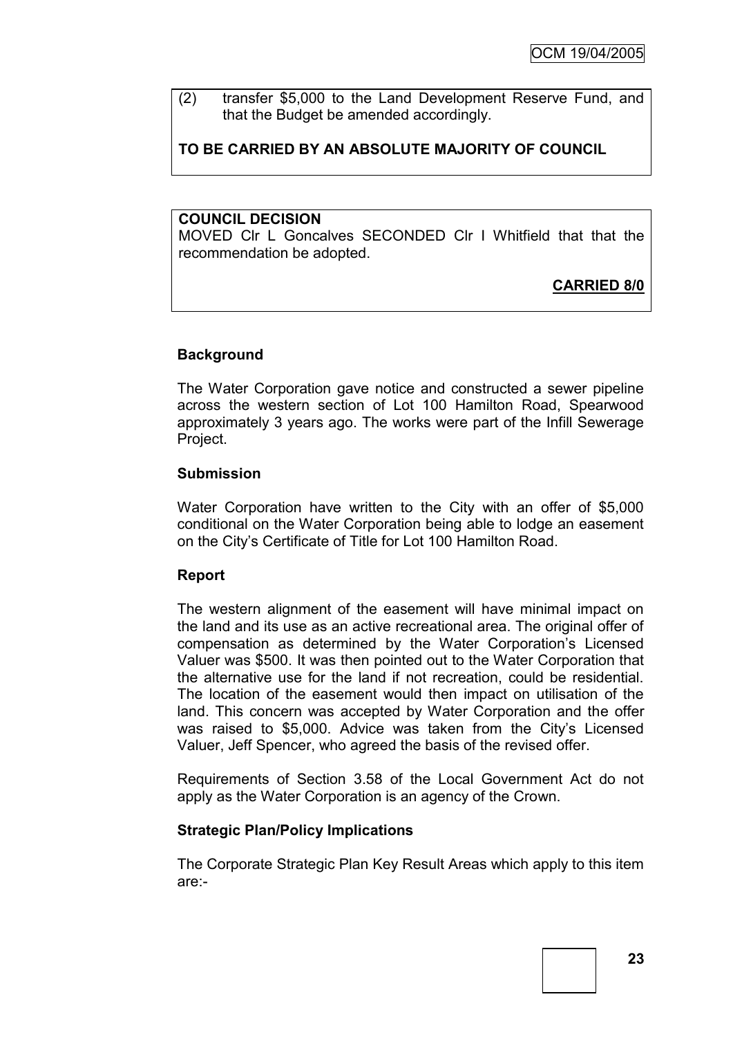(2) transfer \$5,000 to the Land Development Reserve Fund, and that the Budget be amended accordingly.

# **TO BE CARRIED BY AN ABSOLUTE MAJORITY OF COUNCIL**

#### **COUNCIL DECISION**

MOVED Clr L Goncalves SECONDED Clr I Whitfield that that the recommendation be adopted.

# **CARRIED 8/0**

# **Background**

The Water Corporation gave notice and constructed a sewer pipeline across the western section of Lot 100 Hamilton Road, Spearwood approximately 3 years ago. The works were part of the Infill Sewerage Project.

#### **Submission**

Water Corporation have written to the City with an offer of \$5,000 conditional on the Water Corporation being able to lodge an easement on the City's Certificate of Title for Lot 100 Hamilton Road.

#### **Report**

The western alignment of the easement will have minimal impact on the land and its use as an active recreational area. The original offer of compensation as determined by the Water Corporation's Licensed Valuer was \$500. It was then pointed out to the Water Corporation that the alternative use for the land if not recreation, could be residential. The location of the easement would then impact on utilisation of the land. This concern was accepted by Water Corporation and the offer was raised to \$5,000. Advice was taken from the City's Licensed Valuer, Jeff Spencer, who agreed the basis of the revised offer.

Requirements of Section 3.58 of the Local Government Act do not apply as the Water Corporation is an agency of the Crown.

# **Strategic Plan/Policy Implications**

The Corporate Strategic Plan Key Result Areas which apply to this item are:-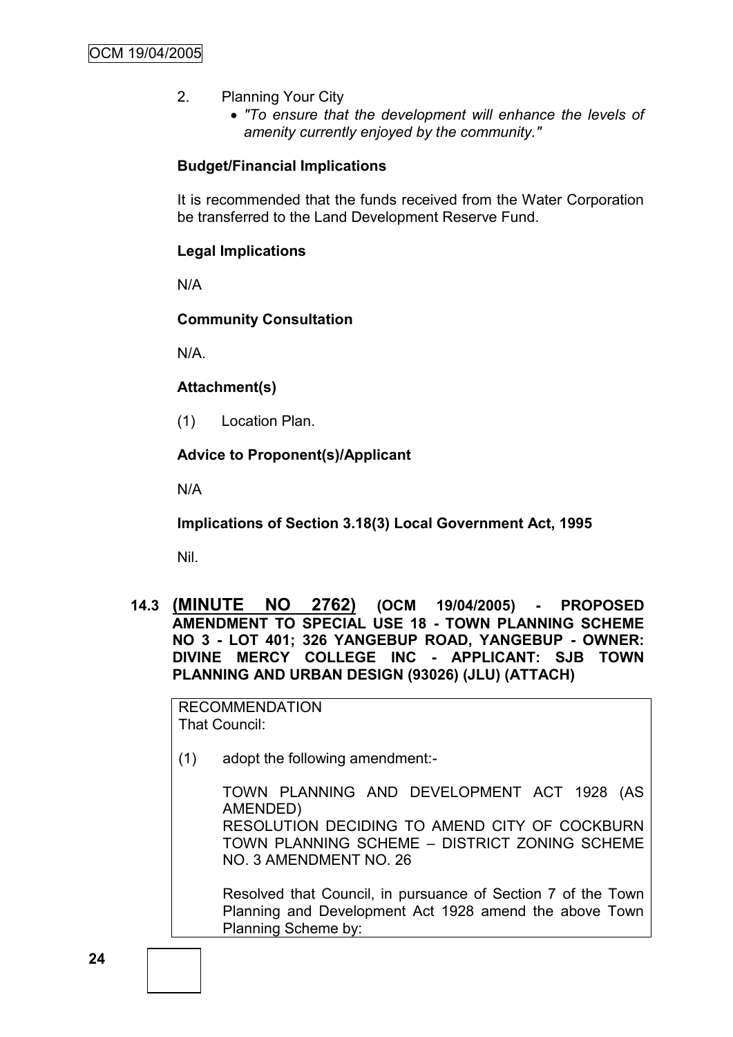- 2. Planning Your City
	- *"To ensure that the development will enhance the levels of amenity currently enjoyed by the community."*

# **Budget/Financial Implications**

It is recommended that the funds received from the Water Corporation be transferred to the Land Development Reserve Fund.

# **Legal Implications**

N/A

# **Community Consultation**

N/A.

# **Attachment(s)**

(1) Location Plan.

# **Advice to Proponent(s)/Applicant**

N/A

**Implications of Section 3.18(3) Local Government Act, 1995**

Nil.

**14.3 (MINUTE NO 2762) (OCM 19/04/2005) - PROPOSED AMENDMENT TO SPECIAL USE 18 - TOWN PLANNING SCHEME NO 3 - LOT 401; 326 YANGEBUP ROAD, YANGEBUP - OWNER: DIVINE MERCY COLLEGE INC - APPLICANT: SJB TOWN PLANNING AND URBAN DESIGN (93026) (JLU) (ATTACH)**

RECOMMENDATION That Council:

(1) adopt the following amendment:-

TOWN PLANNING AND DEVELOPMENT ACT 1928 (AS AMENDED) RESOLUTION DECIDING TO AMEND CITY OF COCKBURN TOWN PLANNING SCHEME – DISTRICT ZONING SCHEME NO. 3 AMENDMENT NO. 26

Resolved that Council, in pursuance of Section 7 of the Town Planning and Development Act 1928 amend the above Town Planning Scheme by: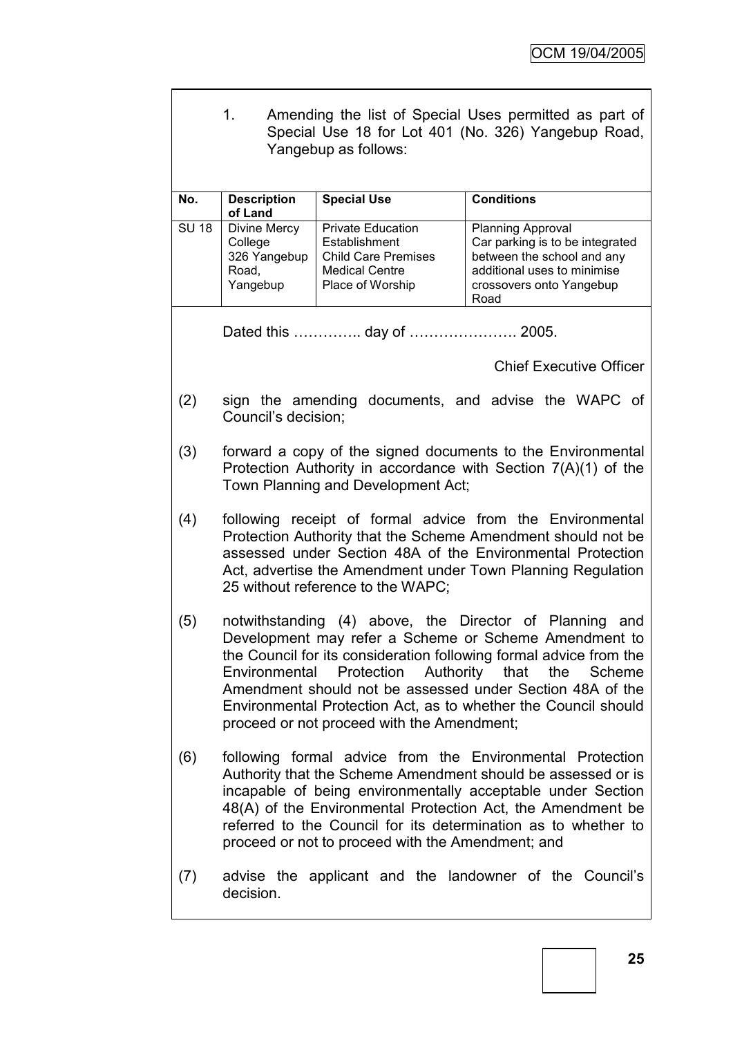|              | Amending the list of Special Uses permitted as part of<br>1.<br>Special Use 18 for Lot 401 (No. 326) Yangebup Road,<br>Yangebup as follows:                                                                                                                                                                                                                                                                                     |                                                                                                                      |                                                                                                                                                       |  |
|--------------|---------------------------------------------------------------------------------------------------------------------------------------------------------------------------------------------------------------------------------------------------------------------------------------------------------------------------------------------------------------------------------------------------------------------------------|----------------------------------------------------------------------------------------------------------------------|-------------------------------------------------------------------------------------------------------------------------------------------------------|--|
| No.          | <b>Description</b><br>of Land                                                                                                                                                                                                                                                                                                                                                                                                   | <b>Special Use</b>                                                                                                   | <b>Conditions</b>                                                                                                                                     |  |
| <b>SU 18</b> | Divine Mercy<br>College<br>326 Yangebup<br>Road,<br>Yangebup                                                                                                                                                                                                                                                                                                                                                                    | <b>Private Education</b><br>Establishment<br><b>Child Care Premises</b><br><b>Medical Centre</b><br>Place of Worship | Planning Approval<br>Car parking is to be integrated<br>between the school and any<br>additional uses to minimise<br>crossovers onto Yangebup<br>Road |  |
|              |                                                                                                                                                                                                                                                                                                                                                                                                                                 |                                                                                                                      |                                                                                                                                                       |  |
|              |                                                                                                                                                                                                                                                                                                                                                                                                                                 |                                                                                                                      | <b>Chief Executive Officer</b>                                                                                                                        |  |
| (2)          | Council's decision;                                                                                                                                                                                                                                                                                                                                                                                                             |                                                                                                                      | sign the amending documents, and advise the WAPC of                                                                                                   |  |
| (3)          | forward a copy of the signed documents to the Environmental<br>Protection Authority in accordance with Section 7(A)(1) of the<br>Town Planning and Development Act;                                                                                                                                                                                                                                                             |                                                                                                                      |                                                                                                                                                       |  |
| (4)          | following receipt of formal advice from the Environmental<br>Protection Authority that the Scheme Amendment should not be<br>assessed under Section 48A of the Environmental Protection<br>Act, advertise the Amendment under Town Planning Regulation<br>25 without reference to the WAPC;                                                                                                                                     |                                                                                                                      |                                                                                                                                                       |  |
| (5)          | notwithstanding (4) above, the Director of Planning<br>and<br>Development may refer a Scheme or Scheme Amendment to<br>the Council for its consideration following formal advice from the<br>Protection Authority that the Scheme<br>Environmental<br>Amendment should not be assessed under Section 48A of the<br>Environmental Protection Act, as to whether the Council should<br>proceed or not proceed with the Amendment; |                                                                                                                      |                                                                                                                                                       |  |
| (6)          | following formal advice from the Environmental Protection<br>Authority that the Scheme Amendment should be assessed or is<br>incapable of being environmentally acceptable under Section<br>48(A) of the Environmental Protection Act, the Amendment be<br>referred to the Council for its determination as to whether to<br>proceed or not to proceed with the Amendment; and                                                  |                                                                                                                      |                                                                                                                                                       |  |
| (7)          | advise the applicant and the landowner of the Council's<br>decision.                                                                                                                                                                                                                                                                                                                                                            |                                                                                                                      |                                                                                                                                                       |  |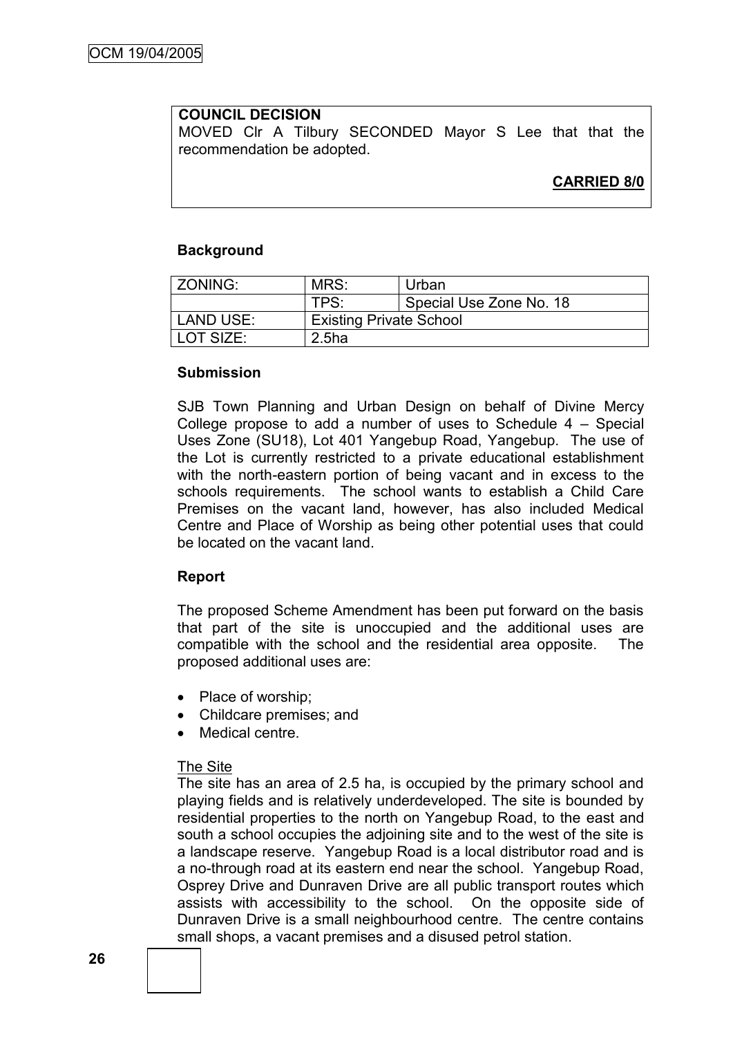# **COUNCIL DECISION**

MOVED Clr A Tilbury SECONDED Mayor S Lee that that the recommendation be adopted.

# **CARRIED 8/0**

#### **Background**

| ZONING:     | MRS:                           | Urban                   |  |
|-------------|--------------------------------|-------------------------|--|
|             | TPS:                           | Special Use Zone No. 18 |  |
| LAND USE:   | <b>Existing Private School</b> |                         |  |
| l LOT SIZE: | 2.5ha                          |                         |  |

#### **Submission**

SJB Town Planning and Urban Design on behalf of Divine Mercy College propose to add a number of uses to Schedule 4 – Special Uses Zone (SU18), Lot 401 Yangebup Road, Yangebup. The use of the Lot is currently restricted to a private educational establishment with the north-eastern portion of being vacant and in excess to the schools requirements. The school wants to establish a Child Care Premises on the vacant land, however, has also included Medical Centre and Place of Worship as being other potential uses that could be located on the vacant land.

#### **Report**

The proposed Scheme Amendment has been put forward on the basis that part of the site is unoccupied and the additional uses are compatible with the school and the residential area opposite. The proposed additional uses are:

- Place of worship;
- Childcare premises; and
- Medical centre.

#### The Site

The site has an area of 2.5 ha, is occupied by the primary school and playing fields and is relatively underdeveloped. The site is bounded by residential properties to the north on Yangebup Road, to the east and south a school occupies the adjoining site and to the west of the site is a landscape reserve. Yangebup Road is a local distributor road and is a no-through road at its eastern end near the school. Yangebup Road, Osprey Drive and Dunraven Drive are all public transport routes which assists with accessibility to the school. On the opposite side of Dunraven Drive is a small neighbourhood centre. The centre contains small shops, a vacant premises and a disused petrol station.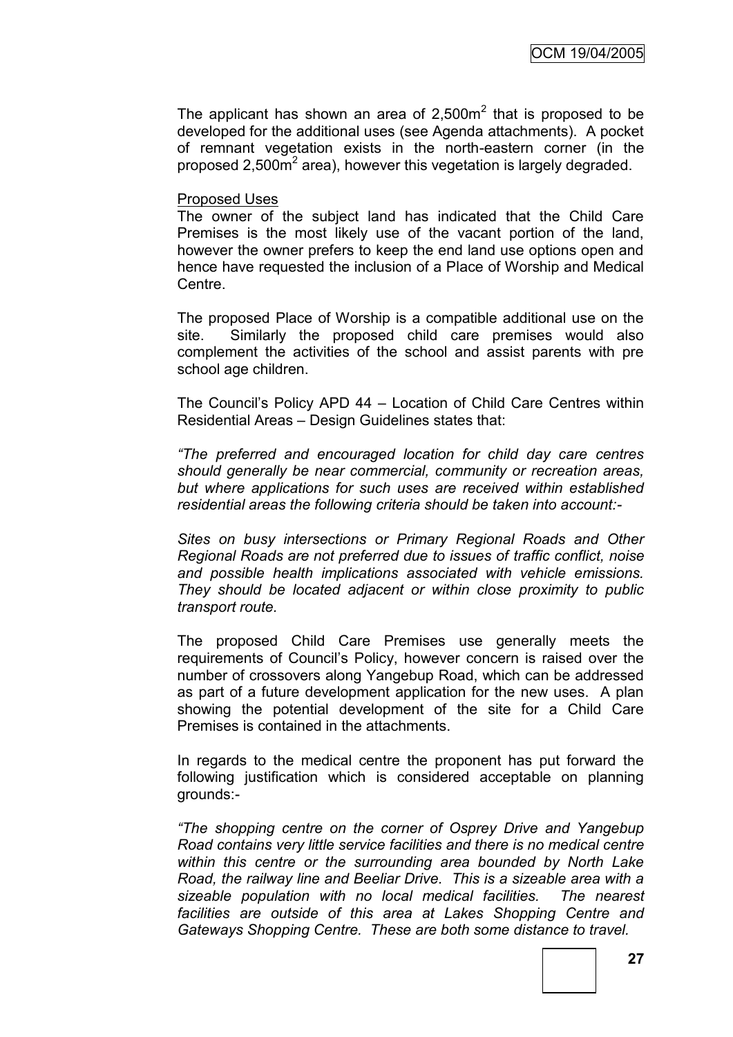The applicant has shown an area of  $2,500m^2$  that is proposed to be developed for the additional uses (see Agenda attachments). A pocket of remnant vegetation exists in the north-eastern corner (in the proposed  $2,500\text{m}^2$  area), however this vegetation is largely degraded.

#### Proposed Uses

The owner of the subject land has indicated that the Child Care Premises is the most likely use of the vacant portion of the land, however the owner prefers to keep the end land use options open and hence have requested the inclusion of a Place of Worship and Medical **Centre** 

The proposed Place of Worship is a compatible additional use on the site. Similarly the proposed child care premises would also complement the activities of the school and assist parents with pre school age children.

The Council's Policy APD 44 – Location of Child Care Centres within Residential Areas – Design Guidelines states that:

*"The preferred and encouraged location for child day care centres should generally be near commercial, community or recreation areas, but where applications for such uses are received within established residential areas the following criteria should be taken into account:-*

*Sites on busy intersections or Primary Regional Roads and Other Regional Roads are not preferred due to issues of traffic conflict, noise and possible health implications associated with vehicle emissions. They should be located adjacent or within close proximity to public transport route.*

The proposed Child Care Premises use generally meets the requirements of Council's Policy, however concern is raised over the number of crossovers along Yangebup Road, which can be addressed as part of a future development application for the new uses. A plan showing the potential development of the site for a Child Care Premises is contained in the attachments.

In regards to the medical centre the proponent has put forward the following justification which is considered acceptable on planning grounds:-

*"The shopping centre on the corner of Osprey Drive and Yangebup Road contains very little service facilities and there is no medical centre within this centre or the surrounding area bounded by North Lake Road, the railway line and Beeliar Drive. This is a sizeable area with a sizeable population with no local medical facilities. The nearest facilities are outside of this area at Lakes Shopping Centre and Gateways Shopping Centre. These are both some distance to travel.*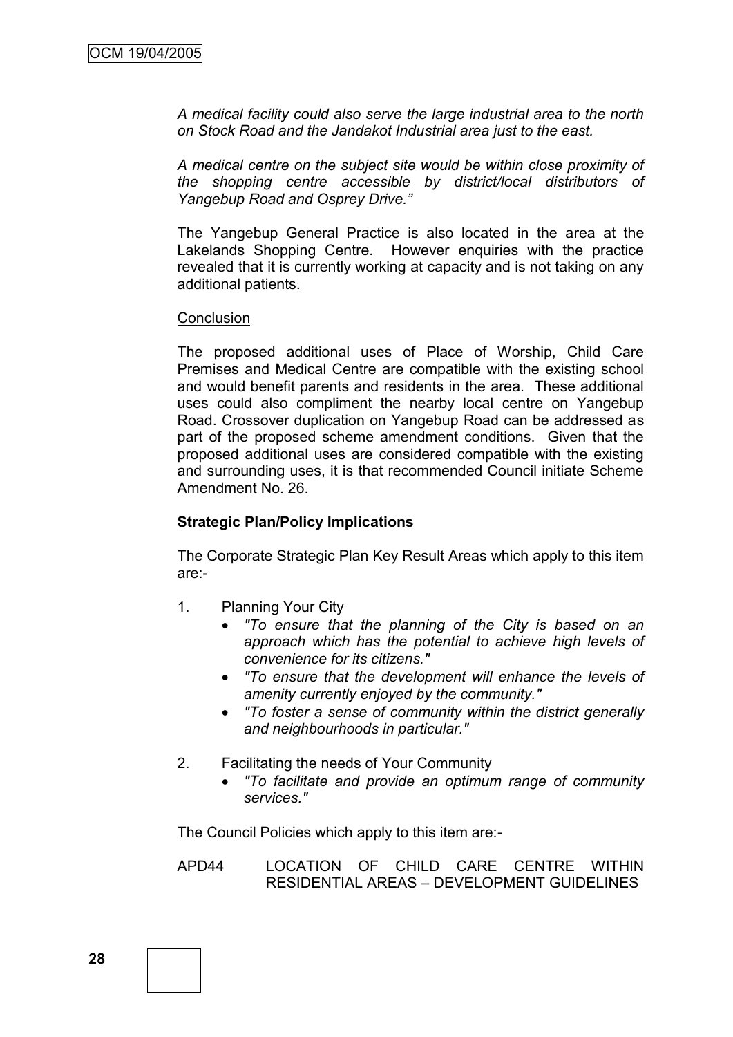*A medical facility could also serve the large industrial area to the north on Stock Road and the Jandakot Industrial area just to the east.*

*A medical centre on the subject site would be within close proximity of the shopping centre accessible by district/local distributors of Yangebup Road and Osprey Drive."*

The Yangebup General Practice is also located in the area at the Lakelands Shopping Centre. However enquiries with the practice revealed that it is currently working at capacity and is not taking on any additional patients.

#### **Conclusion**

The proposed additional uses of Place of Worship, Child Care Premises and Medical Centre are compatible with the existing school and would benefit parents and residents in the area. These additional uses could also compliment the nearby local centre on Yangebup Road. Crossover duplication on Yangebup Road can be addressed as part of the proposed scheme amendment conditions. Given that the proposed additional uses are considered compatible with the existing and surrounding uses, it is that recommended Council initiate Scheme Amendment No. 26.

# **Strategic Plan/Policy Implications**

The Corporate Strategic Plan Key Result Areas which apply to this item are:-

- 1. Planning Your City
	- *"To ensure that the planning of the City is based on an approach which has the potential to achieve high levels of convenience for its citizens."*
	- *"To ensure that the development will enhance the levels of amenity currently enjoyed by the community."*
	- *"To foster a sense of community within the district generally and neighbourhoods in particular."*
- 2. Facilitating the needs of Your Community
	- *"To facilitate and provide an optimum range of community services."*

The Council Policies which apply to this item are:-

APD44 LOCATION OF CHILD CARE CENTRE WITHIN RESIDENTIAL AREAS – DEVELOPMENT GUIDELINES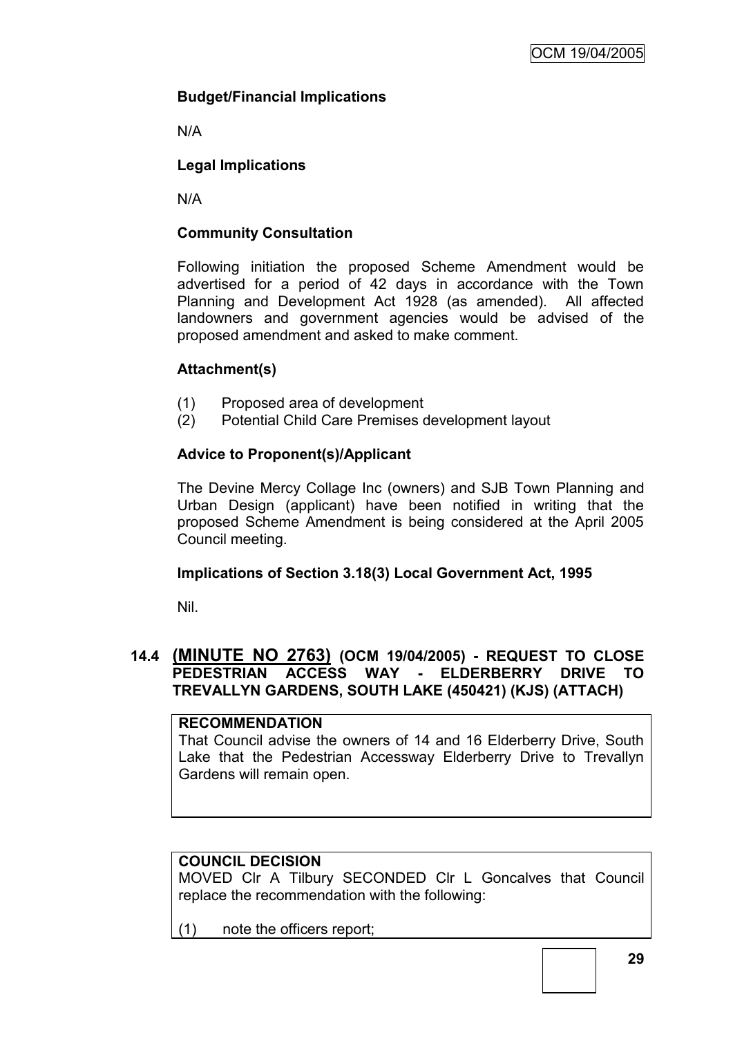# **Budget/Financial Implications**

N/A

# **Legal Implications**

N/A

# **Community Consultation**

Following initiation the proposed Scheme Amendment would be advertised for a period of 42 days in accordance with the Town Planning and Development Act 1928 (as amended). All affected landowners and government agencies would be advised of the proposed amendment and asked to make comment.

# **Attachment(s)**

- (1) Proposed area of development
- (2) Potential Child Care Premises development layout

# **Advice to Proponent(s)/Applicant**

The Devine Mercy Collage Inc (owners) and SJB Town Planning and Urban Design (applicant) have been notified in writing that the proposed Scheme Amendment is being considered at the April 2005 Council meeting.

# **Implications of Section 3.18(3) Local Government Act, 1995**

Nil.

# **14.4 (MINUTE NO 2763) (OCM 19/04/2005) - REQUEST TO CLOSE PEDESTRIAN ACCESS WAY - ELDERBERRY DRIVE TO TREVALLYN GARDENS, SOUTH LAKE (450421) (KJS) (ATTACH)**

#### **RECOMMENDATION**

That Council advise the owners of 14 and 16 Elderberry Drive, South Lake that the Pedestrian Accessway Elderberry Drive to Trevallyn Gardens will remain open.

# **COUNCIL DECISION**

MOVED Clr A Tilbury SECONDED Clr L Goncalves that Council replace the recommendation with the following:

(1) note the officers report;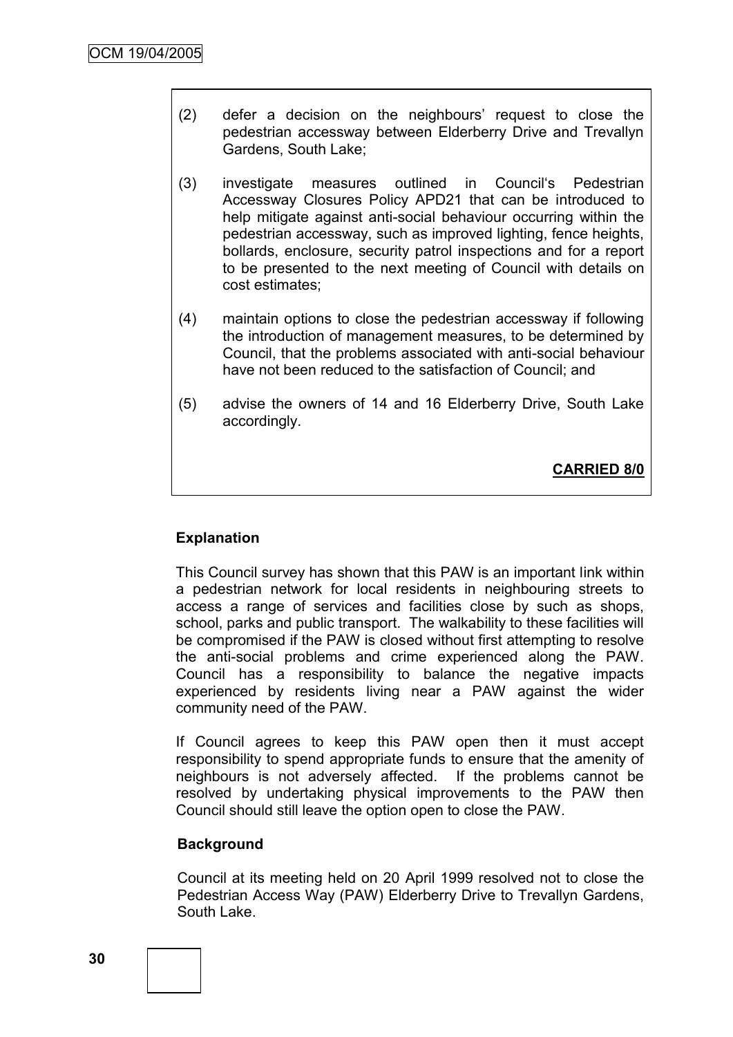- (2) defer a decision on the neighbours' request to close the pedestrian accessway between Elderberry Drive and Trevallyn Gardens, South Lake;
- (3) investigate measures outlined in Council's Pedestrian Accessway Closures Policy APD21 that can be introduced to help mitigate against anti-social behaviour occurring within the pedestrian accessway, such as improved lighting, fence heights, bollards, enclosure, security patrol inspections and for a report to be presented to the next meeting of Council with details on cost estimates;
- (4) maintain options to close the pedestrian accessway if following the introduction of management measures, to be determined by Council, that the problems associated with anti-social behaviour have not been reduced to the satisfaction of Council; and
- (5) advise the owners of 14 and 16 Elderberry Drive, South Lake accordingly.

**CARRIED 8/0**

# **Explanation**

This Council survey has shown that this PAW is an important link within a pedestrian network for local residents in neighbouring streets to access a range of services and facilities close by such as shops, school, parks and public transport. The walkability to these facilities will be compromised if the PAW is closed without first attempting to resolve the anti-social problems and crime experienced along the PAW. Council has a responsibility to balance the negative impacts experienced by residents living near a PAW against the wider community need of the PAW.

If Council agrees to keep this PAW open then it must accept responsibility to spend appropriate funds to ensure that the amenity of neighbours is not adversely affected. If the problems cannot be resolved by undertaking physical improvements to the PAW then Council should still leave the option open to close the PAW.

# **Background**

Council at its meeting held on 20 April 1999 resolved not to close the Pedestrian Access Way (PAW) Elderberry Drive to Trevallyn Gardens, South Lake.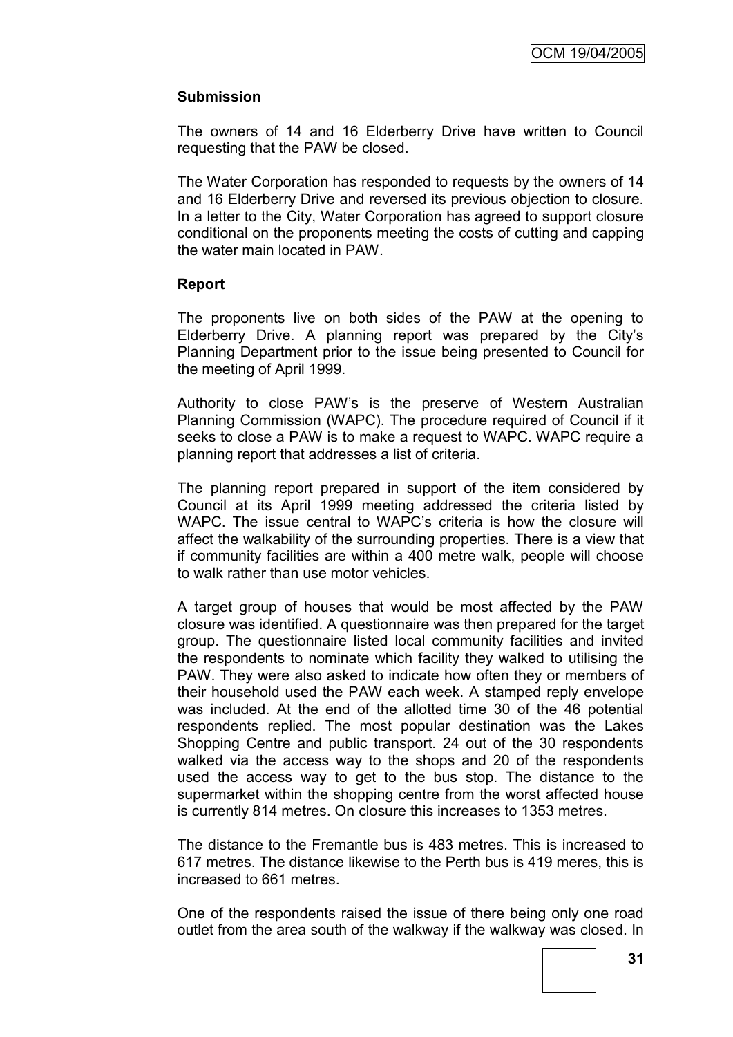# **Submission**

The owners of 14 and 16 Elderberry Drive have written to Council requesting that the PAW be closed.

The Water Corporation has responded to requests by the owners of 14 and 16 Elderberry Drive and reversed its previous objection to closure. In a letter to the City, Water Corporation has agreed to support closure conditional on the proponents meeting the costs of cutting and capping the water main located in PAW.

# **Report**

The proponents live on both sides of the PAW at the opening to Elderberry Drive. A planning report was prepared by the City's Planning Department prior to the issue being presented to Council for the meeting of April 1999.

Authority to close PAW's is the preserve of Western Australian Planning Commission (WAPC). The procedure required of Council if it seeks to close a PAW is to make a request to WAPC. WAPC require a planning report that addresses a list of criteria.

The planning report prepared in support of the item considered by Council at its April 1999 meeting addressed the criteria listed by WAPC. The issue central to WAPC's criteria is how the closure will affect the walkability of the surrounding properties. There is a view that if community facilities are within a 400 metre walk, people will choose to walk rather than use motor vehicles.

A target group of houses that would be most affected by the PAW closure was identified. A questionnaire was then prepared for the target group. The questionnaire listed local community facilities and invited the respondents to nominate which facility they walked to utilising the PAW. They were also asked to indicate how often they or members of their household used the PAW each week. A stamped reply envelope was included. At the end of the allotted time 30 of the 46 potential respondents replied. The most popular destination was the Lakes Shopping Centre and public transport. 24 out of the 30 respondents walked via the access way to the shops and 20 of the respondents used the access way to get to the bus stop. The distance to the supermarket within the shopping centre from the worst affected house is currently 814 metres. On closure this increases to 1353 metres.

The distance to the Fremantle bus is 483 metres. This is increased to 617 metres. The distance likewise to the Perth bus is 419 meres, this is increased to 661 metres.

One of the respondents raised the issue of there being only one road outlet from the area south of the walkway if the walkway was closed. In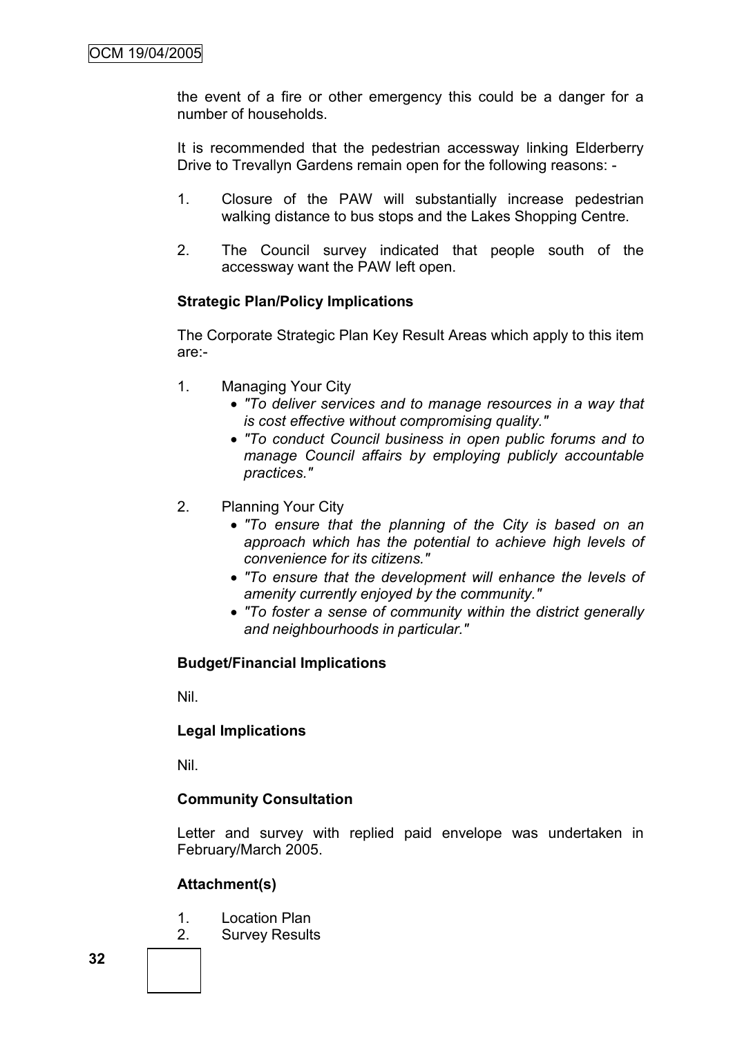the event of a fire or other emergency this could be a danger for a number of households.

It is recommended that the pedestrian accessway linking Elderberry Drive to Trevallyn Gardens remain open for the following reasons: -

- 1. Closure of the PAW will substantially increase pedestrian walking distance to bus stops and the Lakes Shopping Centre.
- 2. The Council survey indicated that people south of the accessway want the PAW left open.

# **Strategic Plan/Policy Implications**

The Corporate Strategic Plan Key Result Areas which apply to this item are:-

- 1. Managing Your City
	- *"To deliver services and to manage resources in a way that is cost effective without compromising quality."*
	- *"To conduct Council business in open public forums and to manage Council affairs by employing publicly accountable practices."*
- 2. Planning Your City
	- *"To ensure that the planning of the City is based on an approach which has the potential to achieve high levels of convenience for its citizens."*
	- *"To ensure that the development will enhance the levels of amenity currently enjoyed by the community."*
	- *"To foster a sense of community within the district generally and neighbourhoods in particular."*

# **Budget/Financial Implications**

Nil.

# **Legal Implications**

Nil.

# **Community Consultation**

Letter and survey with replied paid envelope was undertaken in February/March 2005.

# **Attachment(s)**

- 1. Location Plan
- 2. Survey Results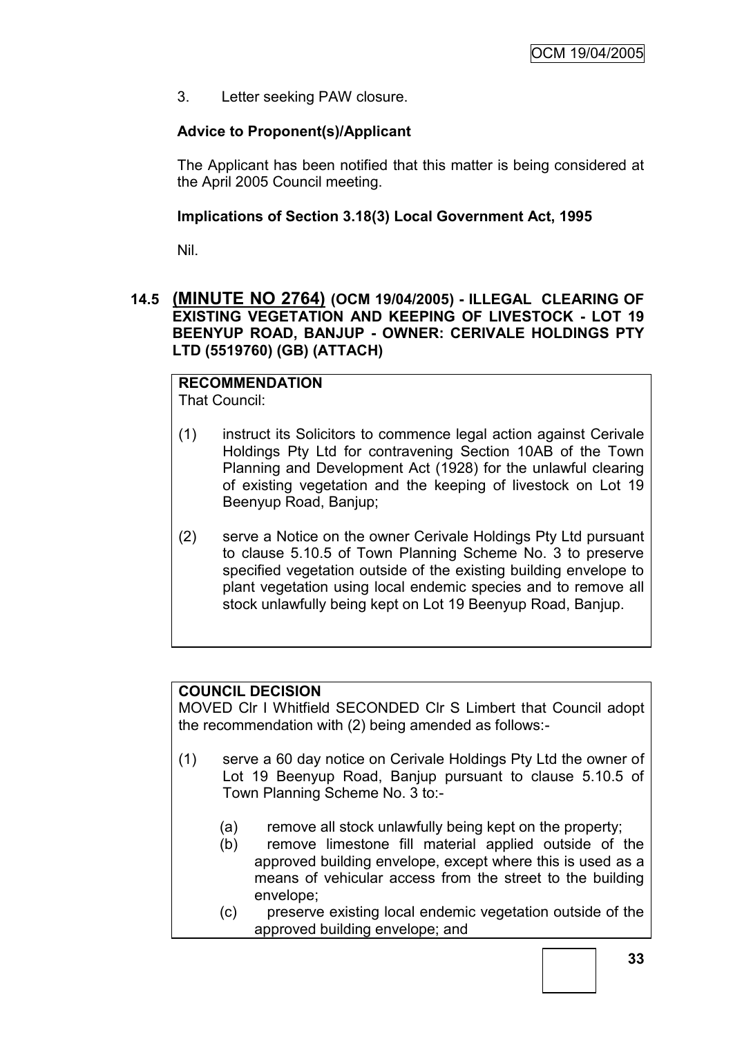3. Letter seeking PAW closure.

# **Advice to Proponent(s)/Applicant**

The Applicant has been notified that this matter is being considered at the April 2005 Council meeting.

# **Implications of Section 3.18(3) Local Government Act, 1995**

Nil.

# **14.5 (MINUTE NO 2764) (OCM 19/04/2005) - ILLEGAL CLEARING OF EXISTING VEGETATION AND KEEPING OF LIVESTOCK - LOT 19 BEENYUP ROAD, BANJUP - OWNER: CERIVALE HOLDINGS PTY LTD (5519760) (GB) (ATTACH)**

# **RECOMMENDATION**

That Council:

- (1) instruct its Solicitors to commence legal action against Cerivale Holdings Pty Ltd for contravening Section 10AB of the Town Planning and Development Act (1928) for the unlawful clearing of existing vegetation and the keeping of livestock on Lot 19 Beenyup Road, Banjup;
- (2) serve a Notice on the owner Cerivale Holdings Pty Ltd pursuant to clause 5.10.5 of Town Planning Scheme No. 3 to preserve specified vegetation outside of the existing building envelope to plant vegetation using local endemic species and to remove all stock unlawfully being kept on Lot 19 Beenyup Road, Banjup.

# **COUNCIL DECISION**

MOVED Clr I Whitfield SECONDED Clr S Limbert that Council adopt the recommendation with (2) being amended as follows:-

- (1) serve a 60 day notice on Cerivale Holdings Pty Ltd the owner of Lot 19 Beenyup Road, Banjup pursuant to clause 5.10.5 of Town Planning Scheme No. 3 to:-
	- (a) remove all stock unlawfully being kept on the property;
	- (b) remove limestone fill material applied outside of the approved building envelope, except where this is used as a means of vehicular access from the street to the building envelope;
	- (c) preserve existing local endemic vegetation outside of the approved building envelope; and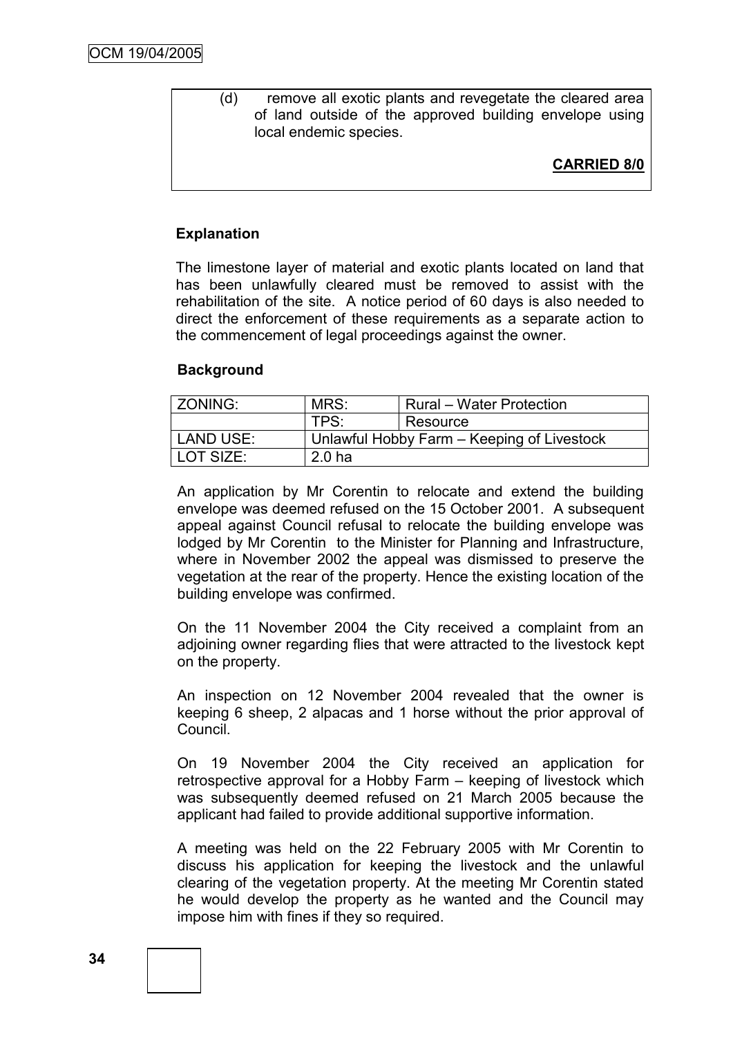(d) remove all exotic plants and revegetate the cleared area of land outside of the approved building envelope using local endemic species.

# **CARRIED 8/0**

### **Explanation**

The limestone layer of material and exotic plants located on land that has been unlawfully cleared must be removed to assist with the rehabilitation of the site. A notice period of 60 days is also needed to direct the enforcement of these requirements as a separate action to the commencement of legal proceedings against the owner.

#### **Background**

| ZONING:   | MRS:                                       | <b>Rural – Water Protection</b> |  |
|-----------|--------------------------------------------|---------------------------------|--|
|           | TPS:                                       | Resource                        |  |
| LAND USE: | Unlawful Hobby Farm – Keeping of Livestock |                                 |  |
| LOT SIZE: | 2.0 <sub>ha</sub>                          |                                 |  |

An application by Mr Corentin to relocate and extend the building envelope was deemed refused on the 15 October 2001. A subsequent appeal against Council refusal to relocate the building envelope was lodged by Mr Corentin to the Minister for Planning and Infrastructure, where in November 2002 the appeal was dismissed to preserve the vegetation at the rear of the property. Hence the existing location of the building envelope was confirmed.

On the 11 November 2004 the City received a complaint from an adjoining owner regarding flies that were attracted to the livestock kept on the property.

An inspection on 12 November 2004 revealed that the owner is keeping 6 sheep, 2 alpacas and 1 horse without the prior approval of Council.

On 19 November 2004 the City received an application for retrospective approval for a Hobby Farm – keeping of livestock which was subsequently deemed refused on 21 March 2005 because the applicant had failed to provide additional supportive information.

A meeting was held on the 22 February 2005 with Mr Corentin to discuss his application for keeping the livestock and the unlawful clearing of the vegetation property. At the meeting Mr Corentin stated he would develop the property as he wanted and the Council may impose him with fines if they so required.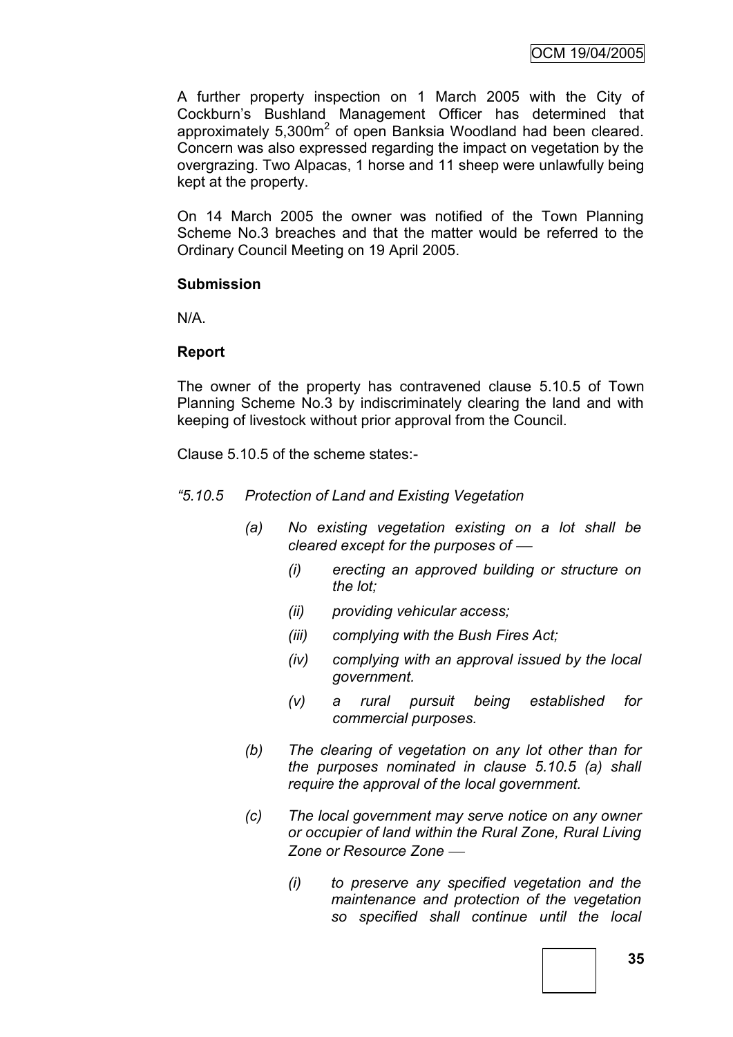A further property inspection on 1 March 2005 with the City of Cockburn's Bushland Management Officer has determined that approximately 5,300m<sup>2</sup> of open Banksia Woodland had been cleared. Concern was also expressed regarding the impact on vegetation by the overgrazing. Two Alpacas, 1 horse and 11 sheep were unlawfully being kept at the property.

On 14 March 2005 the owner was notified of the Town Planning Scheme No.3 breaches and that the matter would be referred to the Ordinary Council Meeting on 19 April 2005.

#### **Submission**

N/A.

# **Report**

The owner of the property has contravened clause 5.10.5 of Town Planning Scheme No.3 by indiscriminately clearing the land and with keeping of livestock without prior approval from the Council.

Clause 5.10.5 of the scheme states:-

- *"5.10.5 Protection of Land and Existing Vegetation*
	- *(a) No existing vegetation existing on a lot shall be cleared except for the purposes of* 
		- *(i) erecting an approved building or structure on the lot;*
		- *(ii) providing vehicular access;*
		- *(iii) complying with the Bush Fires Act;*
		- *(iv) complying with an approval issued by the local government.*
		- *(v) a rural pursuit being established for commercial purposes.*
	- *(b) The clearing of vegetation on any lot other than for the purposes nominated in clause 5.10.5 (a) shall require the approval of the local government.*
	- *(c) The local government may serve notice on any owner or occupier of land within the Rural Zone, Rural Living Zone or Resource Zone* 
		- *(i) to preserve any specified vegetation and the maintenance and protection of the vegetation so specified shall continue until the local*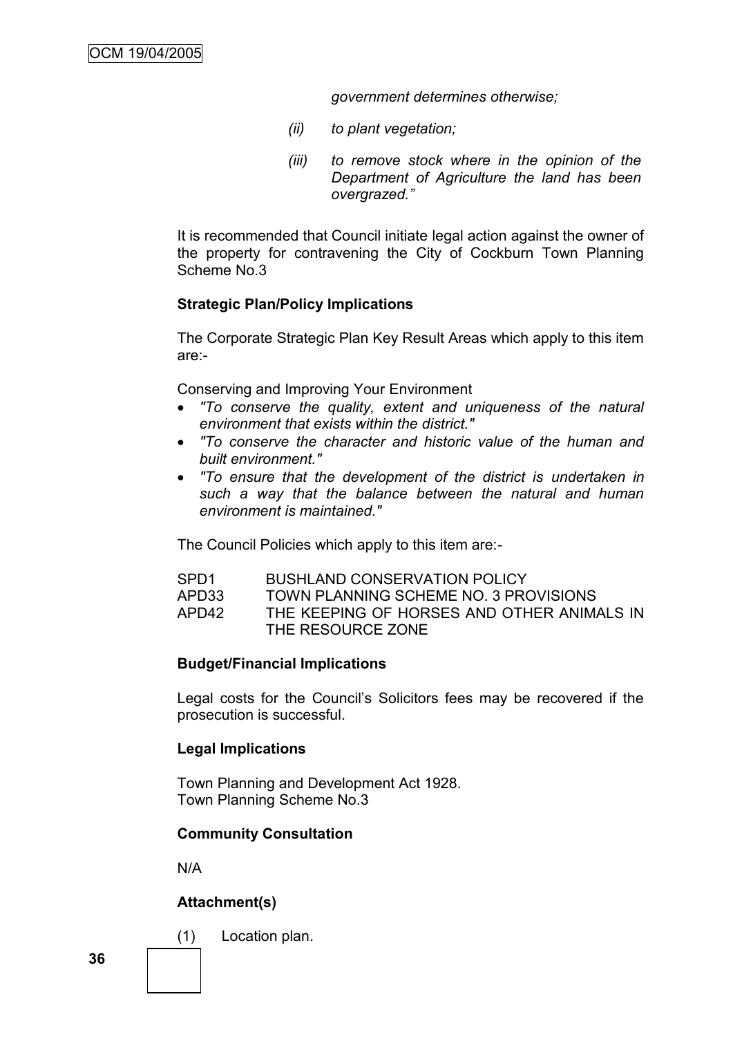*government determines otherwise;*

- *(ii) to plant vegetation;*
- *(iii) to remove stock where in the opinion of the Department of Agriculture the land has been overgrazed."*

It is recommended that Council initiate legal action against the owner of the property for contravening the City of Cockburn Town Planning Scheme No.3

# **Strategic Plan/Policy Implications**

The Corporate Strategic Plan Key Result Areas which apply to this item are:-

Conserving and Improving Your Environment

- *"To conserve the quality, extent and uniqueness of the natural environment that exists within the district."*
- *"To conserve the character and historic value of the human and built environment."*
- *"To ensure that the development of the district is undertaken in such a way that the balance between the natural and human environment is maintained."*

The Council Policies which apply to this item are:-

| SPD <sub>1</sub> | <b>BUSHLAND CONSERVATION POLICY</b>        |
|------------------|--------------------------------------------|
| APD33            | TOWN PLANNING SCHEME NO. 3 PROVISIONS      |
| APD42            | THE KEEPING OF HORSES AND OTHER ANIMALS IN |
|                  | THE RESOURCE ZONE                          |

# **Budget/Financial Implications**

Legal costs for the Council's Solicitors fees may be recovered if the prosecution is successful.

# **Legal Implications**

Town Planning and Development Act 1928. Town Planning Scheme No.3

# **Community Consultation**

N/A

# **Attachment(s)**

(1) Location plan.

**36**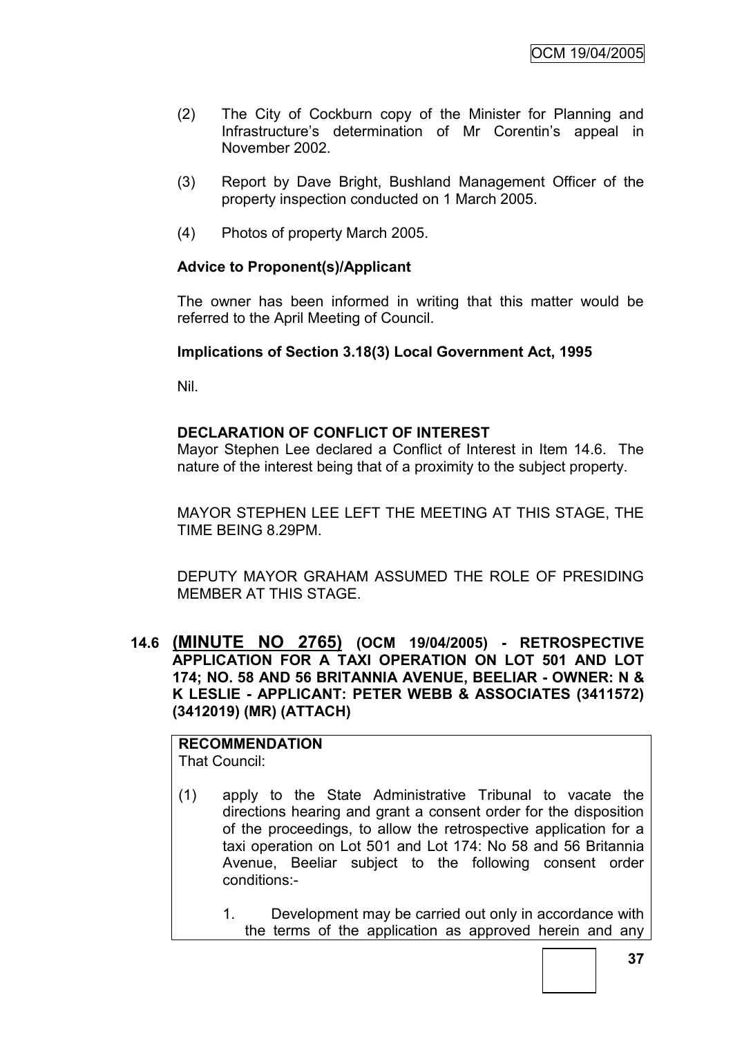- (2) The City of Cockburn copy of the Minister for Planning and Infrastructure's determination of Mr Corentin's appeal in November 2002.
- (3) Report by Dave Bright, Bushland Management Officer of the property inspection conducted on 1 March 2005.
- (4) Photos of property March 2005.

## **Advice to Proponent(s)/Applicant**

The owner has been informed in writing that this matter would be referred to the April Meeting of Council.

#### **Implications of Section 3.18(3) Local Government Act, 1995**

Nil.

#### **DECLARATION OF CONFLICT OF INTEREST**

Mayor Stephen Lee declared a Conflict of Interest in Item 14.6. The nature of the interest being that of a proximity to the subject property.

MAYOR STEPHEN LEE LEFT THE MEETING AT THIS STAGE, THE TIME BEING 8.29PM.

DEPUTY MAYOR GRAHAM ASSUMED THE ROLE OF PRESIDING MEMBER AT THIS STAGE.

**14.6 (MINUTE NO 2765) (OCM 19/04/2005) - RETROSPECTIVE APPLICATION FOR A TAXI OPERATION ON LOT 501 AND LOT 174; NO. 58 AND 56 BRITANNIA AVENUE, BEELIAR - OWNER: N & K LESLIE - APPLICANT: PETER WEBB & ASSOCIATES (3411572) (3412019) (MR) (ATTACH)**

**RECOMMENDATION** That Council:

- (1) apply to the State Administrative Tribunal to vacate the directions hearing and grant a consent order for the disposition of the proceedings, to allow the retrospective application for a taxi operation on Lot 501 and Lot 174: No 58 and 56 Britannia Avenue, Beeliar subject to the following consent order conditions:-
	- 1. Development may be carried out only in accordance with the terms of the application as approved herein and any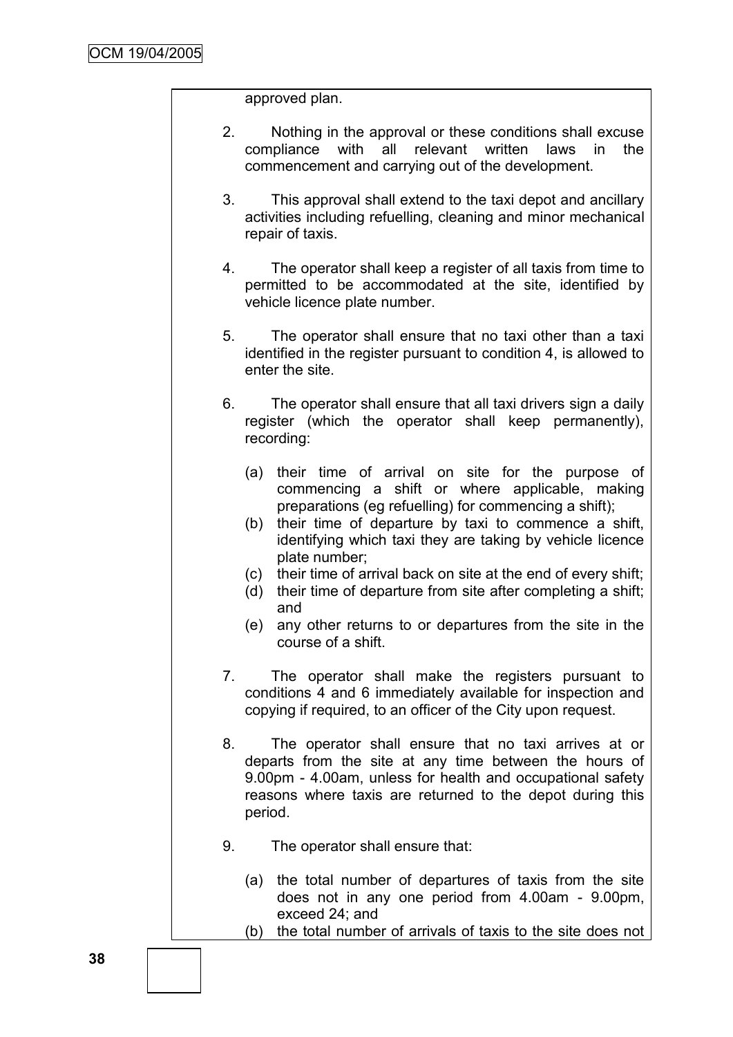approved plan.

- 2. Nothing in the approval or these conditions shall excuse compliance with all relevant written laws in the commencement and carrying out of the development.
- 3. This approval shall extend to the taxi depot and ancillary activities including refuelling, cleaning and minor mechanical repair of taxis.
- 4. The operator shall keep a register of all taxis from time to permitted to be accommodated at the site, identified by vehicle licence plate number.
- 5. The operator shall ensure that no taxi other than a taxi identified in the register pursuant to condition 4, is allowed to enter the site.
- 6. The operator shall ensure that all taxi drivers sign a daily register (which the operator shall keep permanently), recording:
	- (a) their time of arrival on site for the purpose of commencing a shift or where applicable, making preparations (eg refuelling) for commencing a shift);
	- (b) their time of departure by taxi to commence a shift, identifying which taxi they are taking by vehicle licence plate number;
	- (c) their time of arrival back on site at the end of every shift;
	- (d) their time of departure from site after completing a shift; and
	- (e) any other returns to or departures from the site in the course of a shift.
- 7. The operator shall make the registers pursuant to conditions 4 and 6 immediately available for inspection and copying if required, to an officer of the City upon request.
- 8. The operator shall ensure that no taxi arrives at or departs from the site at any time between the hours of 9.00pm - 4.00am, unless for health and occupational safety reasons where taxis are returned to the depot during this period.
- 9. The operator shall ensure that:
	- (a) the total number of departures of taxis from the site does not in any one period from 4.00am - 9.00pm, exceed 24; and
	- (b) the total number of arrivals of taxis to the site does not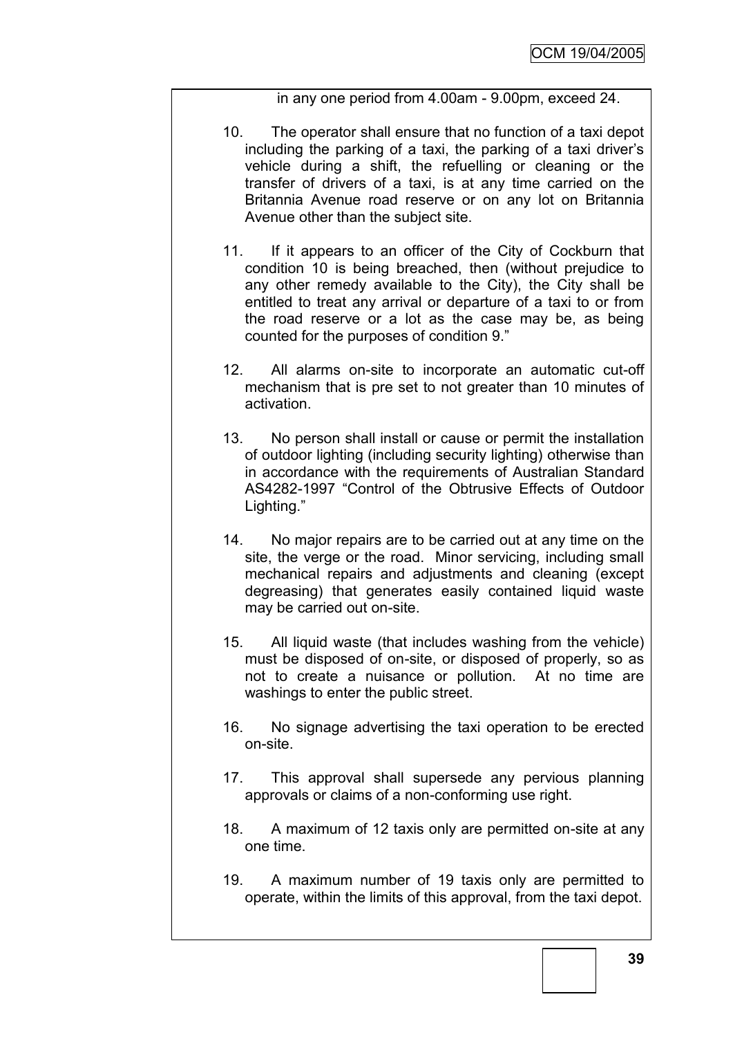in any one period from 4.00am - 9.00pm, exceed 24.

- 10. The operator shall ensure that no function of a taxi depot including the parking of a taxi, the parking of a taxi driver's vehicle during a shift, the refuelling or cleaning or the transfer of drivers of a taxi, is at any time carried on the Britannia Avenue road reserve or on any lot on Britannia Avenue other than the subject site.
- 11. If it appears to an officer of the City of Cockburn that condition 10 is being breached, then (without prejudice to any other remedy available to the City), the City shall be entitled to treat any arrival or departure of a taxi to or from the road reserve or a lot as the case may be, as being counted for the purposes of condition 9."
- 12. All alarms on-site to incorporate an automatic cut-off mechanism that is pre set to not greater than 10 minutes of activation.
- 13. No person shall install or cause or permit the installation of outdoor lighting (including security lighting) otherwise than in accordance with the requirements of Australian Standard AS4282-1997 "Control of the Obtrusive Effects of Outdoor Lighting."
- 14. No major repairs are to be carried out at any time on the site, the verge or the road. Minor servicing, including small mechanical repairs and adjustments and cleaning (except degreasing) that generates easily contained liquid waste may be carried out on-site.
- 15. All liquid waste (that includes washing from the vehicle) must be disposed of on-site, or disposed of properly, so as not to create a nuisance or pollution. At no time are washings to enter the public street.
- 16. No signage advertising the taxi operation to be erected on-site.
- 17. This approval shall supersede any pervious planning approvals or claims of a non-conforming use right.
- 18. A maximum of 12 taxis only are permitted on-site at any one time.
- 19. A maximum number of 19 taxis only are permitted to operate, within the limits of this approval, from the taxi depot.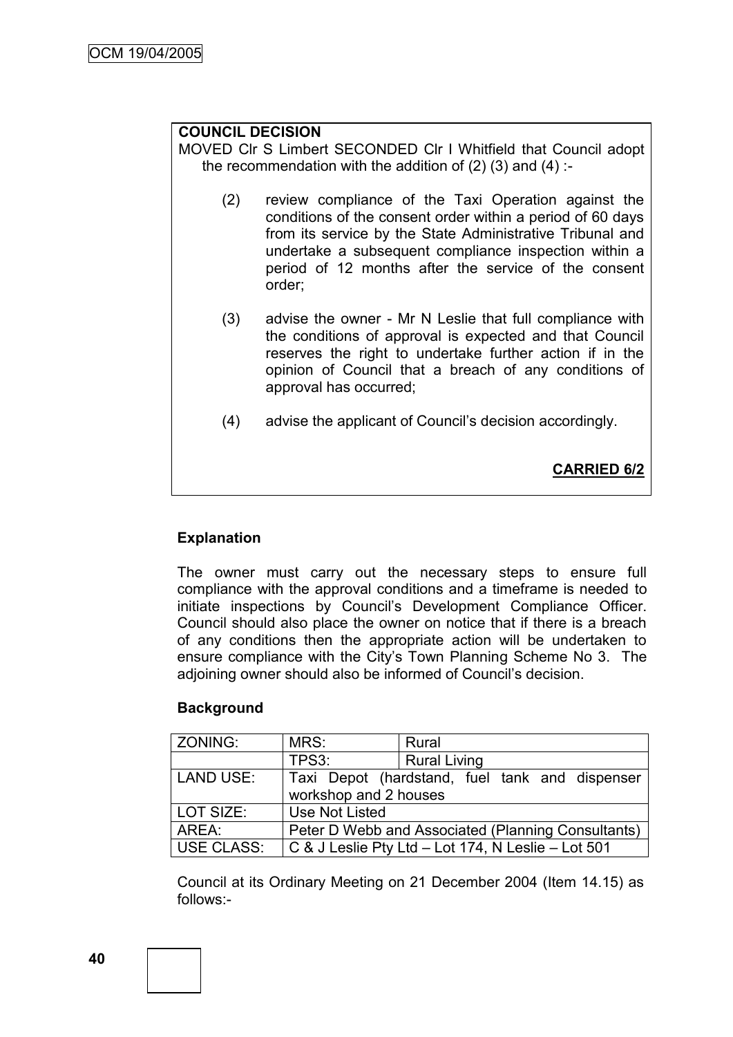# **COUNCIL DECISION**

MOVED Clr S Limbert SECONDED Clr I Whitfield that Council adopt the recommendation with the addition of  $(2)$   $(3)$  and  $(4)$  :-

- (2) review compliance of the Taxi Operation against the conditions of the consent order within a period of 60 days from its service by the State Administrative Tribunal and undertake a subsequent compliance inspection within a period of 12 months after the service of the consent order;
- (3) advise the owner Mr N Leslie that full compliance with the conditions of approval is expected and that Council reserves the right to undertake further action if in the opinion of Council that a breach of any conditions of approval has occurred;
- (4) advise the applicant of Council's decision accordingly.

**CARRIED 6/2**

# **Explanation**

The owner must carry out the necessary steps to ensure full compliance with the approval conditions and a timeframe is needed to initiate inspections by Council's Development Compliance Officer. Council should also place the owner on notice that if there is a breach of any conditions then the appropriate action will be undertaken to ensure compliance with the City's Town Planning Scheme No 3. The adjoining owner should also be informed of Council's decision.

# **Background**

| <b>ZONING:</b>    | MRS:                                               | Rural                                              |  |
|-------------------|----------------------------------------------------|----------------------------------------------------|--|
|                   | TPS3:                                              | <b>Rural Living</b>                                |  |
| LAND USE:         |                                                    | Taxi Depot (hardstand, fuel tank and dispenser     |  |
|                   | workshop and 2 houses                              |                                                    |  |
| LOT SIZE:         | Use Not Listed                                     |                                                    |  |
| AREA:             | Peter D Webb and Associated (Planning Consultants) |                                                    |  |
| <b>USE CLASS:</b> |                                                    | C & J Leslie Pty Ltd – Lot 174, N Leslie – Lot 501 |  |

Council at its Ordinary Meeting on 21 December 2004 (Item 14.15) as follows:-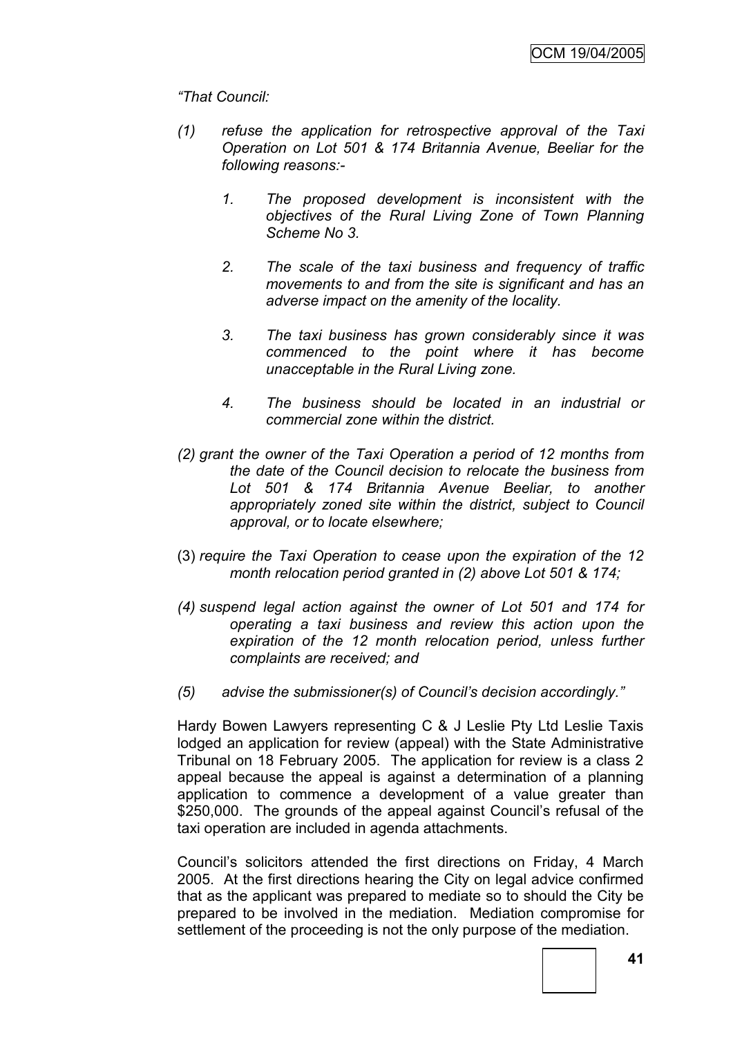# *"That Council:*

- *(1) refuse the application for retrospective approval of the Taxi Operation on Lot 501 & 174 Britannia Avenue, Beeliar for the following reasons:-*
	- *1. The proposed development is inconsistent with the objectives of the Rural Living Zone of Town Planning Scheme No 3.*
	- *2. The scale of the taxi business and frequency of traffic movements to and from the site is significant and has an adverse impact on the amenity of the locality.*
	- *3. The taxi business has grown considerably since it was commenced to the point where it has become unacceptable in the Rural Living zone.*
	- *4. The business should be located in an industrial or commercial zone within the district.*
- *(2) grant the owner of the Taxi Operation a period of 12 months from the date of the Council decision to relocate the business from Lot 501 & 174 Britannia Avenue Beeliar, to another appropriately zoned site within the district, subject to Council approval, or to locate elsewhere;*
- (3) *require the Taxi Operation to cease upon the expiration of the 12 month relocation period granted in (2) above Lot 501 & 174;*
- *(4) suspend legal action against the owner of Lot 501 and 174 for operating a taxi business and review this action upon the expiration of the 12 month relocation period, unless further complaints are received; and*
- *(5) advise the submissioner(s) of Council's decision accordingly."*

Hardy Bowen Lawyers representing C & J Leslie Pty Ltd Leslie Taxis lodged an application for review (appeal) with the State Administrative Tribunal on 18 February 2005. The application for review is a class 2 appeal because the appeal is against a determination of a planning application to commence a development of a value greater than \$250,000. The grounds of the appeal against Council's refusal of the taxi operation are included in agenda attachments.

Council's solicitors attended the first directions on Friday, 4 March 2005. At the first directions hearing the City on legal advice confirmed that as the applicant was prepared to mediate so to should the City be prepared to be involved in the mediation. Mediation compromise for settlement of the proceeding is not the only purpose of the mediation.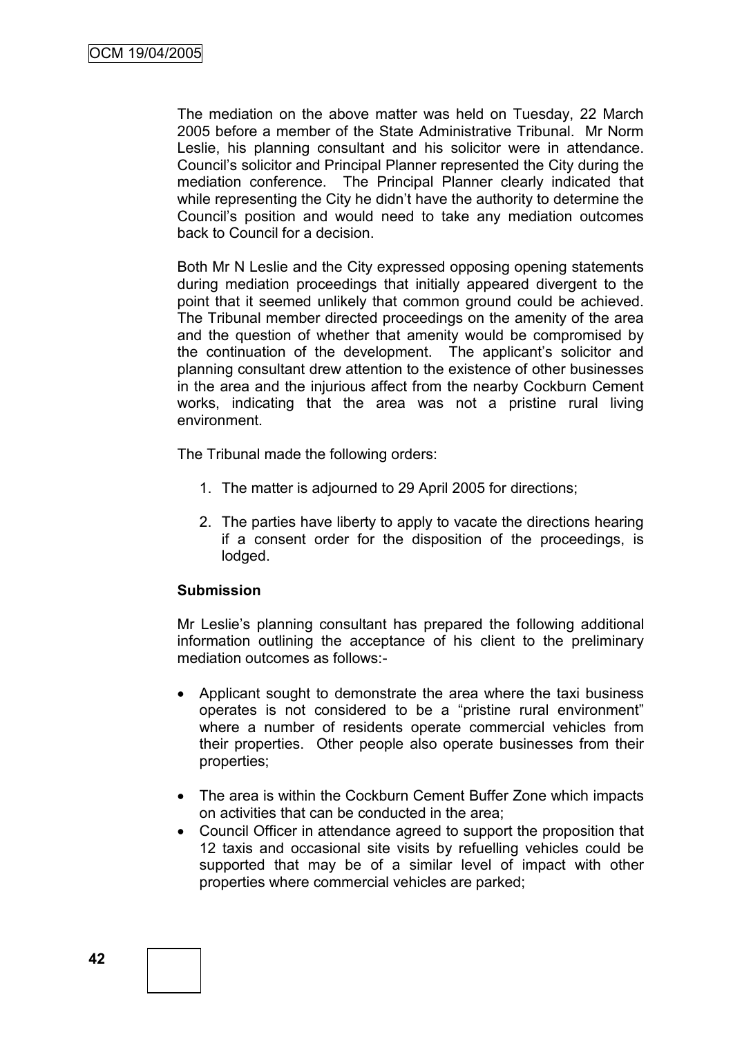The mediation on the above matter was held on Tuesday, 22 March 2005 before a member of the State Administrative Tribunal. Mr Norm Leslie, his planning consultant and his solicitor were in attendance. Council's solicitor and Principal Planner represented the City during the mediation conference. The Principal Planner clearly indicated that while representing the City he didn't have the authority to determine the Council's position and would need to take any mediation outcomes back to Council for a decision.

Both Mr N Leslie and the City expressed opposing opening statements during mediation proceedings that initially appeared divergent to the point that it seemed unlikely that common ground could be achieved. The Tribunal member directed proceedings on the amenity of the area and the question of whether that amenity would be compromised by the continuation of the development. The applicant's solicitor and planning consultant drew attention to the existence of other businesses in the area and the injurious affect from the nearby Cockburn Cement works, indicating that the area was not a pristine rural living environment.

The Tribunal made the following orders:

- 1. The matter is adjourned to 29 April 2005 for directions;
- 2. The parties have liberty to apply to vacate the directions hearing if a consent order for the disposition of the proceedings, is lodged.

# **Submission**

Mr Leslie's planning consultant has prepared the following additional information outlining the acceptance of his client to the preliminary mediation outcomes as follows:-

- Applicant sought to demonstrate the area where the taxi business operates is not considered to be a "pristine rural environment" where a number of residents operate commercial vehicles from their properties. Other people also operate businesses from their properties;
- The area is within the Cockburn Cement Buffer Zone which impacts on activities that can be conducted in the area;
- Council Officer in attendance agreed to support the proposition that 12 taxis and occasional site visits by refuelling vehicles could be supported that may be of a similar level of impact with other properties where commercial vehicles are parked;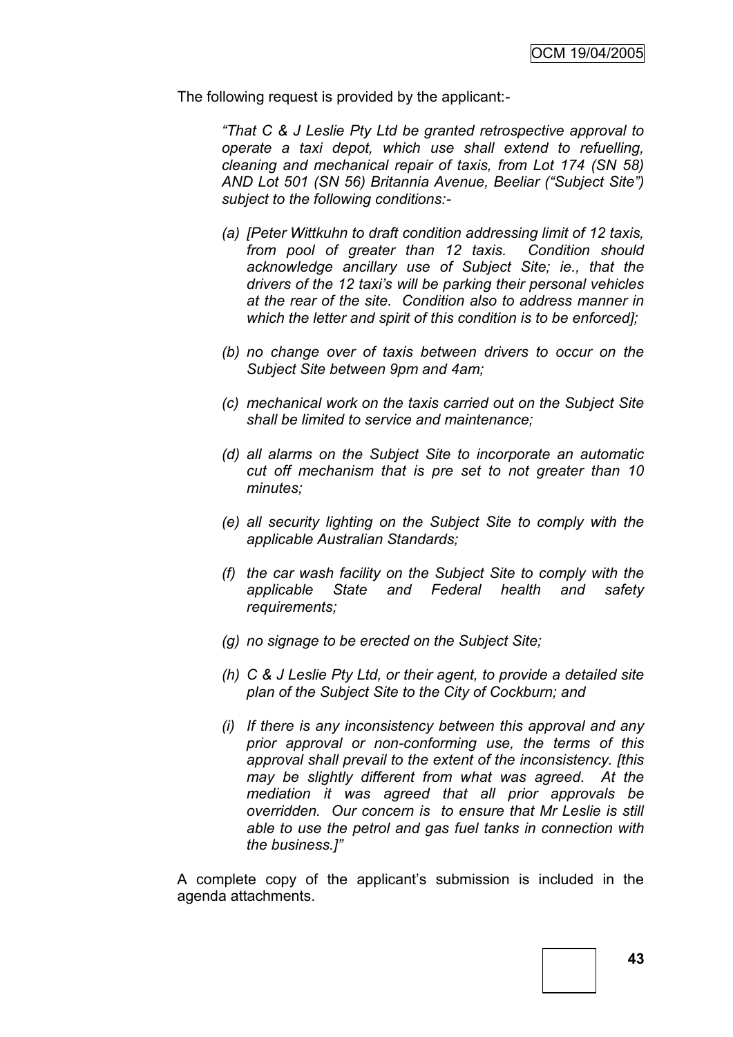The following request is provided by the applicant:-

*"That C & J Leslie Pty Ltd be granted retrospective approval to operate a taxi depot, which use shall extend to refuelling, cleaning and mechanical repair of taxis, from Lot 174 (SN 58) AND Lot 501 (SN 56) Britannia Avenue, Beeliar ("Subject Site") subject to the following conditions:-*

- *(a) [Peter Wittkuhn to draft condition addressing limit of 12 taxis, from pool of greater than 12 taxis. Condition should acknowledge ancillary use of Subject Site; ie., that the drivers of the 12 taxi's will be parking their personal vehicles at the rear of the site. Condition also to address manner in which the letter and spirit of this condition is to be enforced];*
- *(b) no change over of taxis between drivers to occur on the Subject Site between 9pm and 4am;*
- *(c) mechanical work on the taxis carried out on the Subject Site shall be limited to service and maintenance;*
- *(d) all alarms on the Subject Site to incorporate an automatic cut off mechanism that is pre set to not greater than 10 minutes;*
- *(e) all security lighting on the Subject Site to comply with the applicable Australian Standards;*
- *(f) the car wash facility on the Subject Site to comply with the applicable State and Federal health and safety requirements;*
- *(g) no signage to be erected on the Subject Site;*
- *(h) C & J Leslie Pty Ltd, or their agent, to provide a detailed site plan of the Subject Site to the City of Cockburn; and*
- *(i) If there is any inconsistency between this approval and any prior approval or non-conforming use, the terms of this approval shall prevail to the extent of the inconsistency. [this may be slightly different from what was agreed. At the mediation it was agreed that all prior approvals be overridden. Our concern is to ensure that Mr Leslie is still able to use the petrol and gas fuel tanks in connection with the business.]"*

A complete copy of the applicant's submission is included in the agenda attachments.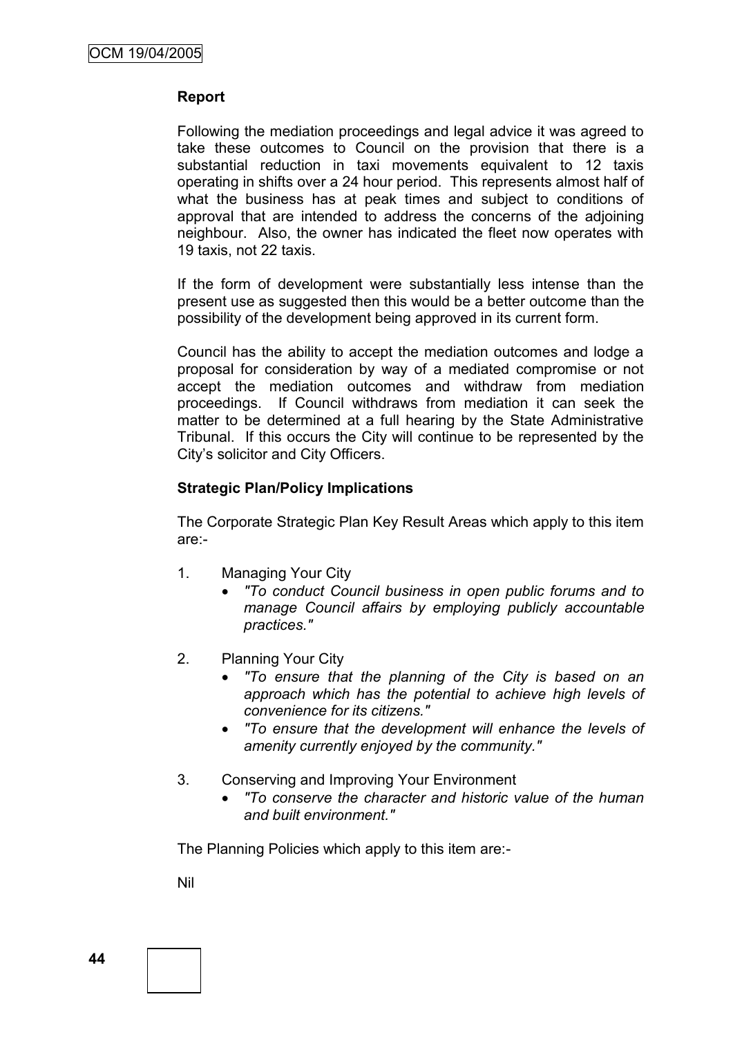### **Report**

Following the mediation proceedings and legal advice it was agreed to take these outcomes to Council on the provision that there is a substantial reduction in taxi movements equivalent to 12 taxis operating in shifts over a 24 hour period. This represents almost half of what the business has at peak times and subject to conditions of approval that are intended to address the concerns of the adjoining neighbour. Also, the owner has indicated the fleet now operates with 19 taxis, not 22 taxis.

If the form of development were substantially less intense than the present use as suggested then this would be a better outcome than the possibility of the development being approved in its current form.

Council has the ability to accept the mediation outcomes and lodge a proposal for consideration by way of a mediated compromise or not accept the mediation outcomes and withdraw from mediation proceedings. If Council withdraws from mediation it can seek the matter to be determined at a full hearing by the State Administrative Tribunal. If this occurs the City will continue to be represented by the City's solicitor and City Officers.

#### **Strategic Plan/Policy Implications**

The Corporate Strategic Plan Key Result Areas which apply to this item are:-

- 1. Managing Your City
	- *"To conduct Council business in open public forums and to manage Council affairs by employing publicly accountable practices."*
- 2. Planning Your City
	- *"To ensure that the planning of the City is based on an approach which has the potential to achieve high levels of convenience for its citizens."*
	- *"To ensure that the development will enhance the levels of amenity currently enjoyed by the community."*
- 3. Conserving and Improving Your Environment
	- *"To conserve the character and historic value of the human and built environment."*

The Planning Policies which apply to this item are:-

Nil

**44**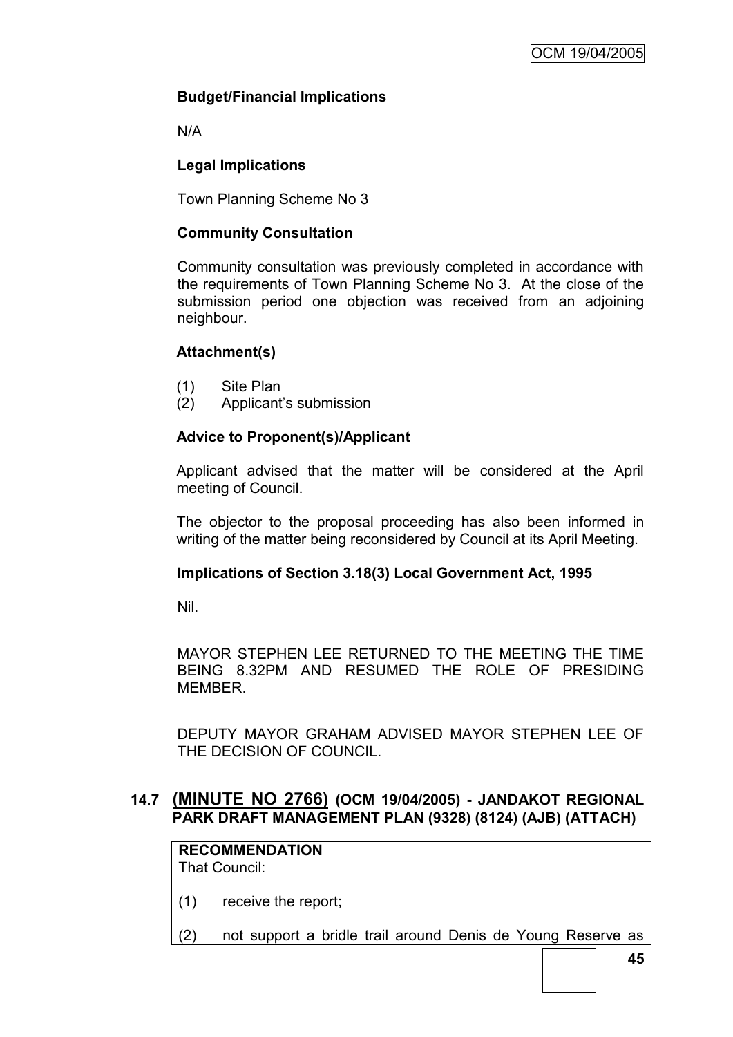# **Budget/Financial Implications**

N/A

# **Legal Implications**

Town Planning Scheme No 3

### **Community Consultation**

Community consultation was previously completed in accordance with the requirements of Town Planning Scheme No 3. At the close of the submission period one objection was received from an adjoining neighbour.

# **Attachment(s)**

- (1) Site Plan
- (2) Applicant's submission

# **Advice to Proponent(s)/Applicant**

Applicant advised that the matter will be considered at the April meeting of Council.

The objector to the proposal proceeding has also been informed in writing of the matter being reconsidered by Council at its April Meeting.

#### **Implications of Section 3.18(3) Local Government Act, 1995**

Nil.

MAYOR STEPHEN LEE RETURNED TO THE MEETING THE TIME BEING 8.32PM AND RESUMED THE ROLE OF PRESIDING **MEMBER** 

DEPUTY MAYOR GRAHAM ADVISED MAYOR STEPHEN LEE OF THE DECISION OF COUNCIL.

#### **14.7 (MINUTE NO 2766) (OCM 19/04/2005) - JANDAKOT REGIONAL PARK DRAFT MANAGEMENT PLAN (9328) (8124) (AJB) (ATTACH)**

**RECOMMENDATION** That Council:

- (1) receive the report;
- (2) not support a bridle trail around Denis de Young Reserve as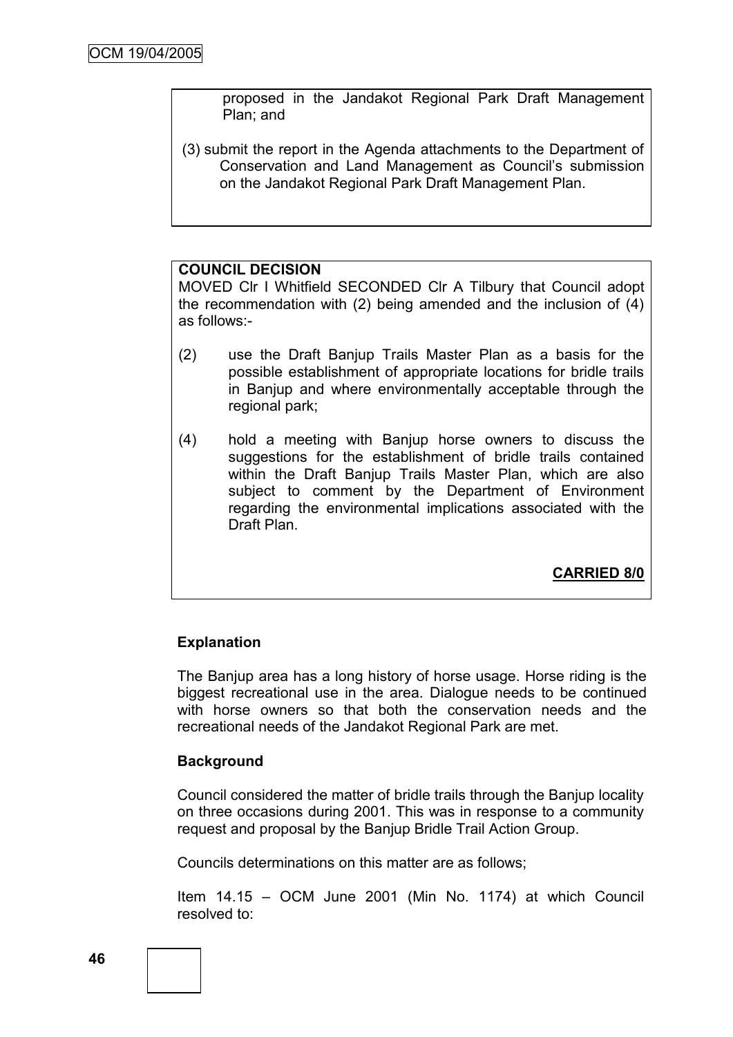proposed in the Jandakot Regional Park Draft Management Plan; and

(3) submit the report in the Agenda attachments to the Department of Conservation and Land Management as Council's submission on the Jandakot Regional Park Draft Management Plan.

#### **COUNCIL DECISION**

MOVED Clr I Whitfield SECONDED Clr A Tilbury that Council adopt the recommendation with (2) being amended and the inclusion of (4) as follows:-

- (2) use the Draft Banjup Trails Master Plan as a basis for the possible establishment of appropriate locations for bridle trails in Banjup and where environmentally acceptable through the regional park;
- (4) hold a meeting with Banjup horse owners to discuss the suggestions for the establishment of bridle trails contained within the Draft Banjup Trails Master Plan, which are also subject to comment by the Department of Environment regarding the environmental implications associated with the Draft Plan.

**CARRIED 8/0**

#### **Explanation**

The Banjup area has a long history of horse usage. Horse riding is the biggest recreational use in the area. Dialogue needs to be continued with horse owners so that both the conservation needs and the recreational needs of the Jandakot Regional Park are met.

#### **Background**

Council considered the matter of bridle trails through the Banjup locality on three occasions during 2001. This was in response to a community request and proposal by the Banjup Bridle Trail Action Group.

Councils determinations on this matter are as follows;

Item 14.15 – OCM June 2001 (Min No. 1174) at which Council resolved to: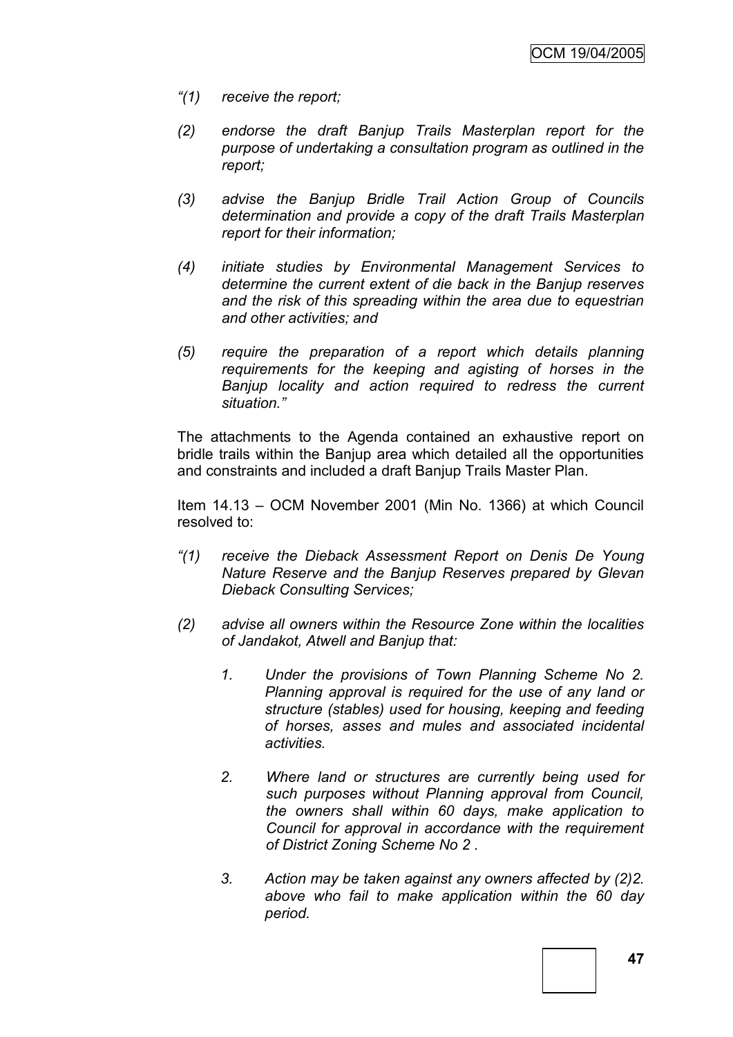- *"(1) receive the report;*
- *(2) endorse the draft Banjup Trails Masterplan report for the purpose of undertaking a consultation program as outlined in the report;*
- *(3) advise the Banjup Bridle Trail Action Group of Councils determination and provide a copy of the draft Trails Masterplan report for their information;*
- *(4) initiate studies by Environmental Management Services to determine the current extent of die back in the Banjup reserves and the risk of this spreading within the area due to equestrian and other activities; and*
- *(5) require the preparation of a report which details planning requirements for the keeping and agisting of horses in the Banjup locality and action required to redress the current situation."*

The attachments to the Agenda contained an exhaustive report on bridle trails within the Banjup area which detailed all the opportunities and constraints and included a draft Banjup Trails Master Plan.

Item 14.13 – OCM November 2001 (Min No. 1366) at which Council resolved to:

- *"(1) receive the Dieback Assessment Report on Denis De Young Nature Reserve and the Banjup Reserves prepared by Glevan Dieback Consulting Services;*
- *(2) advise all owners within the Resource Zone within the localities of Jandakot, Atwell and Banjup that:*
	- *1. Under the provisions of Town Planning Scheme No 2. Planning approval is required for the use of any land or structure (stables) used for housing, keeping and feeding of horses, asses and mules and associated incidental activities.*
	- *2. Where land or structures are currently being used for such purposes without Planning approval from Council, the owners shall within 60 days, make application to Council for approval in accordance with the requirement of District Zoning Scheme No 2 .*
	- *3. Action may be taken against any owners affected by (2)2. above who fail to make application within the 60 day period.*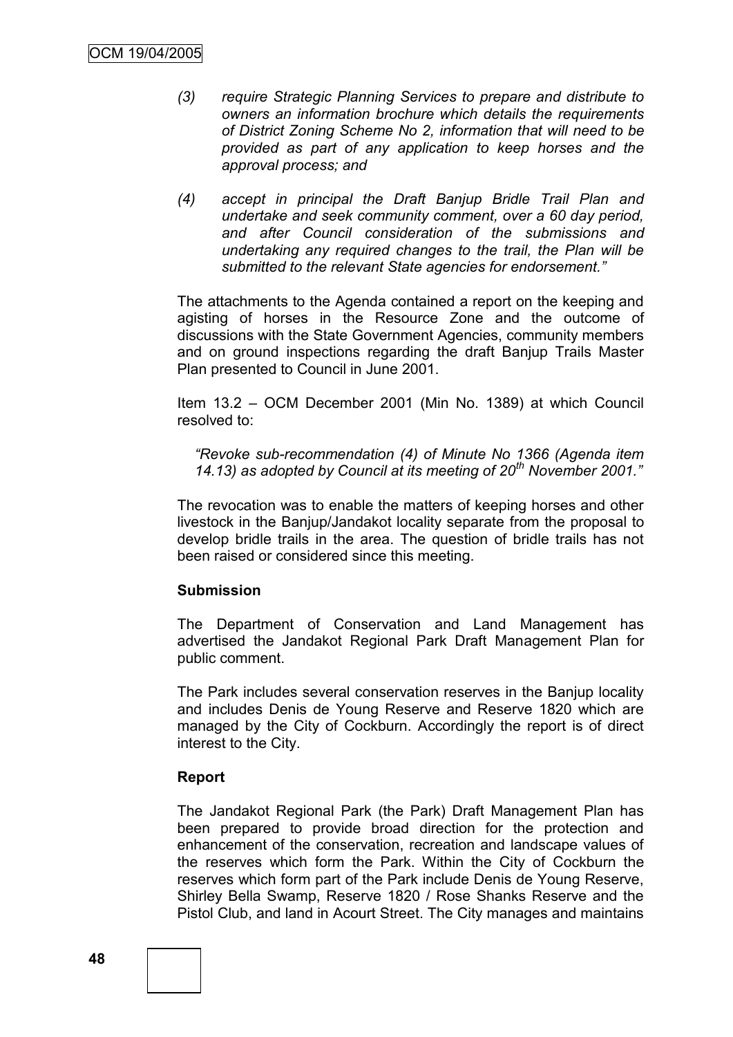- *(3) require Strategic Planning Services to prepare and distribute to owners an information brochure which details the requirements of District Zoning Scheme No 2, information that will need to be provided as part of any application to keep horses and the approval process; and*
- *(4) accept in principal the Draft Banjup Bridle Trail Plan and undertake and seek community comment, over a 60 day period, and after Council consideration of the submissions and undertaking any required changes to the trail, the Plan will be submitted to the relevant State agencies for endorsement."*

The attachments to the Agenda contained a report on the keeping and agisting of horses in the Resource Zone and the outcome of discussions with the State Government Agencies, community members and on ground inspections regarding the draft Banjup Trails Master Plan presented to Council in June 2001.

Item 13.2 – OCM December 2001 (Min No. 1389) at which Council resolved to:

*"Revoke sub-recommendation (4) of Minute No 1366 (Agenda item 14.13) as adopted by Council at its meeting of 20th November 2001."*

The revocation was to enable the matters of keeping horses and other livestock in the Banjup/Jandakot locality separate from the proposal to develop bridle trails in the area. The question of bridle trails has not been raised or considered since this meeting.

# **Submission**

The Department of Conservation and Land Management has advertised the Jandakot Regional Park Draft Management Plan for public comment.

The Park includes several conservation reserves in the Banjup locality and includes Denis de Young Reserve and Reserve 1820 which are managed by the City of Cockburn. Accordingly the report is of direct interest to the City.

# **Report**

The Jandakot Regional Park (the Park) Draft Management Plan has been prepared to provide broad direction for the protection and enhancement of the conservation, recreation and landscape values of the reserves which form the Park. Within the City of Cockburn the reserves which form part of the Park include Denis de Young Reserve, Shirley Bella Swamp, Reserve 1820 / Rose Shanks Reserve and the Pistol Club, and land in Acourt Street. The City manages and maintains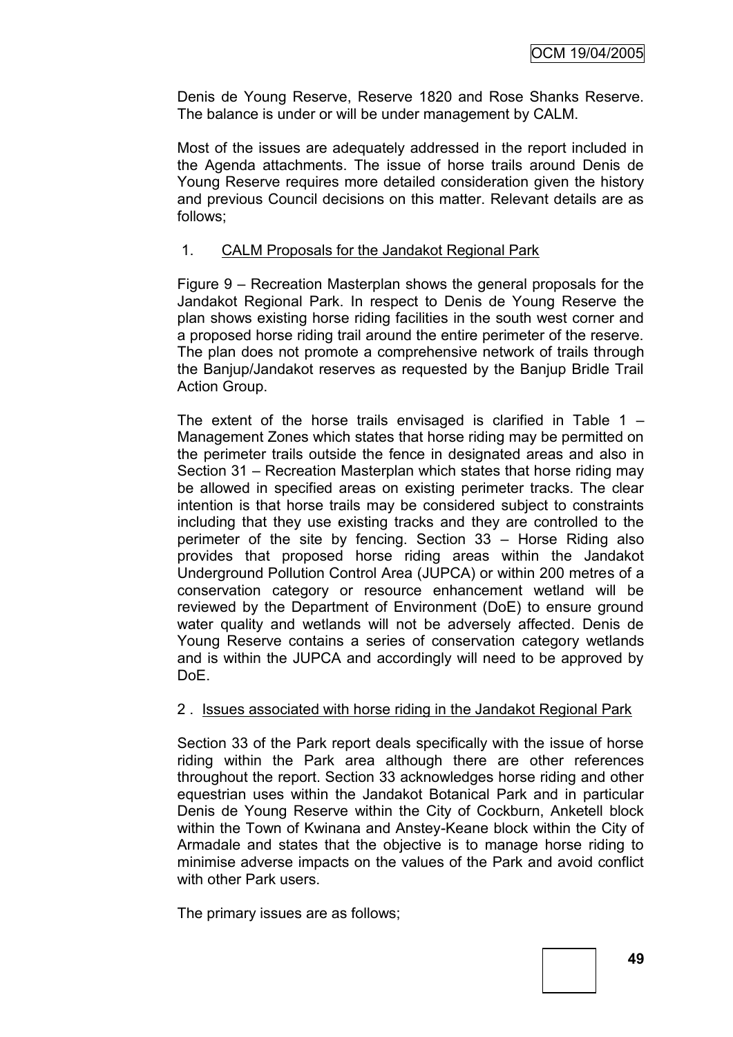Denis de Young Reserve, Reserve 1820 and Rose Shanks Reserve. The balance is under or will be under management by CALM.

Most of the issues are adequately addressed in the report included in the Agenda attachments. The issue of horse trails around Denis de Young Reserve requires more detailed consideration given the history and previous Council decisions on this matter. Relevant details are as follows;

# 1. CALM Proposals for the Jandakot Regional Park

Figure 9 – Recreation Masterplan shows the general proposals for the Jandakot Regional Park. In respect to Denis de Young Reserve the plan shows existing horse riding facilities in the south west corner and a proposed horse riding trail around the entire perimeter of the reserve. The plan does not promote a comprehensive network of trails through the Banjup/Jandakot reserves as requested by the Banjup Bridle Trail Action Group.

The extent of the horse trails envisaged is clarified in Table  $1 -$ Management Zones which states that horse riding may be permitted on the perimeter trails outside the fence in designated areas and also in Section 31 – Recreation Masterplan which states that horse riding may be allowed in specified areas on existing perimeter tracks. The clear intention is that horse trails may be considered subject to constraints including that they use existing tracks and they are controlled to the perimeter of the site by fencing. Section 33 – Horse Riding also provides that proposed horse riding areas within the Jandakot Underground Pollution Control Area (JUPCA) or within 200 metres of a conservation category or resource enhancement wetland will be reviewed by the Department of Environment (DoE) to ensure ground water quality and wetlands will not be adversely affected. Denis de Young Reserve contains a series of conservation category wetlands and is within the JUPCA and accordingly will need to be approved by DoE.

# 2 . Issues associated with horse riding in the Jandakot Regional Park

Section 33 of the Park report deals specifically with the issue of horse riding within the Park area although there are other references throughout the report. Section 33 acknowledges horse riding and other equestrian uses within the Jandakot Botanical Park and in particular Denis de Young Reserve within the City of Cockburn, Anketell block within the Town of Kwinana and Anstey-Keane block within the City of Armadale and states that the objective is to manage horse riding to minimise adverse impacts on the values of the Park and avoid conflict with other Park users.

The primary issues are as follows;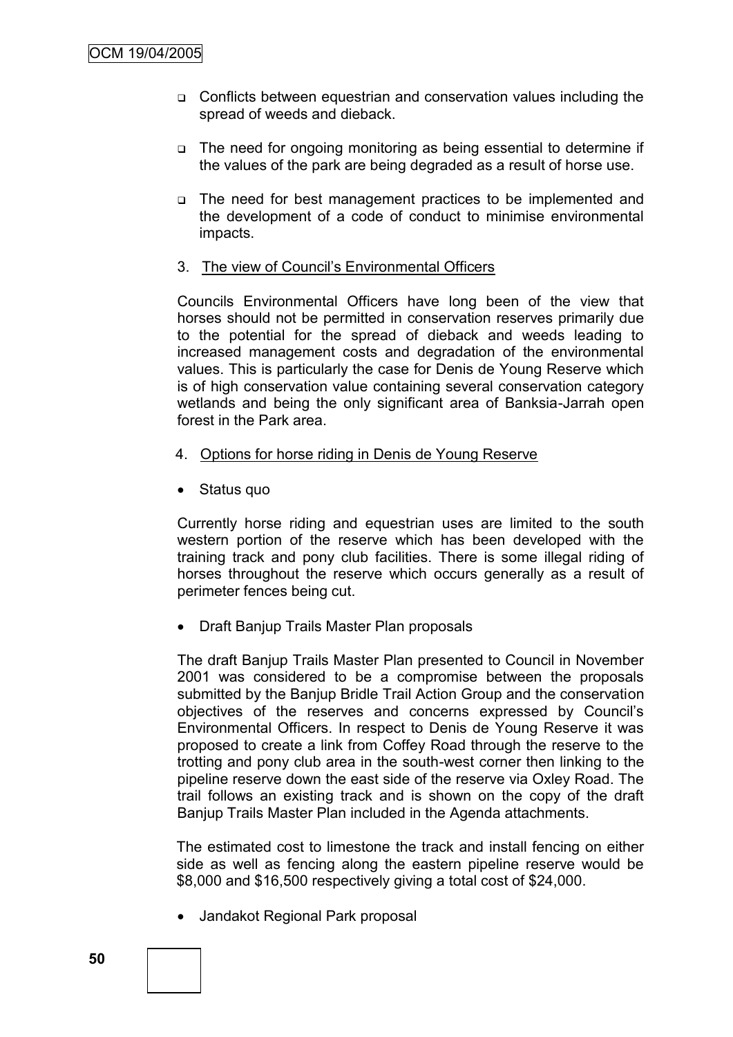- □ Conflicts between equestrian and conservation values including the spread of weeds and dieback.
- The need for ongoing monitoring as being essential to determine if the values of the park are being degraded as a result of horse use.
- The need for best management practices to be implemented and the development of a code of conduct to minimise environmental impacts.
- 3. The view of Council's Environmental Officers

Councils Environmental Officers have long been of the view that horses should not be permitted in conservation reserves primarily due to the potential for the spread of dieback and weeds leading to increased management costs and degradation of the environmental values. This is particularly the case for Denis de Young Reserve which is of high conservation value containing several conservation category wetlands and being the only significant area of Banksia-Jarrah open forest in the Park area.

- 4. Options for horse riding in Denis de Young Reserve
- Status quo

Currently horse riding and equestrian uses are limited to the south western portion of the reserve which has been developed with the training track and pony club facilities. There is some illegal riding of horses throughout the reserve which occurs generally as a result of perimeter fences being cut.

• Draft Banjup Trails Master Plan proposals

The draft Banjup Trails Master Plan presented to Council in November 2001 was considered to be a compromise between the proposals submitted by the Banjup Bridle Trail Action Group and the conservation objectives of the reserves and concerns expressed by Council's Environmental Officers. In respect to Denis de Young Reserve it was proposed to create a link from Coffey Road through the reserve to the trotting and pony club area in the south-west corner then linking to the pipeline reserve down the east side of the reserve via Oxley Road. The trail follows an existing track and is shown on the copy of the draft Banjup Trails Master Plan included in the Agenda attachments.

The estimated cost to limestone the track and install fencing on either side as well as fencing along the eastern pipeline reserve would be \$8,000 and \$16,500 respectively giving a total cost of \$24,000.

Jandakot Regional Park proposal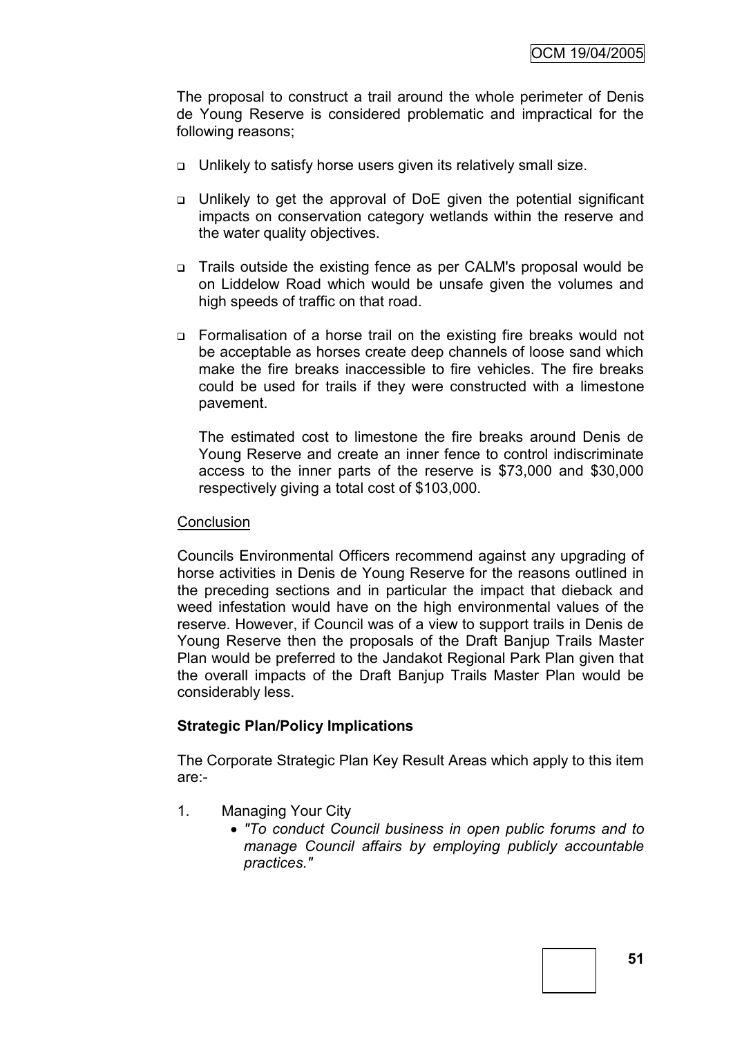The proposal to construct a trail around the whole perimeter of Denis de Young Reserve is considered problematic and impractical for the following reasons;

- Unlikely to satisfy horse users given its relatively small size.
- Unlikely to get the approval of DoE given the potential significant impacts on conservation category wetlands within the reserve and the water quality objectives.
- □ Trails outside the existing fence as per CALM's proposal would be on Liddelow Road which would be unsafe given the volumes and high speeds of traffic on that road.
- Formalisation of a horse trail on the existing fire breaks would not be acceptable as horses create deep channels of loose sand which make the fire breaks inaccessible to fire vehicles. The fire breaks could be used for trails if they were constructed with a limestone pavement.

The estimated cost to limestone the fire breaks around Denis de Young Reserve and create an inner fence to control indiscriminate access to the inner parts of the reserve is \$73,000 and \$30,000 respectively giving a total cost of \$103,000.

#### **Conclusion**

Councils Environmental Officers recommend against any upgrading of horse activities in Denis de Young Reserve for the reasons outlined in the preceding sections and in particular the impact that dieback and weed infestation would have on the high environmental values of the reserve. However, if Council was of a view to support trails in Denis de Young Reserve then the proposals of the Draft Banjup Trails Master Plan would be preferred to the Jandakot Regional Park Plan given that the overall impacts of the Draft Banjup Trails Master Plan would be considerably less.

# **Strategic Plan/Policy Implications**

The Corporate Strategic Plan Key Result Areas which apply to this item are:-

- 1. Managing Your City
	- *"To conduct Council business in open public forums and to manage Council affairs by employing publicly accountable practices."*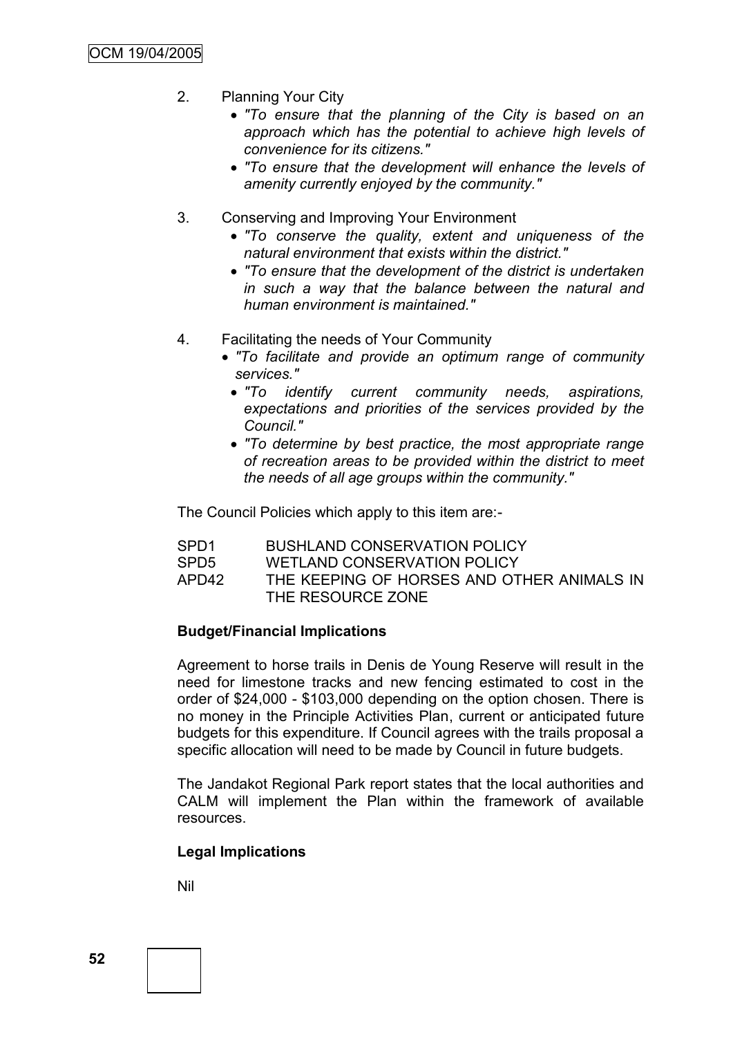- 2. Planning Your City
	- *"To ensure that the planning of the City is based on an approach which has the potential to achieve high levels of convenience for its citizens."*
	- *"To ensure that the development will enhance the levels of amenity currently enjoyed by the community."*
- 3. Conserving and Improving Your Environment
	- *"To conserve the quality, extent and uniqueness of the natural environment that exists within the district."*
	- *"To ensure that the development of the district is undertaken in such a way that the balance between the natural and human environment is maintained."*
- 4. Facilitating the needs of Your Community
	- *"To facilitate and provide an optimum range of community services."*
		- *"To identify current community needs, aspirations, expectations and priorities of the services provided by the Council."*
	- *"To determine by best practice, the most appropriate range of recreation areas to be provided within the district to meet the needs of all age groups within the community."*

The Council Policies which apply to this item are:-

| SPD <sub>1</sub> | <b>BUSHLAND CONSERVATION POLICY</b>                             |
|------------------|-----------------------------------------------------------------|
| SPD <sub>5</sub> | <b>WETLAND CONSERVATION POLICY</b>                              |
| APD42            | THE KEEPING OF HORSES AND OTHER ANIMALS IN<br>THE RESOURCE ZONE |

# **Budget/Financial Implications**

Agreement to horse trails in Denis de Young Reserve will result in the need for limestone tracks and new fencing estimated to cost in the order of \$24,000 - \$103,000 depending on the option chosen. There is no money in the Principle Activities Plan, current or anticipated future budgets for this expenditure. If Council agrees with the trails proposal a specific allocation will need to be made by Council in future budgets.

The Jandakot Regional Park report states that the local authorities and CALM will implement the Plan within the framework of available resources.

# **Legal Implications**

Nil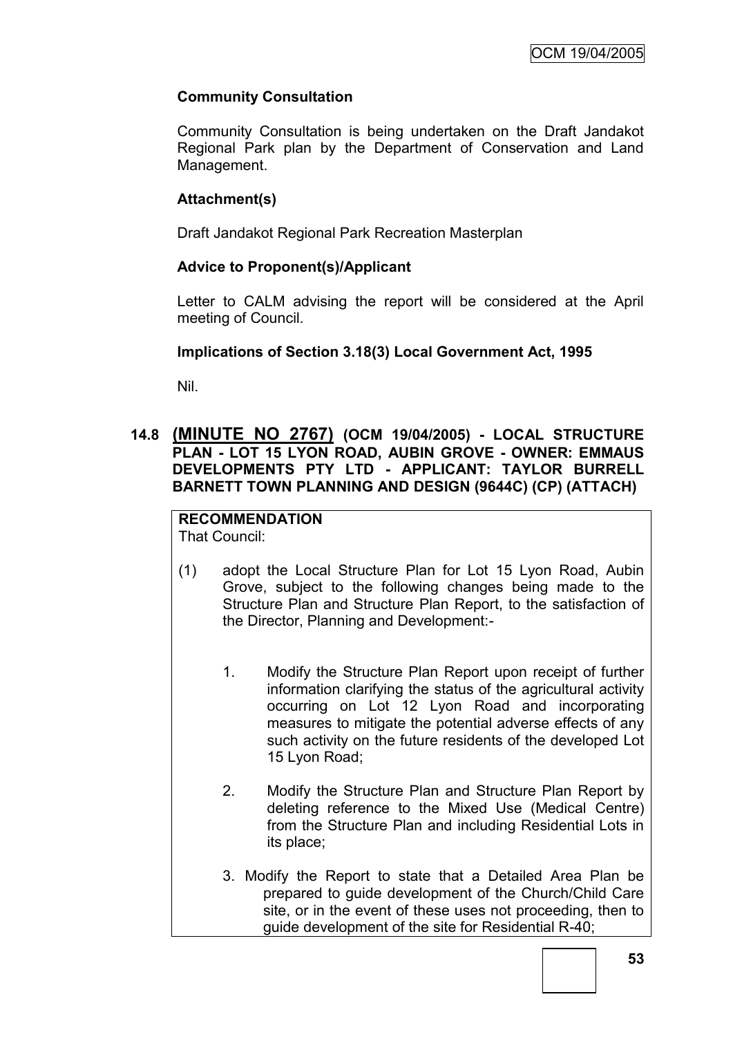# **Community Consultation**

Community Consultation is being undertaken on the Draft Jandakot Regional Park plan by the Department of Conservation and Land Management.

# **Attachment(s)**

Draft Jandakot Regional Park Recreation Masterplan

# **Advice to Proponent(s)/Applicant**

Letter to CALM advising the report will be considered at the April meeting of Council.

# **Implications of Section 3.18(3) Local Government Act, 1995**

Nil.

# **14.8 (MINUTE NO 2767) (OCM 19/04/2005) - LOCAL STRUCTURE PLAN - LOT 15 LYON ROAD, AUBIN GROVE - OWNER: EMMAUS DEVELOPMENTS PTY LTD - APPLICANT: TAYLOR BURRELL BARNETT TOWN PLANNING AND DESIGN (9644C) (CP) (ATTACH)**

#### **RECOMMENDATION** That Council:

- (1) adopt the Local Structure Plan for Lot 15 Lyon Road, Aubin Grove, subject to the following changes being made to the Structure Plan and Structure Plan Report, to the satisfaction of the Director, Planning and Development:-
	- 1. Modify the Structure Plan Report upon receipt of further information clarifying the status of the agricultural activity occurring on Lot 12 Lyon Road and incorporating measures to mitigate the potential adverse effects of any such activity on the future residents of the developed Lot 15 Lyon Road;
	- 2. Modify the Structure Plan and Structure Plan Report by deleting reference to the Mixed Use (Medical Centre) from the Structure Plan and including Residential Lots in its place;
	- 3. Modify the Report to state that a Detailed Area Plan be prepared to guide development of the Church/Child Care site, or in the event of these uses not proceeding, then to guide development of the site for Residential R-40;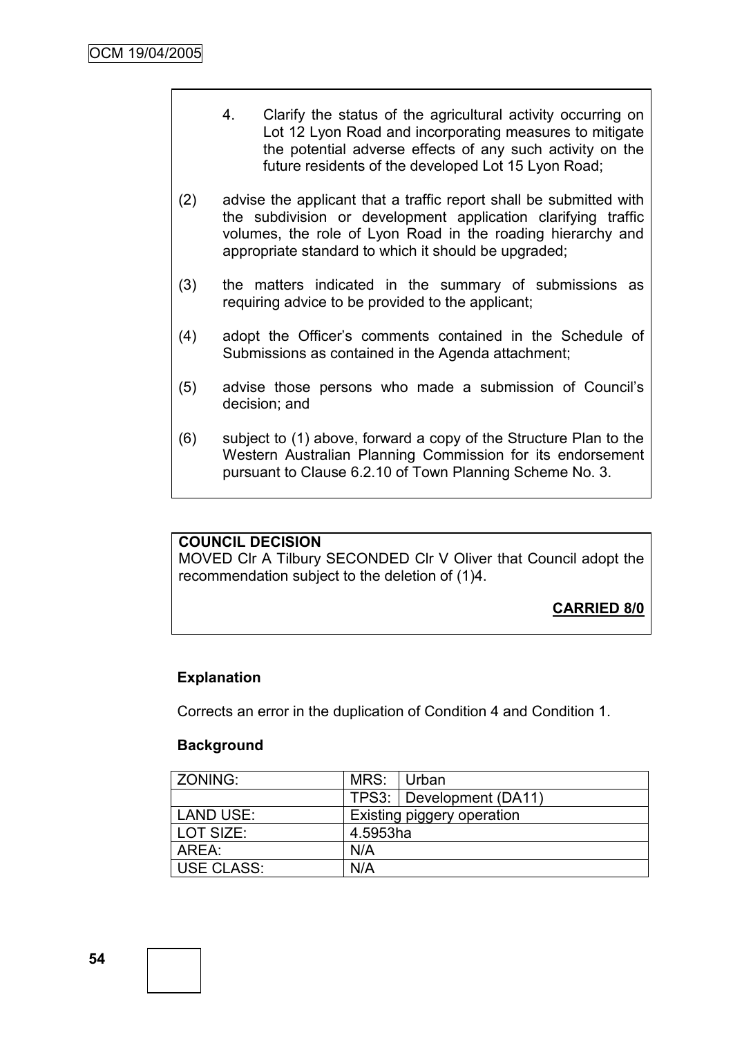- 4. Clarify the status of the agricultural activity occurring on Lot 12 Lyon Road and incorporating measures to mitigate the potential adverse effects of any such activity on the future residents of the developed Lot 15 Lyon Road;
- (2) advise the applicant that a traffic report shall be submitted with the subdivision or development application clarifying traffic volumes, the role of Lyon Road in the roading hierarchy and appropriate standard to which it should be upgraded;
- (3) the matters indicated in the summary of submissions as requiring advice to be provided to the applicant;
- (4) adopt the Officer's comments contained in the Schedule of Submissions as contained in the Agenda attachment;
- (5) advise those persons who made a submission of Council's decision; and
- (6) subject to (1) above, forward a copy of the Structure Plan to the Western Australian Planning Commission for its endorsement pursuant to Clause 6.2.10 of Town Planning Scheme No. 3.

# **COUNCIL DECISION**

MOVED Clr A Tilbury SECONDED Clr V Oliver that Council adopt the recommendation subject to the deletion of (1)4.

**CARRIED 8/0**

# **Explanation**

Corrects an error in the duplication of Condition 4 and Condition 1.

# **Background**

| <b>ZONING:</b> | MRS:                       | ∣Urban                     |  |
|----------------|----------------------------|----------------------------|--|
|                |                            | TPS3:   Development (DA11) |  |
| LAND USE:      | Existing piggery operation |                            |  |
| LOT SIZE:      | 4.5953ha                   |                            |  |
| ARFA :         | N/A                        |                            |  |
| USE CLASS:     | N/A                        |                            |  |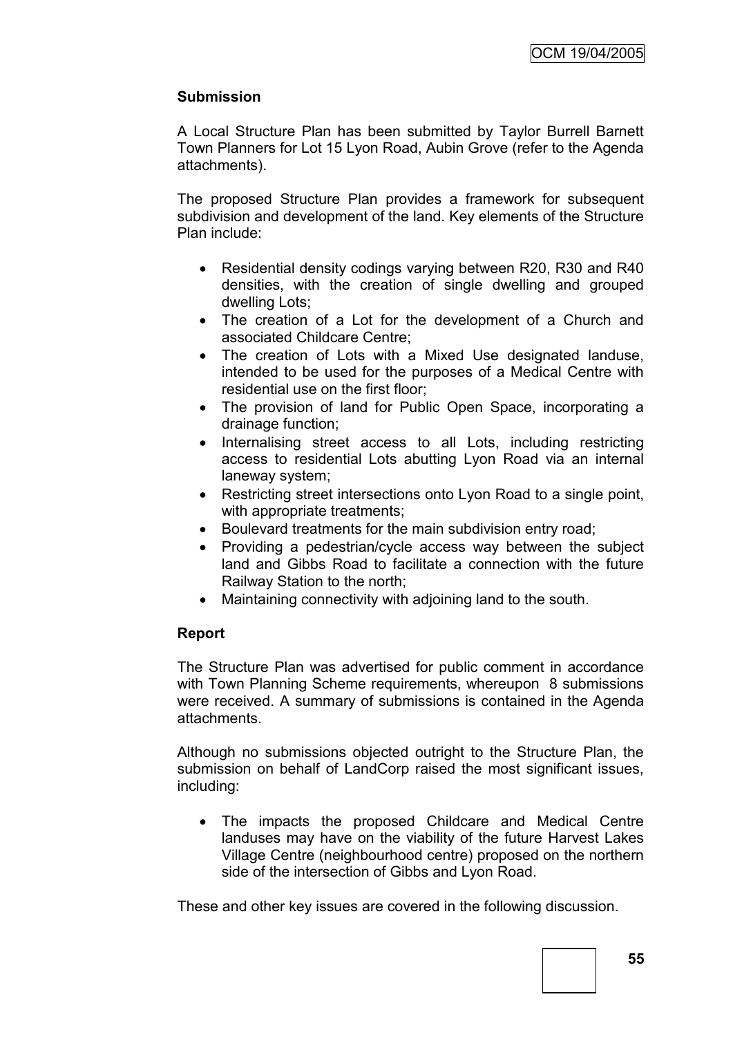# **Submission**

A Local Structure Plan has been submitted by Taylor Burrell Barnett Town Planners for Lot 15 Lyon Road, Aubin Grove (refer to the Agenda attachments).

The proposed Structure Plan provides a framework for subsequent subdivision and development of the land. Key elements of the Structure Plan include:

- Residential density codings varying between R20, R30 and R40 densities, with the creation of single dwelling and grouped dwelling Lots;
- The creation of a Lot for the development of a Church and associated Childcare Centre;
- The creation of Lots with a Mixed Use designated landuse, intended to be used for the purposes of a Medical Centre with residential use on the first floor;
- The provision of land for Public Open Space, incorporating a drainage function;
- Internalising street access to all Lots, including restricting access to residential Lots abutting Lyon Road via an internal laneway system;
- Restricting street intersections onto Lyon Road to a single point, with appropriate treatments;
- Boulevard treatments for the main subdivision entry road;
- Providing a pedestrian/cycle access way between the subject land and Gibbs Road to facilitate a connection with the future Railway Station to the north;
- Maintaining connectivity with adjoining land to the south.

# **Report**

The Structure Plan was advertised for public comment in accordance with Town Planning Scheme requirements, whereupon 8 submissions were received. A summary of submissions is contained in the Agenda attachments.

Although no submissions objected outright to the Structure Plan, the submission on behalf of LandCorp raised the most significant issues, including:

 The impacts the proposed Childcare and Medical Centre landuses may have on the viability of the future Harvest Lakes Village Centre (neighbourhood centre) proposed on the northern side of the intersection of Gibbs and Lyon Road.

These and other key issues are covered in the following discussion.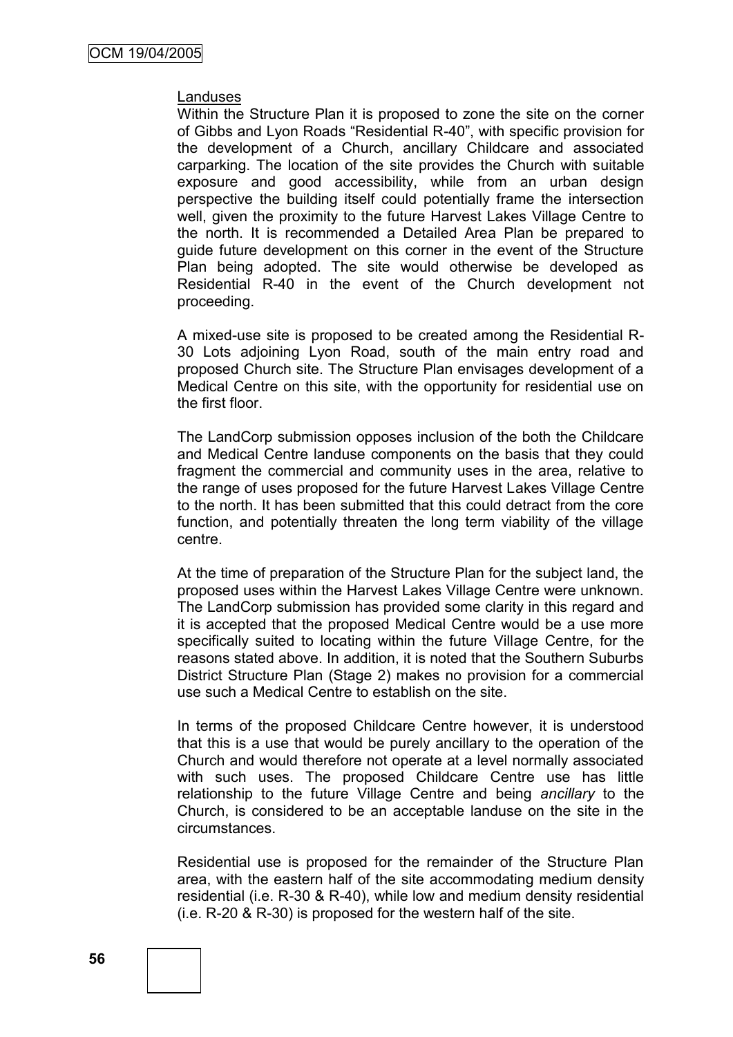#### Landuses

Within the Structure Plan it is proposed to zone the site on the corner of Gibbs and Lyon Roads "Residential R-40", with specific provision for the development of a Church, ancillary Childcare and associated carparking. The location of the site provides the Church with suitable exposure and good accessibility, while from an urban design perspective the building itself could potentially frame the intersection well, given the proximity to the future Harvest Lakes Village Centre to the north. It is recommended a Detailed Area Plan be prepared to guide future development on this corner in the event of the Structure Plan being adopted. The site would otherwise be developed as Residential R-40 in the event of the Church development not proceeding.

A mixed-use site is proposed to be created among the Residential R-30 Lots adjoining Lyon Road, south of the main entry road and proposed Church site. The Structure Plan envisages development of a Medical Centre on this site, with the opportunity for residential use on the first floor.

The LandCorp submission opposes inclusion of the both the Childcare and Medical Centre landuse components on the basis that they could fragment the commercial and community uses in the area, relative to the range of uses proposed for the future Harvest Lakes Village Centre to the north. It has been submitted that this could detract from the core function, and potentially threaten the long term viability of the village centre.

At the time of preparation of the Structure Plan for the subject land, the proposed uses within the Harvest Lakes Village Centre were unknown. The LandCorp submission has provided some clarity in this regard and it is accepted that the proposed Medical Centre would be a use more specifically suited to locating within the future Village Centre, for the reasons stated above. In addition, it is noted that the Southern Suburbs District Structure Plan (Stage 2) makes no provision for a commercial use such a Medical Centre to establish on the site.

In terms of the proposed Childcare Centre however, it is understood that this is a use that would be purely ancillary to the operation of the Church and would therefore not operate at a level normally associated with such uses. The proposed Childcare Centre use has little relationship to the future Village Centre and being *ancillary* to the Church, is considered to be an acceptable landuse on the site in the circumstances.

Residential use is proposed for the remainder of the Structure Plan area, with the eastern half of the site accommodating medium density residential (i.e. R-30 & R-40), while low and medium density residential (i.e. R-20 & R-30) is proposed for the western half of the site.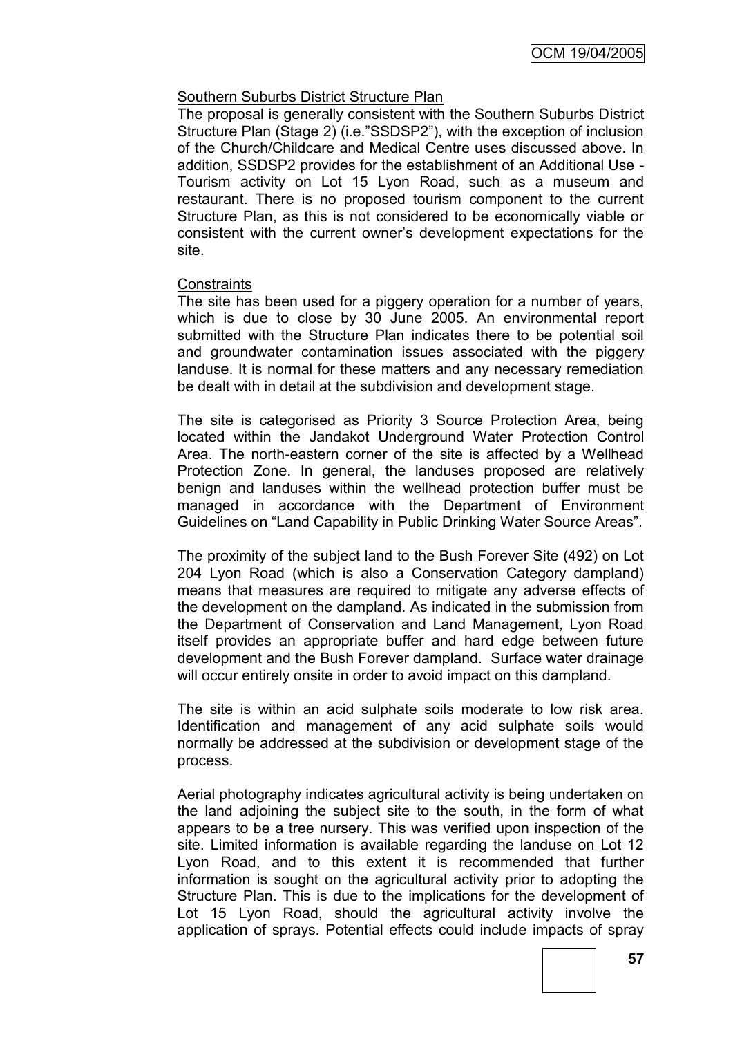# Southern Suburbs District Structure Plan

The proposal is generally consistent with the Southern Suburbs District Structure Plan (Stage 2) (i.e."SSDSP2"), with the exception of inclusion of the Church/Childcare and Medical Centre uses discussed above. In addition, SSDSP2 provides for the establishment of an Additional Use - Tourism activity on Lot 15 Lyon Road, such as a museum and restaurant. There is no proposed tourism component to the current Structure Plan, as this is not considered to be economically viable or consistent with the current owner's development expectations for the site.

#### **Constraints**

The site has been used for a piggery operation for a number of years, which is due to close by 30 June 2005. An environmental report submitted with the Structure Plan indicates there to be potential soil and groundwater contamination issues associated with the piggery landuse. It is normal for these matters and any necessary remediation be dealt with in detail at the subdivision and development stage.

The site is categorised as Priority 3 Source Protection Area, being located within the Jandakot Underground Water Protection Control Area. The north-eastern corner of the site is affected by a Wellhead Protection Zone. In general, the landuses proposed are relatively benign and landuses within the wellhead protection buffer must be managed in accordance with the Department of Environment Guidelines on "Land Capability in Public Drinking Water Source Areas".

The proximity of the subject land to the Bush Forever Site (492) on Lot 204 Lyon Road (which is also a Conservation Category dampland) means that measures are required to mitigate any adverse effects of the development on the dampland. As indicated in the submission from the Department of Conservation and Land Management, Lyon Road itself provides an appropriate buffer and hard edge between future development and the Bush Forever dampland. Surface water drainage will occur entirely onsite in order to avoid impact on this dampland.

The site is within an acid sulphate soils moderate to low risk area. Identification and management of any acid sulphate soils would normally be addressed at the subdivision or development stage of the process.

Aerial photography indicates agricultural activity is being undertaken on the land adjoining the subject site to the south, in the form of what appears to be a tree nursery. This was verified upon inspection of the site. Limited information is available regarding the landuse on Lot 12 Lyon Road, and to this extent it is recommended that further information is sought on the agricultural activity prior to adopting the Structure Plan. This is due to the implications for the development of Lot 15 Lyon Road, should the agricultural activity involve the application of sprays. Potential effects could include impacts of spray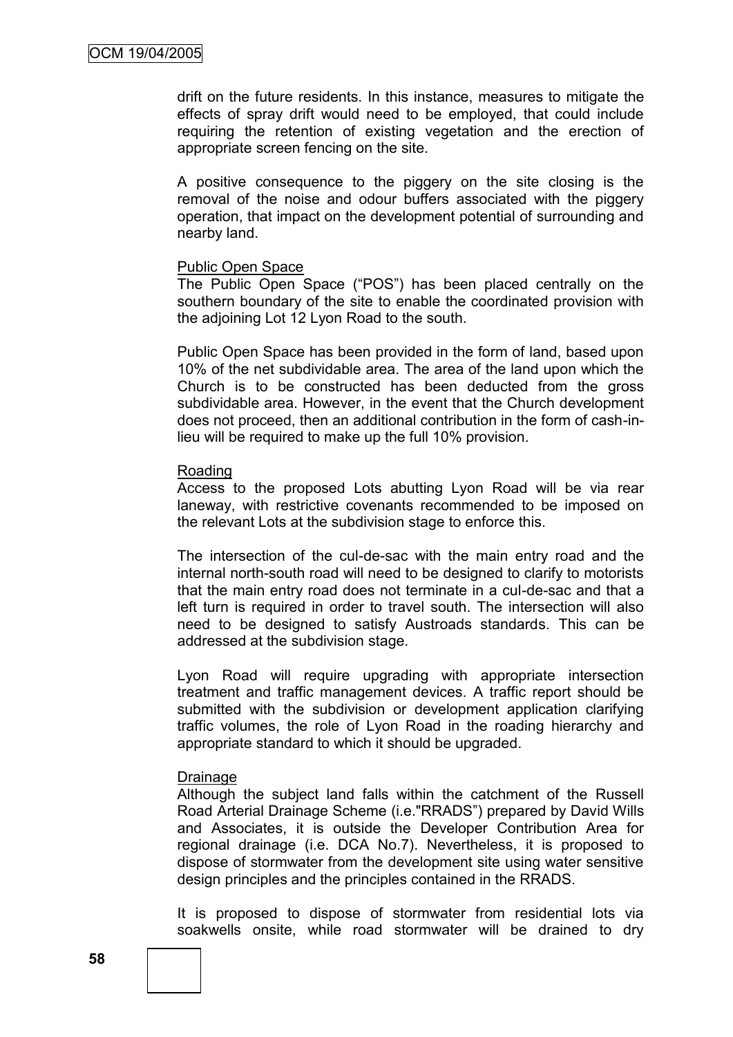drift on the future residents. In this instance, measures to mitigate the effects of spray drift would need to be employed, that could include requiring the retention of existing vegetation and the erection of appropriate screen fencing on the site.

A positive consequence to the piggery on the site closing is the removal of the noise and odour buffers associated with the piggery operation, that impact on the development potential of surrounding and nearby land.

#### Public Open Space

The Public Open Space ("POS") has been placed centrally on the southern boundary of the site to enable the coordinated provision with the adjoining Lot 12 Lyon Road to the south.

Public Open Space has been provided in the form of land, based upon 10% of the net subdividable area. The area of the land upon which the Church is to be constructed has been deducted from the gross subdividable area. However, in the event that the Church development does not proceed, then an additional contribution in the form of cash-inlieu will be required to make up the full 10% provision.

#### Roading

Access to the proposed Lots abutting Lyon Road will be via rear laneway, with restrictive covenants recommended to be imposed on the relevant Lots at the subdivision stage to enforce this.

The intersection of the cul-de-sac with the main entry road and the internal north-south road will need to be designed to clarify to motorists that the main entry road does not terminate in a cul-de-sac and that a left turn is required in order to travel south. The intersection will also need to be designed to satisfy Austroads standards. This can be addressed at the subdivision stage.

Lyon Road will require upgrading with appropriate intersection treatment and traffic management devices. A traffic report should be submitted with the subdivision or development application clarifying traffic volumes, the role of Lyon Road in the roading hierarchy and appropriate standard to which it should be upgraded.

#### **Drainage**

Although the subject land falls within the catchment of the Russell Road Arterial Drainage Scheme (i.e."RRADS") prepared by David Wills and Associates, it is outside the Developer Contribution Area for regional drainage (i.e. DCA No.7). Nevertheless, it is proposed to dispose of stormwater from the development site using water sensitive design principles and the principles contained in the RRADS.

It is proposed to dispose of stormwater from residential lots via soakwells onsite, while road stormwater will be drained to dry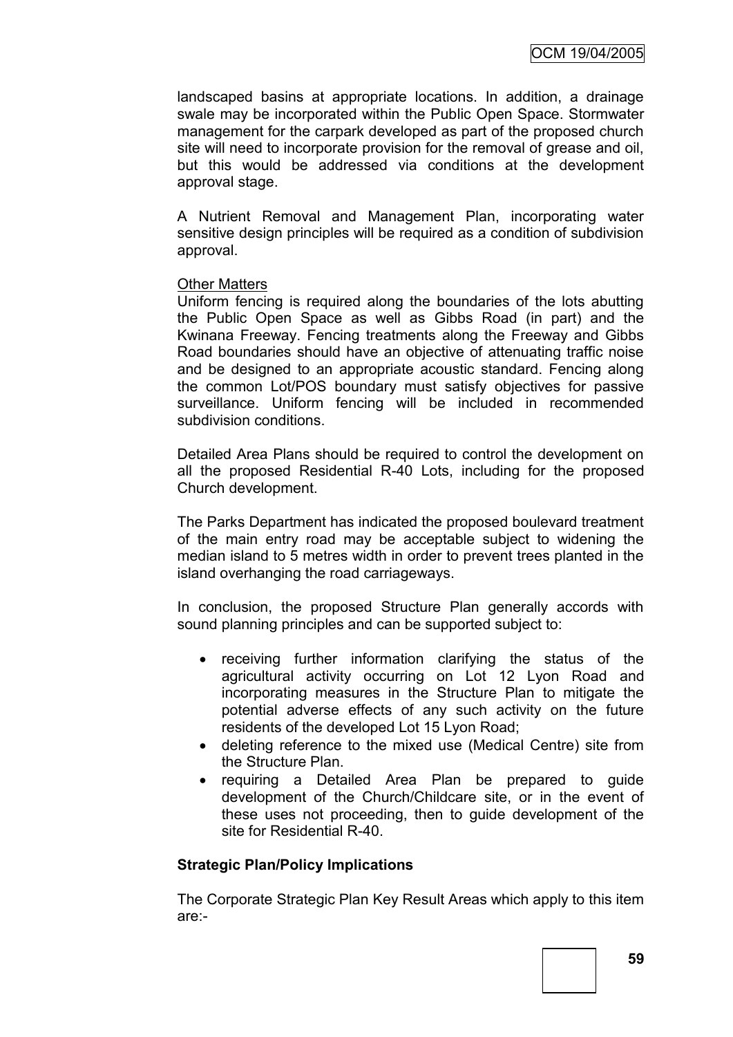landscaped basins at appropriate locations. In addition, a drainage swale may be incorporated within the Public Open Space. Stormwater management for the carpark developed as part of the proposed church site will need to incorporate provision for the removal of grease and oil, but this would be addressed via conditions at the development approval stage.

A Nutrient Removal and Management Plan, incorporating water sensitive design principles will be required as a condition of subdivision approval.

#### Other Matters

Uniform fencing is required along the boundaries of the lots abutting the Public Open Space as well as Gibbs Road (in part) and the Kwinana Freeway. Fencing treatments along the Freeway and Gibbs Road boundaries should have an objective of attenuating traffic noise and be designed to an appropriate acoustic standard. Fencing along the common Lot/POS boundary must satisfy objectives for passive surveillance. Uniform fencing will be included in recommended subdivision conditions.

Detailed Area Plans should be required to control the development on all the proposed Residential R-40 Lots, including for the proposed Church development.

The Parks Department has indicated the proposed boulevard treatment of the main entry road may be acceptable subject to widening the median island to 5 metres width in order to prevent trees planted in the island overhanging the road carriageways.

In conclusion, the proposed Structure Plan generally accords with sound planning principles and can be supported subject to:

- receiving further information clarifying the status of the agricultural activity occurring on Lot 12 Lyon Road and incorporating measures in the Structure Plan to mitigate the potential adverse effects of any such activity on the future residents of the developed Lot 15 Lyon Road;
- deleting reference to the mixed use (Medical Centre) site from the Structure Plan.
- requiring a Detailed Area Plan be prepared to guide development of the Church/Childcare site, or in the event of these uses not proceeding, then to guide development of the site for Residential R-40.

# **Strategic Plan/Policy Implications**

The Corporate Strategic Plan Key Result Areas which apply to this item are:-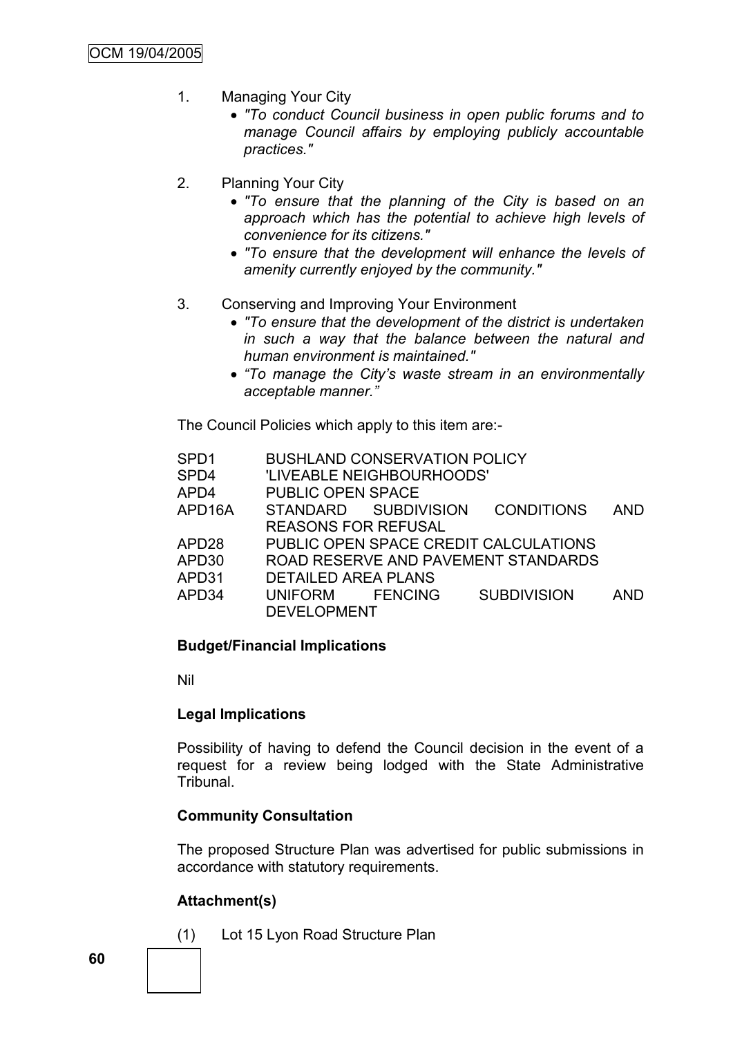- 1. Managing Your City
	- *"To conduct Council business in open public forums and to manage Council affairs by employing publicly accountable practices."*
- 2. Planning Your City
	- *"To ensure that the planning of the City is based on an approach which has the potential to achieve high levels of convenience for its citizens."*
	- *"To ensure that the development will enhance the levels of amenity currently enjoyed by the community."*
- 3. Conserving and Improving Your Environment
	- *"To ensure that the development of the district is undertaken in such a way that the balance between the natural and human environment is maintained."*
	- *"To manage the City's waste stream in an environmentally acceptable manner."*

The Council Policies which apply to this item are:-

| SPD <sub>1</sub> |                            | <b>BUSHLAND CONSERVATION POLICY</b> |                                       |            |
|------------------|----------------------------|-------------------------------------|---------------------------------------|------------|
| SPD4             |                            | 'LIVEABLE NEIGHBOURHOODS'           |                                       |            |
| APD4             | <b>PUBLIC OPEN SPACE</b>   |                                     |                                       |            |
| APD16A           |                            | STANDARD SUBDIVISION                | <b>CONDITIONS</b>                     | <b>AND</b> |
|                  | <b>REASONS FOR REFUSAL</b> |                                     |                                       |            |
| APD28            |                            |                                     | PUBLIC OPEN SPACE CREDIT CALCULATIONS |            |
| APD30            |                            |                                     | ROAD RESERVE AND PAVEMENT STANDARDS   |            |
| APD31            | <b>DETAILED AREA PLANS</b> |                                     |                                       |            |
| APD34            | UNIFORM FENCING            |                                     | <b>SUBDIVISION</b>                    | <b>AND</b> |
|                  | <b>DEVELOPMENT</b>         |                                     |                                       |            |

# **Budget/Financial Implications**

Nil

# **Legal Implications**

Possibility of having to defend the Council decision in the event of a request for a review being lodged with the State Administrative Tribunal.

# **Community Consultation**

The proposed Structure Plan was advertised for public submissions in accordance with statutory requirements.

# **Attachment(s)**

(1) Lot 15 Lyon Road Structure Plan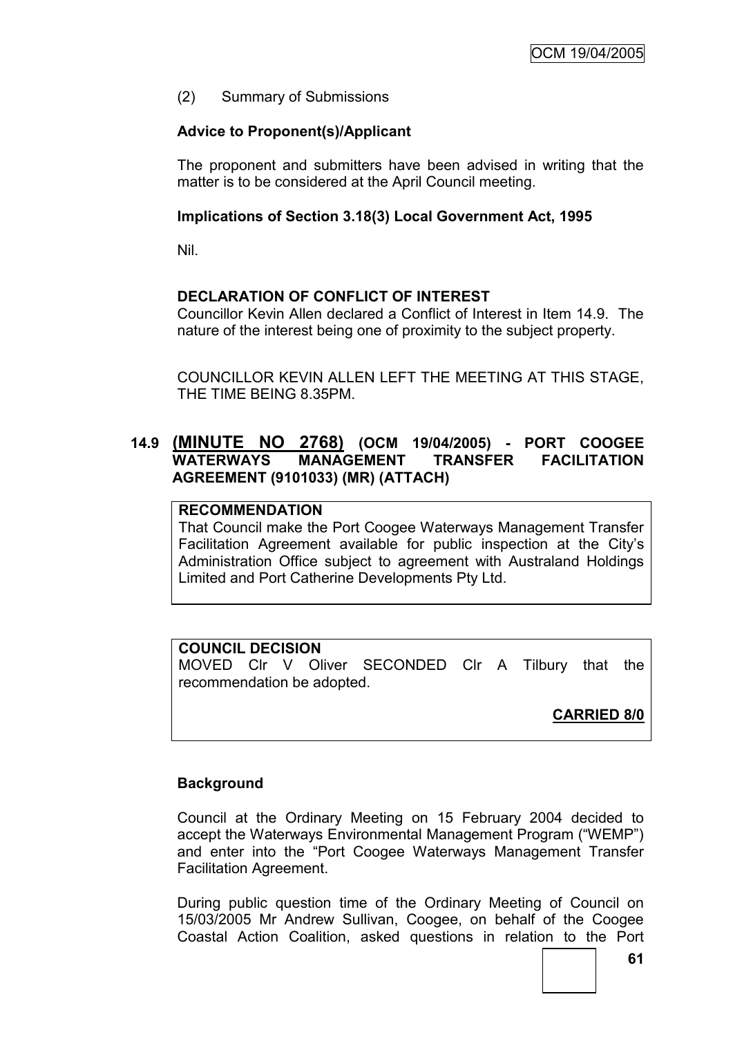(2) Summary of Submissions

# **Advice to Proponent(s)/Applicant**

The proponent and submitters have been advised in writing that the matter is to be considered at the April Council meeting.

# **Implications of Section 3.18(3) Local Government Act, 1995**

Nil.

# **DECLARATION OF CONFLICT OF INTEREST**

Councillor Kevin Allen declared a Conflict of Interest in Item 14.9. The nature of the interest being one of proximity to the subject property.

COUNCILLOR KEVIN ALLEN LEFT THE MEETING AT THIS STAGE, THE TIME BEING 8.35PM.

# **14.9 (MINUTE NO 2768) (OCM 19/04/2005) - PORT COOGEE WATERWAYS MANAGEMENT TRANSFER FACILITATION AGREEMENT (9101033) (MR) (ATTACH)**

# **RECOMMENDATION**

That Council make the Port Coogee Waterways Management Transfer Facilitation Agreement available for public inspection at the City's Administration Office subject to agreement with Australand Holdings Limited and Port Catherine Developments Pty Ltd.

# **COUNCIL DECISION**

MOVED Clr V Oliver SECONDED Clr A Tilbury that the recommendation be adopted.

# **CARRIED 8/0**

# **Background**

Council at the Ordinary Meeting on 15 February 2004 decided to accept the Waterways Environmental Management Program ("WEMP") and enter into the "Port Coogee Waterways Management Transfer Facilitation Agreement.

During public question time of the Ordinary Meeting of Council on 15/03/2005 Mr Andrew Sullivan, Coogee, on behalf of the Coogee Coastal Action Coalition, asked questions in relation to the Port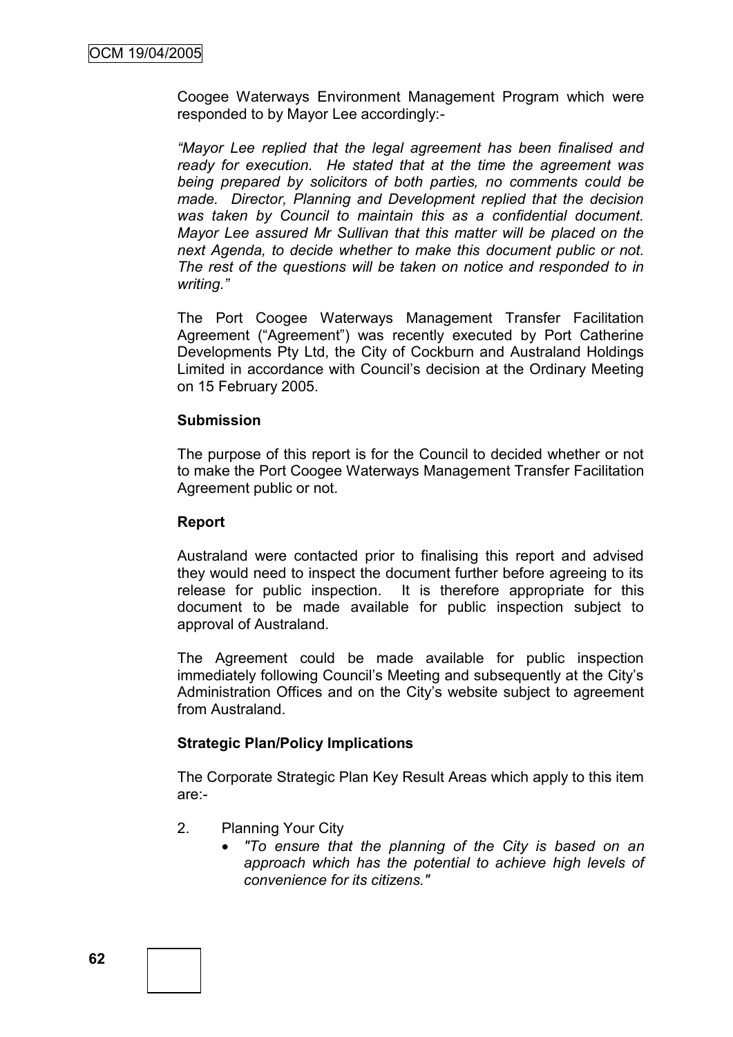Coogee Waterways Environment Management Program which were responded to by Mayor Lee accordingly:-

*"Mayor Lee replied that the legal agreement has been finalised and ready for execution. He stated that at the time the agreement was being prepared by solicitors of both parties, no comments could be made. Director, Planning and Development replied that the decision was taken by Council to maintain this as a confidential document. Mayor Lee assured Mr Sullivan that this matter will be placed on the next Agenda, to decide whether to make this document public or not. The rest of the questions will be taken on notice and responded to in writing."*

The Port Coogee Waterways Management Transfer Facilitation Agreement ("Agreement") was recently executed by Port Catherine Developments Pty Ltd, the City of Cockburn and Australand Holdings Limited in accordance with Council's decision at the Ordinary Meeting on 15 February 2005.

#### **Submission**

The purpose of this report is for the Council to decided whether or not to make the Port Coogee Waterways Management Transfer Facilitation Agreement public or not.

### **Report**

Australand were contacted prior to finalising this report and advised they would need to inspect the document further before agreeing to its release for public inspection. It is therefore appropriate for this document to be made available for public inspection subject to approval of Australand.

The Agreement could be made available for public inspection immediately following Council's Meeting and subsequently at the City's Administration Offices and on the City's website subject to agreement from Australand.

# **Strategic Plan/Policy Implications**

The Corporate Strategic Plan Key Result Areas which apply to this item are:-

- 2. Planning Your City
	- *"To ensure that the planning of the City is based on an approach which has the potential to achieve high levels of convenience for its citizens."*

**62**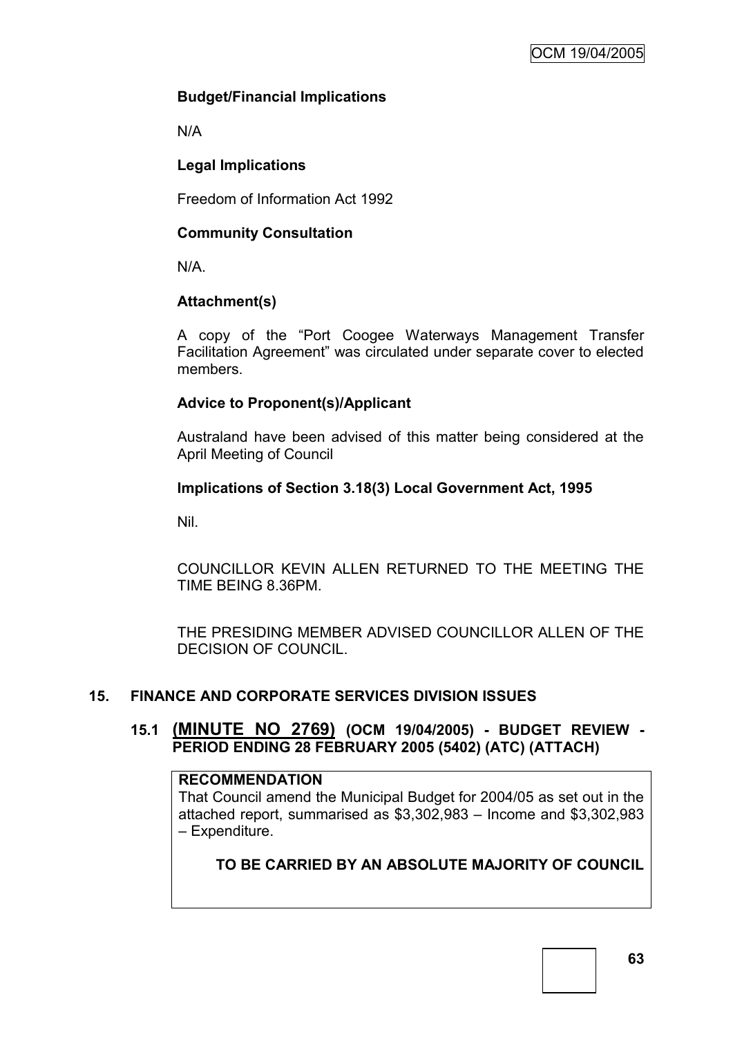# **Budget/Financial Implications**

N/A

# **Legal Implications**

Freedom of Information Act 1992

# **Community Consultation**

N/A.

# **Attachment(s)**

A copy of the "Port Coogee Waterways Management Transfer Facilitation Agreement" was circulated under separate cover to elected members.

# **Advice to Proponent(s)/Applicant**

Australand have been advised of this matter being considered at the April Meeting of Council

# **Implications of Section 3.18(3) Local Government Act, 1995**

Nil.

COUNCILLOR KEVIN ALLEN RETURNED TO THE MEETING THE TIME BEING 8.36PM.

THE PRESIDING MEMBER ADVISED COUNCILLOR ALLEN OF THE DECISION OF COUNCIL.

# **15. FINANCE AND CORPORATE SERVICES DIVISION ISSUES**

# **15.1 (MINUTE NO 2769) (OCM 19/04/2005) - BUDGET REVIEW - PERIOD ENDING 28 FEBRUARY 2005 (5402) (ATC) (ATTACH)**

# **RECOMMENDATION**

That Council amend the Municipal Budget for 2004/05 as set out in the attached report, summarised as \$3,302,983 – Income and \$3,302,983 – Expenditure.

**TO BE CARRIED BY AN ABSOLUTE MAJORITY OF COUNCIL**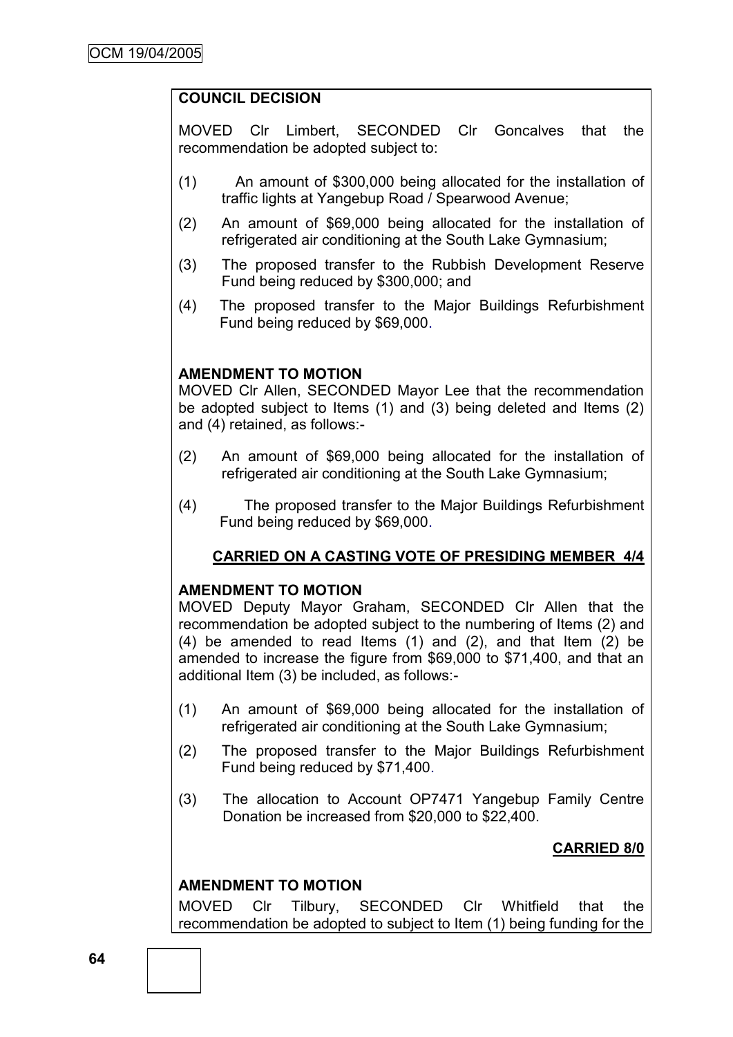# **COUNCIL DECISION**

MOVED Clr Limbert, SECONDED Clr Goncalves that the recommendation be adopted subject to:

- (1) An amount of \$300,000 being allocated for the installation of traffic lights at Yangebup Road / Spearwood Avenue;
- (2) An amount of \$69,000 being allocated for the installation of refrigerated air conditioning at the South Lake Gymnasium;
- (3) The proposed transfer to the Rubbish Development Reserve Fund being reduced by \$300,000; and
- (4) The proposed transfer to the Major Buildings Refurbishment Fund being reduced by \$69,000.

#### **AMENDMENT TO MOTION**

MOVED Clr Allen, SECONDED Mayor Lee that the recommendation be adopted subject to Items (1) and (3) being deleted and Items (2) and (4) retained, as follows:-

- (2) An amount of \$69,000 being allocated for the installation of refrigerated air conditioning at the South Lake Gymnasium;
- (4) The proposed transfer to the Major Buildings Refurbishment Fund being reduced by \$69,000.

# **CARRIED ON A CASTING VOTE OF PRESIDING MEMBER 4/4**

#### **AMENDMENT TO MOTION**

MOVED Deputy Mayor Graham, SECONDED Clr Allen that the recommendation be adopted subject to the numbering of Items (2) and (4) be amended to read Items (1) and (2), and that Item (2) be amended to increase the figure from \$69,000 to \$71,400, and that an additional Item (3) be included, as follows:-

- (1) An amount of \$69,000 being allocated for the installation of refrigerated air conditioning at the South Lake Gymnasium;
- (2) The proposed transfer to the Major Buildings Refurbishment Fund being reduced by \$71,400.
- (3) The allocation to Account OP7471 Yangebup Family Centre Donation be increased from \$20,000 to \$22,400.

# **CARRIED 8/0**

# **AMENDMENT TO MOTION**

MOVED Clr Tilbury, SECONDED Clr Whitfield that the recommendation be adopted to subject to Item (1) being funding for the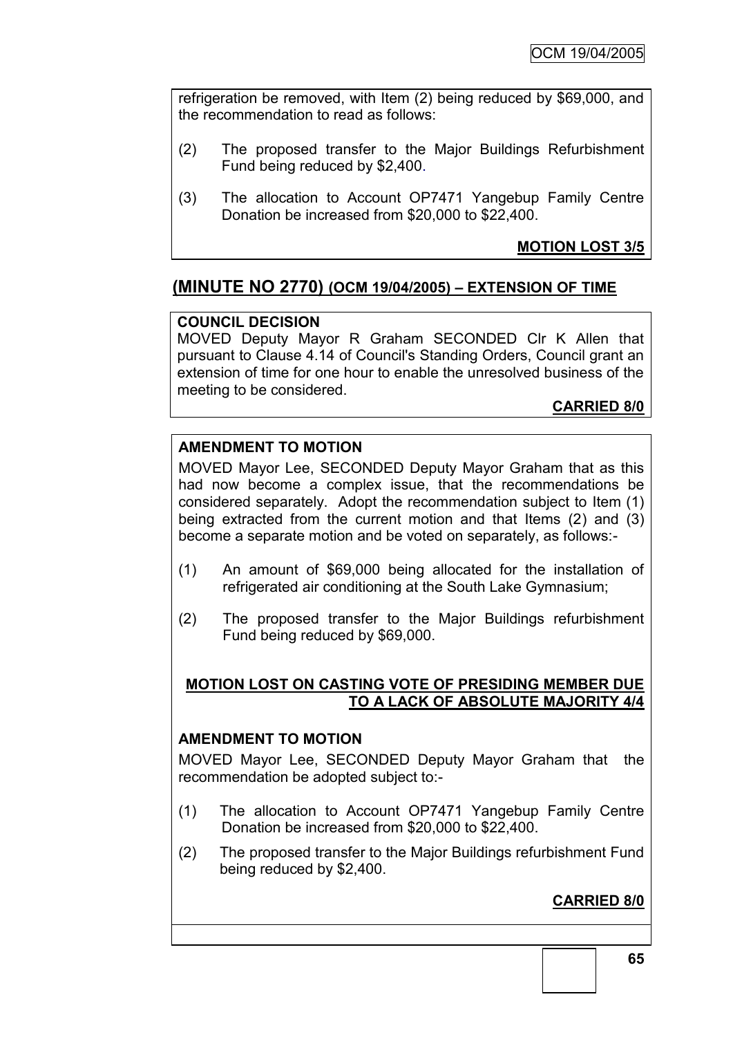refrigeration be removed, with Item (2) being reduced by \$69,000, and the recommendation to read as follows:

- (2) The proposed transfer to the Major Buildings Refurbishment Fund being reduced by \$2,400.
- (3) The allocation to Account OP7471 Yangebup Family Centre Donation be increased from \$20,000 to \$22,400.

# **MOTION LOST 3/5**

# **(MINUTE NO 2770) (OCM 19/04/2005) – EXTENSION OF TIME**

# **COUNCIL DECISION**

MOVED Deputy Mayor R Graham SECONDED Clr K Allen that pursuant to Clause 4.14 of Council's Standing Orders, Council grant an extension of time for one hour to enable the unresolved business of the meeting to be considered.

# **CARRIED 8/0**

# **AMENDMENT TO MOTION**

MOVED Mayor Lee, SECONDED Deputy Mayor Graham that as this had now become a complex issue, that the recommendations be considered separately. Adopt the recommendation subject to Item (1) being extracted from the current motion and that Items (2) and (3) become a separate motion and be voted on separately, as follows:-

- (1) An amount of \$69,000 being allocated for the installation of refrigerated air conditioning at the South Lake Gymnasium;
- (2) The proposed transfer to the Major Buildings refurbishment Fund being reduced by \$69,000.

# **MOTION LOST ON CASTING VOTE OF PRESIDING MEMBER DUE TO A LACK OF ABSOLUTE MAJORITY 4/4**

#### **AMENDMENT TO MOTION**

MOVED Mayor Lee, SECONDED Deputy Mayor Graham that the recommendation be adopted subject to:-

- (1) The allocation to Account OP7471 Yangebup Family Centre Donation be increased from \$20,000 to \$22,400.
- (2) The proposed transfer to the Major Buildings refurbishment Fund being reduced by \$2,400.

# **CARRIED 8/0**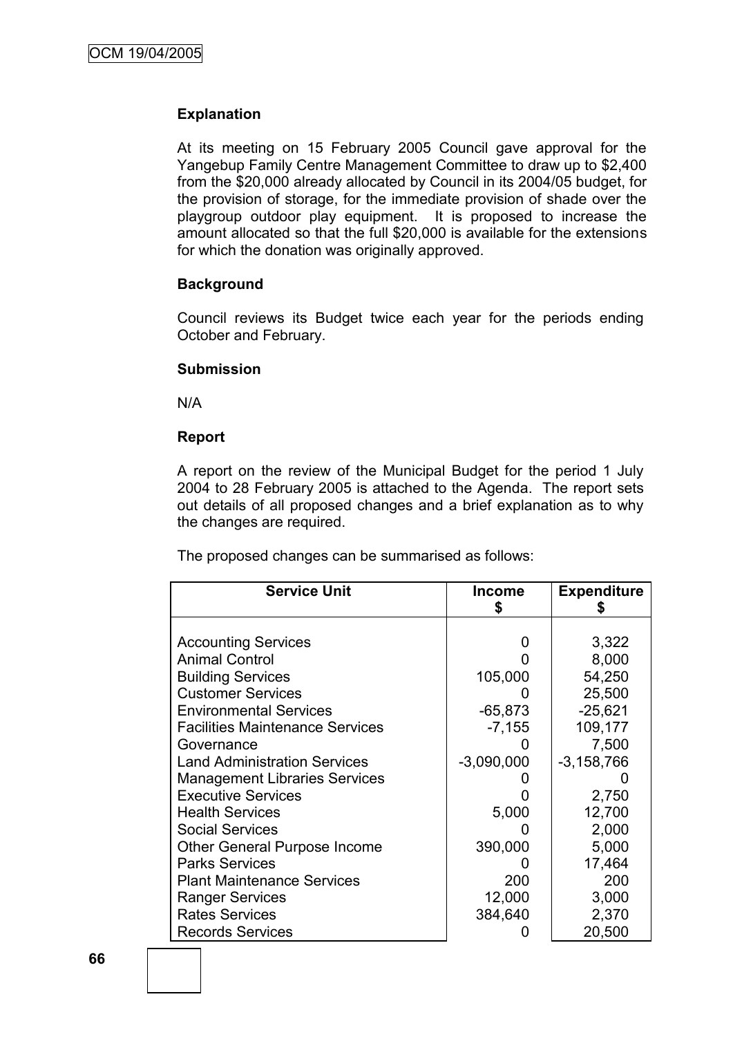### **Explanation**

At its meeting on 15 February 2005 Council gave approval for the Yangebup Family Centre Management Committee to draw up to \$2,400 from the \$20,000 already allocated by Council in its 2004/05 budget, for the provision of storage, for the immediate provision of shade over the playgroup outdoor play equipment. It is proposed to increase the amount allocated so that the full \$20,000 is available for the extensions for which the donation was originally approved.

#### **Background**

Council reviews its Budget twice each year for the periods ending October and February.

#### **Submission**

N/A

#### **Report**

A report on the review of the Municipal Budget for the period 1 July 2004 to 28 February 2005 is attached to the Agenda. The report sets out details of all proposed changes and a brief explanation as to why the changes are required.

The proposed changes can be summarised as follows:

| <b>Service Unit</b>                    | <b>Income</b> | <b>Expenditure</b> |
|----------------------------------------|---------------|--------------------|
|                                        |               |                    |
| <b>Accounting Services</b>             |               | 3,322              |
| <b>Animal Control</b>                  |               | 8,000              |
| <b>Building Services</b>               | 105,000       | 54,250             |
| <b>Customer Services</b>               |               | 25,500             |
| <b>Environmental Services</b>          | $-65,873$     | $-25,621$          |
| <b>Facilities Maintenance Services</b> | $-7,155$      | 109,177            |
| Governance                             |               | 7,500              |
| <b>Land Administration Services</b>    | $-3,090,000$  | $-3,158,766$       |
| <b>Management Libraries Services</b>   |               |                    |
| <b>Executive Services</b>              |               | 2,750              |
| <b>Health Services</b>                 | 5,000         | 12,700             |
| <b>Social Services</b>                 |               | 2,000              |
| Other General Purpose Income           | 390,000       | 5,000              |
| <b>Parks Services</b>                  |               | 17,464             |
| <b>Plant Maintenance Services</b>      | 200           | 200                |
| <b>Ranger Services</b>                 | 12,000        | 3,000              |
| <b>Rates Services</b>                  | 384,640       | 2,370              |
| <b>Records Services</b>                |               | 20,500             |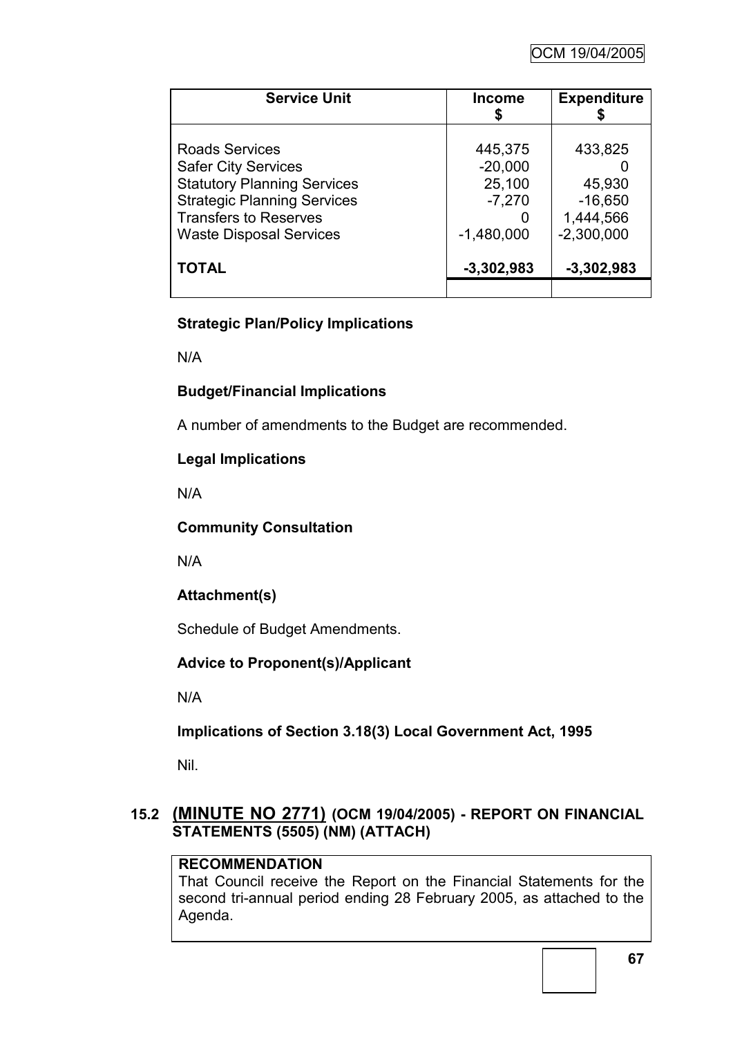| <b>Service Unit</b>                                                                                                                                                                               | <b>Income</b>                                              | <b>Expenditure</b>                                          |
|---------------------------------------------------------------------------------------------------------------------------------------------------------------------------------------------------|------------------------------------------------------------|-------------------------------------------------------------|
| <b>Roads Services</b><br><b>Safer City Services</b><br><b>Statutory Planning Services</b><br><b>Strategic Planning Services</b><br><b>Transfers to Reserves</b><br><b>Waste Disposal Services</b> | 445,375<br>$-20,000$<br>25,100<br>$-7,270$<br>$-1,480,000$ | 433,825<br>45,930<br>$-16,650$<br>1,444,566<br>$-2,300,000$ |
| <b>TOTAL</b>                                                                                                                                                                                      | $-3,302,983$                                               | $-3,302,983$                                                |

# **Strategic Plan/Policy Implications**

N/A

# **Budget/Financial Implications**

A number of amendments to the Budget are recommended.

# **Legal Implications**

N/A

# **Community Consultation**

N/A

# **Attachment(s)**

Schedule of Budget Amendments.

# **Advice to Proponent(s)/Applicant**

N/A

**Implications of Section 3.18(3) Local Government Act, 1995**

Nil.

# **15.2 (MINUTE NO 2771) (OCM 19/04/2005) - REPORT ON FINANCIAL STATEMENTS (5505) (NM) (ATTACH)**

# **RECOMMENDATION**

That Council receive the Report on the Financial Statements for the second tri-annual period ending 28 February 2005, as attached to the Agenda.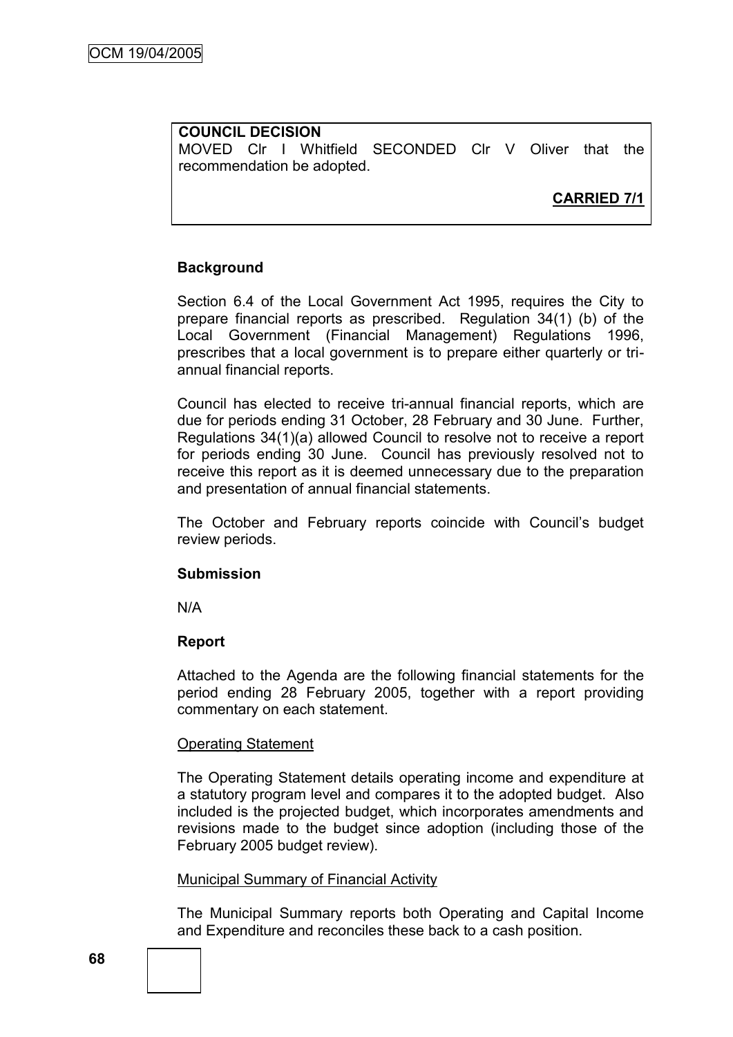**COUNCIL DECISION** MOVED Clr I Whitfield SECONDED Clr V Oliver that the recommendation be adopted.

**CARRIED 7/1**

# **Background**

Section 6.4 of the Local Government Act 1995, requires the City to prepare financial reports as prescribed. Regulation 34(1) (b) of the Local Government (Financial Management) Regulations 1996, prescribes that a local government is to prepare either quarterly or triannual financial reports.

Council has elected to receive tri-annual financial reports, which are due for periods ending 31 October, 28 February and 30 June. Further, Regulations 34(1)(a) allowed Council to resolve not to receive a report for periods ending 30 June. Council has previously resolved not to receive this report as it is deemed unnecessary due to the preparation and presentation of annual financial statements.

The October and February reports coincide with Council's budget review periods.

#### **Submission**

N/A

#### **Report**

Attached to the Agenda are the following financial statements for the period ending 28 February 2005, together with a report providing commentary on each statement.

#### Operating Statement

The Operating Statement details operating income and expenditure at a statutory program level and compares it to the adopted budget. Also included is the projected budget, which incorporates amendments and revisions made to the budget since adoption (including those of the February 2005 budget review).

#### Municipal Summary of Financial Activity

The Municipal Summary reports both Operating and Capital Income and Expenditure and reconciles these back to a cash position.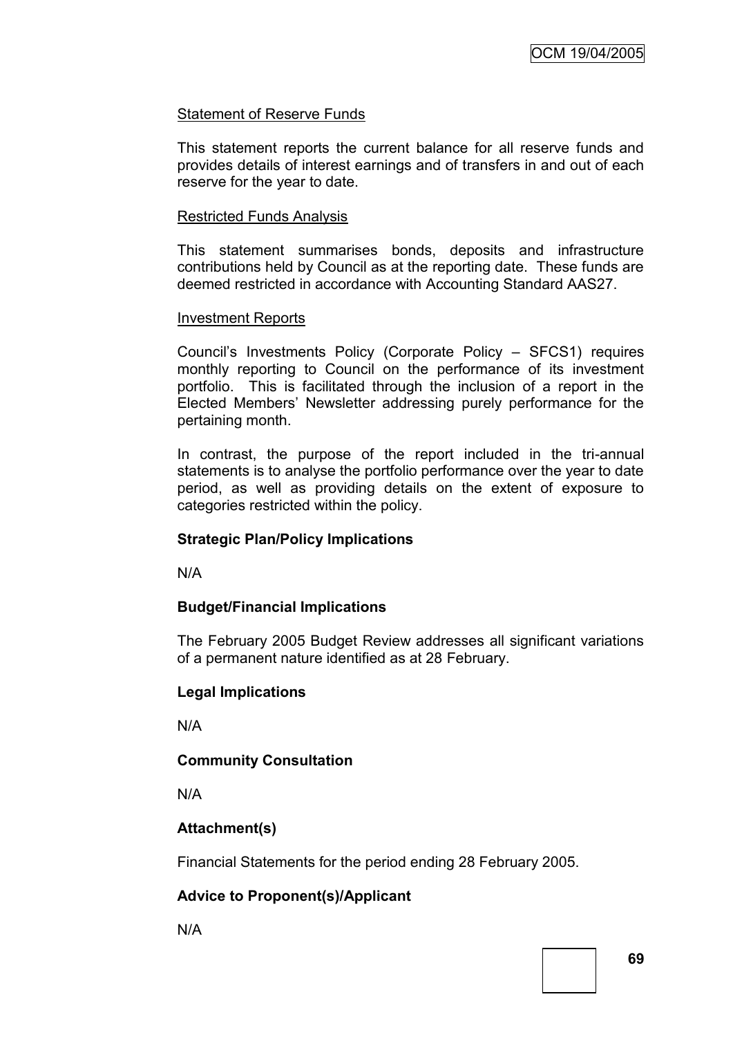#### Statement of Reserve Funds

This statement reports the current balance for all reserve funds and provides details of interest earnings and of transfers in and out of each reserve for the year to date.

#### Restricted Funds Analysis

This statement summarises bonds, deposits and infrastructure contributions held by Council as at the reporting date. These funds are deemed restricted in accordance with Accounting Standard AAS27.

#### Investment Reports

Council's Investments Policy (Corporate Policy – SFCS1) requires monthly reporting to Council on the performance of its investment portfolio. This is facilitated through the inclusion of a report in the Elected Members' Newsletter addressing purely performance for the pertaining month.

In contrast, the purpose of the report included in the tri-annual statements is to analyse the portfolio performance over the year to date period, as well as providing details on the extent of exposure to categories restricted within the policy.

## **Strategic Plan/Policy Implications**

N/A

## **Budget/Financial Implications**

The February 2005 Budget Review addresses all significant variations of a permanent nature identified as at 28 February.

#### **Legal Implications**

N/A

## **Community Consultation**

N/A

## **Attachment(s)**

Financial Statements for the period ending 28 February 2005.

## **Advice to Proponent(s)/Applicant**

N/A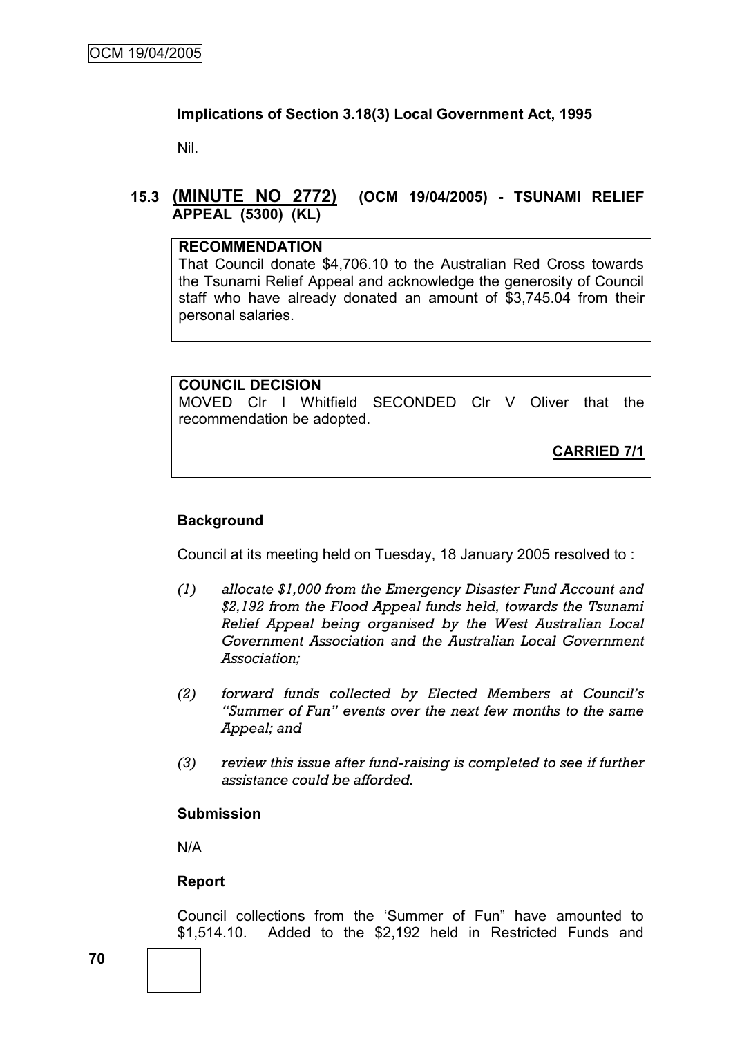## **Implications of Section 3.18(3) Local Government Act, 1995**

Nil.

# **15.3 (MINUTE NO 2772) (OCM 19/04/2005) - TSUNAMI RELIEF APPEAL (5300) (KL)**

#### **RECOMMENDATION**

That Council donate \$4,706.10 to the Australian Red Cross towards the Tsunami Relief Appeal and acknowledge the generosity of Council staff who have already donated an amount of \$3,745.04 from their personal salaries.

#### **COUNCIL DECISION**

MOVED Clr I Whitfield SECONDED Clr V Oliver that the recommendation be adopted.

**CARRIED 7/1**

## **Background**

Council at its meeting held on Tuesday, 18 January 2005 resolved to :

- *(1) allocate \$1,000 from the Emergency Disaster Fund Account and \$2,192 from the Flood Appeal funds held, towards the Tsunami Relief Appeal being organised by the West Australian Local Government Association and the Australian Local Government Association;*
- *(2) forward funds collected by Elected Members at Council's "Summer of Fun" events over the next few months to the same Appeal; and*
- *(3) review this issue after fund-raising is completed to see if further assistance could be afforded.*

#### **Submission**

N/A

#### **Report**

Council collections from the 'Summer of Fun" have amounted to \$1,514.10. Added to the \$2,192 held in Restricted Funds and

**70**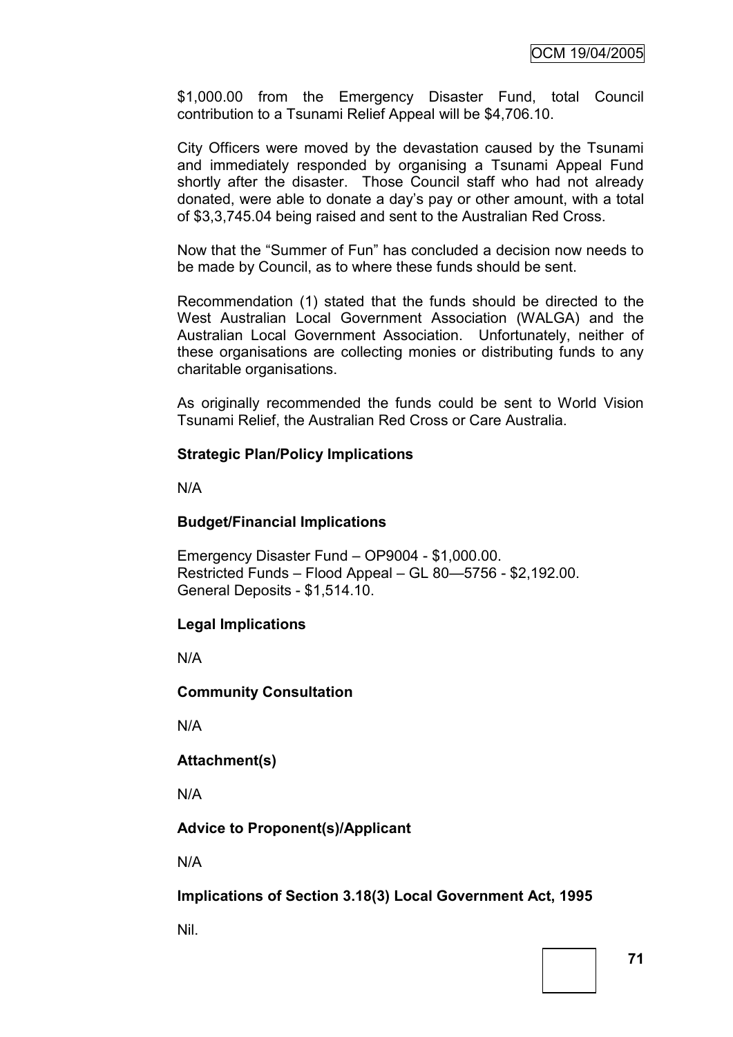\$1,000.00 from the Emergency Disaster Fund, total Council contribution to a Tsunami Relief Appeal will be \$4,706.10.

City Officers were moved by the devastation caused by the Tsunami and immediately responded by organising a Tsunami Appeal Fund shortly after the disaster. Those Council staff who had not already donated, were able to donate a day's pay or other amount, with a total of \$3,3,745.04 being raised and sent to the Australian Red Cross.

Now that the "Summer of Fun" has concluded a decision now needs to be made by Council, as to where these funds should be sent.

Recommendation (1) stated that the funds should be directed to the West Australian Local Government Association (WALGA) and the Australian Local Government Association. Unfortunately, neither of these organisations are collecting monies or distributing funds to any charitable organisations.

As originally recommended the funds could be sent to World Vision Tsunami Relief, the Australian Red Cross or Care Australia.

#### **Strategic Plan/Policy Implications**

N/A

#### **Budget/Financial Implications**

Emergency Disaster Fund – OP9004 - \$1,000.00. Restricted Funds – Flood Appeal – GL 80—5756 - \$2,192.00. General Deposits - \$1,514.10.

#### **Legal Implications**

N/A

**Community Consultation**

N/A

**Attachment(s)**

N/A

**Advice to Proponent(s)/Applicant**

N/A

**Implications of Section 3.18(3) Local Government Act, 1995**

Nil.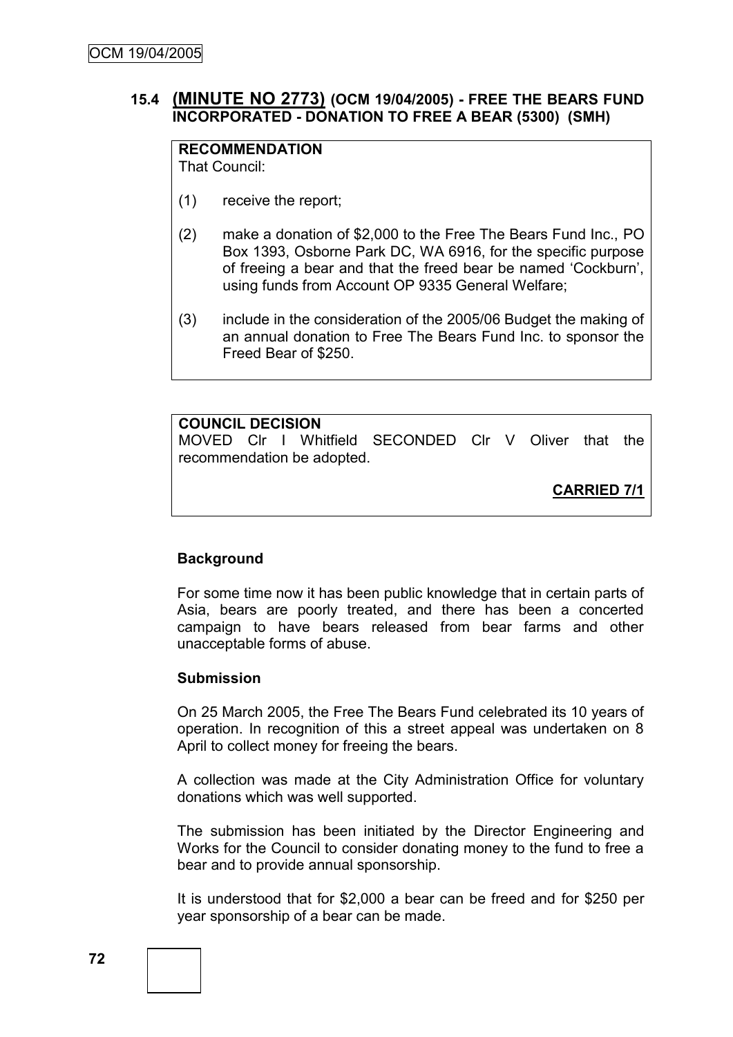# **15.4 (MINUTE NO 2773) (OCM 19/04/2005) - FREE THE BEARS FUND INCORPORATED - DONATION TO FREE A BEAR (5300) (SMH)**

# **RECOMMENDATION**

That Council:

- (1) receive the report;
- (2) make a donation of \$2,000 to the Free The Bears Fund Inc., PO Box 1393, Osborne Park DC, WA 6916, for the specific purpose of freeing a bear and that the freed bear be named 'Cockburn'. using funds from Account OP 9335 General Welfare;
- (3) include in the consideration of the 2005/06 Budget the making of an annual donation to Free The Bears Fund Inc. to sponsor the Freed Bear of \$250.

# **COUNCIL DECISION**

MOVED Clr I Whitfield SECONDED Clr V Oliver that the recommendation be adopted.

**CARRIED 7/1**

# **Background**

For some time now it has been public knowledge that in certain parts of Asia, bears are poorly treated, and there has been a concerted campaign to have bears released from bear farms and other unacceptable forms of abuse.

## **Submission**

On 25 March 2005, the Free The Bears Fund celebrated its 10 years of operation. In recognition of this a street appeal was undertaken on 8 April to collect money for freeing the bears.

A collection was made at the City Administration Office for voluntary donations which was well supported.

The submission has been initiated by the Director Engineering and Works for the Council to consider donating money to the fund to free a bear and to provide annual sponsorship.

It is understood that for \$2,000 a bear can be freed and for \$250 per year sponsorship of a bear can be made.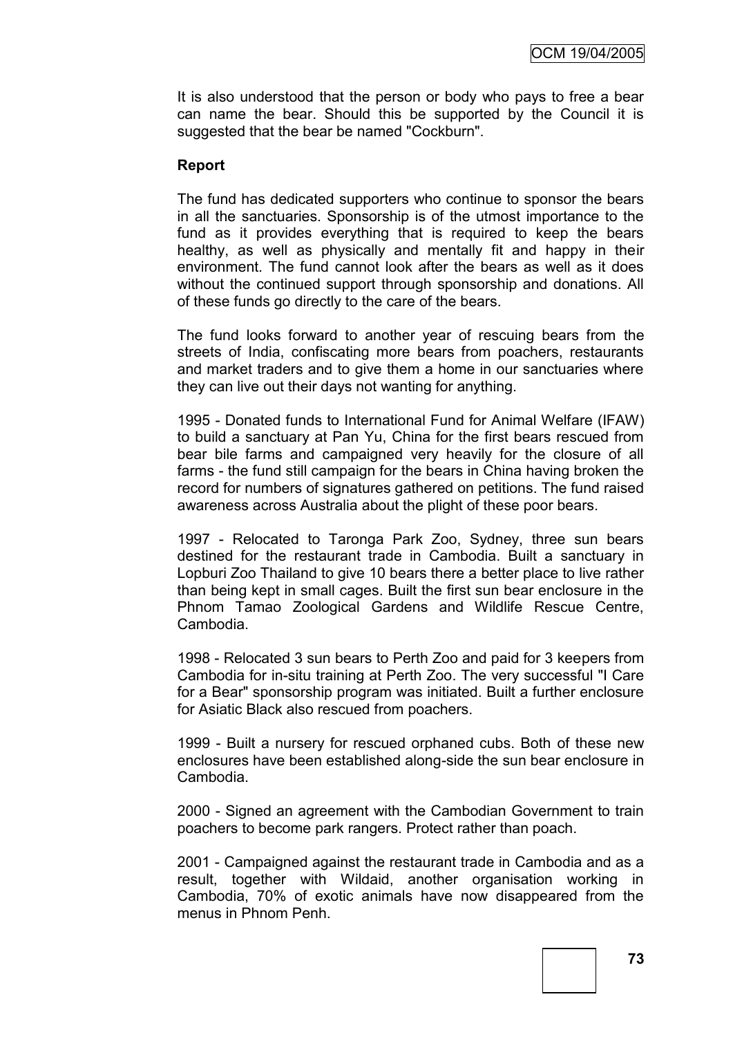It is also understood that the person or body who pays to free a bear can name the bear. Should this be supported by the Council it is suggested that the bear be named "Cockburn".

#### **Report**

The fund has dedicated supporters who continue to sponsor the bears in all the sanctuaries. Sponsorship is of the utmost importance to the fund as it provides everything that is required to keep the bears healthy, as well as physically and mentally fit and happy in their environment. The fund cannot look after the bears as well as it does without the continued support through sponsorship and donations. All of these funds go directly to the care of the bears.

The fund looks forward to another year of rescuing bears from the streets of India, confiscating more bears from poachers, restaurants and market traders and to give them a home in our sanctuaries where they can live out their days not wanting for anything.

1995 - Donated funds to International Fund for Animal Welfare (IFAW) to build a sanctuary at Pan Yu, China for the first bears rescued from bear bile farms and campaigned very heavily for the closure of all farms - the fund still campaign for the bears in China having broken the record for numbers of signatures gathered on petitions. The fund raised awareness across Australia about the plight of these poor bears.

1997 - Relocated to Taronga Park Zoo, Sydney, three sun bears destined for the restaurant trade in Cambodia. Built a sanctuary in Lopburi Zoo Thailand to give 10 bears there a better place to live rather than being kept in small cages. Built the first sun bear enclosure in the Phnom Tamao Zoological Gardens and Wildlife Rescue Centre, Cambodia.

1998 - Relocated 3 sun bears to Perth Zoo and paid for 3 keepers from Cambodia for in-situ training at Perth Zoo. The very successful "I Care for a Bear" sponsorship program was initiated. Built a further enclosure for Asiatic Black also rescued from poachers.

1999 - Built a nursery for rescued orphaned cubs. Both of these new enclosures have been established along-side the sun bear enclosure in Cambodia.

2000 - Signed an agreement with the Cambodian Government to train poachers to become park rangers. Protect rather than poach.

2001 - Campaigned against the restaurant trade in Cambodia and as a result, together with Wildaid, another organisation working in Cambodia, 70% of exotic animals have now disappeared from the menus in Phnom Penh.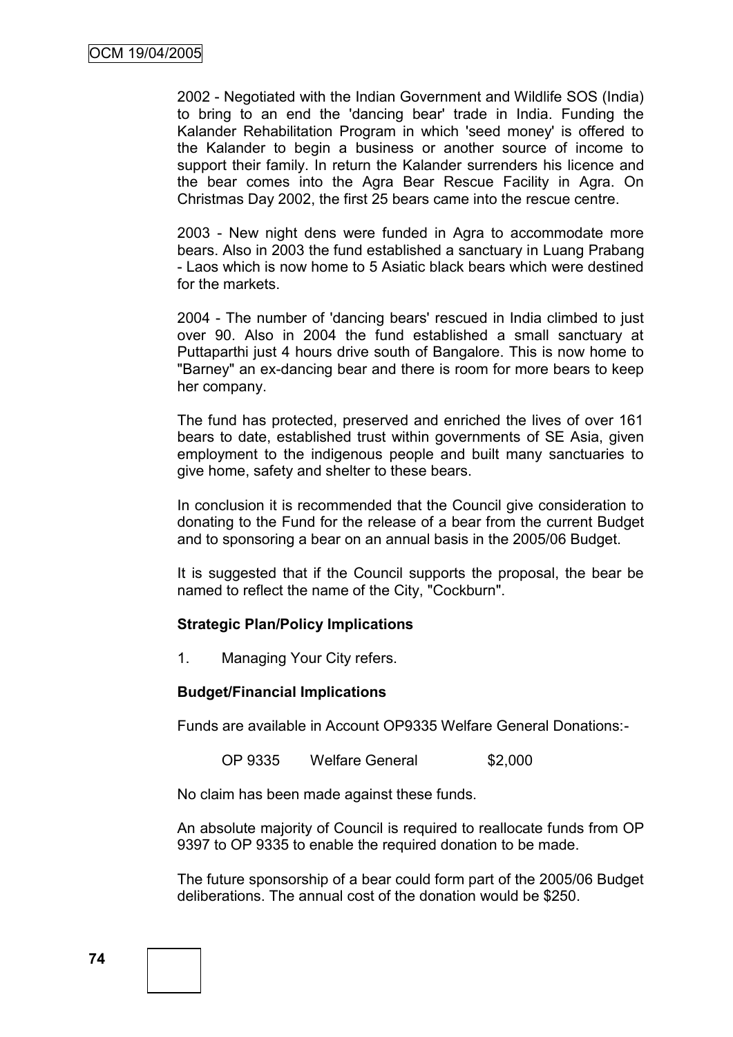2002 - Negotiated with the Indian Government and Wildlife SOS (India) to bring to an end the 'dancing bear' trade in India. Funding the Kalander Rehabilitation Program in which 'seed money' is offered to the Kalander to begin a business or another source of income to support their family. In return the Kalander surrenders his licence and the bear comes into the Agra Bear Rescue Facility in Agra. On Christmas Day 2002, the first 25 bears came into the rescue centre.

2003 - New night dens were funded in Agra to accommodate more bears. Also in 2003 the fund established a sanctuary in Luang Prabang - Laos which is now home to 5 Asiatic black bears which were destined for the markets.

2004 - The number of 'dancing bears' rescued in India climbed to just over 90. Also in 2004 the fund established a small sanctuary at Puttaparthi just 4 hours drive south of Bangalore. This is now home to "Barney" an ex-dancing bear and there is room for more bears to keep her company.

The fund has protected, preserved and enriched the lives of over 161 bears to date, established trust within governments of SE Asia, given employment to the indigenous people and built many sanctuaries to give home, safety and shelter to these bears.

In conclusion it is recommended that the Council give consideration to donating to the Fund for the release of a bear from the current Budget and to sponsoring a bear on an annual basis in the 2005/06 Budget.

It is suggested that if the Council supports the proposal, the bear be named to reflect the name of the City, "Cockburn".

## **Strategic Plan/Policy Implications**

1. Managing Your City refers.

## **Budget/Financial Implications**

Funds are available in Account OP9335 Welfare General Donations:-

OP 9335 Welfare General \$2,000

No claim has been made against these funds.

An absolute majority of Council is required to reallocate funds from OP 9397 to OP 9335 to enable the required donation to be made.

The future sponsorship of a bear could form part of the 2005/06 Budget deliberations. The annual cost of the donation would be \$250.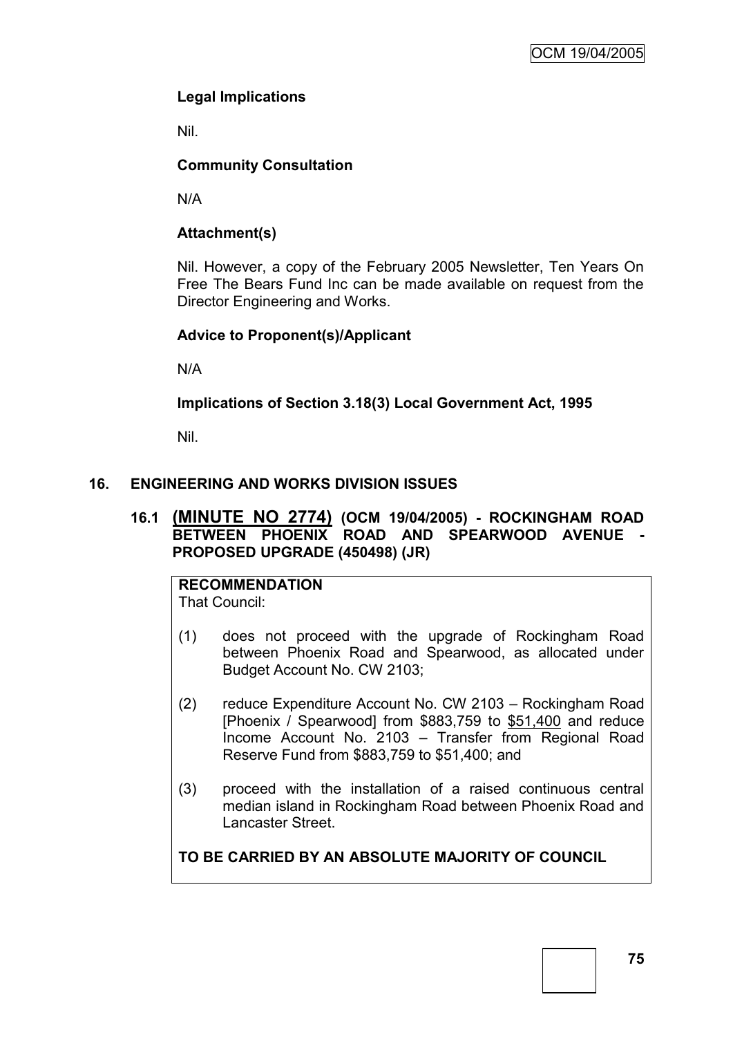# **Legal Implications**

Nil.

# **Community Consultation**

N/A

# **Attachment(s)**

Nil. However, a copy of the February 2005 Newsletter, Ten Years On Free The Bears Fund Inc can be made available on request from the Director Engineering and Works.

## **Advice to Proponent(s)/Applicant**

N/A

**Implications of Section 3.18(3) Local Government Act, 1995**

Nil.

# **16. ENGINEERING AND WORKS DIVISION ISSUES**

## **16.1 (MINUTE NO 2774) (OCM 19/04/2005) - ROCKINGHAM ROAD BETWEEN PHOENIX ROAD AND SPEARWOOD AVENUE - PROPOSED UPGRADE (450498) (JR)**

**RECOMMENDATION** That Council:

- (1) does not proceed with the upgrade of Rockingham Road between Phoenix Road and Spearwood, as allocated under Budget Account No. CW 2103;
- (2) reduce Expenditure Account No. CW 2103 Rockingham Road [Phoenix / Spearwood] from \$883,759 to \$51,400 and reduce Income Account No. 2103 – Transfer from Regional Road Reserve Fund from \$883,759 to \$51,400; and
- (3) proceed with the installation of a raised continuous central median island in Rockingham Road between Phoenix Road and Lancaster Street.

**TO BE CARRIED BY AN ABSOLUTE MAJORITY OF COUNCIL**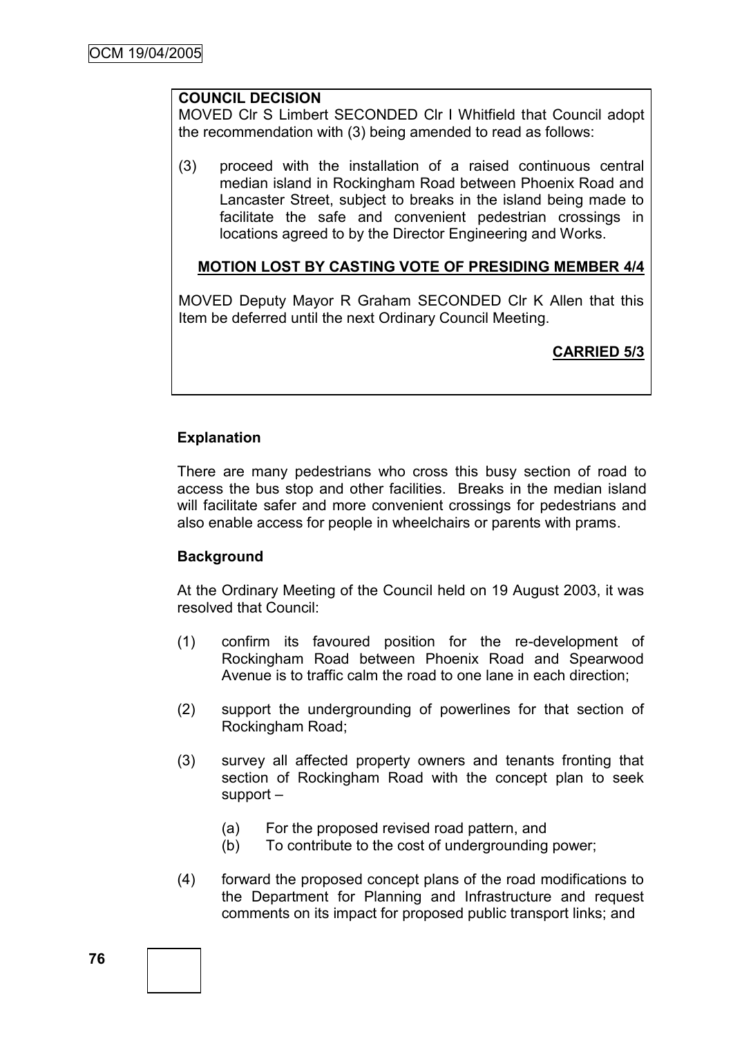# **COUNCIL DECISION**

MOVED Clr S Limbert SECONDED Clr I Whitfield that Council adopt the recommendation with (3) being amended to read as follows:

(3) proceed with the installation of a raised continuous central median island in Rockingham Road between Phoenix Road and Lancaster Street, subject to breaks in the island being made to facilitate the safe and convenient pedestrian crossings in locations agreed to by the Director Engineering and Works.

## **MOTION LOST BY CASTING VOTE OF PRESIDING MEMBER 4/4**

MOVED Deputy Mayor R Graham SECONDED Clr K Allen that this Item be deferred until the next Ordinary Council Meeting.

# **CARRIED 5/3**

# **Explanation**

There are many pedestrians who cross this busy section of road to access the bus stop and other facilities. Breaks in the median island will facilitate safer and more convenient crossings for pedestrians and also enable access for people in wheelchairs or parents with prams.

## **Background**

At the Ordinary Meeting of the Council held on 19 August 2003, it was resolved that Council:

- (1) confirm its favoured position for the re-development of Rockingham Road between Phoenix Road and Spearwood Avenue is to traffic calm the road to one lane in each direction;
- (2) support the undergrounding of powerlines for that section of Rockingham Road;
- (3) survey all affected property owners and tenants fronting that section of Rockingham Road with the concept plan to seek support –
	- (a) For the proposed revised road pattern, and
	- (b) To contribute to the cost of undergrounding power;
- (4) forward the proposed concept plans of the road modifications to the Department for Planning and Infrastructure and request comments on its impact for proposed public transport links; and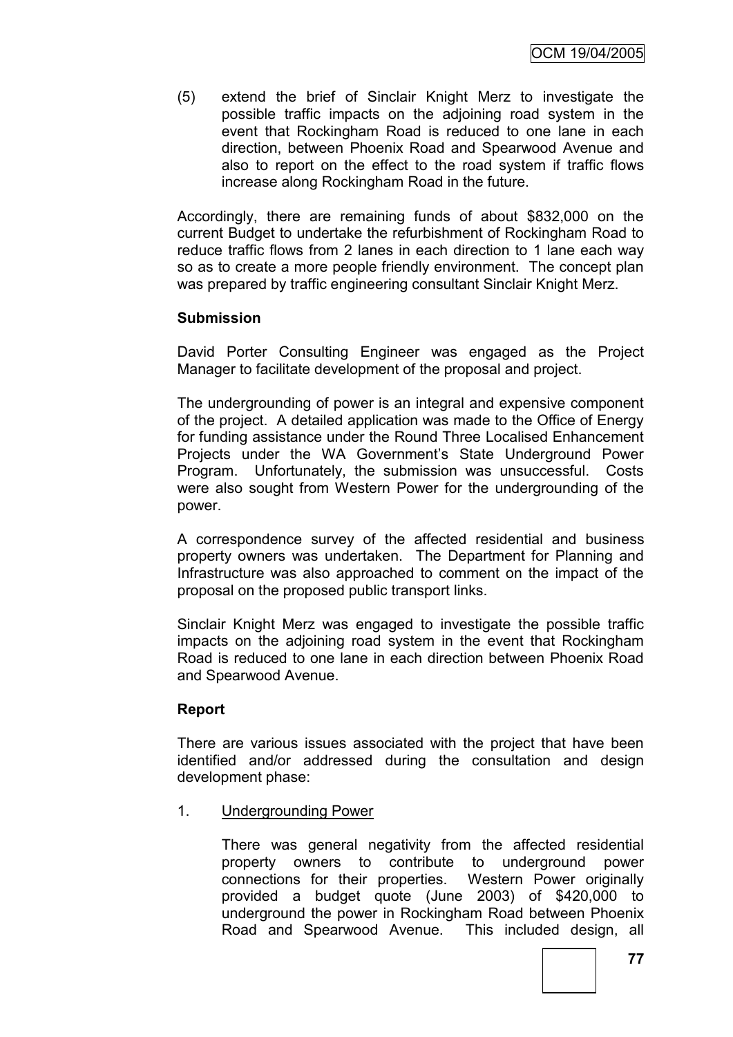(5) extend the brief of Sinclair Knight Merz to investigate the possible traffic impacts on the adjoining road system in the event that Rockingham Road is reduced to one lane in each direction, between Phoenix Road and Spearwood Avenue and also to report on the effect to the road system if traffic flows increase along Rockingham Road in the future.

Accordingly, there are remaining funds of about \$832,000 on the current Budget to undertake the refurbishment of Rockingham Road to reduce traffic flows from 2 lanes in each direction to 1 lane each way so as to create a more people friendly environment. The concept plan was prepared by traffic engineering consultant Sinclair Knight Merz.

## **Submission**

David Porter Consulting Engineer was engaged as the Project Manager to facilitate development of the proposal and project.

The undergrounding of power is an integral and expensive component of the project. A detailed application was made to the Office of Energy for funding assistance under the Round Three Localised Enhancement Projects under the WA Government's State Underground Power Program. Unfortunately, the submission was unsuccessful. Costs were also sought from Western Power for the undergrounding of the power.

A correspondence survey of the affected residential and business property owners was undertaken. The Department for Planning and Infrastructure was also approached to comment on the impact of the proposal on the proposed public transport links.

Sinclair Knight Merz was engaged to investigate the possible traffic impacts on the adjoining road system in the event that Rockingham Road is reduced to one lane in each direction between Phoenix Road and Spearwood Avenue.

## **Report**

There are various issues associated with the project that have been identified and/or addressed during the consultation and design development phase:

1. Undergrounding Power

There was general negativity from the affected residential property owners to contribute to underground power connections for their properties. Western Power originally provided a budget quote (June 2003) of \$420,000 to underground the power in Rockingham Road between Phoenix Road and Spearwood Avenue. This included design, all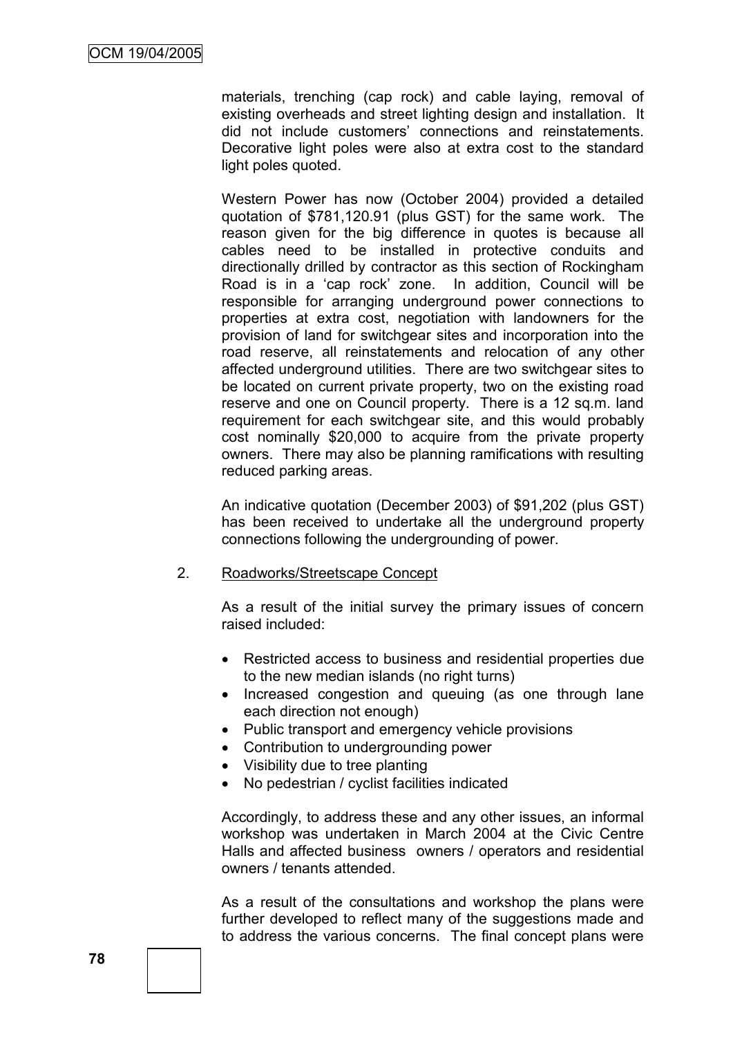materials, trenching (cap rock) and cable laying, removal of existing overheads and street lighting design and installation. It did not include customers' connections and reinstatements. Decorative light poles were also at extra cost to the standard light poles quoted.

Western Power has now (October 2004) provided a detailed quotation of \$781,120.91 (plus GST) for the same work. The reason given for the big difference in quotes is because all cables need to be installed in protective conduits and directionally drilled by contractor as this section of Rockingham Road is in a 'cap rock' zone. In addition, Council will be responsible for arranging underground power connections to properties at extra cost, negotiation with landowners for the provision of land for switchgear sites and incorporation into the road reserve, all reinstatements and relocation of any other affected underground utilities. There are two switchgear sites to be located on current private property, two on the existing road reserve and one on Council property. There is a 12 sq.m. land requirement for each switchgear site, and this would probably cost nominally \$20,000 to acquire from the private property owners. There may also be planning ramifications with resulting reduced parking areas.

An indicative quotation (December 2003) of \$91,202 (plus GST) has been received to undertake all the underground property connections following the undergrounding of power.

#### 2. Roadworks/Streetscape Concept

As a result of the initial survey the primary issues of concern raised included:

- Restricted access to business and residential properties due to the new median islands (no right turns)
- Increased congestion and queuing (as one through lane each direction not enough)
- Public transport and emergency vehicle provisions
- Contribution to undergrounding power
- Visibility due to tree planting
- No pedestrian / cyclist facilities indicated

Accordingly, to address these and any other issues, an informal workshop was undertaken in March 2004 at the Civic Centre Halls and affected business owners / operators and residential owners / tenants attended.

As a result of the consultations and workshop the plans were further developed to reflect many of the suggestions made and to address the various concerns. The final concept plans were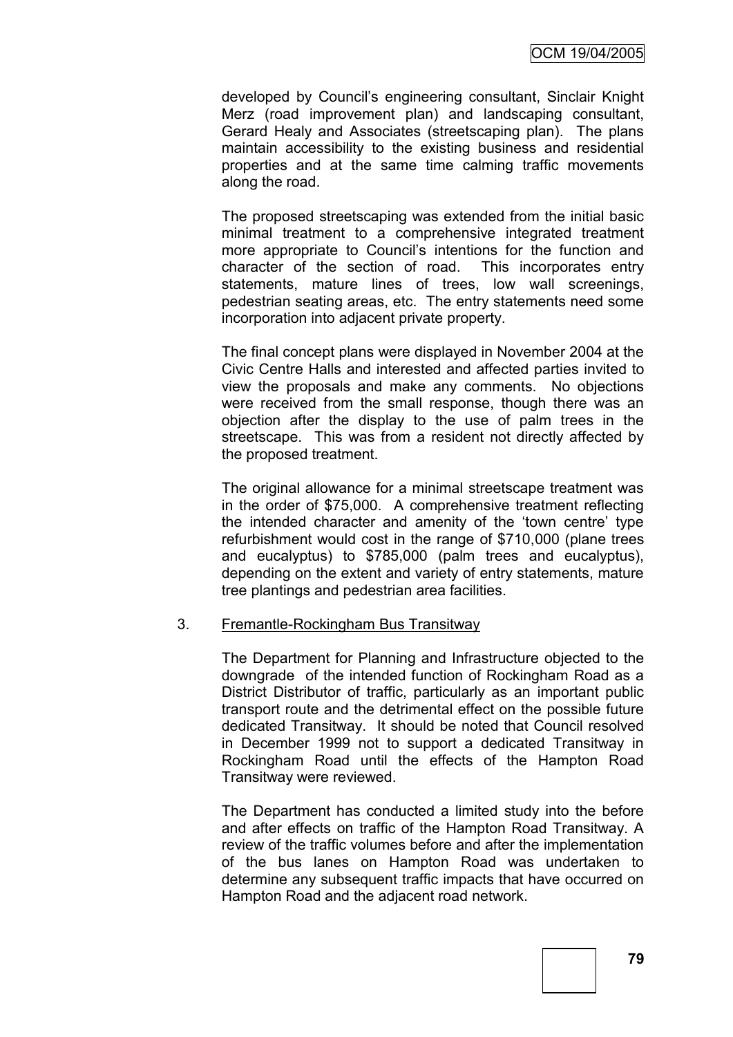developed by Council's engineering consultant, Sinclair Knight Merz (road improvement plan) and landscaping consultant, Gerard Healy and Associates (streetscaping plan). The plans maintain accessibility to the existing business and residential properties and at the same time calming traffic movements along the road.

The proposed streetscaping was extended from the initial basic minimal treatment to a comprehensive integrated treatment more appropriate to Council's intentions for the function and character of the section of road. This incorporates entry statements, mature lines of trees, low wall screenings, pedestrian seating areas, etc. The entry statements need some incorporation into adjacent private property.

The final concept plans were displayed in November 2004 at the Civic Centre Halls and interested and affected parties invited to view the proposals and make any comments. No objections were received from the small response, though there was an objection after the display to the use of palm trees in the streetscape. This was from a resident not directly affected by the proposed treatment.

The original allowance for a minimal streetscape treatment was in the order of \$75,000. A comprehensive treatment reflecting the intended character and amenity of the 'town centre' type refurbishment would cost in the range of \$710,000 (plane trees and eucalyptus) to \$785,000 (palm trees and eucalyptus), depending on the extent and variety of entry statements, mature tree plantings and pedestrian area facilities.

#### 3. Fremantle-Rockingham Bus Transitway

The Department for Planning and Infrastructure objected to the downgrade of the intended function of Rockingham Road as a District Distributor of traffic, particularly as an important public transport route and the detrimental effect on the possible future dedicated Transitway. It should be noted that Council resolved in December 1999 not to support a dedicated Transitway in Rockingham Road until the effects of the Hampton Road Transitway were reviewed.

The Department has conducted a limited study into the before and after effects on traffic of the Hampton Road Transitway. A review of the traffic volumes before and after the implementation of the bus lanes on Hampton Road was undertaken to determine any subsequent traffic impacts that have occurred on Hampton Road and the adjacent road network.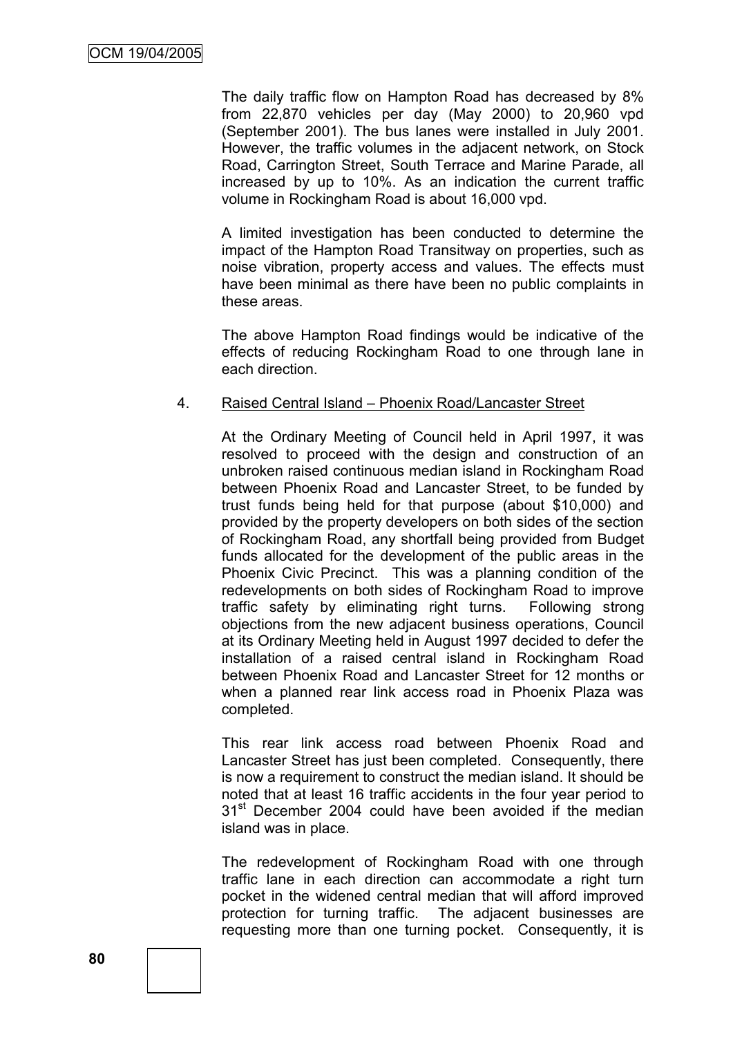The daily traffic flow on Hampton Road has decreased by 8% from 22,870 vehicles per day (May 2000) to 20,960 vpd (September 2001). The bus lanes were installed in July 2001. However, the traffic volumes in the adjacent network, on Stock Road, Carrington Street, South Terrace and Marine Parade, all increased by up to 10%. As an indication the current traffic volume in Rockingham Road is about 16,000 vpd.

A limited investigation has been conducted to determine the impact of the Hampton Road Transitway on properties, such as noise vibration, property access and values. The effects must have been minimal as there have been no public complaints in these areas.

The above Hampton Road findings would be indicative of the effects of reducing Rockingham Road to one through lane in each direction.

#### 4. Raised Central Island – Phoenix Road/Lancaster Street

At the Ordinary Meeting of Council held in April 1997, it was resolved to proceed with the design and construction of an unbroken raised continuous median island in Rockingham Road between Phoenix Road and Lancaster Street, to be funded by trust funds being held for that purpose (about \$10,000) and provided by the property developers on both sides of the section of Rockingham Road, any shortfall being provided from Budget funds allocated for the development of the public areas in the Phoenix Civic Precinct. This was a planning condition of the redevelopments on both sides of Rockingham Road to improve traffic safety by eliminating right turns. Following strong objections from the new adjacent business operations, Council at its Ordinary Meeting held in August 1997 decided to defer the installation of a raised central island in Rockingham Road between Phoenix Road and Lancaster Street for 12 months or when a planned rear link access road in Phoenix Plaza was completed.

This rear link access road between Phoenix Road and Lancaster Street has just been completed. Consequently, there is now a requirement to construct the median island. It should be noted that at least 16 traffic accidents in the four year period to 31<sup>st</sup> December 2004 could have been avoided if the median island was in place.

The redevelopment of Rockingham Road with one through traffic lane in each direction can accommodate a right turn pocket in the widened central median that will afford improved protection for turning traffic. The adjacent businesses are requesting more than one turning pocket. Consequently, it is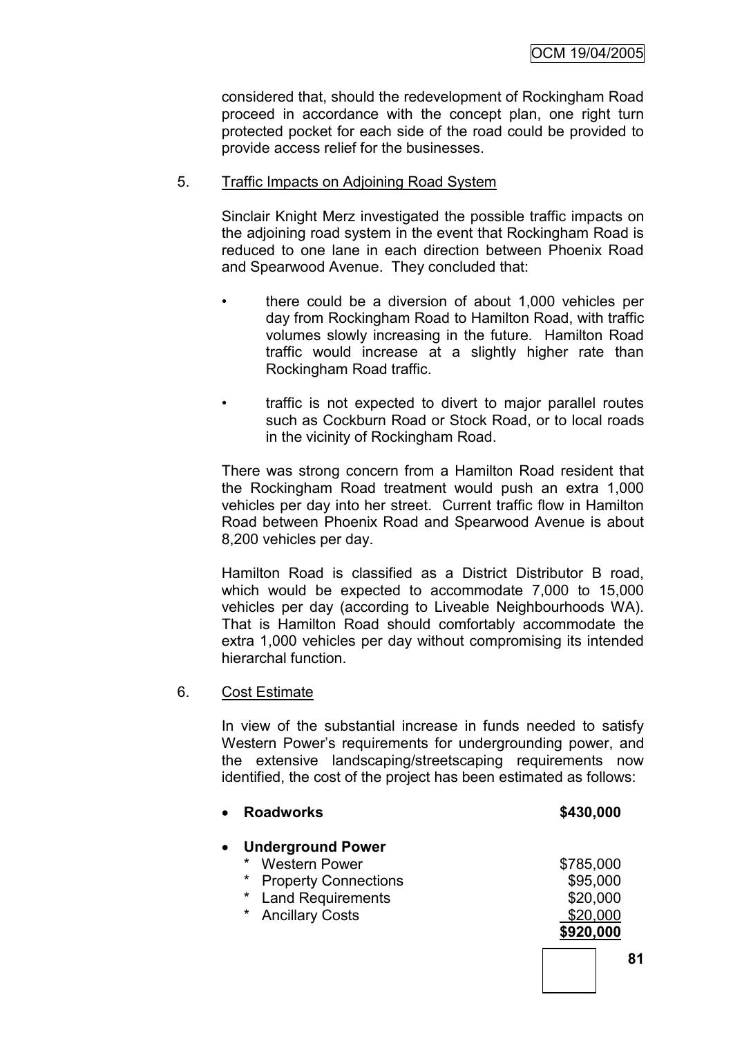considered that, should the redevelopment of Rockingham Road proceed in accordance with the concept plan, one right turn protected pocket for each side of the road could be provided to provide access relief for the businesses.

## 5. Traffic Impacts on Adjoining Road System

Sinclair Knight Merz investigated the possible traffic impacts on the adjoining road system in the event that Rockingham Road is reduced to one lane in each direction between Phoenix Road and Spearwood Avenue. They concluded that:

- there could be a diversion of about 1,000 vehicles per day from Rockingham Road to Hamilton Road, with traffic volumes slowly increasing in the future. Hamilton Road traffic would increase at a slightly higher rate than Rockingham Road traffic.
- traffic is not expected to divert to major parallel routes such as Cockburn Road or Stock Road, or to local roads in the vicinity of Rockingham Road.

There was strong concern from a Hamilton Road resident that the Rockingham Road treatment would push an extra 1,000 vehicles per day into her street. Current traffic flow in Hamilton Road between Phoenix Road and Spearwood Avenue is about 8,200 vehicles per day.

Hamilton Road is classified as a District Distributor B road, which would be expected to accommodate 7,000 to 15,000 vehicles per day (according to Liveable Neighbourhoods WA). That is Hamilton Road should comfortably accommodate the extra 1,000 vehicles per day without compromising its intended hierarchal function.

#### 6. Cost Estimate

In view of the substantial increase in funds needed to satisfy Western Power's requirements for undergrounding power, and the extensive landscaping/streetscaping requirements now identified, the cost of the project has been estimated as follows:

| <b>Roadworks</b>                       | \$430,000 |
|----------------------------------------|-----------|
| <b>Underground Power</b><br>$\bullet$  |           |
| <b>Western Power</b><br>*              | \$785,000 |
| $\star$<br><b>Property Connections</b> | \$95,000  |
| <b>Land Requirements</b>               | \$20,000  |
| <b>Ancillary Costs</b><br>$\star$      | \$20,000  |
|                                        | \$920,000 |
|                                        |           |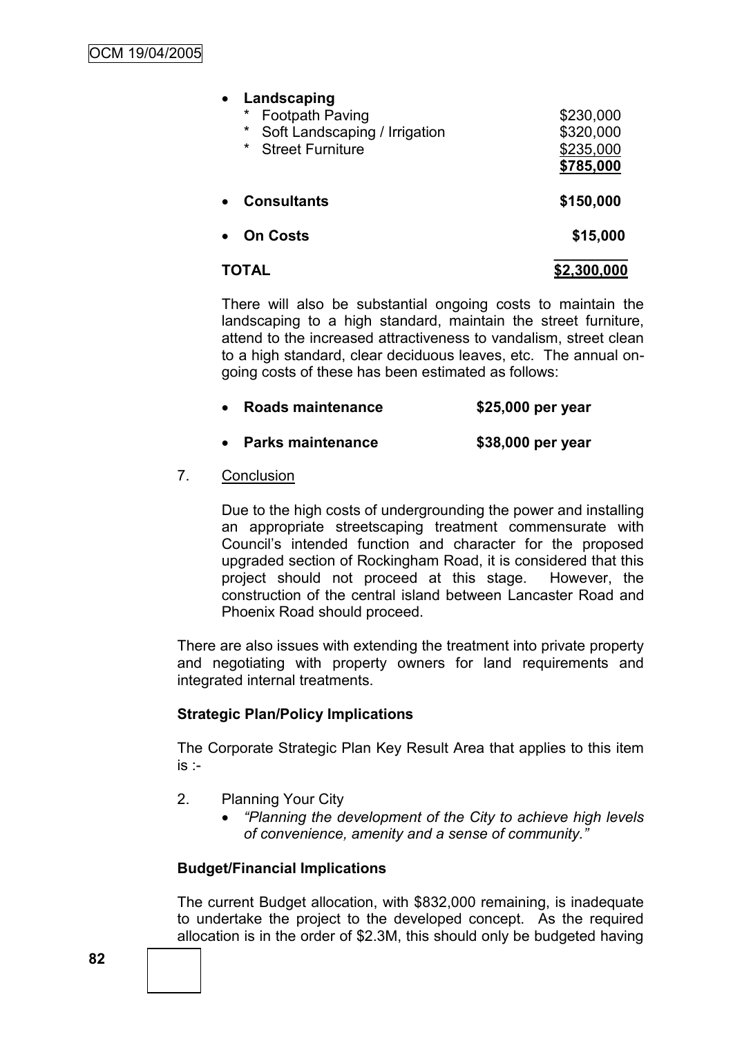**Landscaping**

| $\ast$<br><b>Footpath Paving</b><br>$\star$<br>Soft Landscaping / Irrigation<br>$\star$<br><b>Street Furniture</b> | \$230,000<br>\$320,000<br>\$235,000<br>\$785,000 |
|--------------------------------------------------------------------------------------------------------------------|--------------------------------------------------|
| <b>Consultants</b><br>$\bullet$                                                                                    | \$150,000                                        |
| <b>On Costs</b><br>$\bullet$                                                                                       | \$15,000                                         |
| TOTAL                                                                                                              | \$2,300,000                                      |

There will also be substantial ongoing costs to maintain the landscaping to a high standard, maintain the street furniture. attend to the increased attractiveness to vandalism, street clean to a high standard, clear deciduous leaves, etc. The annual ongoing costs of these has been estimated as follows:

- **Roads maintenance \$25,000 per year**
- **Parks maintenance \$38,000 per year**
- 7. Conclusion

Due to the high costs of undergrounding the power and installing an appropriate streetscaping treatment commensurate with Council's intended function and character for the proposed upgraded section of Rockingham Road, it is considered that this project should not proceed at this stage. However, the construction of the central island between Lancaster Road and Phoenix Road should proceed.

There are also issues with extending the treatment into private property and negotiating with property owners for land requirements and integrated internal treatments.

# **Strategic Plan/Policy Implications**

The Corporate Strategic Plan Key Result Area that applies to this item  $is -$ 

- 2. Planning Your City
	- *"Planning the development of the City to achieve high levels of convenience, amenity and a sense of community."*

# **Budget/Financial Implications**

The current Budget allocation, with \$832,000 remaining, is inadequate to undertake the project to the developed concept. As the required allocation is in the order of \$2.3M, this should only be budgeted having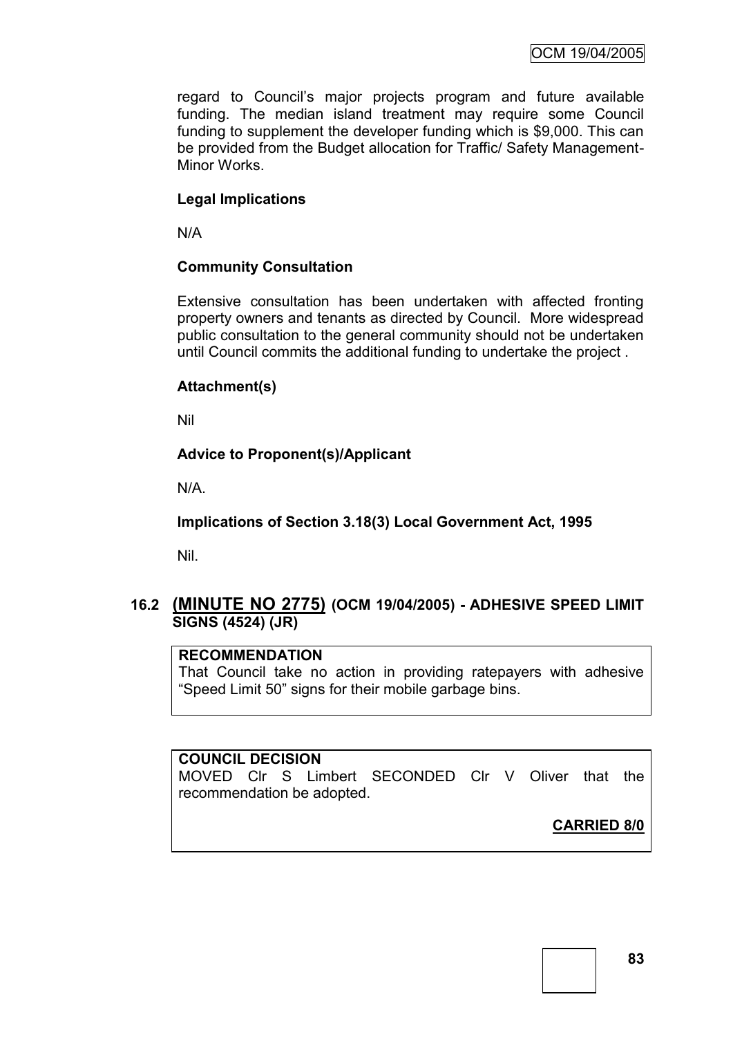regard to Council's major projects program and future available funding. The median island treatment may require some Council funding to supplement the developer funding which is \$9,000. This can be provided from the Budget allocation for Traffic/ Safety Management-Minor Works.

# **Legal Implications**

N/A

## **Community Consultation**

Extensive consultation has been undertaken with affected fronting property owners and tenants as directed by Council. More widespread public consultation to the general community should not be undertaken until Council commits the additional funding to undertake the project .

## **Attachment(s)**

Nil

# **Advice to Proponent(s)/Applicant**

N/A.

**Implications of Section 3.18(3) Local Government Act, 1995**

Nil.

# **16.2 (MINUTE NO 2775) (OCM 19/04/2005) - ADHESIVE SPEED LIMIT SIGNS (4524) (JR)**

# **RECOMMENDATION**

That Council take no action in providing ratepayers with adhesive ―Speed Limit 50‖ signs for their mobile garbage bins.

## **COUNCIL DECISION**

MOVED Clr S Limbert SECONDED Clr V Oliver that the recommendation be adopted.

**CARRIED 8/0**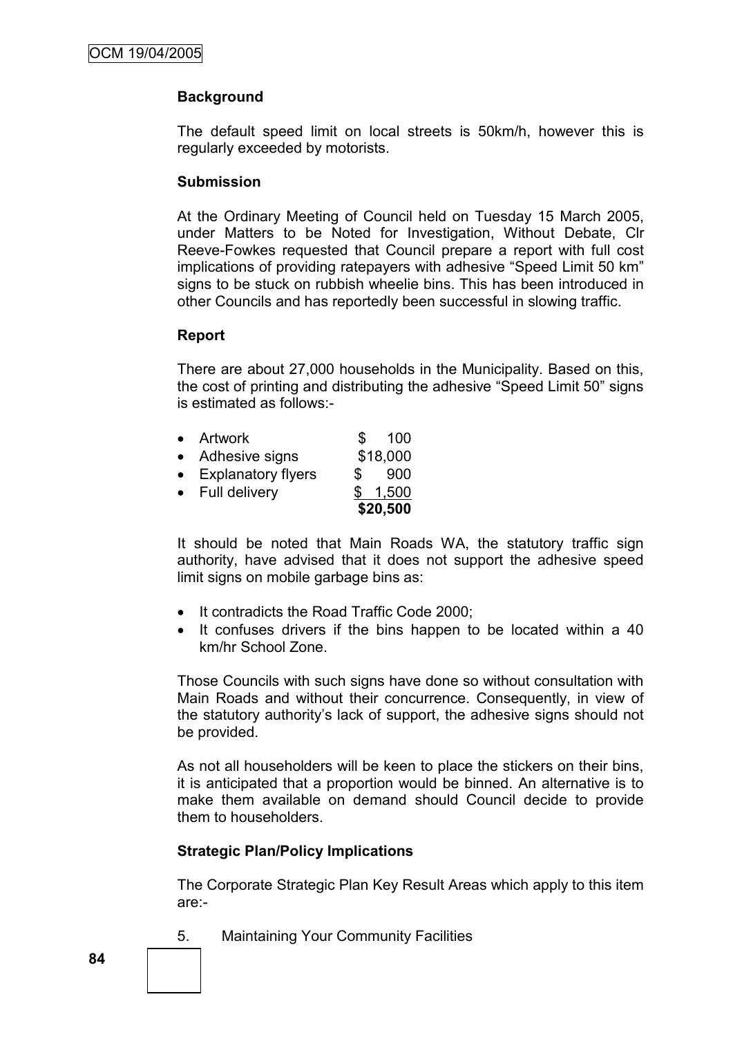# **Background**

The default speed limit on local streets is 50km/h, however this is regularly exceeded by motorists.

#### **Submission**

At the Ordinary Meeting of Council held on Tuesday 15 March 2005, under Matters to be Noted for Investigation, Without Debate, Clr Reeve-Fowkes requested that Council prepare a report with full cost implications of providing ratepayers with adhesive "Speed Limit 50 km" signs to be stuck on rubbish wheelie bins. This has been introduced in other Councils and has reportedly been successful in slowing traffic.

#### **Report**

There are about 27,000 households in the Municipality. Based on this, the cost of printing and distributing the adhesive "Speed Limit 50" signs is estimated as follows:-

|                           |     | \$20,500 |
|---------------------------|-----|----------|
| <b>Full delivery</b>      |     | 1,500    |
| <b>Explanatory flyers</b> | S.  | 900      |
| Adhesive signs            |     | \$18,000 |
| Artwork                   | \$. | 100      |

It should be noted that Main Roads WA, the statutory traffic sign authority, have advised that it does not support the adhesive speed limit signs on mobile garbage bins as:

- It contradicts the Road Traffic Code 2000;
- It confuses drivers if the bins happen to be located within a 40 km/hr School Zone.

Those Councils with such signs have done so without consultation with Main Roads and without their concurrence. Consequently, in view of the statutory authority's lack of support, the adhesive signs should not be provided.

As not all householders will be keen to place the stickers on their bins, it is anticipated that a proportion would be binned. An alternative is to make them available on demand should Council decide to provide them to householders.

## **Strategic Plan/Policy Implications**

The Corporate Strategic Plan Key Result Areas which apply to this item are:-

5. Maintaining Your Community Facilities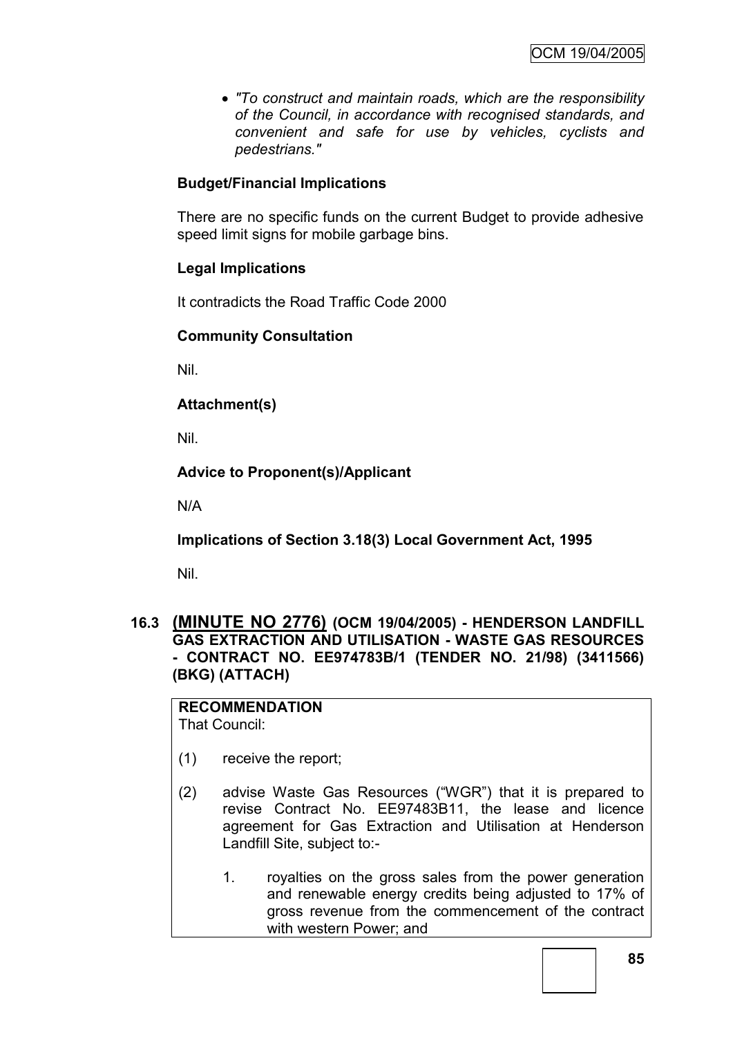*"To construct and maintain roads, which are the responsibility of the Council, in accordance with recognised standards, and convenient and safe for use by vehicles, cyclists and pedestrians."*

# **Budget/Financial Implications**

There are no specific funds on the current Budget to provide adhesive speed limit signs for mobile garbage bins.

# **Legal Implications**

It contradicts the Road Traffic Code 2000

# **Community Consultation**

Nil.

# **Attachment(s)**

Nil.

# **Advice to Proponent(s)/Applicant**

N/A

**Implications of Section 3.18(3) Local Government Act, 1995**

Nil.

# **16.3 (MINUTE NO 2776) (OCM 19/04/2005) - HENDERSON LANDFILL GAS EXTRACTION AND UTILISATION - WASTE GAS RESOURCES - CONTRACT NO. EE974783B/1 (TENDER NO. 21/98) (3411566) (BKG) (ATTACH)**

# **RECOMMENDATION**

That Council:

- (1) receive the report;
- (2) advise Waste Gas Resources ("WGR") that it is prepared to revise Contract No. EE97483B11, the lease and licence agreement for Gas Extraction and Utilisation at Henderson Landfill Site, subject to:-
	- 1. royalties on the gross sales from the power generation and renewable energy credits being adjusted to 17% of gross revenue from the commencement of the contract with western Power; and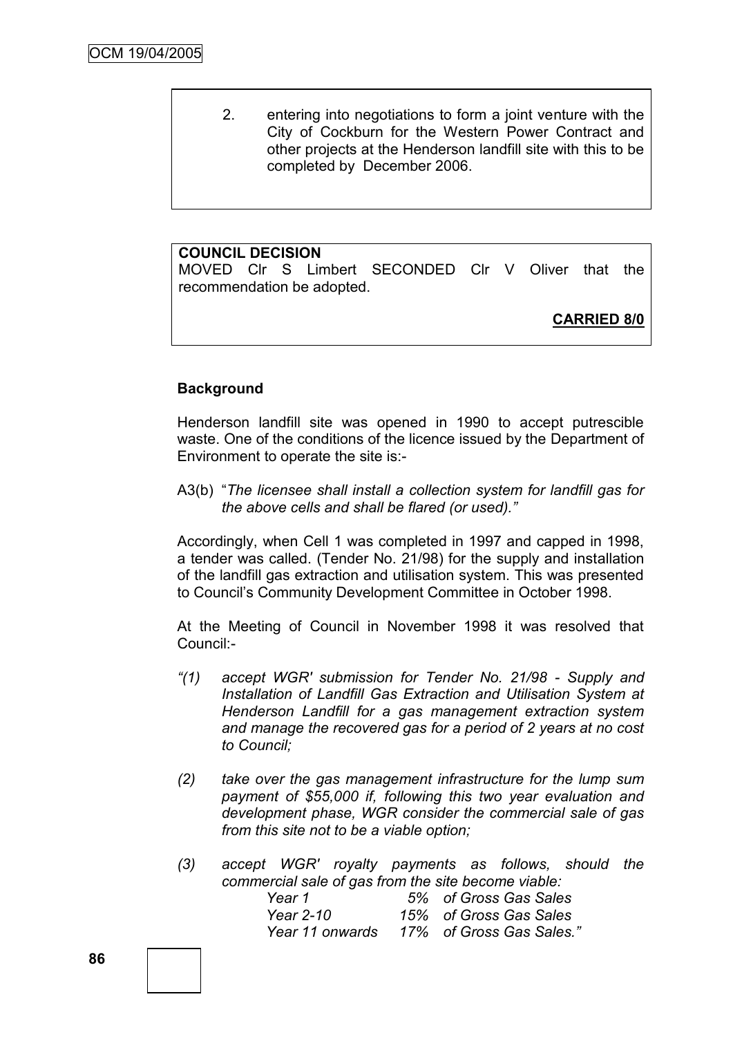2. entering into negotiations to form a joint venture with the City of Cockburn for the Western Power Contract and other projects at the Henderson landfill site with this to be completed by December 2006.

## **COUNCIL DECISION**

MOVED Clr S Limbert SECONDED Clr V Oliver that the recommendation be adopted.

**CARRIED 8/0**

## **Background**

Henderson landfill site was opened in 1990 to accept putrescible waste. One of the conditions of the licence issued by the Department of Environment to operate the site is:-

A3(b) "The licensee shall install a collection system for landfill gas for *the above cells and shall be flared (or used)."*

Accordingly, when Cell 1 was completed in 1997 and capped in 1998, a tender was called. (Tender No. 21/98) for the supply and installation of the landfill gas extraction and utilisation system. This was presented to Council's Community Development Committee in October 1998.

At the Meeting of Council in November 1998 it was resolved that Council:-

- *"(1) accept WGR' submission for Tender No. 21/98 - Supply and Installation of Landfill Gas Extraction and Utilisation System at Henderson Landfill for a gas management extraction system and manage the recovered gas for a period of 2 years at no cost to Council;*
- *(2) take over the gas management infrastructure for the lump sum payment of \$55,000 if, following this two year evaluation and development phase, WGR consider the commercial sale of gas from this site not to be a viable option;*
- *(3) accept WGR' royalty payments as follows, should the commercial sale of gas from the site become viable: Year 1 5% of Gross Gas Sales*

| rear T          | 5% of Gross Gas Sales    |
|-----------------|--------------------------|
| Year 2-10       | 15% of Gross Gas Sales   |
| Year 11 onwards | 17% of Gross Gas Sales.' |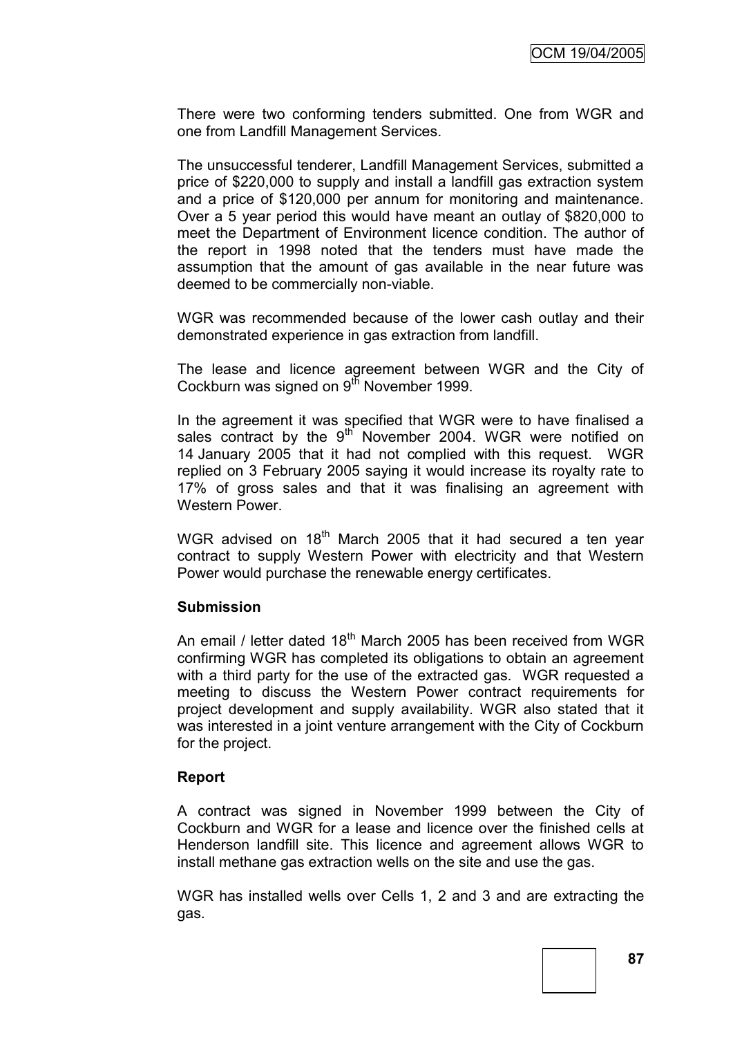There were two conforming tenders submitted. One from WGR and one from Landfill Management Services.

The unsuccessful tenderer, Landfill Management Services, submitted a price of \$220,000 to supply and install a landfill gas extraction system and a price of \$120,000 per annum for monitoring and maintenance. Over a 5 year period this would have meant an outlay of \$820,000 to meet the Department of Environment licence condition. The author of the report in 1998 noted that the tenders must have made the assumption that the amount of gas available in the near future was deemed to be commercially non-viable.

WGR was recommended because of the lower cash outlay and their demonstrated experience in gas extraction from landfill.

The lease and licence agreement between WGR and the City of Cockburn was signed on  $9<sup>th</sup>$  November 1999.

In the agreement it was specified that WGR were to have finalised a sales contract by the  $9<sup>th</sup>$  November 2004. WGR were notified on 14 January 2005 that it had not complied with this request. WGR replied on 3 February 2005 saying it would increase its royalty rate to 17% of gross sales and that it was finalising an agreement with Western Power.

WGR advised on  $18<sup>th</sup>$  March 2005 that it had secured a ten year contract to supply Western Power with electricity and that Western Power would purchase the renewable energy certificates.

#### **Submission**

An email / letter dated  $18<sup>th</sup>$  March 2005 has been received from WGR confirming WGR has completed its obligations to obtain an agreement with a third party for the use of the extracted gas. WGR requested a meeting to discuss the Western Power contract requirements for project development and supply availability. WGR also stated that it was interested in a joint venture arrangement with the City of Cockburn for the project.

## **Report**

A contract was signed in November 1999 between the City of Cockburn and WGR for a lease and licence over the finished cells at Henderson landfill site. This licence and agreement allows WGR to install methane gas extraction wells on the site and use the gas.

WGR has installed wells over Cells 1, 2 and 3 and are extracting the gas.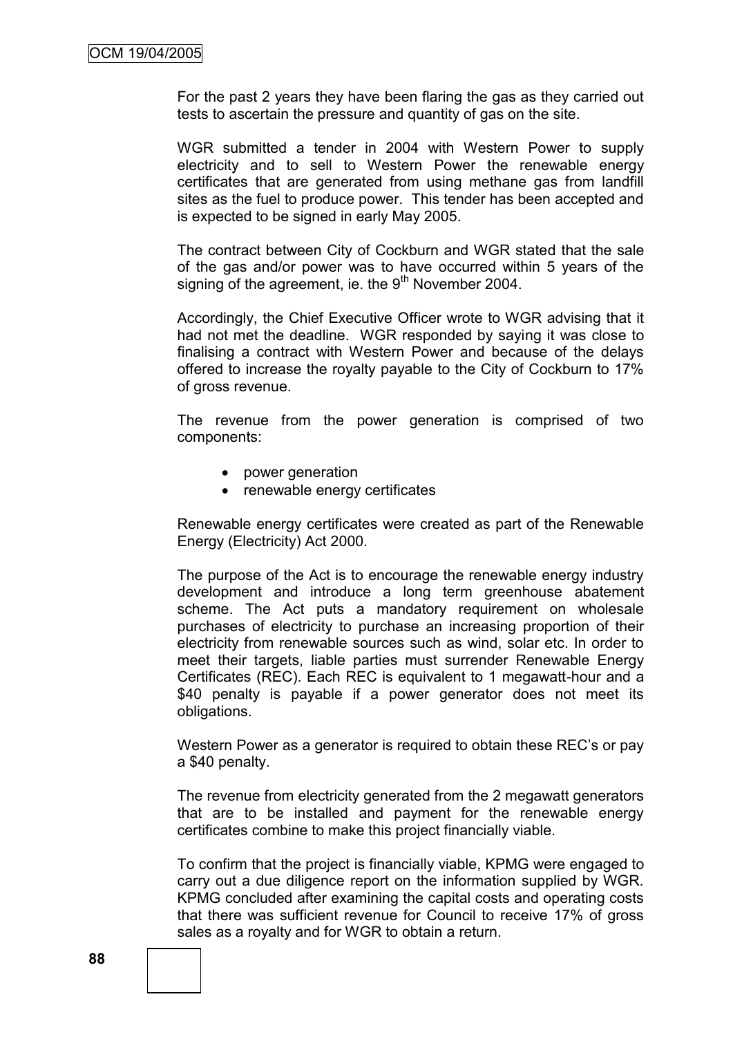For the past 2 years they have been flaring the gas as they carried out tests to ascertain the pressure and quantity of gas on the site.

WGR submitted a tender in 2004 with Western Power to supply electricity and to sell to Western Power the renewable energy certificates that are generated from using methane gas from landfill sites as the fuel to produce power. This tender has been accepted and is expected to be signed in early May 2005.

The contract between City of Cockburn and WGR stated that the sale of the gas and/or power was to have occurred within 5 years of the signing of the agreement, ie. the  $9<sup>th</sup>$  November 2004.

Accordingly, the Chief Executive Officer wrote to WGR advising that it had not met the deadline. WGR responded by saying it was close to finalising a contract with Western Power and because of the delays offered to increase the royalty payable to the City of Cockburn to 17% of gross revenue.

The revenue from the power generation is comprised of two components:

- power generation
- renewable energy certificates

Renewable energy certificates were created as part of the Renewable Energy (Electricity) Act 2000.

The purpose of the Act is to encourage the renewable energy industry development and introduce a long term greenhouse abatement scheme. The Act puts a mandatory requirement on wholesale purchases of electricity to purchase an increasing proportion of their electricity from renewable sources such as wind, solar etc. In order to meet their targets, liable parties must surrender Renewable Energy Certificates (REC). Each REC is equivalent to 1 megawatt-hour and a \$40 penalty is payable if a power generator does not meet its obligations.

Western Power as a generator is required to obtain these REC's or pay a \$40 penalty.

The revenue from electricity generated from the 2 megawatt generators that are to be installed and payment for the renewable energy certificates combine to make this project financially viable.

To confirm that the project is financially viable, KPMG were engaged to carry out a due diligence report on the information supplied by WGR. KPMG concluded after examining the capital costs and operating costs that there was sufficient revenue for Council to receive 17% of gross sales as a royalty and for WGR to obtain a return.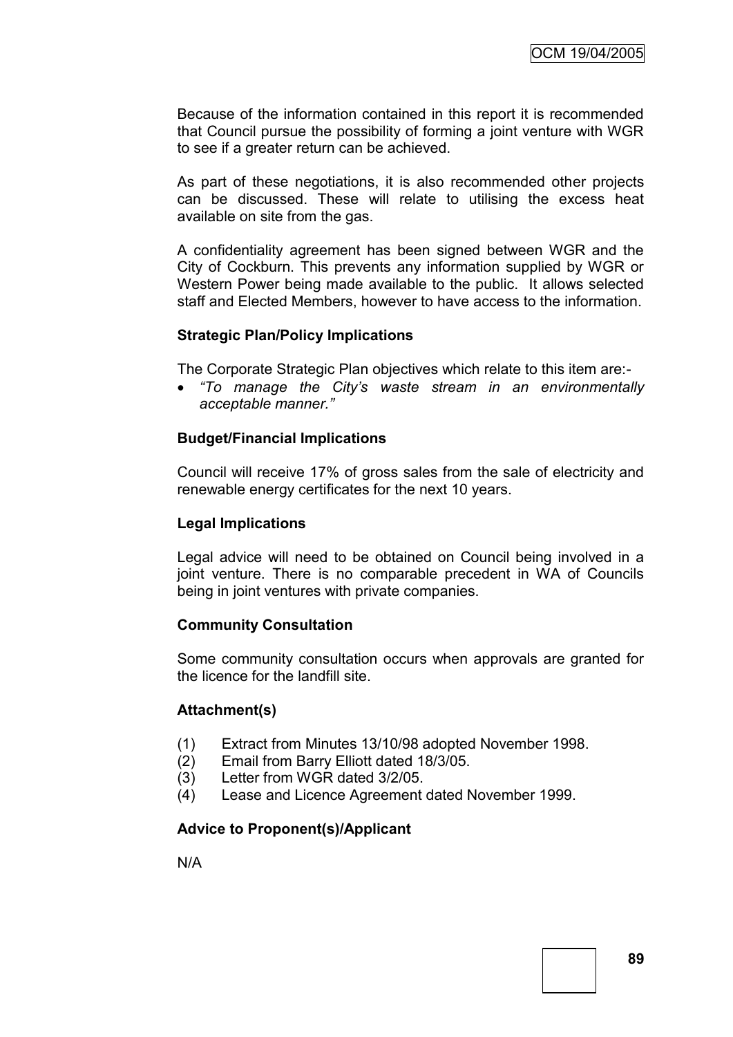Because of the information contained in this report it is recommended that Council pursue the possibility of forming a joint venture with WGR to see if a greater return can be achieved.

As part of these negotiations, it is also recommended other projects can be discussed. These will relate to utilising the excess heat available on site from the gas.

A confidentiality agreement has been signed between WGR and the City of Cockburn. This prevents any information supplied by WGR or Western Power being made available to the public. It allows selected staff and Elected Members, however to have access to the information.

#### **Strategic Plan/Policy Implications**

The Corporate Strategic Plan objectives which relate to this item are:-

 *"To manage the City's waste stream in an environmentally acceptable manner."*

#### **Budget/Financial Implications**

Council will receive 17% of gross sales from the sale of electricity and renewable energy certificates for the next 10 years.

#### **Legal Implications**

Legal advice will need to be obtained on Council being involved in a joint venture. There is no comparable precedent in WA of Councils being in joint ventures with private companies.

## **Community Consultation**

Some community consultation occurs when approvals are granted for the licence for the landfill site.

## **Attachment(s)**

- (1) Extract from Minutes 13/10/98 adopted November 1998.
- (2) Email from Barry Elliott dated 18/3/05.
- (3) Letter from WGR dated 3/2/05.
- (4) Lease and Licence Agreement dated November 1999.

## **Advice to Proponent(s)/Applicant**

N/A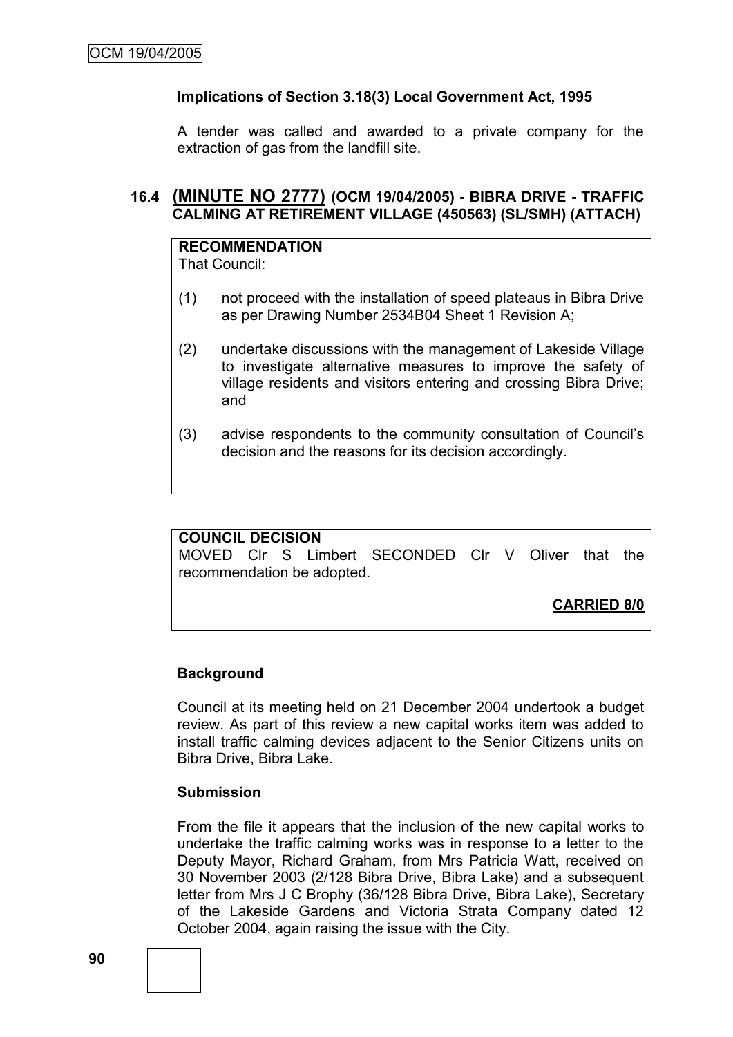## **Implications of Section 3.18(3) Local Government Act, 1995**

A tender was called and awarded to a private company for the extraction of gas from the landfill site.

## **16.4 (MINUTE NO 2777) (OCM 19/04/2005) - BIBRA DRIVE - TRAFFIC CALMING AT RETIREMENT VILLAGE (450563) (SL/SMH) (ATTACH)**

#### **RECOMMENDATION** That Council:

- (1) not proceed with the installation of speed plateaus in Bibra Drive as per Drawing Number 2534B04 Sheet 1 Revision A;
- (2) undertake discussions with the management of Lakeside Village to investigate alternative measures to improve the safety of village residents and visitors entering and crossing Bibra Drive; and
- (3) advise respondents to the community consultation of Council's decision and the reasons for its decision accordingly.

## **COUNCIL DECISION**

MOVED Clr S Limbert SECONDED Clr V Oliver that the recommendation be adopted.

**CARRIED 8/0**

# **Background**

Council at its meeting held on 21 December 2004 undertook a budget review. As part of this review a new capital works item was added to install traffic calming devices adjacent to the Senior Citizens units on Bibra Drive, Bibra Lake.

#### **Submission**

From the file it appears that the inclusion of the new capital works to undertake the traffic calming works was in response to a letter to the Deputy Mayor, Richard Graham, from Mrs Patricia Watt, received on 30 November 2003 (2/128 Bibra Drive, Bibra Lake) and a subsequent letter from Mrs J C Brophy (36/128 Bibra Drive, Bibra Lake), Secretary of the Lakeside Gardens and Victoria Strata Company dated 12 October 2004, again raising the issue with the City.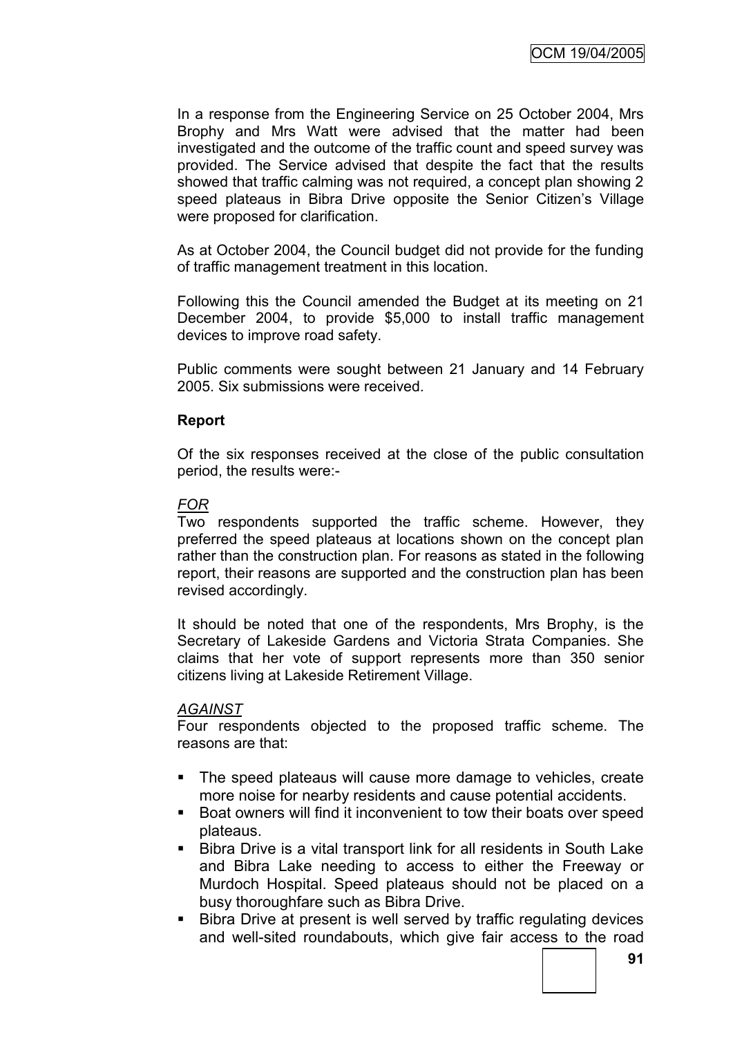In a response from the Engineering Service on 25 October 2004, Mrs Brophy and Mrs Watt were advised that the matter had been investigated and the outcome of the traffic count and speed survey was provided. The Service advised that despite the fact that the results showed that traffic calming was not required, a concept plan showing 2 speed plateaus in Bibra Drive opposite the Senior Citizen's Village were proposed for clarification.

As at October 2004, the Council budget did not provide for the funding of traffic management treatment in this location.

Following this the Council amended the Budget at its meeting on 21 December 2004, to provide \$5,000 to install traffic management devices to improve road safety.

Public comments were sought between 21 January and 14 February 2005. Six submissions were received.

#### **Report**

Of the six responses received at the close of the public consultation period, the results were:-

## *FOR*

Two respondents supported the traffic scheme. However, they preferred the speed plateaus at locations shown on the concept plan rather than the construction plan. For reasons as stated in the following report, their reasons are supported and the construction plan has been revised accordingly.

It should be noted that one of the respondents, Mrs Brophy, is the Secretary of Lakeside Gardens and Victoria Strata Companies. She claims that her vote of support represents more than 350 senior citizens living at Lakeside Retirement Village.

#### *AGAINST*

Four respondents objected to the proposed traffic scheme. The reasons are that:

- The speed plateaus will cause more damage to vehicles, create more noise for nearby residents and cause potential accidents.
- Boat owners will find it inconvenient to tow their boats over speed plateaus.
- Bibra Drive is a vital transport link for all residents in South Lake and Bibra Lake needing to access to either the Freeway or Murdoch Hospital. Speed plateaus should not be placed on a busy thoroughfare such as Bibra Drive.
- **Bibra Drive at present is well served by traffic regulating devices** and well-sited roundabouts, which give fair access to the road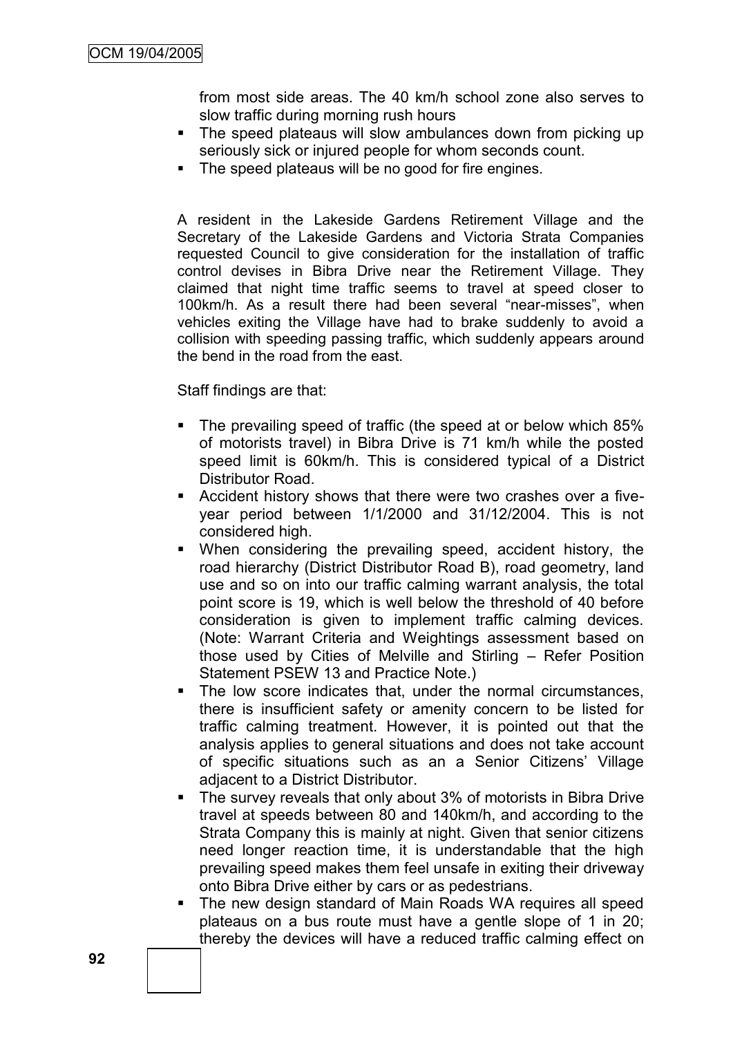from most side areas. The 40 km/h school zone also serves to slow traffic during morning rush hours

- The speed plateaus will slow ambulances down from picking up seriously sick or injured people for whom seconds count.
- The speed plateaus will be no good for fire engines.

A resident in the Lakeside Gardens Retirement Village and the Secretary of the Lakeside Gardens and Victoria Strata Companies requested Council to give consideration for the installation of traffic control devises in Bibra Drive near the Retirement Village. They claimed that night time traffic seems to travel at speed closer to 100km/h. As a result there had been several "near-misses", when vehicles exiting the Village have had to brake suddenly to avoid a collision with speeding passing traffic, which suddenly appears around the bend in the road from the east.

Staff findings are that:

- The prevailing speed of traffic (the speed at or below which 85% of motorists travel) in Bibra Drive is 71 km/h while the posted speed limit is 60km/h. This is considered typical of a District Distributor Road.
- Accident history shows that there were two crashes over a fiveyear period between 1/1/2000 and 31/12/2004. This is not considered high.
- When considering the prevailing speed, accident history, the road hierarchy (District Distributor Road B), road geometry, land use and so on into our traffic calming warrant analysis, the total point score is 19, which is well below the threshold of 40 before consideration is given to implement traffic calming devices. (Note: Warrant Criteria and Weightings assessment based on those used by Cities of Melville and Stirling – Refer Position Statement PSEW 13 and Practice Note.)
- The low score indicates that, under the normal circumstances, there is insufficient safety or amenity concern to be listed for traffic calming treatment. However, it is pointed out that the analysis applies to general situations and does not take account of specific situations such as an a Senior Citizens' Village adjacent to a District Distributor.
- The survey reveals that only about 3% of motorists in Bibra Drive travel at speeds between 80 and 140km/h, and according to the Strata Company this is mainly at night. Given that senior citizens need longer reaction time, it is understandable that the high prevailing speed makes them feel unsafe in exiting their driveway onto Bibra Drive either by cars or as pedestrians.
- The new design standard of Main Roads WA requires all speed plateaus on a bus route must have a gentle slope of 1 in 20; thereby the devices will have a reduced traffic calming effect on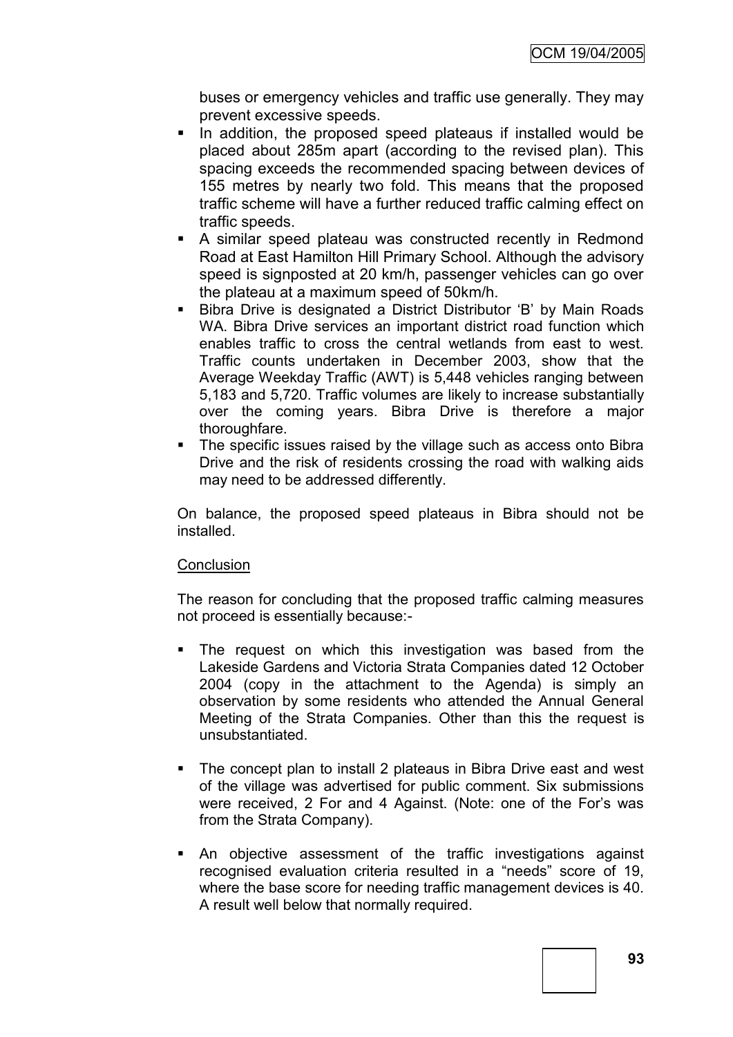buses or emergency vehicles and traffic use generally. They may prevent excessive speeds.

- In addition, the proposed speed plateaus if installed would be placed about 285m apart (according to the revised plan). This spacing exceeds the recommended spacing between devices of 155 metres by nearly two fold. This means that the proposed traffic scheme will have a further reduced traffic calming effect on traffic speeds.
- A similar speed plateau was constructed recently in Redmond Road at East Hamilton Hill Primary School. Although the advisory speed is signposted at 20 km/h, passenger vehicles can go over the plateau at a maximum speed of 50km/h.
- Bibra Drive is designated a District Distributor 'B' by Main Roads WA. Bibra Drive services an important district road function which enables traffic to cross the central wetlands from east to west. Traffic counts undertaken in December 2003, show that the Average Weekday Traffic (AWT) is 5,448 vehicles ranging between 5,183 and 5,720. Traffic volumes are likely to increase substantially over the coming years. Bibra Drive is therefore a major thoroughfare.
- The specific issues raised by the village such as access onto Bibra Drive and the risk of residents crossing the road with walking aids may need to be addressed differently.

On balance, the proposed speed plateaus in Bibra should not be installed.

## **Conclusion**

The reason for concluding that the proposed traffic calming measures not proceed is essentially because:-

- The request on which this investigation was based from the Lakeside Gardens and Victoria Strata Companies dated 12 October 2004 (copy in the attachment to the Agenda) is simply an observation by some residents who attended the Annual General Meeting of the Strata Companies. Other than this the request is unsubstantiated.
- The concept plan to install 2 plateaus in Bibra Drive east and west of the village was advertised for public comment. Six submissions were received, 2 For and 4 Against. (Note: one of the For's was from the Strata Company).
- An objective assessment of the traffic investigations against recognised evaluation criteria resulted in a "needs" score of 19, where the base score for needing traffic management devices is 40. A result well below that normally required.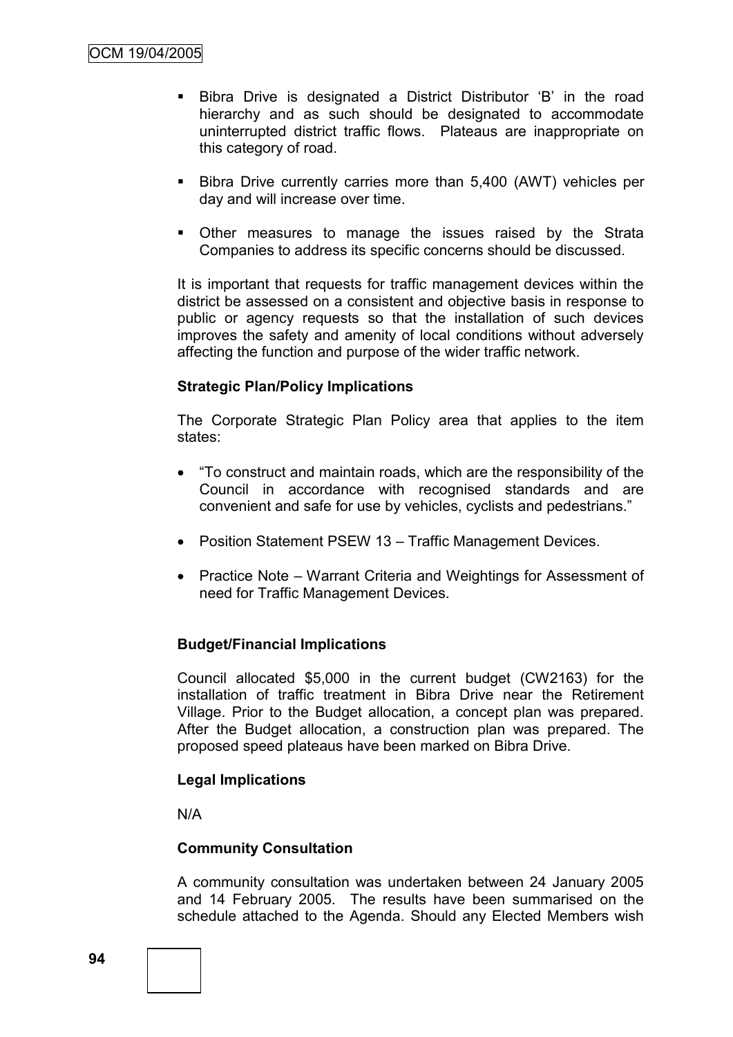- Bibra Drive is designated a District Distributor 'B' in the road hierarchy and as such should be designated to accommodate uninterrupted district traffic flows. Plateaus are inappropriate on this category of road.
- Bibra Drive currently carries more than 5,400 (AWT) vehicles per day and will increase over time.
- **•** Other measures to manage the issues raised by the Strata Companies to address its specific concerns should be discussed.

It is important that requests for traffic management devices within the district be assessed on a consistent and objective basis in response to public or agency requests so that the installation of such devices improves the safety and amenity of local conditions without adversely affecting the function and purpose of the wider traffic network.

# **Strategic Plan/Policy Implications**

The Corporate Strategic Plan Policy area that applies to the item states:

- ―To construct and maintain roads, which are the responsibility of the Council in accordance with recognised standards and are convenient and safe for use by vehicles, cyclists and pedestrians."
- Position Statement PSEW 13 Traffic Management Devices.
- Practice Note Warrant Criteria and Weightings for Assessment of need for Traffic Management Devices.

## **Budget/Financial Implications**

Council allocated \$5,000 in the current budget (CW2163) for the installation of traffic treatment in Bibra Drive near the Retirement Village. Prior to the Budget allocation, a concept plan was prepared. After the Budget allocation, a construction plan was prepared. The proposed speed plateaus have been marked on Bibra Drive.

## **Legal Implications**

N/A

## **Community Consultation**

A community consultation was undertaken between 24 January 2005 and 14 February 2005. The results have been summarised on the schedule attached to the Agenda. Should any Elected Members wish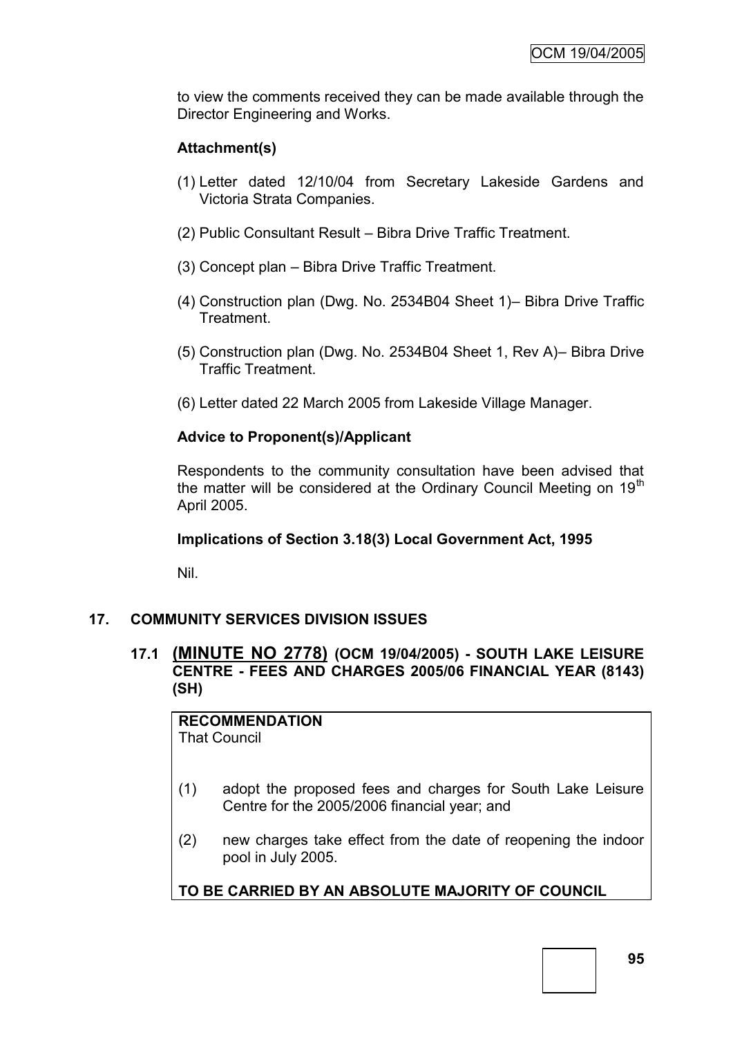to view the comments received they can be made available through the Director Engineering and Works.

# **Attachment(s)**

- (1) Letter dated 12/10/04 from Secretary Lakeside Gardens and Victoria Strata Companies.
- (2) Public Consultant Result Bibra Drive Traffic Treatment.
- (3) Concept plan Bibra Drive Traffic Treatment.
- (4) Construction plan (Dwg. No. 2534B04 Sheet 1)– Bibra Drive Traffic Treatment.
- (5) Construction plan (Dwg. No. 2534B04 Sheet 1, Rev A)– Bibra Drive Traffic Treatment.
- (6) Letter dated 22 March 2005 from Lakeside Village Manager.

# **Advice to Proponent(s)/Applicant**

Respondents to the community consultation have been advised that the matter will be considered at the Ordinary Council Meeting on  $19<sup>th</sup>$ April 2005.

## **Implications of Section 3.18(3) Local Government Act, 1995**

Nil.

## **17. COMMUNITY SERVICES DIVISION ISSUES**

# **17.1 (MINUTE NO 2778) (OCM 19/04/2005) - SOUTH LAKE LEISURE CENTRE - FEES AND CHARGES 2005/06 FINANCIAL YEAR (8143) (SH)**

**RECOMMENDATION** That Council

- (1) adopt the proposed fees and charges for South Lake Leisure Centre for the 2005/2006 financial year; and
- (2) new charges take effect from the date of reopening the indoor pool in July 2005.

# **TO BE CARRIED BY AN ABSOLUTE MAJORITY OF COUNCIL**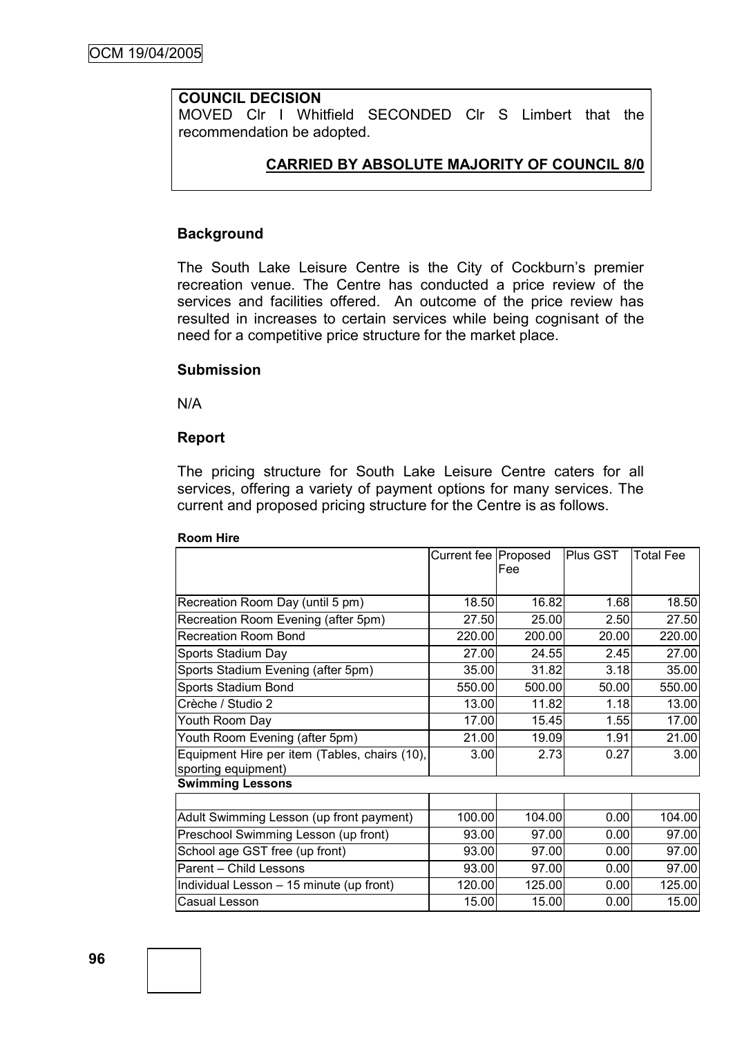## **COUNCIL DECISION**

MOVED Clr I Whitfield SECONDED Clr S Limbert that the recommendation be adopted.

## **CARRIED BY ABSOLUTE MAJORITY OF COUNCIL 8/0**

#### **Background**

The South Lake Leisure Centre is the City of Cockburn's premier recreation venue. The Centre has conducted a price review of the services and facilities offered. An outcome of the price review has resulted in increases to certain services while being cognisant of the need for a competitive price structure for the market place.

#### **Submission**

N/A

#### **Report**

The pricing structure for South Lake Leisure Centre caters for all services, offering a variety of payment options for many services. The current and proposed pricing structure for the Centre is as follows.

|                                                                      | Current fee   Proposed | Fee    | Plus GST | <b>Total Fee</b> |
|----------------------------------------------------------------------|------------------------|--------|----------|------------------|
| Recreation Room Day (until 5 pm)                                     | 18.50                  | 16.82  | 1.68     | 18.50            |
| Recreation Room Evening (after 5pm)                                  | 27.50                  | 25.00  | 2.50     | 27.50            |
| Recreation Room Bond                                                 | 220.00                 | 200.00 | 20.00    | 220.00           |
| Sports Stadium Day                                                   | 27.00                  | 24.55  | 2.45     | 27.00            |
| Sports Stadium Evening (after 5pm)                                   | 35.00                  | 31.82  | 3.18     | 35.00            |
| Sports Stadium Bond                                                  | 550.00                 | 500.00 | 50.00    | 550.00           |
| Crèche / Studio 2                                                    | 13.00                  | 11.82  | 1.18     | 13.00            |
| Youth Room Day                                                       | 17.00                  | 15.45  | 1.55     | 17.00            |
| Youth Room Evening (after 5pm)                                       | 21.00                  | 19.09  | 1.91     | 21.00            |
| Equipment Hire per item (Tables, chairs (10),<br>sporting equipment) | 3.00                   | 2.73   | 0.27     | 3.00             |
| <b>Swimming Lessons</b>                                              |                        |        |          |                  |
|                                                                      |                        |        |          |                  |
| Adult Swimming Lesson (up front payment)                             | 100.00                 | 104.00 | 0.00     | 104.00           |
| Preschool Swimming Lesson (up front)                                 | 93.00                  | 97.00  | 0.00     | 97.00            |
| School age GST free (up front)                                       | 93.00                  | 97.00  | 0.00     | 97.00            |
| Parent - Child Lessons                                               | 93.00                  | 97.00  | 0.00     | 97.00            |
| Individual Lesson - 15 minute (up front)                             | 120.00                 | 125.00 | 0.00     | 125.00           |
| Casual Lesson                                                        | 15.00                  | 15.00  | 0.00     | 15.00            |

#### **Room Hire**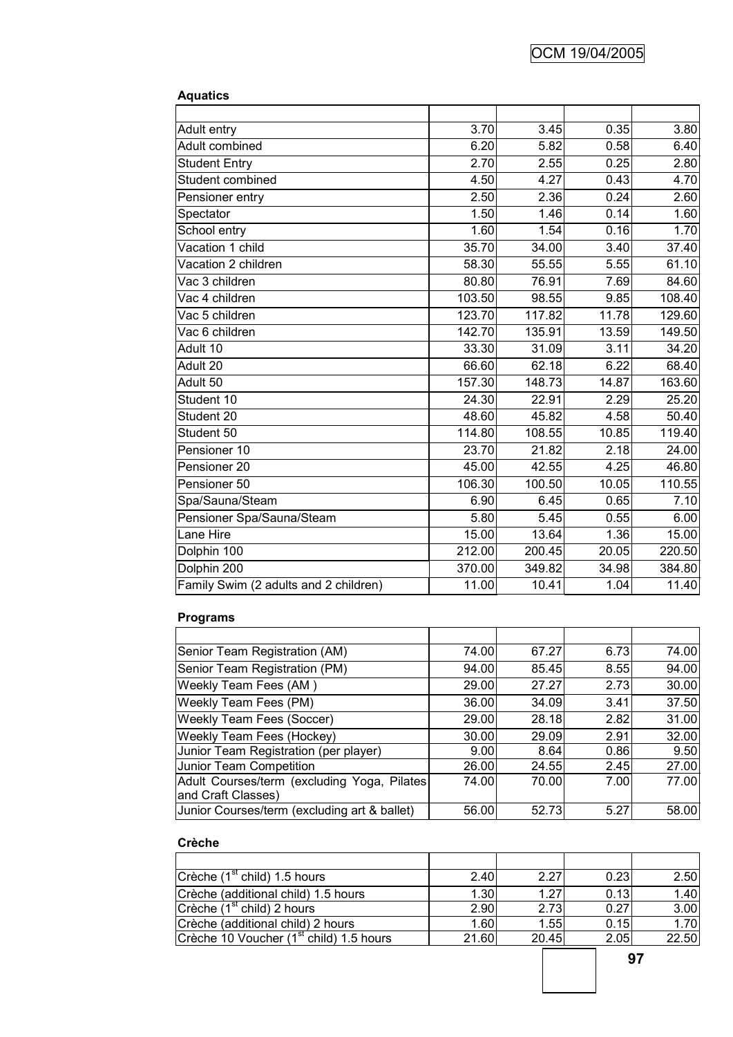| <b>Aquatics</b>                       |        |        |       |        |
|---------------------------------------|--------|--------|-------|--------|
|                                       | 3.70   | 3.45   | 0.35  | 3.80   |
| Adult entry<br>Adult combined         | 6.20   | 5.82   | 0.58  | 6.40   |
|                                       | 2.70   | 2.55   | 0.25  | 2.80   |
| <b>Student Entry</b>                  |        |        |       |        |
| Student combined                      | 4.50   | 4.27   | 0.43  | 4.70   |
| Pensioner entry                       | 2.50   | 2.36   | 0.24  | 2.60   |
| Spectator                             | 1.50   | 1.46   | 0.14  | 1.60   |
| School entry                          | 1.60   | 1.54   | 0.16  | 1.70   |
| Vacation 1 child                      | 35.70  | 34.00  | 3.40  | 37.40  |
| Vacation 2 children                   | 58.30  | 55.55  | 5.55  | 61.10  |
| Vac 3 children                        | 80.80  | 76.91  | 7.69  | 84.60  |
| Vac 4 children                        | 103.50 | 98.55  | 9.85  | 108.40 |
| Vac 5 children                        | 123.70 | 117.82 | 11.78 | 129.60 |
| Vac 6 children                        | 142.70 | 135.91 | 13.59 | 149.50 |
| Adult 10                              | 33.30  | 31.09  | 3.11  | 34.20  |
| Adult 20                              | 66.60  | 62.18  | 6.22  | 68.40  |
| Adult 50                              | 157.30 | 148.73 | 14.87 | 163.60 |
| Student 10                            | 24.30  | 22.91  | 2.29  | 25.20  |
| Student 20                            | 48.60  | 45.82  | 4.58  | 50.40  |
| Student 50                            | 114.80 | 108.55 | 10.85 | 119.40 |
| Pensioner 10                          | 23.70  | 21.82  | 2.18  | 24.00  |
| Pensioner 20                          | 45.00  | 42.55  | 4.25  | 46.80  |
| Pensioner 50                          | 106.30 | 100.50 | 10.05 | 110.55 |
| Spa/Sauna/Steam                       | 6.90   | 6.45   | 0.65  | 7.10   |
| Pensioner Spa/Sauna/Steam             | 5.80   | 5.45   | 0.55  | 6.00   |
| Lane Hire                             | 15.00  | 13.64  | 1.36  | 15.00  |
| Dolphin 100                           | 212.00 | 200.45 | 20.05 | 220.50 |
| Dolphin 200                           | 370.00 | 349.82 | 34.98 | 384.80 |
| Family Swim (2 adults and 2 children) | 11.00  | 10.41  | 1.04  | 11.40  |

#### **Programs**

| Senior Team Registration (AM)                | 74.00 | 67.27 | 6.73 | 74.00 |
|----------------------------------------------|-------|-------|------|-------|
| Senior Team Registration (PM)                | 94.00 | 85.45 | 8.55 | 94.00 |
| Weekly Team Fees (AM)                        | 29.00 | 27.27 | 2.73 | 30.00 |
| <b>Weekly Team Fees (PM)</b>                 | 36.00 | 34.09 | 3.41 | 37.50 |
| <b>Weekly Team Fees (Soccer)</b>             | 29.00 | 28.18 | 2.82 | 31.00 |
| <b>Weekly Team Fees (Hockey)</b>             | 30.00 | 29.09 | 2.91 | 32.00 |
| Junior Team Registration (per player)        | 9.00  | 8.64  | 0.86 | 9.50  |
| Junior Team Competition                      | 26.00 | 24.55 | 2.45 | 27.00 |
| Adult Courses/term (excluding Yoga, Pilates) | 74.00 | 70.00 | 7.00 | 77.00 |
| and Craft Classes)                           |       |       |      |       |
| Junior Courses/term (excluding art & ballet) | 56.00 | 52.73 | 5.27 | 58.00 |

#### **Crèche**

| $Cr\`{e}$ che (1 <sup>st</sup> child) 1.5 hours     | 2.40  | 2.27  | 0.23 | 2.50  |
|-----------------------------------------------------|-------|-------|------|-------|
| Crèche (additional child) 1.5 hours                 | 1.30  | 1.27  | 0.13 | 1.40  |
| Crèche $(1st$ child) 2 hours                        | 2.90  | 2.73  | 0.27 | 3.00  |
| Crèche (additional child) 2 hours                   | 1.60  | 1.55  | 0.15 | 1.70  |
| Crèche 10 Voucher (1 <sup>st</sup> child) 1.5 hours | 21.60 | 20.45 | 2.05 | 22.50 |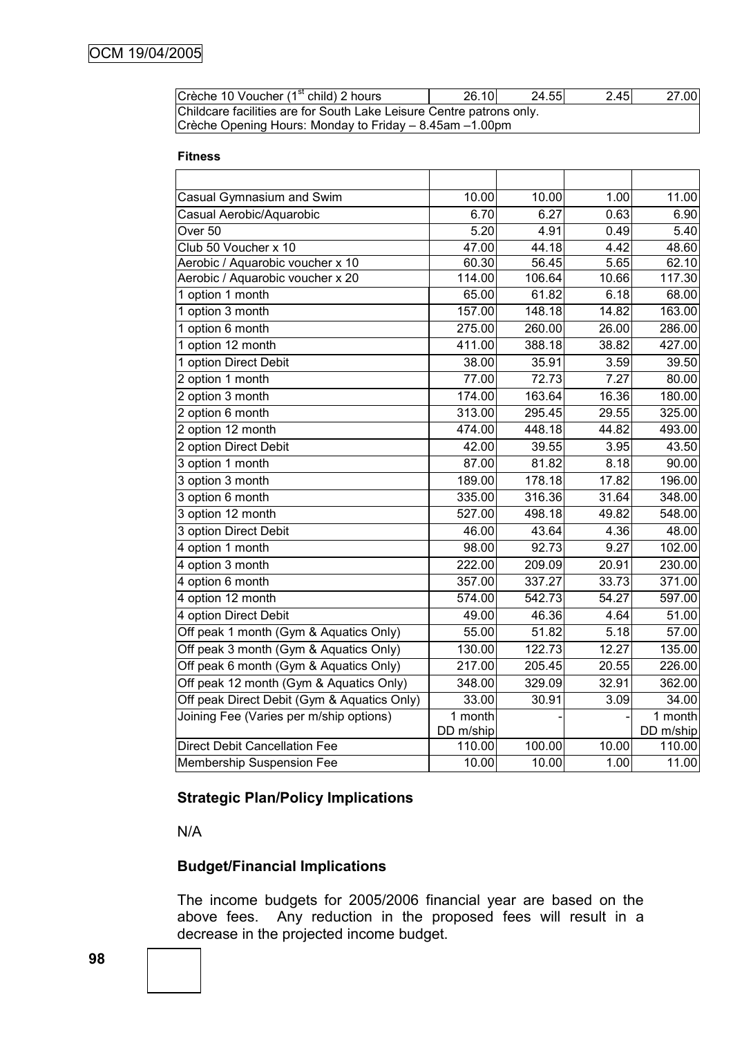| Crèche 10 Voucher (1 <sup>st</sup> child) 2 hours                    | 26.10 | 24.55 | 2.45 | 27.00 |
|----------------------------------------------------------------------|-------|-------|------|-------|
| Childcare facilities are for South Lake Leisure Centre patrons only. |       |       |      |       |
| Crèche Opening Hours: Monday to Friday – 8.45am –1.00pm              |       |       |      |       |

#### **Fitness**

| Casual Gymnasium and Swim                   | 10.00     | 10.00  | 1.00               | 11.00     |
|---------------------------------------------|-----------|--------|--------------------|-----------|
| Casual Aerobic/Aquarobic                    | 6.70      | 6.27   | 0.63               | 6.90      |
| Over <sub>50</sub>                          | 5.20      | 4.91   | 0.49               | 5.40      |
| Club 50 Voucher x 10                        | 47.00     | 44.18  | 4.42               | 48.60     |
| Aerobic / Aquarobic voucher x 10            | 60.30     | 56.45  | 5.65               | 62.10     |
| Aerobic / Aquarobic voucher x 20            | 114.00    | 106.64 | 10.66              | 117.30    |
| 1 option 1 month                            | 65.00     | 61.82  | 6.18               | 68.00     |
| 1 option 3 month                            | 157.00    | 148.18 | 14.82              | 163.00    |
| 1 option 6 month                            | 275.00    | 260.00 | 26.00              | 286.00    |
| 1 option 12 month                           | 411.00    | 388.18 | $38.\overline{82}$ | 427.00    |
| 1 option Direct Debit                       | 38.00     | 35.91  | 3.59               | 39.50     |
| 2 option 1 month                            | 77.00     | 72.73  | 7.27               | 80.00     |
| 2 option 3 month                            | 174.00    | 163.64 | 16.36              | 180.00    |
| 2 option 6 month                            | 313.00    | 295.45 | 29.55              | 325.00    |
| 2 option 12 month                           | 474.00    | 448.18 | 44.82              | 493.00    |
| 2 option Direct Debit                       | 42.00     | 39.55  | 3.95               | 43.50     |
| 3 option 1 month                            | 87.00     | 81.82  | 8.18               | 90.00     |
| 3 option 3 month                            | 189.00    | 178.18 | 17.82              | 196.00    |
| 3 option 6 month                            | 335.00    | 316.36 | 31.64              | 348.00    |
| 3 option 12 month                           | 527.00    | 498.18 | 49.82              | 548.00    |
| 3 option Direct Debit                       | 46.00     | 43.64  | 4.36               | 48.00     |
| 4 option 1 month                            | 98.00     | 92.73  | 9.27               | 102.00    |
| 4 option 3 month                            | 222.00    | 209.09 | 20.91              | 230.00    |
| 4 option 6 month                            | 357.00    | 337.27 | 33.73              | 371.00    |
| 4 option 12 month                           | 574.00    | 542.73 | 54.27              | 597.00    |
| 4 option Direct Debit                       | 49.00     | 46.36  | 4.64               | 51.00     |
| Off peak 1 month (Gym & Aquatics Only)      | 55.00     | 51.82  | 5.18               | 57.00     |
| Off peak 3 month (Gym & Aquatics Only)      | 130.00    | 122.73 | 12.27              | 135.00    |
| Off peak 6 month (Gym & Aquatics Only)      | 217.00    | 205.45 | 20.55              | 226.00    |
| Off peak 12 month (Gym & Aquatics Only)     | 348.00    | 329.09 | 32.91              | 362.00    |
| Off peak Direct Debit (Gym & Aquatics Only) | 33.00     | 30.91  | 3.09               | 34.00     |
| Joining Fee (Varies per m/ship options)     | 1 month   |        |                    | 1 month   |
|                                             | DD m/ship |        |                    | DD m/ship |
| <b>Direct Debit Cancellation Fee</b>        | 110.00    | 100.00 | 10.00              | 110.00    |
| Membership Suspension Fee                   | 10.00     | 10.00  | 1.00               | 11.00     |

# **Strategic Plan/Policy Implications**

N/A

# **Budget/Financial Implications**

The income budgets for 2005/2006 financial year are based on the above fees. Any reduction in the proposed fees will result in a decrease in the projected income budget.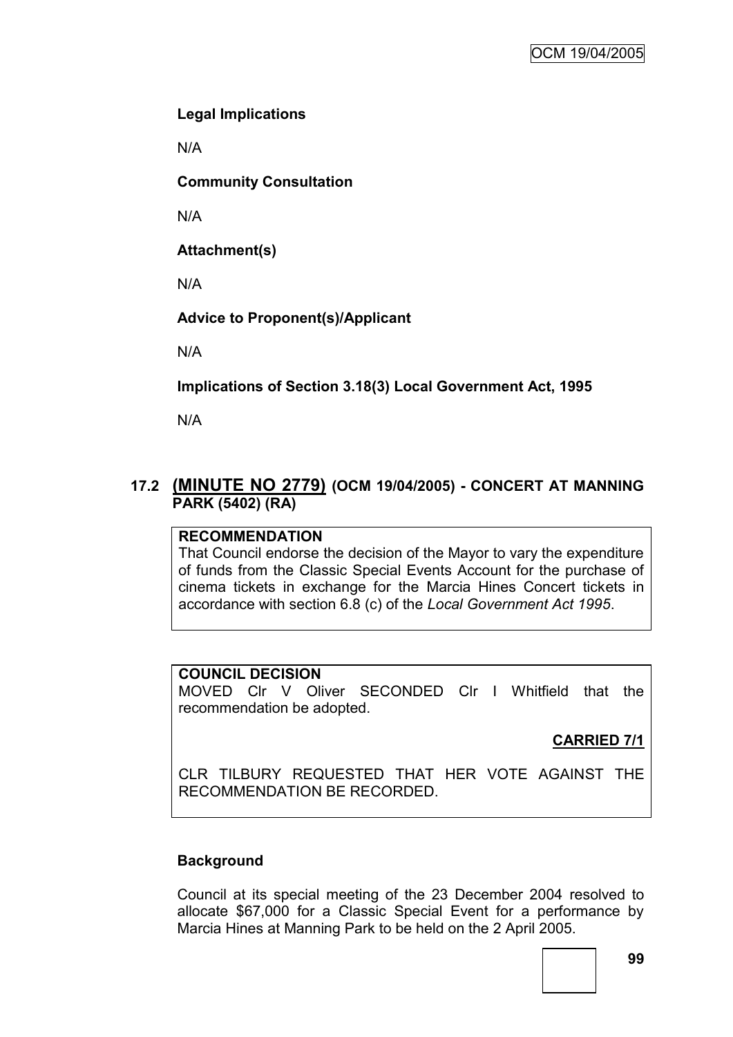# **Legal Implications**

N/A

**Community Consultation**

N/A

**Attachment(s)**

N/A

**Advice to Proponent(s)/Applicant**

N/A

**Implications of Section 3.18(3) Local Government Act, 1995**

N/A

# **17.2 (MINUTE NO 2779) (OCM 19/04/2005) - CONCERT AT MANNING PARK (5402) (RA)**

# **RECOMMENDATION**

That Council endorse the decision of the Mayor to vary the expenditure of funds from the Classic Special Events Account for the purchase of cinema tickets in exchange for the Marcia Hines Concert tickets in accordance with section 6.8 (c) of the *Local Government Act 1995*.

# **COUNCIL DECISION**

MOVED Clr V Oliver SECONDED Clr I Whitfield that the recommendation be adopted.

# **CARRIED 7/1**

CLR TILBURY REQUESTED THAT HER VOTE AGAINST THE RECOMMENDATION BE RECORDED.

# **Background**

Council at its special meeting of the 23 December 2004 resolved to allocate \$67,000 for a Classic Special Event for a performance by Marcia Hines at Manning Park to be held on the 2 April 2005.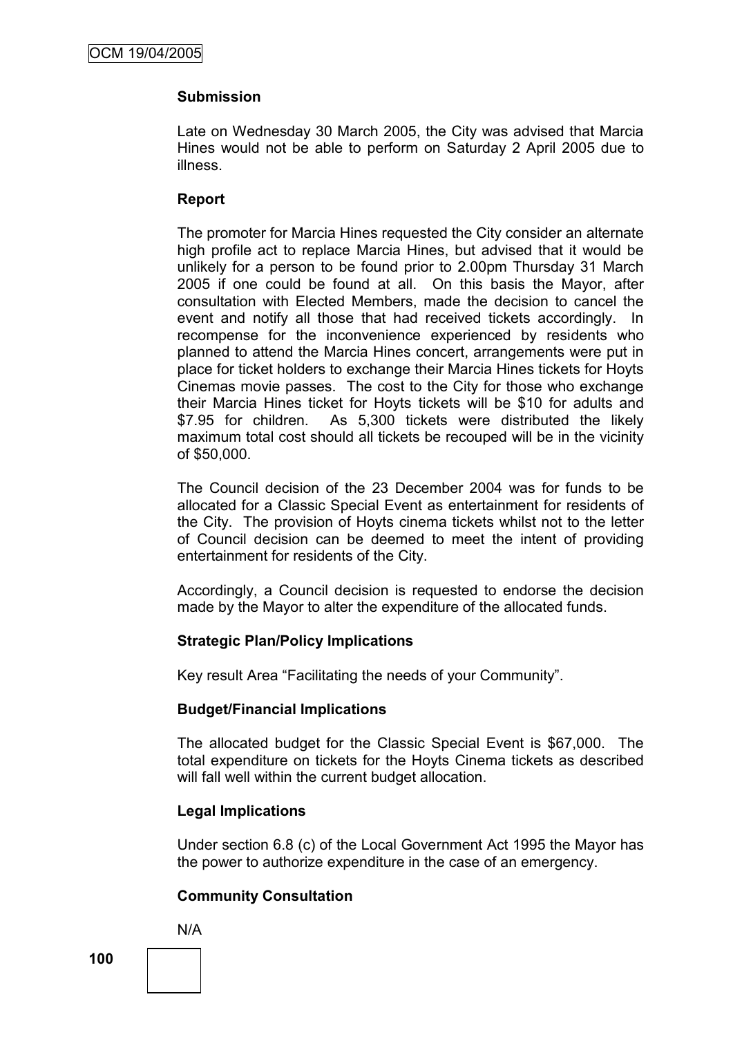## **Submission**

Late on Wednesday 30 March 2005, the City was advised that Marcia Hines would not be able to perform on Saturday 2 April 2005 due to illness.

#### **Report**

The promoter for Marcia Hines requested the City consider an alternate high profile act to replace Marcia Hines, but advised that it would be unlikely for a person to be found prior to 2.00pm Thursday 31 March 2005 if one could be found at all. On this basis the Mayor, after consultation with Elected Members, made the decision to cancel the event and notify all those that had received tickets accordingly. In recompense for the inconvenience experienced by residents who planned to attend the Marcia Hines concert, arrangements were put in place for ticket holders to exchange their Marcia Hines tickets for Hoyts Cinemas movie passes. The cost to the City for those who exchange their Marcia Hines ticket for Hoyts tickets will be \$10 for adults and \$7.95 for children. As 5,300 tickets were distributed the likely maximum total cost should all tickets be recouped will be in the vicinity of \$50,000.

The Council decision of the 23 December 2004 was for funds to be allocated for a Classic Special Event as entertainment for residents of the City. The provision of Hoyts cinema tickets whilst not to the letter of Council decision can be deemed to meet the intent of providing entertainment for residents of the City.

Accordingly, a Council decision is requested to endorse the decision made by the Mayor to alter the expenditure of the allocated funds.

## **Strategic Plan/Policy Implications**

Key result Area "Facilitating the needs of your Community".

## **Budget/Financial Implications**

The allocated budget for the Classic Special Event is \$67,000. The total expenditure on tickets for the Hoyts Cinema tickets as described will fall well within the current budget allocation.

## **Legal Implications**

Under section 6.8 (c) of the Local Government Act 1995 the Mayor has the power to authorize expenditure in the case of an emergency.

## **Community Consultation**

N/A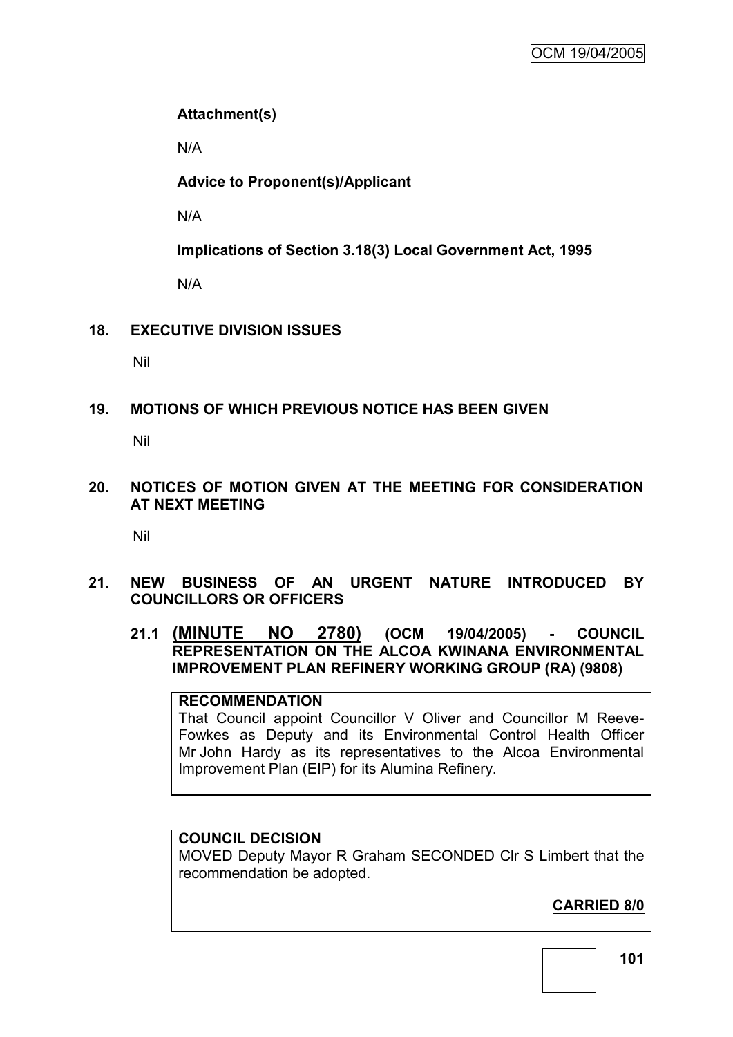# **Attachment(s)**

N/A

**Advice to Proponent(s)/Applicant**

N/A

**Implications of Section 3.18(3) Local Government Act, 1995**

N/A

# **18. EXECUTIVE DIVISION ISSUES**

Nil

# **19. MOTIONS OF WHICH PREVIOUS NOTICE HAS BEEN GIVEN**

Nil

**20. NOTICES OF MOTION GIVEN AT THE MEETING FOR CONSIDERATION AT NEXT MEETING**

Nil

## **21. NEW BUSINESS OF AN URGENT NATURE INTRODUCED BY COUNCILLORS OR OFFICERS**

**21.1 (MINUTE NO 2780) (OCM 19/04/2005) - COUNCIL REPRESENTATION ON THE ALCOA KWINANA ENVIRONMENTAL IMPROVEMENT PLAN REFINERY WORKING GROUP (RA) (9808)**

## **RECOMMENDATION** That Council appoint Councillor V Oliver and Councillor M Reeve-Fowkes as Deputy and its Environmental Control Health Officer Mr John Hardy as its representatives to the Alcoa Environmental Improvement Plan (EIP) for its Alumina Refinery.

## **COUNCIL DECISION**

MOVED Deputy Mayor R Graham SECONDED Clr S Limbert that the recommendation be adopted.

**CARRIED 8/0**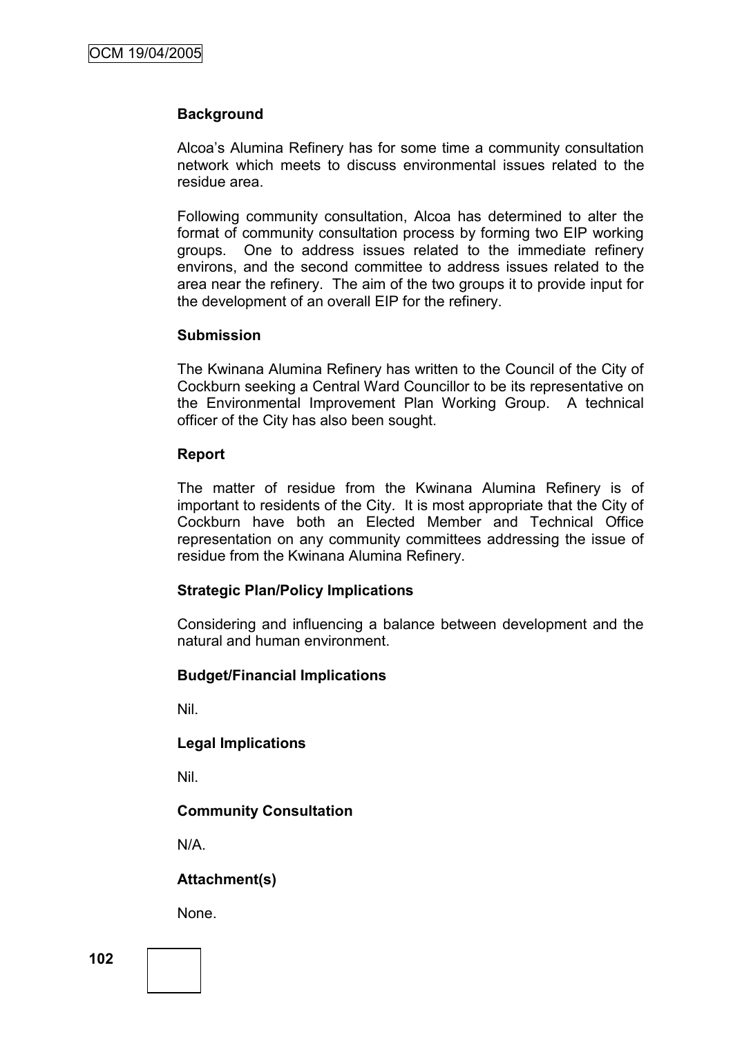## **Background**

Alcoa's Alumina Refinery has for some time a community consultation network which meets to discuss environmental issues related to the residue area.

Following community consultation, Alcoa has determined to alter the format of community consultation process by forming two EIP working groups. One to address issues related to the immediate refinery environs, and the second committee to address issues related to the area near the refinery. The aim of the two groups it to provide input for the development of an overall EIP for the refinery.

#### **Submission**

The Kwinana Alumina Refinery has written to the Council of the City of Cockburn seeking a Central Ward Councillor to be its representative on the Environmental Improvement Plan Working Group. A technical officer of the City has also been sought.

#### **Report**

The matter of residue from the Kwinana Alumina Refinery is of important to residents of the City. It is most appropriate that the City of Cockburn have both an Elected Member and Technical Office representation on any community committees addressing the issue of residue from the Kwinana Alumina Refinery.

#### **Strategic Plan/Policy Implications**

Considering and influencing a balance between development and the natural and human environment.

#### **Budget/Financial Implications**

Nil.

#### **Legal Implications**

Nil.

## **Community Consultation**

N/A.

## **Attachment(s)**

None.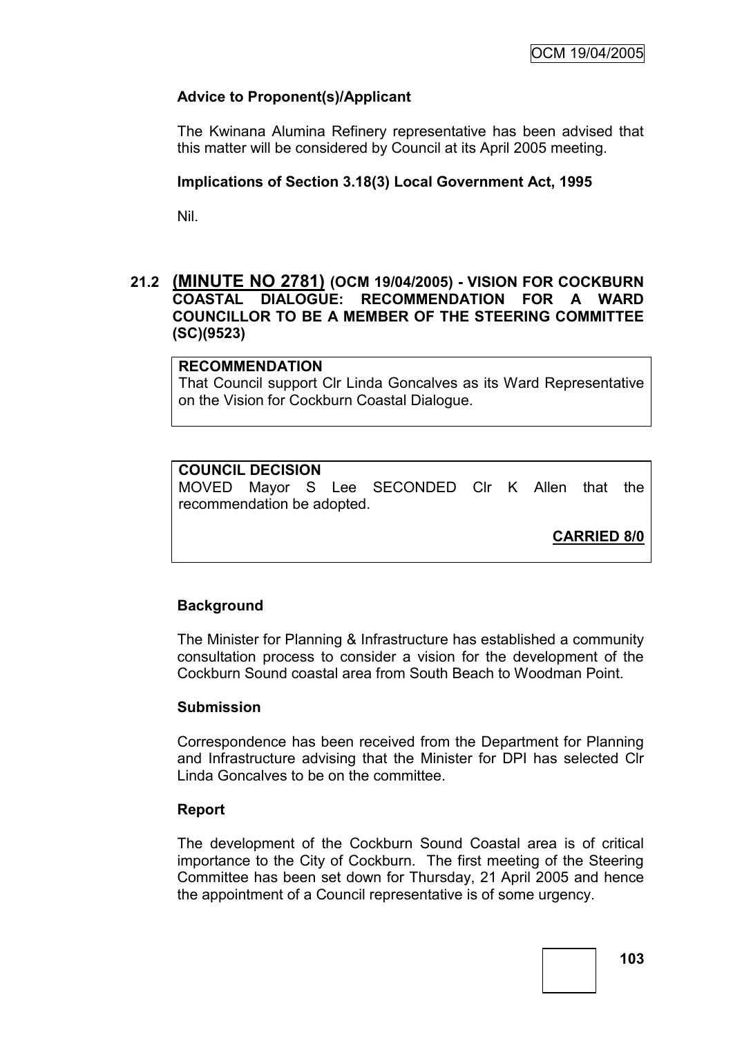# **Advice to Proponent(s)/Applicant**

The Kwinana Alumina Refinery representative has been advised that this matter will be considered by Council at its April 2005 meeting.

#### **Implications of Section 3.18(3) Local Government Act, 1995**

Nil.

## **21.2 (MINUTE NO 2781) (OCM 19/04/2005) - VISION FOR COCKBURN COASTAL DIALOGUE: RECOMMENDATION FOR A WARD COUNCILLOR TO BE A MEMBER OF THE STEERING COMMITTEE (SC)(9523)**

## **RECOMMENDATION**

That Council support Clr Linda Goncalves as its Ward Representative on the Vision for Cockburn Coastal Dialogue.

## **COUNCIL DECISION**

MOVED Mayor S Lee SECONDED Clr K Allen that the recommendation be adopted.

**CARRIED 8/0**

## **Background**

The Minister for Planning & Infrastructure has established a community consultation process to consider a vision for the development of the Cockburn Sound coastal area from South Beach to Woodman Point.

#### **Submission**

Correspondence has been received from the Department for Planning and Infrastructure advising that the Minister for DPI has selected Clr Linda Goncalves to be on the committee.

#### **Report**

The development of the Cockburn Sound Coastal area is of critical importance to the City of Cockburn. The first meeting of the Steering Committee has been set down for Thursday, 21 April 2005 and hence the appointment of a Council representative is of some urgency.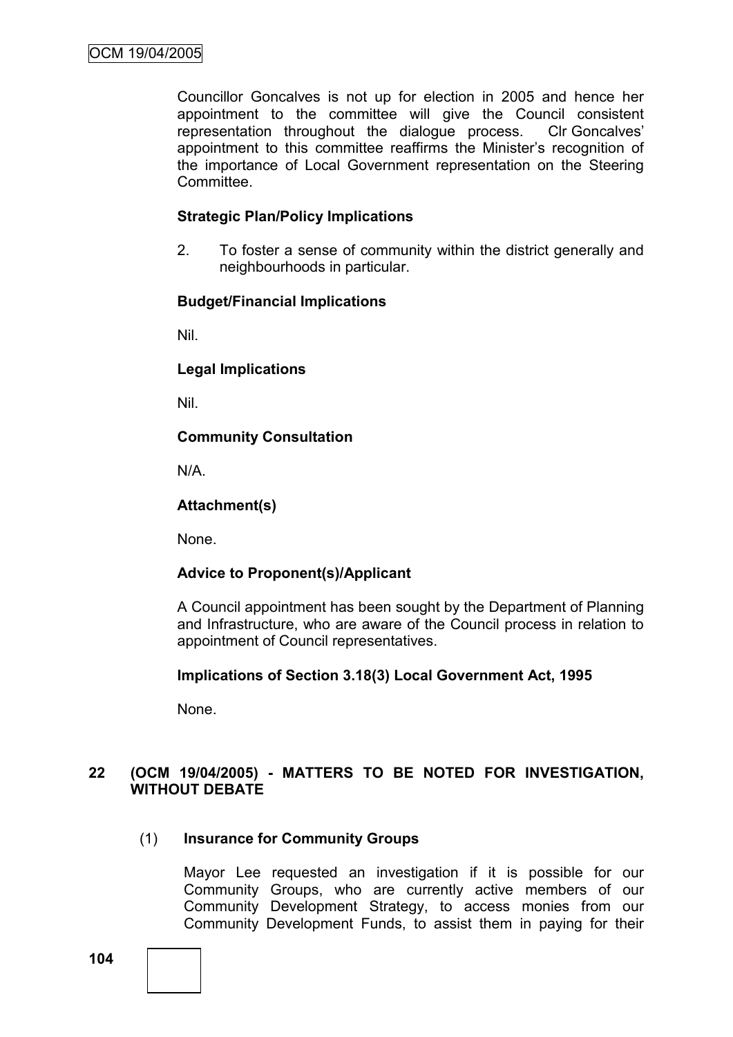Councillor Goncalves is not up for election in 2005 and hence her appointment to the committee will give the Council consistent representation throughout the dialogue process. Clr Goncalves' appointment to this committee reaffirms the Minister's recognition of the importance of Local Government representation on the Steering Committee.

## **Strategic Plan/Policy Implications**

2. To foster a sense of community within the district generally and neighbourhoods in particular.

#### **Budget/Financial Implications**

Nil.

**Legal Implications**

Nil.

# **Community Consultation**

N/A.

# **Attachment(s)**

None.

## **Advice to Proponent(s)/Applicant**

A Council appointment has been sought by the Department of Planning and Infrastructure, who are aware of the Council process in relation to appointment of Council representatives.

## **Implications of Section 3.18(3) Local Government Act, 1995**

None.

# **22 (OCM 19/04/2005) - MATTERS TO BE NOTED FOR INVESTIGATION, WITHOUT DEBATE**

# (1) **Insurance for Community Groups**

Mayor Lee requested an investigation if it is possible for our Community Groups, who are currently active members of our Community Development Strategy, to access monies from our Community Development Funds, to assist them in paying for their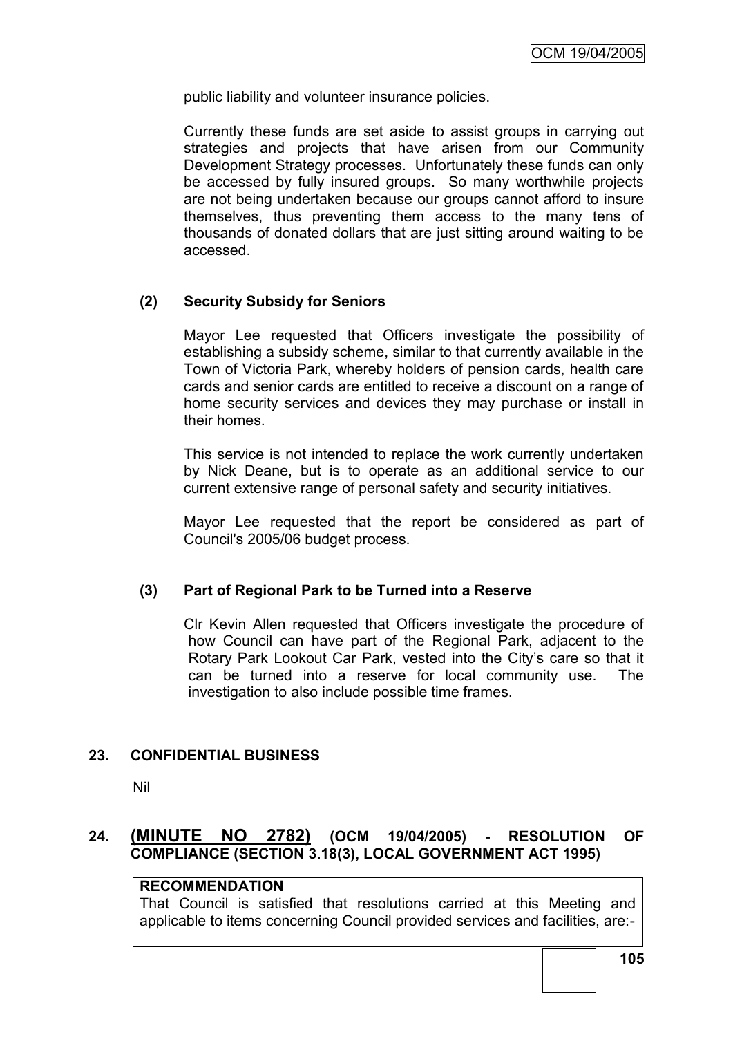public liability and volunteer insurance policies.

Currently these funds are set aside to assist groups in carrying out strategies and projects that have arisen from our Community Development Strategy processes. Unfortunately these funds can only be accessed by fully insured groups. So many worthwhile projects are not being undertaken because our groups cannot afford to insure themselves, thus preventing them access to the many tens of thousands of donated dollars that are just sitting around waiting to be accessed.

## **(2) Security Subsidy for Seniors**

Mayor Lee requested that Officers investigate the possibility of establishing a subsidy scheme, similar to that currently available in the Town of Victoria Park, whereby holders of pension cards, health care cards and senior cards are entitled to receive a discount on a range of home security services and devices they may purchase or install in their homes.

This service is not intended to replace the work currently undertaken by Nick Deane, but is to operate as an additional service to our current extensive range of personal safety and security initiatives.

Mayor Lee requested that the report be considered as part of Council's 2005/06 budget process.

### **(3) Part of Regional Park to be Turned into a Reserve**

Clr Kevin Allen requested that Officers investigate the procedure of how Council can have part of the Regional Park, adjacent to the Rotary Park Lookout Car Park, vested into the City's care so that it can be turned into a reserve for local community use. The investigation to also include possible time frames.

### **23. CONFIDENTIAL BUSINESS**

Nil

# **24. (MINUTE NO 2782) (OCM 19/04/2005) - RESOLUTION OF COMPLIANCE (SECTION 3.18(3), LOCAL GOVERNMENT ACT 1995)**

### **RECOMMENDATION**

That Council is satisfied that resolutions carried at this Meeting and applicable to items concerning Council provided services and facilities, are:-